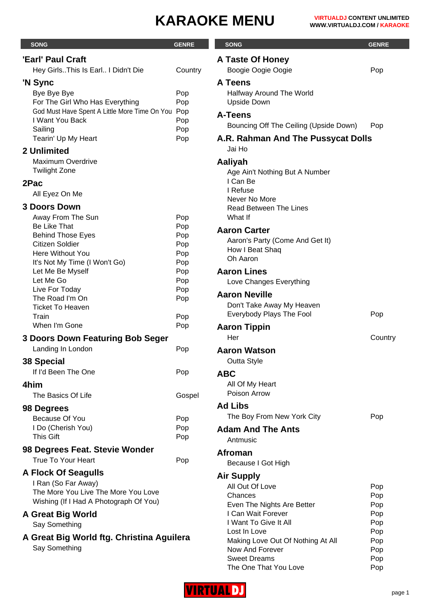| <b>SONG</b>                                       | <b>GENRE</b> | <b>SONG</b>                                          | <b>GENRE</b> |
|---------------------------------------------------|--------------|------------------------------------------------------|--------------|
| 'Earl' Paul Craft                                 |              | <b>A Taste Of Honey</b>                              |              |
| Hey GirlsThis Is Earl I Didn't Die                | Country      | Boogie Oogie Oogie                                   | Pop          |
| 'N Sync                                           |              | A Teens                                              |              |
| Bye Bye Bye                                       | Pop          | Halfway Around The World                             |              |
| For The Girl Who Has Everything                   | Pop          | <b>Upside Down</b>                                   |              |
| God Must Have Spent A Little More Time On You Pop |              | A-Teens                                              |              |
| I Want You Back                                   | Pop          | Bouncing Off The Ceiling (Upside Down)               | Pop          |
| Sailing                                           | Pop          |                                                      |              |
| Tearin' Up My Heart                               | Pop          | A.R. Rahman And The Pussycat Dolls                   |              |
| 2 Unlimited                                       |              | Jai Ho                                               |              |
| <b>Maximum Overdrive</b>                          |              | Aaliyah                                              |              |
| <b>Twilight Zone</b>                              |              | Age Ain't Nothing But A Number                       |              |
| 2Pac                                              |              | I Can Be                                             |              |
| All Eyez On Me                                    |              | I Refuse<br>Never No More                            |              |
| <b>3 Doors Down</b>                               |              | Read Between The Lines                               |              |
| Away From The Sun                                 | Pop          | What If                                              |              |
| Be Like That                                      | Pop          |                                                      |              |
| <b>Behind Those Eyes</b>                          | Pop          | <b>Aaron Carter</b>                                  |              |
| <b>Citizen Soldier</b>                            | Pop          | Aaron's Party (Come And Get It)<br>How I Beat Shaq   |              |
| Here Without You                                  | Pop          | Oh Aaron                                             |              |
| It's Not My Time (I Won't Go)                     | Pop          |                                                      |              |
| Let Me Be Myself<br>Let Me Go                     | Pop          | <b>Aaron Lines</b>                                   |              |
| Live For Today                                    | Pop<br>Pop   | Love Changes Everything                              |              |
| The Road I'm On                                   | Pop          | <b>Aaron Neville</b>                                 |              |
| <b>Ticket To Heaven</b>                           |              | Don't Take Away My Heaven                            |              |
| Train                                             | Pop          | Everybody Plays The Fool                             | Pop          |
| When I'm Gone                                     | Pop          | <b>Aaron Tippin</b>                                  |              |
| <b>3 Doors Down Featuring Bob Seger</b>           |              | Her                                                  | Country      |
| Landing In London                                 | Pop          | <b>Aaron Watson</b>                                  |              |
| 38 Special                                        |              | Outta Style                                          |              |
| If I'd Been The One                               | Pop          | <b>ABC</b>                                           |              |
|                                                   |              |                                                      |              |
| 4him                                              |              | All Of My Heart<br>Poison Arrow                      |              |
| The Basics Of Life                                | Gospel       |                                                      |              |
| 98 Degrees                                        |              | <b>Ad Libs</b>                                       |              |
| Because Of You                                    | Pop          | The Boy From New York City                           | Pop          |
| I Do (Cherish You)                                | Pop          | <b>Adam And The Ants</b>                             |              |
| <b>This Gift</b>                                  | Pop          | Antmusic                                             |              |
| 98 Degrees Feat. Stevie Wonder                    |              | <b>Afroman</b>                                       |              |
| <b>True To Your Heart</b>                         | Pop          | Because I Got High                                   |              |
| <b>A Flock Of Seagulls</b>                        |              | <b>Air Supply</b>                                    |              |
| I Ran (So Far Away)                               |              | All Out Of Love                                      | Pop          |
| The More You Live The More You Love               |              | Chances                                              | Pop          |
| Wishing (If I Had A Photograph Of You)            |              | Even The Nights Are Better                           | Pop          |
| <b>A Great Big World</b>                          |              | I Can Wait Forever                                   | Pop          |
| Say Something                                     |              | I Want To Give It All                                | Pop          |
| A Great Big World ftg. Christina Aguilera         |              | Lost In Love                                         | Pop          |
| Say Something                                     |              | Making Love Out Of Nothing At All<br>Now And Forever | Pop<br>Pop   |
|                                                   |              | <b>Sweet Dreams</b>                                  | Pop          |



The One That You Love **Pop**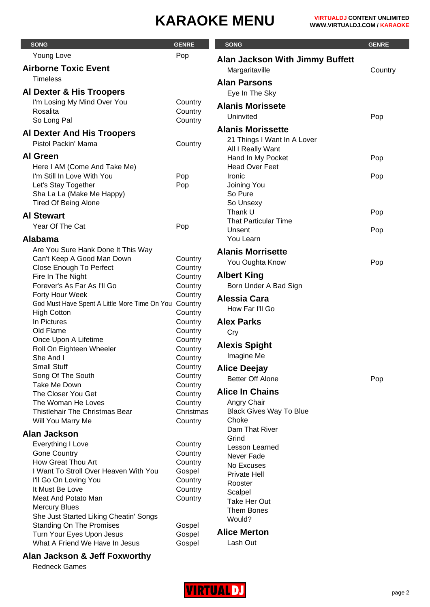| <b>SONG</b>                                                 | <b>GENRE</b>       | <b>SONG</b>                            | <b>GENRE</b> |
|-------------------------------------------------------------|--------------------|----------------------------------------|--------------|
| Young Love                                                  | Pop                |                                        |              |
| <b>Airborne Toxic Event</b>                                 |                    | <b>Alan Jackson With Jimmy Buffett</b> |              |
| <b>Timeless</b>                                             |                    | Margaritaville                         | Country      |
|                                                             |                    | <b>Alan Parsons</b>                    |              |
| Al Dexter & His Troopers                                    |                    | Eye In The Sky                         |              |
| I'm Losing My Mind Over You<br>Rosalita                     | Country<br>Country | <b>Alanis Morissete</b>                |              |
| So Long Pal                                                 | Country            | Uninvited                              | Pop          |
|                                                             |                    | <b>Alanis Morissette</b>               |              |
| <b>Al Dexter And His Troopers</b>                           |                    | 21 Things I Want In A Lover            |              |
| Pistol Packin' Mama                                         | Country            | All I Really Want                      |              |
| <b>Al Green</b>                                             |                    | Hand In My Pocket                      | Pop          |
| Here I AM (Come And Take Me)                                |                    | <b>Head Over Feet</b>                  |              |
| I'm Still In Love With You                                  | Pop                | <b>Ironic</b>                          | Pop          |
| Let's Stay Together<br>Sha La La (Make Me Happy)            | Pop                | Joining You<br>So Pure                 |              |
| <b>Tired Of Being Alone</b>                                 |                    | So Unsexy                              |              |
|                                                             |                    | Thank U                                | Pop          |
| <b>Al Stewart</b>                                           |                    | <b>That Particular Time</b>            |              |
| Year Of The Cat                                             | Pop                | Unsent                                 | Pop          |
| <b>Alabama</b>                                              |                    | You Learn                              |              |
| Are You Sure Hank Done It This Way                          |                    | <b>Alanis Morrisette</b>               |              |
| Can't Keep A Good Man Down                                  | Country            | You Oughta Know                        | Pop          |
| <b>Close Enough To Perfect</b>                              | Country            | <b>Albert King</b>                     |              |
| Fire In The Night<br>Forever's As Far As I'll Go            | Country<br>Country | Born Under A Bad Sign                  |              |
| Forty Hour Week                                             | Country            |                                        |              |
| God Must Have Spent A Little More Time On You Country       |                    | Alessia Cara                           |              |
| <b>High Cotton</b>                                          | Country            | How Far I'll Go                        |              |
| In Pictures                                                 | Country            | <b>Alex Parks</b>                      |              |
| Old Flame                                                   | Country            | Cry                                    |              |
| Once Upon A Lifetime                                        | Country            | <b>Alexis Spight</b>                   |              |
| Roll On Eighteen Wheeler                                    | Country            | Imagine Me                             |              |
| She And I<br><b>Small Stuff</b>                             | Country<br>Country |                                        |              |
| Song Of The South                                           | Country            | <b>Alice Deejay</b>                    |              |
| Take Me Down                                                | Country            | <b>Better Off Alone</b>                | Pop          |
| The Closer You Get                                          | Country            | <b>Alice In Chains</b>                 |              |
| The Woman He Loves                                          | Country            | Angry Chair                            |              |
| Thistlehair The Christmas Bear                              | Christmas          | <b>Black Gives Way To Blue</b>         |              |
| Will You Marry Me                                           | Country            | Choke<br>Dam That River                |              |
| <b>Alan Jackson</b>                                         |                    | Grind                                  |              |
| Everything I Love                                           | Country            | Lesson Learned                         |              |
| <b>Gone Country</b>                                         | Country            | Never Fade                             |              |
| How Great Thou Art<br>I Want To Stroll Over Heaven With You | Country            | No Excuses                             |              |
| I'll Go On Loving You                                       | Gospel<br>Country  | <b>Private Hell</b>                    |              |
| It Must Be Love                                             | Country            | Rooster                                |              |
| Meat And Potato Man                                         | Country            | Scalpel<br>Take Her Out                |              |
| <b>Mercury Blues</b>                                        |                    | Them Bones                             |              |
| She Just Started Liking Cheatin' Songs                      |                    | Would?                                 |              |
| <b>Standing On The Promises</b>                             | Gospel             | <b>Alice Merton</b>                    |              |
| Turn Your Eyes Upon Jesus                                   | Gospel             |                                        |              |
| What A Friend We Have In Jesus                              | Gospel             | Lash Out                               |              |
| Alan Jackson & Jeff Foxworthy                               |                    |                                        |              |
| <b>Redneck Games</b>                                        |                    |                                        |              |

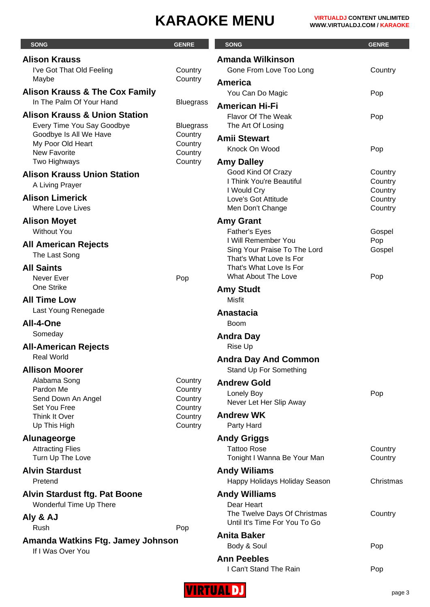| <b>SONG</b>                                          | <b>GENRE</b>                | <b>SONG</b>                                       | <b>GENRE</b>       |
|------------------------------------------------------|-----------------------------|---------------------------------------------------|--------------------|
| <b>Alison Krauss</b>                                 |                             | <b>Amanda Wilkinson</b>                           |                    |
| I've Got That Old Feeling                            | Country                     | Gone From Love Too Long                           | Country            |
| Maybe                                                | Country                     | America                                           |                    |
| <b>Alison Krauss &amp; The Cox Family</b>            |                             | You Can Do Magic                                  | Pop                |
| In The Palm Of Your Hand                             | <b>Bluegrass</b>            | <b>American Hi-Fi</b>                             |                    |
| <b>Alison Krauss &amp; Union Station</b>             |                             | Flavor Of The Weak                                | Pop                |
| Every Time You Say Goodbye<br>Goodbye Is All We Have | <b>Bluegrass</b><br>Country | The Art Of Losing                                 |                    |
| My Poor Old Heart                                    | Country                     | <b>Amii Stewart</b>                               |                    |
| <b>New Favorite</b>                                  | Country                     | Knock On Wood                                     | Pop                |
| Two Highways                                         | Country                     | <b>Amy Dalley</b>                                 |                    |
| <b>Alison Krauss Union Station</b>                   |                             | Good Kind Of Crazy<br>I Think You're Beautiful    | Country<br>Country |
| A Living Prayer                                      |                             | I Would Cry                                       | Country            |
| <b>Alison Limerick</b>                               |                             | Love's Got Attitude                               | Country            |
| <b>Where Love Lives</b>                              |                             | Men Don't Change                                  | Country            |
| <b>Alison Moyet</b>                                  |                             | <b>Amy Grant</b>                                  |                    |
| <b>Without You</b>                                   |                             | <b>Father's Eyes</b><br>I Will Remember You       | Gospel<br>Pop      |
| <b>All American Rejects</b>                          |                             | Sing Your Praise To The Lord                      | Gospel             |
| The Last Song                                        |                             | That's What Love Is For                           |                    |
| <b>All Saints</b><br>Never Ever                      | Pop                         | That's What Love Is For<br>What About The Love    | Pop                |
| One Strike                                           |                             | <b>Amy Studt</b>                                  |                    |
| <b>All Time Low</b>                                  |                             | Misfit                                            |                    |
| Last Young Renegade                                  |                             | Anastacia                                         |                    |
| All-4-One                                            |                             | <b>Boom</b>                                       |                    |
| Someday                                              |                             | <b>Andra Day</b>                                  |                    |
| <b>All-American Rejects</b>                          |                             | <b>Rise Up</b>                                    |                    |
| Real World                                           |                             | <b>Andra Day And Common</b>                       |                    |
| <b>Allison Moorer</b>                                |                             | Stand Up For Something                            |                    |
| Alabama Song                                         | Country                     | <b>Andrew Gold</b>                                |                    |
| Pardon Me<br>Send Down An Angel                      | Country<br>Country          | Lonely Boy                                        | Pop                |
| Set You Free                                         | Country                     | Never Let Her Slip Away                           |                    |
| Think It Over                                        | Country                     | <b>Andrew WK</b>                                  |                    |
| Up This High                                         | Country                     | Party Hard                                        |                    |
| <b>Alunageorge</b>                                   |                             | <b>Andy Griggs</b>                                |                    |
| <b>Attracting Flies</b><br>Turn Up The Love          |                             | <b>Tattoo Rose</b><br>Tonight I Wanna Be Your Man | Country<br>Country |
| <b>Alvin Stardust</b>                                |                             | <b>Andy Williams</b>                              |                    |
| Pretend                                              |                             | Happy Holidays Holiday Season                     | Christmas          |
| <b>Alvin Stardust ftg. Pat Boone</b>                 |                             | <b>Andy Williams</b>                              |                    |
| Wonderful Time Up There                              |                             | Dear Heart                                        |                    |
| Aly & AJ                                             |                             | The Twelve Days Of Christmas                      | Country            |
| Rush                                                 | Pop                         | Until It's Time For You To Go                     |                    |
| Amanda Watkins Ftg. Jamey Johnson                    |                             | <b>Anita Baker</b>                                |                    |
| If I Was Over You                                    |                             | Body & Soul                                       | Pop                |
|                                                      |                             | <b>Ann Peebles</b>                                |                    |
|                                                      |                             | I Can't Stand The Rain                            | Pop                |

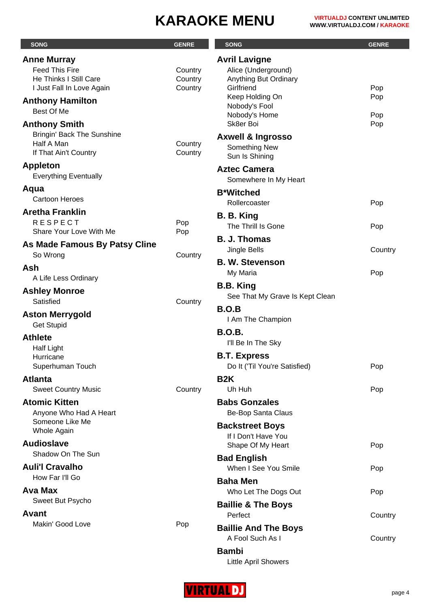| <b>SONG</b>                                                                                                                  | <b>GENRE</b>                  | <b>SONG</b>                                                                                    | <b>GENRE</b> |
|------------------------------------------------------------------------------------------------------------------------------|-------------------------------|------------------------------------------------------------------------------------------------|--------------|
| <b>Anne Murray</b>                                                                                                           |                               | <b>Avril Lavigne</b>                                                                           |              |
| <b>Feed This Fire</b><br><b>He Thinks I Still Care</b><br>I Just Fall In Love Again<br><b>Anthony Hamilton</b><br>Best Of Me | Country<br>Country<br>Country | Alice (Underground)<br>Anything But Ordinary<br>Girlfriend<br>Keep Holding On<br>Nobody's Fool | Pop<br>Pop   |
| <b>Anthony Smith</b>                                                                                                         |                               | Nobody's Home<br>Sk8er Boi                                                                     | Pop<br>Pop   |
| <b>Bringin' Back The Sunshine</b><br>Half A Man<br>If That Ain't Country                                                     | Country<br>Country            | <b>Axwell &amp; Ingrosso</b><br>Something New<br>Sun Is Shining                                |              |
| Appleton<br><b>Everything Eventually</b>                                                                                     |                               | <b>Aztec Camera</b><br>Somewhere In My Heart                                                   |              |
| Aqua<br><b>Cartoon Heroes</b>                                                                                                |                               | <b>B*Witched</b><br>Rollercoaster                                                              | Pop          |
| <b>Aretha Franklin</b><br><b>RESPECT</b><br>Share Your Love With Me                                                          | Pop<br>Pop                    | B. B. King<br>The Thrill Is Gone                                                               | Pop          |
| As Made Famous By Patsy Cline<br>So Wrong                                                                                    | Country                       | <b>B. J. Thomas</b><br>Jingle Bells                                                            | Country      |
| Ash<br>A Life Less Ordinary                                                                                                  |                               | <b>B. W. Stevenson</b><br>My Maria                                                             | Pop          |
| <b>Ashley Monroe</b><br>Satisfied                                                                                            | Country                       | <b>B.B. King</b><br>See That My Grave Is Kept Clean                                            |              |
| <b>Aston Merrygold</b><br><b>Get Stupid</b>                                                                                  |                               | B.O.B<br>I Am The Champion                                                                     |              |
| <b>Athlete</b><br><b>Half Light</b><br>Hurricane                                                                             |                               | <b>B.O.B.</b><br>I'll Be In The Sky<br><b>B.T. Express</b>                                     |              |
| Superhuman Touch                                                                                                             |                               | Do It ('Til You're Satisfied)                                                                  | Pop          |
| <b>Atlanta</b><br><b>Sweet Country Music</b>                                                                                 | Country                       | <b>B2K</b><br>Uh Huh                                                                           | Pop          |
| <b>Atomic Kitten</b><br>Anyone Who Had A Heart<br>Someone Like Me                                                            |                               | <b>Babs Gonzales</b><br>Be-Bop Santa Claus<br><b>Backstreet Boys</b>                           |              |
| Whole Again<br><b>Audioslave</b>                                                                                             |                               | If I Don't Have You<br>Shape Of My Heart                                                       | Pop          |
| Shadow On The Sun<br><b>Auli'l Cravalho</b><br>How Far I'll Go                                                               |                               | <b>Bad English</b><br>When I See You Smile                                                     | Pop          |
| <b>Ava Max</b><br>Sweet But Psycho                                                                                           |                               | <b>Baha Men</b><br>Who Let The Dogs Out                                                        | Pop          |
| Avant                                                                                                                        |                               | <b>Baillie &amp; The Boys</b><br>Perfect                                                       | Country      |
| Makin' Good Love                                                                                                             | Pop                           | <b>Baillie And The Boys</b><br>A Fool Such As I                                                | Country      |
|                                                                                                                              |                               | <b>Bambi</b>                                                                                   |              |

Little April Showers

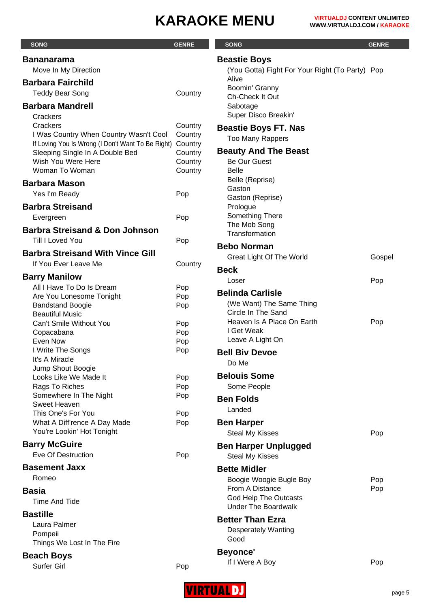| <b>SONG</b>                                           | <b>GENRE</b>       | <b>SONG</b>                                         | <b>GENRE</b> |
|-------------------------------------------------------|--------------------|-----------------------------------------------------|--------------|
| <b>Bananarama</b>                                     |                    | <b>Beastie Boys</b>                                 |              |
| Move In My Direction                                  |                    | (You Gotta) Fight For Your Right (To Party) Pop     |              |
| <b>Barbara Fairchild</b>                              |                    | Alive                                               |              |
|                                                       |                    | Boomin' Granny                                      |              |
| <b>Teddy Bear Song</b>                                | Country            | Ch-Check It Out                                     |              |
| <b>Barbara Mandrell</b>                               |                    | Sabotage                                            |              |
| Crackers                                              |                    | Super Disco Breakin'                                |              |
| Crackers                                              | Country            | <b>Beastie Boys FT. Nas</b>                         |              |
| I Was Country When Country Wasn't Cool                | Country            | <b>Too Many Rappers</b>                             |              |
| If Loving You Is Wrong (I Don't Want To Be Right)     | Country            | <b>Beauty And The Beast</b>                         |              |
| Sleeping Single In A Double Bed<br>Wish You Were Here | Country<br>Country | <b>Be Our Guest</b>                                 |              |
| Woman To Woman                                        | Country            | <b>Belle</b>                                        |              |
|                                                       |                    | Belle (Reprise)                                     |              |
| <b>Barbara Mason</b>                                  |                    | Gaston                                              |              |
| Yes I'm Ready                                         | Pop                | Gaston (Reprise)                                    |              |
| <b>Barbra Streisand</b>                               |                    | Prologue                                            |              |
| Evergreen                                             | Pop                | Something There                                     |              |
| <b>Barbra Streisand &amp; Don Johnson</b>             |                    | The Mob Song                                        |              |
| Till I Loved You                                      | Pop                | Transformation                                      |              |
|                                                       |                    | <b>Bebo Norman</b>                                  |              |
| <b>Barbra Streisand With Vince Gill</b>               |                    | <b>Great Light Of The World</b>                     | Gospel       |
| If You Ever Leave Me                                  | Country            | <b>Beck</b>                                         |              |
| <b>Barry Manilow</b>                                  |                    | Loser                                               | Pop          |
| All I Have To Do Is Dream                             | Pop                | <b>Belinda Carlisle</b>                             |              |
| Are You Lonesome Tonight                              | Pop                |                                                     |              |
| <b>Bandstand Boogie</b>                               | Pop                | (We Want) The Same Thing<br>Circle In The Sand      |              |
| <b>Beautiful Music</b><br>Can't Smile Without You     |                    | Heaven Is A Place On Earth                          | Pop          |
| Copacabana                                            | Pop<br>Pop         | I Get Weak                                          |              |
| Even Now                                              | Pop                | Leave A Light On                                    |              |
| I Write The Songs                                     | Pop                | <b>Bell Biv Devoe</b>                               |              |
| It's A Miracle                                        |                    |                                                     |              |
| Jump Shout Boogie                                     |                    | Do Me                                               |              |
| Looks Like We Made It                                 | Pop                | <b>Belouis Some</b>                                 |              |
| Rags To Riches                                        | Pop                | Some People                                         |              |
| Somewhere In The Night                                | Pop                | <b>Ben Folds</b>                                    |              |
| Sweet Heaven                                          |                    | Landed                                              |              |
| This One's For You<br>What A Diff'rence A Day Made    | Pop<br>Pop         |                                                     |              |
| You're Lookin' Hot Tonight                            |                    | <b>Ben Harper</b><br><b>Steal My Kisses</b>         |              |
|                                                       |                    |                                                     | Pop          |
| <b>Barry McGuire</b><br>Eve Of Destruction            |                    | <b>Ben Harper Unplugged</b>                         |              |
|                                                       | Pop                | <b>Steal My Kisses</b>                              |              |
| <b>Basement Jaxx</b>                                  |                    | <b>Bette Midler</b>                                 |              |
| Romeo                                                 |                    | Boogie Woogie Bugle Boy                             | Pop          |
| <b>Basia</b>                                          |                    | From A Distance                                     | Pop          |
| Time And Tide                                         |                    | God Help The Outcasts<br><b>Under The Boardwalk</b> |              |
| <b>Bastille</b>                                       |                    |                                                     |              |
| Laura Palmer                                          |                    | <b>Better Than Ezra</b>                             |              |
| Pompeii                                               |                    | <b>Desperately Wanting</b>                          |              |
| Things We Lost In The Fire                            |                    | Good                                                |              |
| <b>Beach Boys</b>                                     |                    | <b>Beyonce'</b>                                     |              |
| Surfer Girl                                           | Pop                | If I Were A Boy                                     | Pop          |

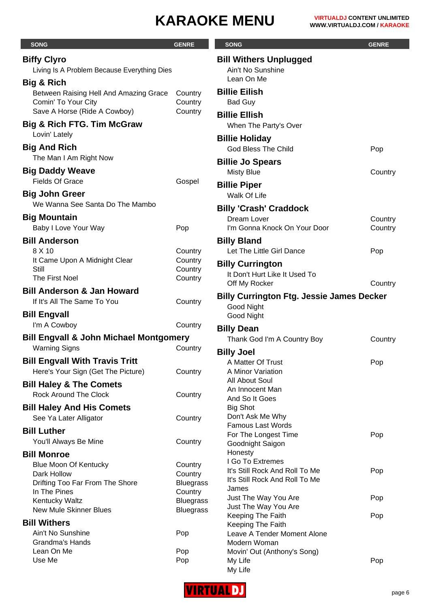| <b>SONG</b>                                                   | <b>GENRE</b>       | <b>SONG</b>                                      | <b>GENRE</b> |
|---------------------------------------------------------------|--------------------|--------------------------------------------------|--------------|
| <b>Biffy Clyro</b>                                            |                    | <b>Bill Withers Unplugged</b>                    |              |
| Living Is A Problem Because Everything Dies                   |                    | Ain't No Sunshine                                |              |
|                                                               |                    | Lean On Me                                       |              |
| <b>Big &amp; Rich</b>                                         |                    | <b>Billie Eilish</b>                             |              |
| Between Raising Hell And Amazing Grace<br>Comin' To Your City | Country<br>Country | <b>Bad Guy</b>                                   |              |
| Save A Horse (Ride A Cowboy)                                  | Country            |                                                  |              |
|                                                               |                    | <b>Billie Ellish</b>                             |              |
| Big & Rich FTG. Tim McGraw                                    |                    | When The Party's Over                            |              |
| Lovin' Lately                                                 |                    | <b>Billie Holiday</b>                            |              |
| <b>Big And Rich</b>                                           |                    | <b>God Bless The Child</b>                       | Pop          |
| The Man I Am Right Now                                        |                    | <b>Billie Jo Spears</b>                          |              |
| <b>Big Daddy Weave</b>                                        |                    | <b>Misty Blue</b>                                | Country      |
| <b>Fields Of Grace</b>                                        | Gospel             |                                                  |              |
| <b>Big John Greer</b>                                         |                    | <b>Billie Piper</b>                              |              |
| We Wanna See Santa Do The Mambo                               |                    | Walk Of Life                                     |              |
|                                                               |                    | <b>Billy 'Crash' Craddock</b>                    |              |
| <b>Big Mountain</b>                                           |                    | Dream Lover                                      | Country      |
| Baby I Love Your Way                                          | Pop                | I'm Gonna Knock On Your Door                     | Country      |
| <b>Bill Anderson</b>                                          |                    | <b>Billy Bland</b>                               |              |
| 8 X 10                                                        | Country            | Let The Little Girl Dance                        | Pop          |
| It Came Upon A Midnight Clear                                 | Country            | <b>Billy Currington</b>                          |              |
| Still                                                         | Country            | It Don't Hurt Like It Used To                    |              |
| The First Noel                                                | Country            | Off My Rocker                                    | Country      |
| <b>Bill Anderson &amp; Jan Howard</b>                         |                    | <b>Billy Currington Ftg. Jessie James Decker</b> |              |
| If It's All The Same To You                                   | Country            | Good Night                                       |              |
| <b>Bill Engvall</b>                                           |                    | Good Night                                       |              |
| I'm A Cowboy                                                  | Country            | <b>Billy Dean</b>                                |              |
| <b>Bill Engvall &amp; John Michael Montgomery</b>             |                    | Thank God I'm A Country Boy                      | Country      |
| <b>Warning Signs</b>                                          | Country            |                                                  |              |
|                                                               |                    | <b>Billy Joel</b>                                |              |
| <b>Bill Engvall With Travis Tritt</b>                         |                    | A Matter Of Trust                                | Pop          |
| Here's Your Sign (Get The Picture)                            | Country            | A Minor Variation<br><b>All About Soul</b>       |              |
| <b>Bill Haley &amp; The Comets</b>                            |                    | An Innocent Man                                  |              |
| Rock Around The Clock                                         | Country            | And So It Goes                                   |              |
| <b>Bill Haley And His Comets</b>                              |                    | <b>Big Shot</b>                                  |              |
| See Ya Later Alligator                                        | Country            | Don't Ask Me Why                                 |              |
| <b>Bill Luther</b>                                            |                    | <b>Famous Last Words</b>                         |              |
| You'll Always Be Mine                                         | Country            | For The Longest Time                             | Pop          |
|                                                               |                    | Goodnight Saigon<br>Honesty                      |              |
| <b>Bill Monroe</b>                                            |                    | I Go To Extremes                                 |              |
| <b>Blue Moon Of Kentucky</b><br>Dark Hollow                   | Country<br>Country | It's Still Rock And Roll To Me                   | Pop          |
| Drifting Too Far From The Shore                               | <b>Bluegrass</b>   | It's Still Rock And Roll To Me                   |              |
| In The Pines                                                  | Country            | James                                            |              |
| <b>Kentucky Waltz</b>                                         | <b>Bluegrass</b>   | Just The Way You Are                             | Pop          |
| <b>New Mule Skinner Blues</b>                                 | <b>Bluegrass</b>   | Just The Way You Are                             |              |
| <b>Bill Withers</b>                                           |                    | Keeping The Faith<br>Keeping The Faith           | Pop          |
| Ain't No Sunshine                                             | Pop                | Leave A Tender Moment Alone                      |              |
| <b>Grandma's Hands</b>                                        |                    | Modern Woman                                     |              |
| Lean On Me                                                    | Pop                | Movin' Out (Anthony's Song)                      |              |
| Use Me                                                        | Pop                | My Life                                          | Pop          |
|                                                               |                    | My Life                                          |              |

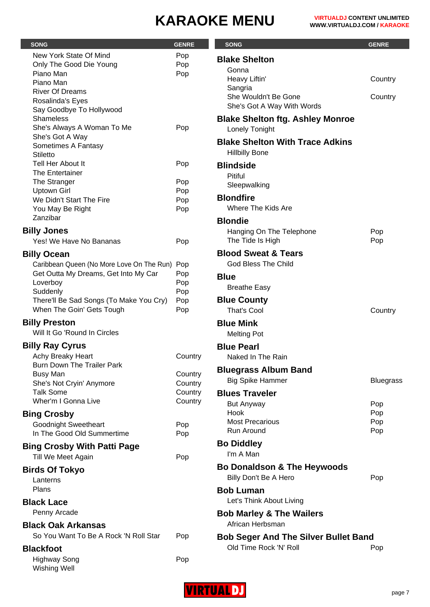| <b>SONG</b>                                   | <b>GENRE</b> | <b>SONG</b>                                 | <b>GENRE</b>     |
|-----------------------------------------------|--------------|---------------------------------------------|------------------|
| New York State Of Mind                        | Pop          | <b>Blake Shelton</b>                        |                  |
| Only The Good Die Young                       | Pop          | Gonna                                       |                  |
| Piano Man                                     | Pop          | Heavy Liftin'                               | Country          |
| Piano Man                                     |              | Sangria                                     |                  |
| <b>River Of Dreams</b>                        |              | She Wouldn't Be Gone                        | Country          |
| Rosalinda's Eyes<br>Say Goodbye To Hollywood  |              | She's Got A Way With Words                  |                  |
| <b>Shameless</b>                              |              | <b>Blake Shelton ftg. Ashley Monroe</b>     |                  |
| She's Always A Woman To Me                    | Pop          | <b>Lonely Tonight</b>                       |                  |
| She's Got A Way                               |              |                                             |                  |
| Sometimes A Fantasy                           |              | <b>Blake Shelton With Trace Adkins</b>      |                  |
| <b>Stiletto</b>                               |              | <b>Hillbilly Bone</b>                       |                  |
| Tell Her About It                             | Pop          | <b>Blindside</b>                            |                  |
| The Entertainer                               |              | Pitiful                                     |                  |
| The Stranger<br><b>Uptown Girl</b>            | Pop<br>Pop   | Sleepwalking                                |                  |
| We Didn't Start The Fire                      | Pop          | <b>Blondfire</b>                            |                  |
| You May Be Right                              | Pop          | Where The Kids Are                          |                  |
| Zanzibar                                      |              | <b>Blondie</b>                              |                  |
| <b>Billy Jones</b>                            |              | Hanging On The Telephone                    | Pop              |
| Yes! We Have No Bananas                       | Pop          | The Tide Is High                            | Pop              |
| <b>Billy Ocean</b>                            |              | <b>Blood Sweat &amp; Tears</b>              |                  |
| Caribbean Queen (No More Love On The Run) Pop |              | <b>God Bless The Child</b>                  |                  |
| Get Outta My Dreams, Get Into My Car          | Pop          | <b>Blue</b>                                 |                  |
| Loverboy                                      | Pop          |                                             |                  |
| Suddenly                                      | Pop          | <b>Breathe Easy</b>                         |                  |
| There'll Be Sad Songs (To Make You Cry)       | Pop          | <b>Blue County</b>                          |                  |
| When The Goin' Gets Tough                     | Pop          | <b>That's Cool</b>                          | Country          |
| <b>Billy Preston</b>                          |              | <b>Blue Mink</b>                            |                  |
| Will It Go 'Round In Circles                  |              | <b>Melting Pot</b>                          |                  |
| <b>Billy Ray Cyrus</b>                        |              | <b>Blue Pearl</b>                           |                  |
| Achy Breaky Heart                             | Country      | Naked In The Rain                           |                  |
| <b>Burn Down The Trailer Park</b>             |              | <b>Bluegrass Album Band</b>                 |                  |
| <b>Busy Man</b>                               | Country      | <b>Big Spike Hammer</b>                     | <b>Bluegrass</b> |
| She's Not Cryin' Anymore                      | Country      |                                             |                  |
| <b>Talk Some</b><br>Wher'm I Gonna Live       | Country      | <b>Blues Traveler</b>                       |                  |
|                                               | Country      | <b>But Anyway</b>                           | Pop              |
| <b>Bing Crosby</b>                            |              | Hook<br><b>Most Precarious</b>              | Pop              |
| <b>Goodnight Sweetheart</b>                   | Pop          | Run Around                                  | Pop<br>Pop       |
| In The Good Old Summertime                    | Pop          |                                             |                  |
| <b>Bing Crosby With Patti Page</b>            |              | <b>Bo Diddley</b>                           |                  |
| Till We Meet Again                            | Pop          | I'm A Man                                   |                  |
| <b>Birds Of Tokyo</b>                         |              | <b>Bo Donaldson &amp; The Heywoods</b>      |                  |
| Lanterns                                      |              | Billy Don't Be A Hero                       | Pop              |
| Plans                                         |              | <b>Bob Luman</b>                            |                  |
| <b>Black Lace</b>                             |              | Let's Think About Living                    |                  |
| Penny Arcade                                  |              | <b>Bob Marley &amp; The Wailers</b>         |                  |
| <b>Black Oak Arkansas</b>                     |              | African Herbsman                            |                  |
| So You Want To Be A Rock 'N Roll Star         | Pop          | <b>Bob Seger And The Silver Bullet Band</b> |                  |
| <b>Blackfoot</b>                              |              | Old Time Rock 'N' Roll                      | Pop              |
| <b>Highway Song</b><br>Wishing Well           | Pop          |                                             |                  |

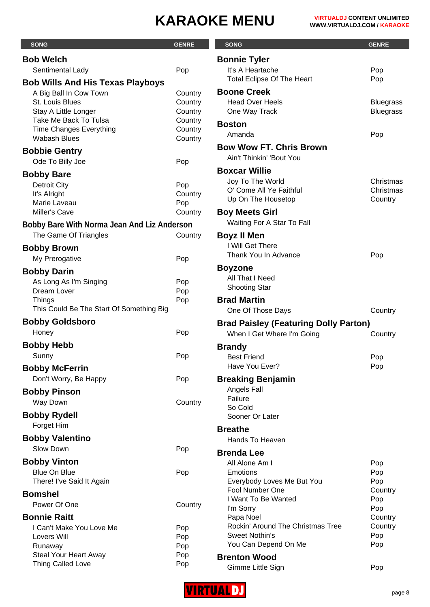| <b>SONG</b>                                 | <b>GENRE</b> | <b>SONG</b>                                         | <b>GENRE</b>     |
|---------------------------------------------|--------------|-----------------------------------------------------|------------------|
| <b>Bob Welch</b>                            |              | <b>Bonnie Tyler</b>                                 |                  |
| Sentimental Lady                            | Pop          | It's A Heartache                                    | Pop              |
| <b>Bob Wills And His Texas Playboys</b>     |              | <b>Total Eclipse Of The Heart</b>                   | Pop              |
| A Big Ball In Cow Town                      | Country      | <b>Boone Creek</b>                                  |                  |
| St. Louis Blues                             | Country      | <b>Head Over Heels</b>                              | <b>Bluegrass</b> |
| Stay A Little Longer                        | Country      | One Way Track                                       | <b>Bluegrass</b> |
| Take Me Back To Tulsa                       | Country      | <b>Boston</b>                                       |                  |
| <b>Time Changes Everything</b>              | Country      | Amanda                                              | Pop              |
| <b>Wabash Blues</b>                         | Country      |                                                     |                  |
| <b>Bobbie Gentry</b>                        |              | <b>Bow Wow FT. Chris Brown</b>                      |                  |
| Ode To Billy Joe                            | Pop          | Ain't Thinkin' 'Bout You                            |                  |
| <b>Bobby Bare</b>                           |              | <b>Boxcar Willie</b>                                |                  |
| <b>Detroit City</b>                         | Pop          | Joy To The World                                    | Christmas        |
| It's Alright                                | Country      | O' Come All Ye Faithful                             | Christmas        |
| Marie Laveau                                | Pop          | Up On The Housetop                                  | Country          |
| Miller's Cave                               | Country      | <b>Boy Meets Girl</b>                               |                  |
| Bobby Bare With Norma Jean And Liz Anderson |              | Waiting For A Star To Fall                          |                  |
| The Game Of Triangles                       | Country      | <b>Boyz II Men</b>                                  |                  |
| <b>Bobby Brown</b>                          |              | I Will Get There                                    |                  |
| My Prerogative                              | Pop          | Thank You In Advance                                | Pop              |
| <b>Bobby Darin</b>                          |              | <b>Boyzone</b>                                      |                  |
| As Long As I'm Singing                      | Pop          | All That I Need                                     |                  |
| Dream Lover                                 | Pop          | <b>Shooting Star</b>                                |                  |
| <b>Things</b>                               | Pop          | <b>Brad Martin</b>                                  |                  |
| This Could Be The Start Of Something Big    |              | One Of Those Days                                   | Country          |
| <b>Bobby Goldsboro</b>                      |              | <b>Brad Paisley (Featuring Dolly Parton)</b>        |                  |
| Honey                                       | Pop          | When I Get Where I'm Going                          | Country          |
| <b>Bobby Hebb</b>                           |              |                                                     |                  |
| Sunny                                       | Pop          | <b>Brandy</b>                                       |                  |
|                                             |              | <b>Best Friend</b><br>Have You Ever?                | Pop<br>Pop       |
| <b>Bobby McFerrin</b>                       |              |                                                     |                  |
| Don't Worry, Be Happy                       | Pop          | <b>Breaking Benjamin</b>                            |                  |
| <b>Bobby Pinson</b>                         |              | Angels Fall<br>Failure                              |                  |
| Way Down                                    | Country      | So Cold                                             |                  |
| <b>Bobby Rydell</b>                         |              | Sooner Or Later                                     |                  |
| Forget Him                                  |              | <b>Breathe</b>                                      |                  |
| <b>Bobby Valentino</b>                      |              | Hands To Heaven                                     |                  |
| <b>Slow Down</b>                            | Pop          | <b>Brenda Lee</b>                                   |                  |
| <b>Bobby Vinton</b>                         |              | All Alone Am I                                      |                  |
| <b>Blue On Blue</b>                         | Pop          | Emotions                                            | Pop<br>Pop       |
| There! I've Said It Again                   |              | Everybody Loves Me But You                          | Pop              |
| <b>Bomshel</b>                              |              | Fool Number One                                     | Country          |
| Power Of One                                | Country      | I Want To Be Wanted                                 | Pop              |
|                                             |              | I'm Sorry                                           | Pop              |
| <b>Bonnie Raitt</b>                         |              | Papa Noel                                           | Country          |
| I Can't Make You Love Me                    | Pop          | Rockin' Around The Christmas Tree<br>Sweet Nothin's | Country<br>Pop   |
| Lovers Will                                 | Pop<br>Pop   | You Can Depend On Me                                | Pop              |
| Runaway<br><b>Steal Your Heart Away</b>     | Pop          |                                                     |                  |
| <b>Thing Called Love</b>                    | Pop          | <b>Brenton Wood</b>                                 |                  |
|                                             |              | Gimme Little Sign                                   | Pop              |

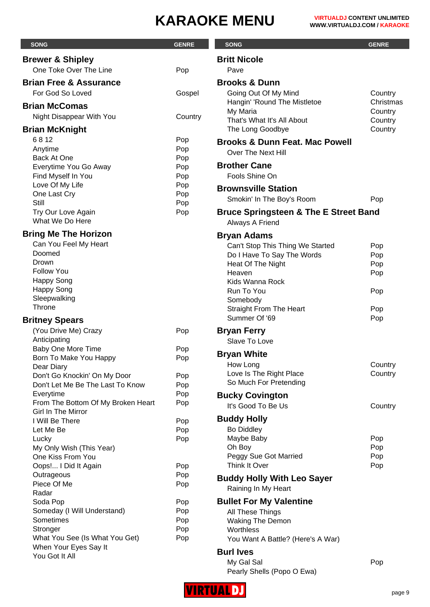| <b>SONG</b>                                                     | <b>GENRE</b> | <b>SONG</b>                                      | <b>GENRE</b>       |
|-----------------------------------------------------------------|--------------|--------------------------------------------------|--------------------|
|                                                                 |              |                                                  |                    |
| <b>Brewer &amp; Shipley</b>                                     |              | <b>Britt Nicole</b>                              |                    |
| One Toke Over The Line                                          | Pop          | Pave                                             |                    |
| <b>Brian Free &amp; Assurance</b>                               |              | <b>Brooks &amp; Dunn</b>                         |                    |
| For God So Loved                                                | Gospel       | Going Out Of My Mind                             | Country            |
| <b>Brian McComas</b>                                            |              | Hangin' 'Round The Mistletoe                     | Christmas          |
| Night Disappear With You                                        | Country      | My Maria                                         | Country            |
| <b>Brian McKnight</b>                                           |              | That's What It's All About<br>The Long Goodbye   | Country<br>Country |
| 6812                                                            | Pop          |                                                  |                    |
| Anytime                                                         | Pop          | <b>Brooks &amp; Dunn Feat. Mac Powell</b>        |                    |
| Back At One                                                     | Pop          | Over The Next Hill                               |                    |
| Everytime You Go Away                                           | Pop          | <b>Brother Cane</b>                              |                    |
| Find Myself In You                                              | Pop          | Fools Shine On                                   |                    |
| Love Of My Life                                                 | Pop          | <b>Brownsville Station</b>                       |                    |
| One Last Cry                                                    | Pop          | Smokin' In The Boy's Room                        | Pop                |
| Still                                                           | Pop          |                                                  |                    |
| Try Our Love Again<br>What We Do Here                           | Pop          | <b>Bruce Springsteen &amp; The E Street Band</b> |                    |
|                                                                 |              | Always A Friend                                  |                    |
| <b>Bring Me The Horizon</b>                                     |              | <b>Bryan Adams</b>                               |                    |
| Can You Feel My Heart                                           |              | Can't Stop This Thing We Started                 | Pop                |
| Doomed<br>Drown                                                 |              | Do I Have To Say The Words                       | Pop                |
| <b>Follow You</b>                                               |              | Heat Of The Night                                | Pop                |
| <b>Happy Song</b>                                               |              | Heaven<br>Kids Wanna Rock                        | Pop                |
| <b>Happy Song</b>                                               |              | Run To You                                       | Pop                |
| Sleepwalking                                                    |              | Somebody                                         |                    |
| Throne                                                          |              | <b>Straight From The Heart</b>                   | Pop                |
| <b>Britney Spears</b>                                           |              | Summer Of '69                                    | Pop                |
| (You Drive Me) Crazy                                            | Pop          | <b>Bryan Ferry</b>                               |                    |
| Anticipating                                                    |              | Slave To Love                                    |                    |
| Baby One More Time                                              | Pop          |                                                  |                    |
| Born To Make You Happy                                          | Pop          | <b>Bryan White</b>                               |                    |
| Dear Diary                                                      |              | How Long                                         | Country            |
| Don't Go Knockin' On My Door                                    | Pop          | Love Is The Right Place                          | Country            |
| Don't Let Me Be The Last To Know                                | Pop          | So Much For Pretending                           |                    |
| Everytime                                                       | Pop          | <b>Bucky Covington</b>                           |                    |
| From The Bottom Of My Broken Heart<br><b>Girl In The Mirror</b> | Pop          | It's Good To Be Us                               | Country            |
| I Will Be There                                                 | Pop          | <b>Buddy Holly</b>                               |                    |
| Let Me Be                                                       | Pop          | <b>Bo Diddley</b>                                |                    |
| Lucky                                                           | Pop          | Maybe Baby                                       | Pop                |
| My Only Wish (This Year)                                        |              | Oh Boy                                           | Pop                |
| One Kiss From You                                               |              | Peggy Sue Got Married                            | Pop                |
| Oops! I Did It Again                                            | Pop          | Think It Over                                    | Pop                |
| Outrageous                                                      | Pop          | <b>Buddy Holly With Leo Sayer</b>                |                    |
| Piece Of Me                                                     | Pop          | Raining In My Heart                              |                    |
| Radar                                                           |              |                                                  |                    |
| Soda Pop                                                        | Pop          | <b>Bullet For My Valentine</b>                   |                    |
| Someday (I Will Understand)<br>Sometimes                        | Pop<br>Pop   | All These Things                                 |                    |
| Stronger                                                        | Pop          | <b>Waking The Demon</b><br>Worthless             |                    |
| What You See (Is What You Get)                                  | Pop          | You Want A Battle? (Here's A War)                |                    |
| When Your Eyes Say It                                           |              |                                                  |                    |
| You Got It All                                                  |              | <b>Burl Ives</b>                                 |                    |
|                                                                 |              | My Gal Sal<br>Pearly Shells (Popo O Ewa)         | Pop                |

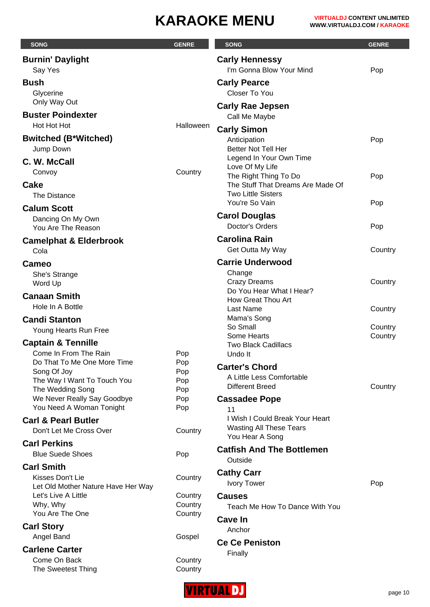| <b>SONG</b>                                     | <b>GENRE</b>       | <b>SONG</b>                                                | <b>GENRE</b> |
|-------------------------------------------------|--------------------|------------------------------------------------------------|--------------|
| <b>Burnin' Daylight</b><br>Say Yes              |                    | <b>Carly Hennessy</b><br>I'm Gonna Blow Your Mind          | Pop          |
| <b>Bush</b>                                     |                    | <b>Carly Pearce</b>                                        |              |
| Glycerine                                       |                    | Closer To You                                              |              |
| Only Way Out                                    |                    | <b>Carly Rae Jepsen</b>                                    |              |
| <b>Buster Poindexter</b>                        |                    | Call Me Maybe                                              |              |
| Hot Hot Hot                                     | Halloween          |                                                            |              |
| <b>Bwitched (B*Witched)</b>                     |                    | <b>Carly Simon</b><br>Anticipation                         | Pop          |
| Jump Down                                       |                    | <b>Better Not Tell Her</b>                                 |              |
| C. W. McCall                                    |                    | Legend In Your Own Time                                    |              |
| Convoy                                          | Country            | Love Of My Life                                            |              |
| <b>Cake</b>                                     |                    | The Right Thing To Do<br>The Stuff That Dreams Are Made Of | Pop          |
| The Distance                                    |                    | <b>Two Little Sisters</b>                                  |              |
| <b>Calum Scott</b>                              |                    | You're So Vain                                             | Pop          |
| Dancing On My Own                               |                    | <b>Carol Douglas</b>                                       |              |
| You Are The Reason                              |                    | Doctor's Orders                                            | Pop          |
| <b>Camelphat &amp; Elderbrook</b>               |                    | <b>Carolina Rain</b>                                       |              |
| Cola                                            |                    | Get Outta My Way                                           | Country      |
| <b>Cameo</b>                                    |                    | <b>Carrie Underwood</b>                                    |              |
| She's Strange                                   |                    | Change                                                     |              |
| Word Up                                         |                    | <b>Crazy Dreams</b>                                        | Country      |
| <b>Canaan Smith</b>                             |                    | Do You Hear What I Hear?                                   |              |
| Hole In A Bottle                                |                    | How Great Thou Art<br>Last Name                            | Country      |
| <b>Candi Stanton</b>                            |                    | Mama's Song                                                |              |
| Young Hearts Run Free                           |                    | So Small                                                   | Country      |
| <b>Captain &amp; Tennille</b>                   |                    | Some Hearts                                                | Country      |
| Come In From The Rain                           | Pop                | <b>Two Black Cadillacs</b><br>Undo It                      |              |
| Do That To Me One More Time                     | Pop                | <b>Carter's Chord</b>                                      |              |
| Song Of Joy                                     | Pop                | A Little Less Comfortable                                  |              |
| The Way I Want To Touch You                     | Pop                | <b>Different Breed</b>                                     | Country      |
| The Wedding Song<br>We Never Really Say Goodbye | Pop<br>Pop         | <b>Cassadee Pope</b>                                       |              |
| You Need A Woman Tonight                        | Pop                | 11                                                         |              |
| <b>Carl &amp; Pearl Butler</b>                  |                    | I Wish I Could Break Your Heart                            |              |
| Don't Let Me Cross Over                         | Country            | Wasting All These Tears                                    |              |
| <b>Carl Perkins</b>                             |                    | You Hear A Song                                            |              |
| <b>Blue Suede Shoes</b>                         | Pop                | <b>Catfish And The Bottlemen</b>                           |              |
| <b>Carl Smith</b>                               |                    | Outside                                                    |              |
| Kisses Don't Lie                                | Country            | <b>Cathy Carr</b>                                          |              |
| Let Old Mother Nature Have Her Way              |                    | <b>Ivory Tower</b>                                         | Pop          |
| Let's Live A Little                             | Country            | <b>Causes</b>                                              |              |
| Why, Why<br>You Are The One                     | Country            | Teach Me How To Dance With You                             |              |
|                                                 | Country            | <b>Cave In</b>                                             |              |
| <b>Carl Story</b>                               |                    | Anchor                                                     |              |
| Angel Band                                      | Gospel             | <b>Ce Ce Peniston</b>                                      |              |
| <b>Carlene Carter</b>                           |                    | Finally                                                    |              |
| Come On Back<br>The Sweetest Thing              | Country<br>Country |                                                            |              |
|                                                 |                    |                                                            |              |
|                                                 |                    | <b>VIRTUAL DJ</b>                                          |              |
|                                                 |                    |                                                            | page         |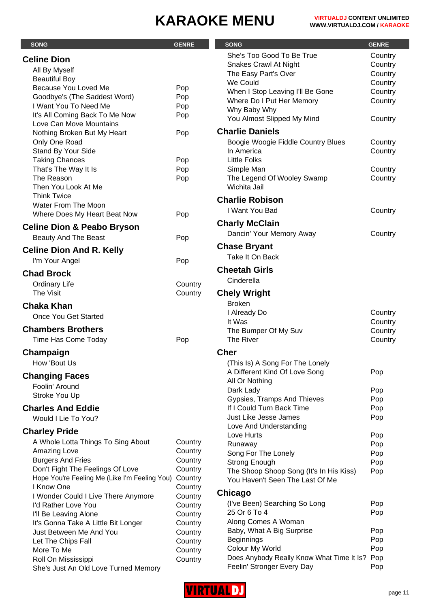| <b>SONG</b><br><b>GENRE</b><br><b>SONG</b><br><b>GENRE</b>                                                                   |         |
|------------------------------------------------------------------------------------------------------------------------------|---------|
| She's Too Good To Be True                                                                                                    | Country |
| <b>Celine Dion</b><br><b>Snakes Crawl At Night</b>                                                                           | Country |
| All By Myself<br>The Easy Part's Over                                                                                        | Country |
| <b>Beautiful Boy</b><br>We Could<br>Because You Loved Me                                                                     | Country |
| Pop<br>When I Stop Leaving I'll Be Gone<br>Goodbye's (The Saddest Word)<br>Pop                                               | Country |
| Where Do I Put Her Memory<br>I Want You To Need Me<br>Pop                                                                    | Country |
| Why Baby Why<br>It's All Coming Back To Me Now<br>Pop                                                                        |         |
| You Almost Slipped My Mind<br>Love Can Move Mountains                                                                        | Country |
| <b>Charlie Daniels</b><br>Nothing Broken But My Heart<br>Pop                                                                 |         |
| Only One Road<br>Boogie Woogie Fiddle Country Blues                                                                          | Country |
| In America<br>Stand By Your Side                                                                                             | Country |
| <b>Taking Chances</b><br><b>Little Folks</b><br>Pop                                                                          |         |
| That's The Way It Is<br>Pop<br>Simple Man                                                                                    | Country |
| The Reason<br>Pop<br>The Legend Of Wooley Swamp                                                                              | Country |
| Wichita Jail<br>Then You Look At Me                                                                                          |         |
| <b>Think Twice</b><br><b>Charlie Robison</b>                                                                                 |         |
| Water From The Moon<br>I Want You Bad                                                                                        | Country |
| Where Does My Heart Beat Now<br>Pop                                                                                          |         |
| <b>Charly McClain</b><br><b>Celine Dion &amp; Peabo Bryson</b>                                                               |         |
| Dancin' Your Memory Away<br><b>Beauty And The Beast</b><br>Pop                                                               | Country |
| <b>Chase Bryant</b><br><b>Celine Dion And R. Kelly</b>                                                                       |         |
| Take It On Back                                                                                                              |         |
| I'm Your Angel<br>Pop<br><b>Cheetah Girls</b>                                                                                |         |
| <b>Chad Brock</b>                                                                                                            |         |
| Cinderella<br><b>Ordinary Life</b><br>Country                                                                                |         |
| The Visit<br><b>Chely Wright</b><br>Country                                                                                  |         |
| <b>Broken</b><br><b>Chaka Khan</b>                                                                                           |         |
| I Already Do<br><b>Once You Get Started</b>                                                                                  | Country |
| It Was                                                                                                                       | Country |
| <b>Chambers Brothers</b><br>The Bumper Of My Suv                                                                             | Country |
| The River<br>Time Has Come Today<br>Pop                                                                                      | Country |
| <b>Cher</b><br>Champaign                                                                                                     |         |
| How 'Bout Us<br>(This Is) A Song For The Lonely                                                                              |         |
| A Different Kind Of Love Song<br>Pop                                                                                         |         |
| <b>Changing Faces</b><br>All Or Nothing                                                                                      |         |
| Foolin' Around<br>Dark Lady<br>Pop                                                                                           |         |
| Stroke You Up<br>Gypsies, Tramps And Thieves<br>Pop                                                                          |         |
| If I Could Turn Back Time<br><b>Charles And Eddie</b><br>Pop                                                                 |         |
| <b>Just Like Jesse James</b><br>Pop<br>Would I Lie To You?                                                                   |         |
| Love And Understanding<br><b>Charley Pride</b>                                                                               |         |
| Love Hurts<br>Pop<br>A Whole Lotta Things To Sing About<br>Country                                                           |         |
| Pop<br>Runaway<br>Amazing Love<br>Country                                                                                    |         |
| Song For The Lonely<br>Pop<br><b>Burgers And Fries</b><br>Country                                                            |         |
| <b>Strong Enough</b><br>Pop<br>Don't Fight The Feelings Of Love<br>Country<br>The Shoop Shoop Song (It's In His Kiss)<br>Pop |         |
| Hope You're Feeling Me (Like I'm Feeling You)<br>Country<br>You Haven't Seen The Last Of Me                                  |         |
| I Know One<br>Country                                                                                                        |         |
| Chicago<br>I Wonder Could I Live There Anymore<br>Country                                                                    |         |
| (I've Been) Searching So Long<br>Pop<br>I'd Rather Love You<br>Country                                                       |         |
| 25 Or 6 To 4<br>Pop<br>I'll Be Leaving Alone<br>Country                                                                      |         |
| Along Comes A Woman<br>It's Gonna Take A Little Bit Longer<br>Country                                                        |         |
| Baby, What A Big Surprise<br>Pop<br>Just Between Me And You<br>Country                                                       |         |
| <b>Beginnings</b><br>Pop<br>Let The Chips Fall<br>Country                                                                    |         |
| Colour My World<br>Pop<br>More To Me<br>Country<br>Does Anybody Really Know What Time It Is? Pop                             |         |
| Roll On Mississippi<br>Country<br>Feelin' Stronger Every Day<br>Pop<br>She's Just An Old Love Turned Memory                  |         |

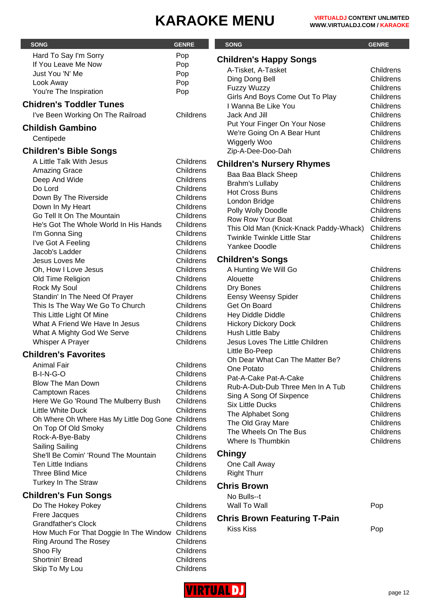| <b>SONG</b>                                    | <b>GENRE</b>           | <b>SONG</b>                                                           | <b>GENRE</b>           |
|------------------------------------------------|------------------------|-----------------------------------------------------------------------|------------------------|
| Hard To Say I'm Sorry                          | Pop                    |                                                                       |                        |
| If You Leave Me Now                            | Pop                    | <b>Children's Happy Songs</b>                                         |                        |
| Just You 'N' Me                                | Pop                    | A-Tisket, A-Tasket                                                    | Childrens              |
| Look Away                                      | Pop                    | Ding Dong Bell                                                        | Childrens              |
| You're The Inspiration                         | Pop                    | Fuzzy Wuzzy                                                           | Childrens              |
| <b>Chidren's Toddler Tunes</b>                 |                        | Girls And Boys Come Out To Play                                       | Childrens              |
|                                                |                        | I Wanna Be Like You                                                   | Childrens              |
| I've Been Working On The Railroad              | Childrens              | Jack And Jill                                                         | Childrens              |
| <b>Childish Gambino</b>                        |                        | Put Your Finger On Your Nose                                          | Childrens              |
| Centipede                                      |                        | We're Going On A Bear Hunt                                            | Childrens              |
| <b>Children's Bible Songs</b>                  |                        | Wiggerly Woo<br>Zip-A-Dee-Doo-Dah                                     | Childrens<br>Childrens |
| A Little Talk With Jesus                       | Childrens              |                                                                       |                        |
| <b>Amazing Grace</b>                           | Childrens              | <b>Children's Nursery Rhymes</b>                                      |                        |
| Deep And Wide                                  | Childrens              | Baa Baa Black Sheep                                                   | Childrens              |
| Do Lord                                        | Childrens              | Brahm's Lullaby                                                       | Childrens              |
| Down By The Riverside                          | Childrens              | <b>Hot Cross Buns</b>                                                 | Childrens              |
| Down In My Heart                               | Childrens              | London Bridge                                                         | Childrens              |
| Go Tell It On The Mountain                     | Childrens              | Polly Wolly Doodle<br>Row Row Your Boat                               | Childrens              |
| He's Got The Whole World In His Hands          | Childrens              |                                                                       | Childrens              |
| I'm Gonna Sing                                 | Childrens              | This Old Man (Knick-Knack Paddy-Whack)<br>Twinkle Twinkle Little Star | Childrens<br>Childrens |
| I've Got A Feeling                             | Childrens              | Yankee Doodle                                                         | Childrens              |
| Jacob's Ladder                                 | Childrens              |                                                                       |                        |
| Jesus Loves Me                                 | Childrens              | <b>Children's Songs</b>                                               |                        |
| Oh, How I Love Jesus                           | Childrens              | A Hunting We Will Go                                                  | Childrens              |
| Old Time Religion                              | Childrens              | Alouette                                                              | Childrens              |
| Rock My Soul                                   | Childrens              | Dry Bones                                                             | Childrens              |
| Standin' In The Need Of Prayer                 | Childrens              | <b>Eensy Weensy Spider</b>                                            | Childrens              |
| This Is The Way We Go To Church                | Childrens              | Get On Board                                                          | Childrens              |
| This Little Light Of Mine                      | Childrens              | Hey Diddle Diddle                                                     | Childrens              |
| What A Friend We Have In Jesus                 | Childrens              | <b>Hickory Dickory Dock</b>                                           | Childrens              |
| What A Mighty God We Serve                     | Childrens              | Hush Little Baby                                                      | Childrens              |
| Whisper A Prayer                               | Childrens              | Jesus Loves The Little Children                                       | Childrens              |
| <b>Children's Favorites</b>                    |                        | Little Bo-Peep<br>Oh Dear What Can The Matter Be?                     | Childrens<br>Childrens |
| <b>Animal Fair</b>                             | Childrens              | One Potato                                                            | Childrens              |
| B-I-N-G-O                                      | Childrens              | Pat-A-Cake Pat-A-Cake                                                 | Childrens              |
| <b>Blow The Man Down</b>                       | Childrens              | Rub-A-Dub-Dub Three Men In A Tub                                      | Childrens              |
| Camptown Races                                 | Childrens              | Sing A Song Of Sixpence                                               | Childrens              |
| Here We Go 'Round The Mulberry Bush            | Childrens              | <b>Six Little Ducks</b>                                               | Childrens              |
| <b>Little White Duck</b>                       | Childrens              | The Alphabet Song                                                     | Childrens              |
| Oh Where Oh Where Has My Little Dog Gone       | Childrens              | The Old Gray Mare                                                     | Childrens              |
| On Top Of Old Smoky                            | Childrens              | The Wheels On The Bus                                                 | Childrens              |
| Rock-A-Bye-Baby                                | Childrens              | Where Is Thumbkin                                                     | Childrens              |
| <b>Sailing Sailing</b>                         | Childrens              | Chingy                                                                |                        |
| She'll Be Comin' 'Round The Mountain           | Childrens<br>Childrens |                                                                       |                        |
| <b>Ten Little Indians</b>                      |                        | One Call Away                                                         |                        |
| <b>Three Blind Mice</b><br>Turkey In The Straw | Childrens<br>Childrens | <b>Right Thurr</b>                                                    |                        |
|                                                |                        | <b>Chris Brown</b>                                                    |                        |
| <b>Children's Fun Songs</b>                    |                        | No Bulls--t                                                           |                        |
| Do The Hokey Pokey                             | Childrens              | Wall To Wall                                                          | Pop                    |
| Frere Jacques                                  | Childrens              | <b>Chris Brown Featuring T-Pain</b>                                   |                        |
| <b>Grandfather's Clock</b>                     | Childrens              | <b>Kiss Kiss</b>                                                      | Pop                    |
| How Much For That Doggie In The Window         | Childrens              |                                                                       |                        |
| Ring Around The Rosey                          | Childrens              |                                                                       |                        |
| Shoo Fly                                       | Childrens              |                                                                       |                        |
| Shortnin' Bread                                | Childrens              |                                                                       |                        |
| Skip To My Lou                                 | Childrens              |                                                                       |                        |

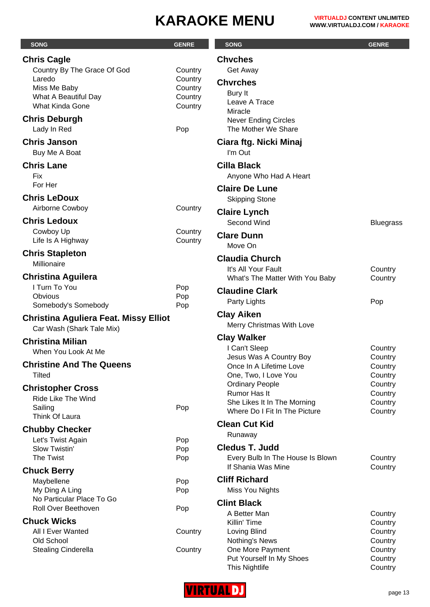| <b>SONG</b>                                                                                                                     | <b>GENRE</b>                                        | <b>SONG</b>                                                                                                                                                      | <b>GENRE</b>                                                              |
|---------------------------------------------------------------------------------------------------------------------------------|-----------------------------------------------------|------------------------------------------------------------------------------------------------------------------------------------------------------------------|---------------------------------------------------------------------------|
| <b>Chris Cagle</b>                                                                                                              |                                                     | <b>Chyches</b>                                                                                                                                                   |                                                                           |
| Country By The Grace Of God<br>Laredo<br>Miss Me Baby<br>What A Beautiful Day<br><b>What Kinda Gone</b>                         | Country<br>Country<br>Country<br>Country<br>Country | Get Away<br><b>Chvrches</b><br>Bury It<br>Leave A Trace                                                                                                          |                                                                           |
| <b>Chris Deburgh</b><br>Lady In Red                                                                                             | Pop                                                 | Miracle<br><b>Never Ending Circles</b><br>The Mother We Share                                                                                                    |                                                                           |
| <b>Chris Janson</b><br>Buy Me A Boat                                                                                            |                                                     | Ciara ftg. Nicki Minaj<br>I'm Out                                                                                                                                |                                                                           |
| <b>Chris Lane</b><br><b>Fix</b>                                                                                                 |                                                     | <b>Cilla Black</b><br>Anyone Who Had A Heart                                                                                                                     |                                                                           |
| For Her<br><b>Chris LeDoux</b>                                                                                                  |                                                     | <b>Claire De Lune</b><br><b>Skipping Stone</b>                                                                                                                   |                                                                           |
| Airborne Cowboy<br><b>Chris Ledoux</b>                                                                                          | Country                                             | <b>Claire Lynch</b><br>Second Wind                                                                                                                               | <b>Bluegrass</b>                                                          |
| Cowboy Up<br>Life Is A Highway                                                                                                  | Country<br>Country                                  | <b>Clare Dunn</b><br>Move On                                                                                                                                     |                                                                           |
| <b>Chris Stapleton</b><br>Millionaire                                                                                           |                                                     | <b>Claudia Church</b><br>It's All Your Fault                                                                                                                     | Country                                                                   |
| <b>Christina Aguilera</b><br>I Turn To You<br>Obvious<br>Somebody's Somebody                                                    | Pop<br>Pop<br>Pop                                   | What's The Matter With You Baby<br><b>Claudine Clark</b><br>Party Lights                                                                                         | Country<br>Pop                                                            |
| <b>Christina Aguliera Feat. Missy Elliot</b><br>Car Wash (Shark Tale Mix)                                                       |                                                     | <b>Clay Aiken</b><br>Merry Christmas With Love                                                                                                                   |                                                                           |
| <b>Christina Milian</b><br>When You Look At Me                                                                                  |                                                     | <b>Clay Walker</b><br>I Can't Sleep<br>Jesus Was A Country Boy                                                                                                   | Country<br>Country                                                        |
| <b>Christine And The Queens</b><br><b>Tilted</b><br><b>Christopher Cross</b><br>Ride Like The Wind<br>Sailing<br>Think Of Laura | Pop                                                 | Once In A Lifetime Love<br>One, Two, I Love You<br><b>Ordinary People</b><br><b>Rumor Has It</b><br>She Likes It In The Morning<br>Where Do I Fit In The Picture | Country<br>Country<br>Country<br>Country<br>Country<br>Country            |
| <b>Chubby Checker</b><br>Let's Twist Again                                                                                      | Pop                                                 | <b>Clean Cut Kid</b><br>Runaway                                                                                                                                  |                                                                           |
| Slow Twistin'<br>The Twist                                                                                                      | Pop<br>Pop                                          | <b>Cledus T. Judd</b><br>Every Bulb In The House Is Blown                                                                                                        | Country                                                                   |
| <b>Chuck Berry</b><br>Maybellene<br>My Ding A Ling<br>No Particular Place To Go<br>Roll Over Beethoven                          | Pop<br>Pop<br>Pop                                   | If Shania Was Mine<br><b>Cliff Richard</b><br><b>Miss You Nights</b><br><b>Clint Black</b>                                                                       | Country                                                                   |
| <b>Chuck Wicks</b><br>All I Ever Wanted<br>Old School<br><b>Stealing Cinderella</b>                                             | Country<br>Country                                  | A Better Man<br>Killin' Time<br>Loving Blind<br>Nothing's News<br>One More Payment<br>Put Yourself In My Shoes<br>This Nightlife                                 | Country<br>Country<br>Country<br>Country<br>Country<br>Country<br>Country |

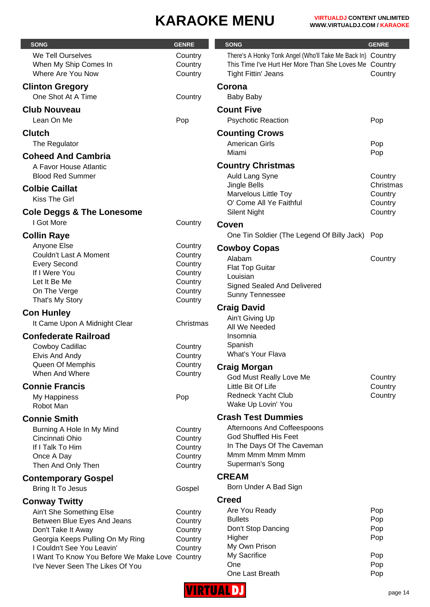| <b>SONG</b>                                       | <b>GENRE</b>       | <b>SONG</b>                                                                                                           | <b>GENRE</b>       |
|---------------------------------------------------|--------------------|-----------------------------------------------------------------------------------------------------------------------|--------------------|
|                                                   |                    |                                                                                                                       |                    |
| We Tell Ourselves<br>When My Ship Comes In        | Country<br>Country | There's A Honky Tonk Angel (Who'll Take Me Back In) Country<br>This Time I've Hurt Her More Than She Loves Me Country |                    |
| Where Are You Now                                 | Country            | <b>Tight Fittin' Jeans</b>                                                                                            | Country            |
|                                                   |                    |                                                                                                                       |                    |
| <b>Clinton Gregory</b><br>One Shot At A Time      |                    | Corona                                                                                                                |                    |
|                                                   | Country            | Baby Baby                                                                                                             |                    |
| <b>Club Nouveau</b>                               |                    | <b>Count Five</b>                                                                                                     |                    |
| Lean On Me                                        | Pop                | <b>Psychotic Reaction</b>                                                                                             | Pop                |
| <b>Clutch</b>                                     |                    | <b>Counting Crows</b>                                                                                                 |                    |
| The Regulator                                     |                    | <b>American Girls</b>                                                                                                 | Pop                |
| <b>Coheed And Cambria</b>                         |                    | Miami                                                                                                                 | Pop                |
| A Favor House Atlantic                            |                    | <b>Country Christmas</b>                                                                                              |                    |
| <b>Blood Red Summer</b>                           |                    | Auld Lang Syne                                                                                                        | Country            |
| <b>Colbie Caillat</b>                             |                    | Jingle Bells                                                                                                          | Christmas          |
| <b>Kiss The Girl</b>                              |                    | <b>Marvelous Little Toy</b>                                                                                           | Country            |
| <b>Cole Deggs &amp; The Lonesome</b>              |                    | O' Come All Ye Faithful<br><b>Silent Night</b>                                                                        | Country<br>Country |
| I Got More                                        | Country            |                                                                                                                       |                    |
|                                                   |                    | Coven                                                                                                                 |                    |
| <b>Collin Raye</b>                                |                    | One Tin Soldier (The Legend Of Billy Jack)                                                                            | Pop                |
| Anyone Else<br><b>Couldn't Last A Moment</b>      | Country            | <b>Cowboy Copas</b>                                                                                                   |                    |
| <b>Every Second</b>                               | Country<br>Country | Alabam                                                                                                                | Country            |
| If I Were You                                     | Country            | <b>Flat Top Guitar</b>                                                                                                |                    |
| Let It Be Me                                      | Country            | Louisian<br>Signed Sealed And Delivered                                                                               |                    |
| On The Verge                                      | Country            | <b>Sunny Tennessee</b>                                                                                                |                    |
| That's My Story                                   | Country            |                                                                                                                       |                    |
| <b>Con Hunley</b>                                 |                    | <b>Craig David</b><br>Ain't Giving Up                                                                                 |                    |
| It Came Upon A Midnight Clear                     | Christmas          | All We Needed                                                                                                         |                    |
| <b>Confederate Railroad</b>                       |                    | Insomnia                                                                                                              |                    |
| Cowboy Cadillac                                   | Country            | Spanish                                                                                                               |                    |
| Elvis And Andy                                    | Country            | What's Your Flava                                                                                                     |                    |
| Queen Of Memphis                                  | Country            | <b>Craig Morgan</b>                                                                                                   |                    |
| When And Where                                    | Country            | God Must Really Love Me                                                                                               | Country            |
| <b>Connie Francis</b>                             |                    | Little Bit Of Life                                                                                                    | Country            |
| My Happiness                                      | Pop                | <b>Redneck Yacht Club</b>                                                                                             | Country            |
| Robot Man                                         |                    | Wake Up Lovin' You                                                                                                    |                    |
| <b>Connie Smith</b>                               |                    | <b>Crash Test Dummies</b>                                                                                             |                    |
| Burning A Hole In My Mind                         | Country            | Afternoons And Coffeespoons                                                                                           |                    |
| Cincinnati Ohio                                   | Country            | <b>God Shuffled His Feet</b>                                                                                          |                    |
| If I Talk To Him                                  | Country            | In The Days Of The Caveman<br>Mmm Mmm Mmm Mmm                                                                         |                    |
| Once A Day<br>Then And Only Then                  | Country<br>Country | Superman's Song                                                                                                       |                    |
|                                                   |                    | <b>CREAM</b>                                                                                                          |                    |
| <b>Contemporary Gospel</b>                        |                    |                                                                                                                       |                    |
| <b>Bring It To Jesus</b>                          | Gospel             | Born Under A Bad Sign                                                                                                 |                    |
| <b>Conway Twitty</b>                              |                    | <b>Creed</b>                                                                                                          |                    |
| Ain't She Something Else                          | Country            | Are You Ready<br><b>Bullets</b>                                                                                       | Pop                |
| Between Blue Eyes And Jeans<br>Don't Take It Away | Country<br>Country | Don't Stop Dancing                                                                                                    | Pop<br>Pop         |
| Georgia Keeps Pulling On My Ring                  | Country            | Higher                                                                                                                | Pop                |
| I Couldn't See You Leavin'                        | Country            | My Own Prison                                                                                                         |                    |
| I Want To Know You Before We Make Love Country    |                    | My Sacrifice                                                                                                          | Pop                |
| I've Never Seen The Likes Of You                  |                    | One                                                                                                                   | Pop                |
|                                                   |                    | One Last Breath                                                                                                       | Pop                |

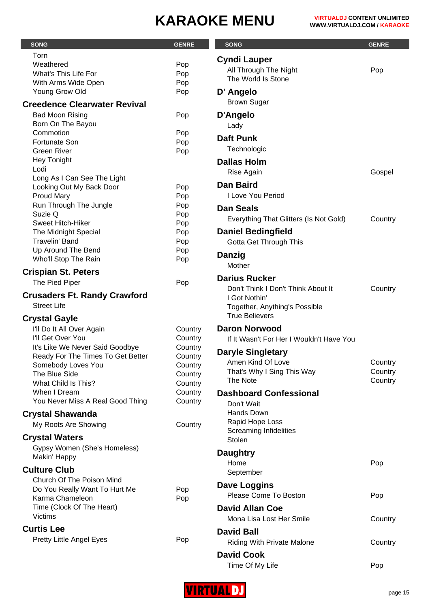| <b>SONG</b>                                     | <b>GENRE</b>       | <b>SONG</b>                              | <b>GENRE</b> |
|-------------------------------------------------|--------------------|------------------------------------------|--------------|
| Torn<br>Weathered                               | Pop                | <b>Cyndi Lauper</b>                      |              |
| <b>What's This Life For</b>                     | Pop                | All Through The Night                    | Pop          |
| With Arms Wide Open                             | Pop                | The World Is Stone                       |              |
| Young Grow Old                                  | Pop                | D' Angelo                                |              |
| <b>Creedence Clearwater Revival</b>             |                    | <b>Brown Sugar</b>                       |              |
| <b>Bad Moon Rising</b>                          | Pop                | D'Angelo                                 |              |
| Born On The Bayou                               |                    | Lady                                     |              |
| Commotion                                       | Pop                | <b>Daft Punk</b>                         |              |
| Fortunate Son                                   | Pop                | Technologic                              |              |
| <b>Green River</b>                              | Pop                |                                          |              |
| <b>Hey Tonight</b><br>Lodi                      |                    | <b>Dallas Holm</b>                       |              |
| Long As I Can See The Light                     |                    | Rise Again                               | Gospel       |
| Looking Out My Back Door                        | Pop                | <b>Dan Baird</b>                         |              |
| <b>Proud Mary</b>                               | Pop                | I Love You Period                        |              |
| Run Through The Jungle                          | Pop                | <b>Dan Seals</b>                         |              |
| Suzie Q                                         | Pop                | Everything That Glitters (Is Not Gold)   | Country      |
| <b>Sweet Hitch-Hiker</b>                        | Pop                |                                          |              |
| <b>The Midnight Special</b>                     | Pop                | <b>Daniel Bedingfield</b>                |              |
| Travelin' Band<br>Up Around The Bend            | Pop<br>Pop         | Gotta Get Through This                   |              |
| Who'll Stop The Rain                            | Pop                | <b>Danzig</b>                            |              |
|                                                 |                    | Mother                                   |              |
| <b>Crispian St. Peters</b>                      |                    | <b>Darius Rucker</b>                     |              |
| The Pied Piper                                  | Pop                | Don't Think I Don't Think About It       | Country      |
| <b>Crusaders Ft. Randy Crawford</b>             |                    | I Got Nothin'                            |              |
| <b>Street Life</b>                              |                    | Together, Anything's Possible            |              |
| <b>Crystal Gayle</b>                            |                    | <b>True Believers</b>                    |              |
| I'll Do It All Over Again                       | Country            | <b>Daron Norwood</b>                     |              |
| I'll Get Over You                               | Country            | If It Wasn't For Her I Wouldn't Have You |              |
| It's Like We Never Said Goodbye                 | Country            | <b>Daryle Singletary</b>                 |              |
| Ready For The Times To Get Better               | Country            | Amen Kind Of Love                        | Country      |
| Somebody Loves You<br>The Blue Side             | Country            | That's Why I Sing This Way               | Country      |
| What Child Is This?                             | Country<br>Country | The Note                                 | Country      |
| When I Dream                                    | Country            | <b>Dashboard Confessional</b>            |              |
| You Never Miss A Real Good Thing                | Country            | Don't Wait                               |              |
|                                                 |                    | Hands Down                               |              |
| <b>Crystal Shawanda</b><br>My Roots Are Showing | Country            | Rapid Hope Loss                          |              |
|                                                 |                    | <b>Screaming Infidelities</b>            |              |
| <b>Crystal Waters</b>                           |                    | Stolen                                   |              |
| Gypsy Women (She's Homeless)                    |                    | <b>Daughtry</b>                          |              |
| Makin' Happy                                    |                    | Home                                     | Pop          |
| <b>Culture Club</b>                             |                    | September                                |              |
| Church Of The Poison Mind                       |                    | Dave Loggins                             |              |
| Do You Really Want To Hurt Me                   | Pop                | Please Come To Boston                    | Pop          |
| Karma Chameleon                                 | Pop                |                                          |              |
| Time (Clock Of The Heart)                       |                    | <b>David Allan Coe</b>                   |              |
| Victims                                         |                    | Mona Lisa Lost Her Smile                 | Country      |
| <b>Curtis Lee</b>                               |                    | <b>David Ball</b>                        |              |
| Pretty Little Angel Eyes                        | Pop                | <b>Riding With Private Malone</b>        | Country      |
|                                                 |                    | <b>David Cook</b>                        |              |
|                                                 |                    | Time Of My Life                          | Pop          |

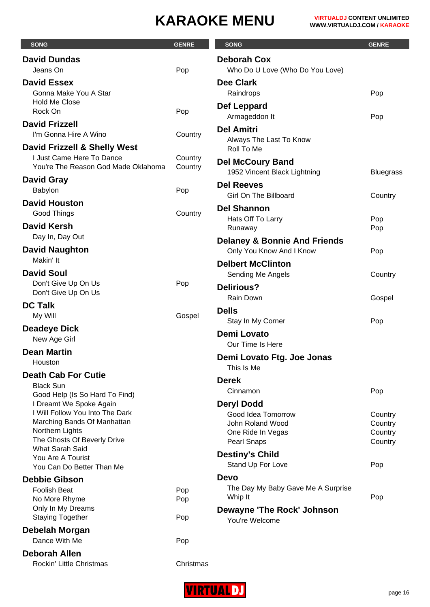| <b>SONG</b>                                                                                                      | <b>GENRE</b>       | <b>SONG</b>                                                                | <b>GENRE</b>                             |
|------------------------------------------------------------------------------------------------------------------|--------------------|----------------------------------------------------------------------------|------------------------------------------|
| <b>David Dundas</b>                                                                                              |                    | <b>Deborah Cox</b>                                                         |                                          |
| Jeans On                                                                                                         | Pop                | Who Do U Love (Who Do You Love)                                            |                                          |
| <b>David Essex</b><br>Gonna Make You A Star                                                                      |                    | <b>Dee Clark</b><br>Raindrops                                              | Pop                                      |
| <b>Hold Me Close</b><br>Rock On                                                                                  | Pop                | Def Leppard<br>Armageddon It                                               | Pop                                      |
| <b>David Frizzell</b><br>I'm Gonna Hire A Wino                                                                   | Country            | <b>Del Amitri</b>                                                          |                                          |
| David Frizzell & Shelly West                                                                                     |                    | Always The Last To Know<br>Roll To Me                                      |                                          |
| I Just Came Here To Dance<br>You're The Reason God Made Oklahoma                                                 | Country<br>Country | <b>Del McCoury Band</b><br>1952 Vincent Black Lightning                    |                                          |
| <b>David Gray</b><br>Babylon                                                                                     | Pop                | <b>Del Reeves</b>                                                          | <b>Bluegrass</b>                         |
| <b>David Houston</b>                                                                                             |                    | Girl On The Billboard                                                      | Country                                  |
| Good Things                                                                                                      | Country            | <b>Del Shannon</b>                                                         |                                          |
| <b>David Kersh</b>                                                                                               |                    | Hats Off To Larry<br>Runaway                                               | Pop<br>Pop                               |
| Day In, Day Out                                                                                                  |                    | <b>Delaney &amp; Bonnie And Friends</b>                                    |                                          |
| <b>David Naughton</b>                                                                                            |                    | Only You Know And I Know                                                   | Pop                                      |
| Makin' It                                                                                                        |                    | <b>Delbert McClinton</b>                                                   |                                          |
| <b>David Soul</b>                                                                                                |                    | Sending Me Angels                                                          | Country                                  |
| Don't Give Up On Us<br>Don't Give Up On Us                                                                       | Pop                | <b>Delirious?</b>                                                          |                                          |
| <b>DC Talk</b>                                                                                                   |                    | Rain Down                                                                  | Gospel                                   |
| My Will                                                                                                          | Gospel             | <b>Dells</b>                                                               |                                          |
| <b>Deadeye Dick</b>                                                                                              |                    | Stay In My Corner                                                          | Pop                                      |
| New Age Girl                                                                                                     |                    | Demi Lovato<br>Our Time Is Here                                            |                                          |
| <b>Dean Martin</b>                                                                                               |                    |                                                                            |                                          |
| Houston                                                                                                          |                    | Demi Lovato Ftg. Joe Jonas<br>This Is Me                                   |                                          |
| <b>Death Cab For Cutie</b>                                                                                       |                    | <b>Derek</b>                                                               |                                          |
| <b>Black Sun</b>                                                                                                 |                    | Cinnamon                                                                   | Pop                                      |
| Good Help (Is So Hard To Find)<br>I Dreamt We Spoke Again                                                        |                    | <b>Deryl Dodd</b>                                                          |                                          |
| I Will Follow You Into The Dark<br>Marching Bands Of Manhattan<br>Northern Lights<br>The Ghosts Of Beverly Drive |                    | Good Idea Tomorrow<br>John Roland Wood<br>One Ride In Vegas<br>Pearl Snaps | Country<br>Country<br>Country<br>Country |
| <b>What Sarah Said</b>                                                                                           |                    | <b>Destiny's Child</b>                                                     |                                          |
| You Are A Tourist<br>You Can Do Better Than Me                                                                   |                    | Stand Up For Love                                                          | Pop                                      |
| <b>Debbie Gibson</b>                                                                                             |                    | <b>Devo</b>                                                                |                                          |
| <b>Foolish Beat</b><br>No More Rhyme                                                                             | Pop<br>Pop         | The Day My Baby Gave Me A Surprise<br>Whip It                              | Pop                                      |
| Only In My Dreams<br><b>Staying Together</b>                                                                     | Pop                | Dewayne 'The Rock' Johnson<br>You're Welcome                               |                                          |
| Debelah Morgan                                                                                                   |                    |                                                                            |                                          |
| Dance With Me                                                                                                    | Pop                |                                                                            |                                          |
| <b>Deborah Allen</b><br>Rockin' Little Christmas                                                                 | Christmas          |                                                                            |                                          |

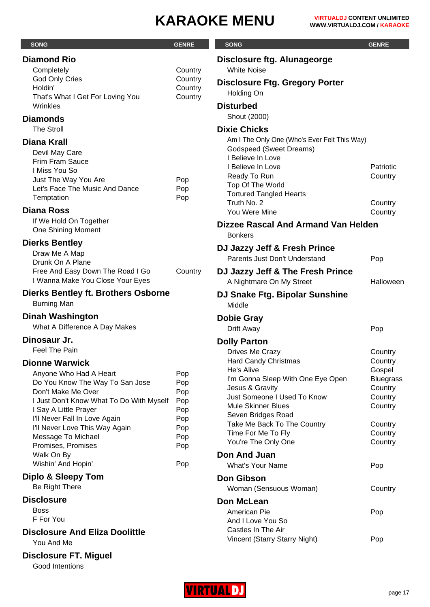| <b>SONG</b>                                                                                                                                                                                                                                                                                                                      | <b>GENRE</b>                                                       | <b>SONG</b>                                                                                                                                                                                                                                                                                                | <b>GENRE</b>                                                                                            |
|----------------------------------------------------------------------------------------------------------------------------------------------------------------------------------------------------------------------------------------------------------------------------------------------------------------------------------|--------------------------------------------------------------------|------------------------------------------------------------------------------------------------------------------------------------------------------------------------------------------------------------------------------------------------------------------------------------------------------------|---------------------------------------------------------------------------------------------------------|
| <b>Diamond Rio</b>                                                                                                                                                                                                                                                                                                               |                                                                    | Disclosure ftg. Alunageorge                                                                                                                                                                                                                                                                                |                                                                                                         |
| Completely<br><b>God Only Cries</b><br>Holdin'<br>That's What I Get For Loving You<br>Wrinkles                                                                                                                                                                                                                                   | Country<br>Country<br>Country<br>Country                           | <b>White Noise</b><br><b>Disclosure Ftg. Gregory Porter</b><br>Holding On<br><b>Disturbed</b>                                                                                                                                                                                                              |                                                                                                         |
| <b>Diamonds</b><br><b>The Stroll</b>                                                                                                                                                                                                                                                                                             |                                                                    | Shout (2000)<br><b>Dixie Chicks</b>                                                                                                                                                                                                                                                                        |                                                                                                         |
| <b>Diana Krall</b><br>Devil May Care<br>Frim Fram Sauce<br>I Miss You So<br>Just The Way You Are<br>Let's Face The Music And Dance<br>Temptation<br><b>Diana Ross</b><br>If We Hold On Together<br>One Shining Moment                                                                                                            | Pop<br>Pop<br>Pop                                                  | Am I The Only One (Who's Ever Felt This Way)<br><b>Godspeed (Sweet Dreams)</b><br>I Believe In Love<br>I Believe In Love<br>Ready To Run<br>Top Of The World<br><b>Tortured Tangled Hearts</b><br>Truth No. 2<br>You Were Mine<br>Dizzee Rascal And Armand Van Helden<br><b>Bonkers</b>                    | Patriotic<br>Country<br>Country<br>Country                                                              |
| <b>Dierks Bentley</b><br>Draw Me A Map                                                                                                                                                                                                                                                                                           |                                                                    | DJ Jazzy Jeff & Fresh Prince                                                                                                                                                                                                                                                                               |                                                                                                         |
| Drunk On A Plane<br>Free And Easy Down The Road I Go<br>I Wanna Make You Close Your Eyes                                                                                                                                                                                                                                         | Country                                                            | Parents Just Don't Understand<br>DJ Jazzy Jeff & The Fresh Prince<br>A Nightmare On My Street                                                                                                                                                                                                              | Pop<br>Halloween                                                                                        |
| <b>Dierks Bentley ft. Brothers Osborne</b><br><b>Burning Man</b>                                                                                                                                                                                                                                                                 |                                                                    | DJ Snake Ftg. Bipolar Sunshine<br>Middle                                                                                                                                                                                                                                                                   |                                                                                                         |
| <b>Dinah Washington</b>                                                                                                                                                                                                                                                                                                          |                                                                    | <b>Dobie Gray</b>                                                                                                                                                                                                                                                                                          |                                                                                                         |
| What A Difference A Day Makes                                                                                                                                                                                                                                                                                                    |                                                                    | Drift Away                                                                                                                                                                                                                                                                                                 | Pop                                                                                                     |
| Dinosaur Jr.<br>Feel The Pain                                                                                                                                                                                                                                                                                                    |                                                                    | <b>Dolly Parton</b><br>Drives Me Crazy                                                                                                                                                                                                                                                                     | Country                                                                                                 |
| <b>Dionne Warwick</b><br>Anyone Who Had A Heart<br>Do You Know The Way To San Jose<br>Don't Make Me Over<br>I Just Don't Know What To Do With Myself<br>I Say A Little Prayer<br>I'll Never Fall In Love Again<br>I'll Never Love This Way Again<br>Message To Michael<br>Promises, Promises<br>Walk On By<br>Wishin' And Hopin' | Pop<br>Pop<br>Pop<br>Pop<br>Pop<br>Pop<br>Pop<br>Pop<br>Pop<br>Pop | <b>Hard Candy Christmas</b><br>He's Alive<br>I'm Gonna Sleep With One Eye Open<br>Jesus & Gravity<br>Just Someone I Used To Know<br><b>Mule Skinner Blues</b><br>Seven Bridges Road<br>Take Me Back To The Country<br>Time For Me To Fly<br>You're The Only One<br>Don And Juan<br><b>What's Your Name</b> | Country<br>Gospel<br><b>Bluegrass</b><br>Country<br>Country<br>Country<br>Country<br>Country<br>Country |
| Diplo & Sleepy Tom                                                                                                                                                                                                                                                                                                               |                                                                    | <b>Don Gibson</b>                                                                                                                                                                                                                                                                                          | Pop                                                                                                     |
| Be Right There                                                                                                                                                                                                                                                                                                                   |                                                                    | Woman (Sensuous Woman)                                                                                                                                                                                                                                                                                     | Country                                                                                                 |
| <b>Disclosure</b><br><b>Boss</b><br>F For You                                                                                                                                                                                                                                                                                    |                                                                    | Don McLean<br>American Pie<br>And I Love You So                                                                                                                                                                                                                                                            | Pop                                                                                                     |
| <b>Disclosure And Eliza Doolittle</b><br>You And Me                                                                                                                                                                                                                                                                              |                                                                    | Castles In The Air<br>Vincent (Starry Starry Night)                                                                                                                                                                                                                                                        | Pop                                                                                                     |
| <b>Disclosure FT. Miguel</b><br>Good Intentions                                                                                                                                                                                                                                                                                  |                                                                    |                                                                                                                                                                                                                                                                                                            |                                                                                                         |

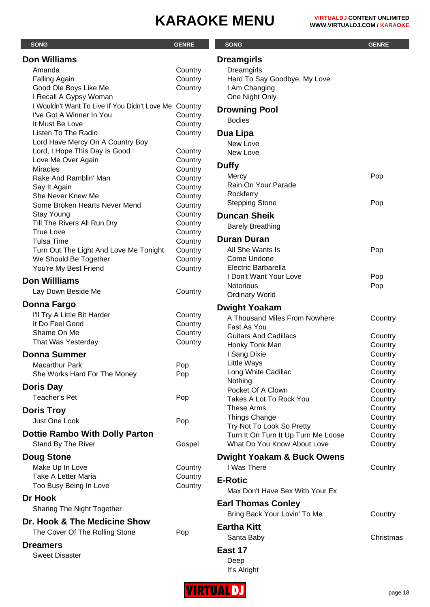| <b>SONG</b>                                           | <b>GENRE</b>       | <b>SONG</b>                                                      | <b>GENRE</b>       |
|-------------------------------------------------------|--------------------|------------------------------------------------------------------|--------------------|
| <b>Don Williams</b>                                   |                    | <b>Dreamgirls</b>                                                |                    |
| Amanda                                                | Country            | Dreamgirls                                                       |                    |
| <b>Falling Again</b>                                  | Country            | Hard To Say Goodbye, My Love                                     |                    |
| Good Ole Boys Like Me                                 | Country            | I Am Changing                                                    |                    |
| I Recall A Gypsy Woman                                |                    | One Night Only                                                   |                    |
| I Wouldn't Want To Live If You Didn't Love Me Country |                    | <b>Drowning Pool</b>                                             |                    |
| I've Got A Winner In You                              | Country            | <b>Bodies</b>                                                    |                    |
| It Must Be Love                                       | Country            |                                                                  |                    |
| Listen To The Radio                                   | Country            | Dua Lipa                                                         |                    |
| Lord Have Mercy On A Country Boy                      |                    | New Love                                                         |                    |
| Lord, I Hope This Day Is Good                         | Country            | New Love                                                         |                    |
| Love Me Over Again                                    | Country            | <b>Duffy</b>                                                     |                    |
| <b>Miracles</b>                                       | Country            |                                                                  | Pop                |
| Rake And Ramblin' Man                                 | Country            | Mercy<br>Rain On Your Parade                                     |                    |
| Say It Again                                          | Country            | Rockferry                                                        |                    |
| She Never Knew Me                                     | Country            | <b>Stepping Stone</b>                                            | Pop                |
| Some Broken Hearts Never Mend                         | Country            |                                                                  |                    |
| Stay Young                                            | Country            | <b>Duncan Sheik</b>                                              |                    |
| Till The Rivers All Run Dry                           | Country            | <b>Barely Breathing</b>                                          |                    |
| <b>True Love</b>                                      | Country            | <b>Duran Duran</b>                                               |                    |
| <b>Tulsa Time</b>                                     | Country            | All She Wants Is                                                 |                    |
| Turn Out The Light And Love Me Tonight                | Country            | Come Undone                                                      | Pop                |
| We Should Be Together                                 | Country            | Electric Barbarella                                              |                    |
| You're My Best Friend                                 | Country            | I Don't Want Your Love                                           | Pop                |
| <b>Don Willliams</b>                                  |                    | <b>Notorious</b>                                                 | Pop                |
| Lay Down Beside Me                                    | Country            | <b>Ordinary World</b>                                            |                    |
| Donna Fargo                                           |                    |                                                                  |                    |
| I'll Try A Little Bit Harder                          |                    | <b>Dwight Yoakam</b>                                             |                    |
| It Do Feel Good                                       | Country            | A Thousand Miles From Nowhere                                    | Country            |
| Shame On Me                                           | Country<br>Country | Fast As You                                                      |                    |
| That Was Yesterday                                    | Country            | <b>Guitars And Cadillacs</b>                                     | Country            |
|                                                       |                    | Honky Tonk Man                                                   | Country            |
| Donna Summer                                          |                    | I Sang Dixie                                                     | Country            |
| <b>Macarthur Park</b>                                 | Pop                | Little Ways                                                      | Country            |
| She Works Hard For The Money                          | Pop                | Long White Cadillac                                              | Country            |
| <b>Doris Day</b>                                      |                    | Nothing                                                          | Country            |
| <b>Teacher's Pet</b>                                  | Pop                | Pocket Of A Clown                                                | Country            |
|                                                       |                    | Takes A Lot To Rock You                                          | Country            |
| <b>Doris Troy</b>                                     |                    | These Arms                                                       | Country            |
| Just One Look                                         | Pop                | Things Change                                                    | Country            |
| <b>Dottie Rambo With Dolly Parton</b>                 |                    | Try Not To Look So Pretty<br>Turn It On Turn It Up Turn Me Loose | Country<br>Country |
| Stand By The River                                    | Gospel             | What Do You Know About Love                                      | Country            |
|                                                       |                    |                                                                  |                    |
| <b>Doug Stone</b>                                     |                    | <b>Dwight Yoakam &amp; Buck Owens</b>                            |                    |
| Make Up In Love                                       | Country            | I Was There                                                      | Country            |
| Take A Letter Maria                                   | Country            | <b>E-Rotic</b>                                                   |                    |
| Too Busy Being In Love                                | Country            | Max Don't Have Sex With Your Ex                                  |                    |
| Dr Hook                                               |                    |                                                                  |                    |
| Sharing The Night Together                            |                    | <b>Earl Thomas Conley</b>                                        |                    |
|                                                       |                    | Bring Back Your Lovin' To Me                                     | Country            |
| Dr. Hook & The Medicine Show                          |                    | <b>Eartha Kitt</b>                                               |                    |
| The Cover Of The Rolling Stone                        | Pop                | Santa Baby                                                       | Christmas          |
| <b>Dreamers</b>                                       |                    |                                                                  |                    |
| <b>Sweet Disaster</b>                                 |                    | East 17                                                          |                    |
|                                                       |                    | Deep                                                             |                    |



It's Alright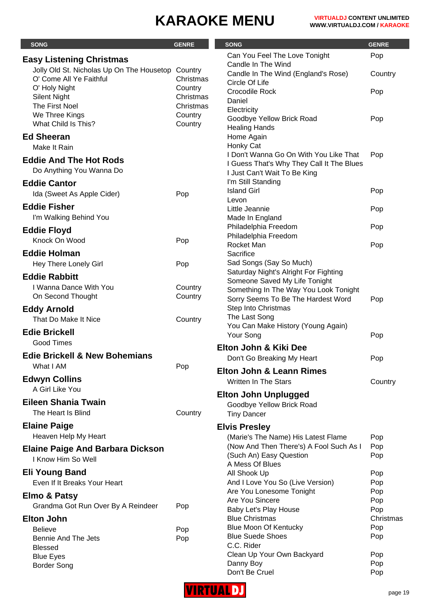| <b>SONG</b>                                       | <b>GENRE</b> | <b>SONG</b>                                                      | <b>GENRE</b>     |
|---------------------------------------------------|--------------|------------------------------------------------------------------|------------------|
| <b>Easy Listening Christmas</b>                   |              | Can You Feel The Love Tonight                                    | Pop              |
| Jolly Old St. Nicholas Up On The Housetop Country |              | Candle In The Wind                                               |                  |
| O' Come All Ye Faithful                           | Christmas    | Candle In The Wind (England's Rose)                              | Country          |
| O' Holy Night                                     | Country      | Circle Of Life                                                   |                  |
| <b>Silent Night</b>                               | Christmas    | <b>Crocodile Rock</b><br>Daniel                                  | Pop              |
| The First Noel                                    | Christmas    | Electricity                                                      |                  |
| We Three Kings                                    | Country      | Goodbye Yellow Brick Road                                        | Pop              |
| What Child Is This?                               | Country      | <b>Healing Hands</b>                                             |                  |
| <b>Ed Sheeran</b>                                 |              | Home Again                                                       |                  |
| Make It Rain                                      |              | Honky Cat                                                        |                  |
| <b>Eddie And The Hot Rods</b>                     |              | I Don't Wanna Go On With You Like That                           | Pop              |
| Do Anything You Wanna Do                          |              | I Guess That's Why They Call It The Blues                        |                  |
|                                                   |              | I Just Can't Wait To Be King                                     |                  |
| <b>Eddie Cantor</b>                               |              | I'm Still Standing<br><b>Island Girl</b>                         | Pop              |
| Ida (Sweet As Apple Cider)                        | Pop          | Levon                                                            |                  |
| <b>Eddie Fisher</b>                               |              | Little Jeannie                                                   | Pop              |
| I'm Walking Behind You                            |              | Made In England                                                  |                  |
| <b>Eddie Floyd</b>                                |              | Philadelphia Freedom                                             | Pop              |
| Knock On Wood                                     | Pop          | Philadelphia Freedom                                             |                  |
|                                                   |              | Rocket Man                                                       | Pop              |
| <b>Eddie Holman</b>                               |              | Sacrifice                                                        |                  |
| Hey There Lonely Girl                             | Pop          | Sad Songs (Say So Much)<br>Saturday Night's Alright For Fighting |                  |
| <b>Eddie Rabbitt</b>                              |              | Someone Saved My Life Tonight                                    |                  |
| I Wanna Dance With You                            | Country      | Something In The Way You Look Tonight                            |                  |
| On Second Thought                                 | Country      | Sorry Seems To Be The Hardest Word                               | Pop              |
| <b>Eddy Arnold</b>                                |              | Step Into Christmas                                              |                  |
| That Do Make It Nice                              | Country      | The Last Song                                                    |                  |
| <b>Edie Brickell</b>                              |              | You Can Make History (Young Again)                               |                  |
| Good Times                                        |              | Your Song                                                        | Pop              |
|                                                   |              | Elton John & Kiki Dee                                            |                  |
| <b>Edie Brickell &amp; New Bohemians</b>          |              | Don't Go Breaking My Heart                                       | Pop              |
| What I AM                                         | Pop          | <b>Elton John &amp; Leann Rimes</b>                              |                  |
| <b>Edwyn Collins</b>                              |              | <b>Written In The Stars</b>                                      | Country          |
| A Girl Like You                                   |              | <b>Elton John Unplugged</b>                                      |                  |
| Eileen Shania Twain                               |              | Goodbye Yellow Brick Road                                        |                  |
| The Heart Is Blind                                | Country      | <b>Tiny Dancer</b>                                               |                  |
| <b>Elaine Paige</b>                               |              | <b>Elvis Presley</b>                                             |                  |
| Heaven Help My Heart                              |              | (Marie's The Name) His Latest Flame                              | Pop              |
|                                                   |              | (Now And Then There's) A Fool Such As I                          | Pop              |
| <b>Elaine Paige And Barbara Dickson</b>           |              | (Such An) Easy Question                                          | Pop              |
| I Know Him So Well                                |              | A Mess Of Blues                                                  |                  |
| <b>Eli Young Band</b>                             |              | All Shook Up                                                     | Pop              |
| Even If It Breaks Your Heart                      |              | And I Love You So (Live Version)                                 | Pop              |
| Elmo & Patsy                                      |              | Are You Lonesome Tonight                                         | Pop              |
| Grandma Got Run Over By A Reindeer                | Pop          | Are You Sincere                                                  | Pop              |
| <b>Elton John</b>                                 |              | Baby Let's Play House<br><b>Blue Christmas</b>                   | Pop<br>Christmas |
| <b>Believe</b>                                    |              | <b>Blue Moon Of Kentucky</b>                                     | Pop              |
| <b>Bennie And The Jets</b>                        | Pop<br>Pop   | <b>Blue Suede Shoes</b>                                          | Pop              |
| <b>Blessed</b>                                    |              | C.C. Rider                                                       |                  |
| <b>Blue Eyes</b>                                  |              | Clean Up Your Own Backyard                                       | Pop              |
| <b>Border Song</b>                                |              | Danny Boy                                                        | Pop              |
|                                                   |              | Don't Be Cruel                                                   | Pop              |

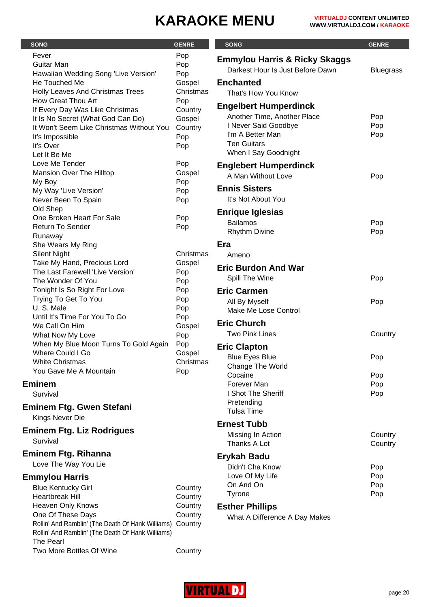| <b>SONG</b>                                                                                                                                                                 | <b>GENRE</b>                  | <b>SONG</b>                                                                         | <b>GENRE</b>       |
|-----------------------------------------------------------------------------------------------------------------------------------------------------------------------------|-------------------------------|-------------------------------------------------------------------------------------|--------------------|
| Fever<br>Guitar Man<br>Hawaiian Wedding Song 'Live Version'                                                                                                                 | Pop<br>Pop<br>Pop             | <b>Emmylou Harris &amp; Ricky Skaggs</b><br>Darkest Hour Is Just Before Dawn        | <b>Bluegrass</b>   |
| He Touched Me<br>Holly Leaves And Christmas Trees<br>How Great Thou Art                                                                                                     | Gospel<br>Christmas<br>Pop    | <b>Enchanted</b><br>That's How You Know                                             |                    |
| If Every Day Was Like Christmas<br>It Is No Secret (What God Can Do)<br>It Won't Seem Like Christmas Without You                                                            | Country<br>Gospel<br>Country  | <b>Engelbert Humperdinck</b><br>Another Time, Another Place<br>I Never Said Goodbye | Pop<br>Pop         |
| It's Impossible<br>It's Over<br>Let It Be Me                                                                                                                                | Pop<br>Pop                    | I'm A Better Man<br><b>Ten Guitars</b><br>When I Say Goodnight                      | Pop                |
| Love Me Tender<br>Mansion Over The Hilltop<br>My Boy                                                                                                                        | Pop<br>Gospel<br>Pop          | <b>Englebert Humperdinck</b><br>A Man Without Love                                  | Pop                |
| My Way 'Live Version'<br>Never Been To Spain<br>Old Shep                                                                                                                    | Pop<br>Pop                    | <b>Ennis Sisters</b><br>It's Not About You                                          |                    |
| One Broken Heart For Sale<br><b>Return To Sender</b>                                                                                                                        | Pop<br>Pop                    | <b>Enrique Iglesias</b><br><b>Bailamos</b><br><b>Rhythm Divine</b>                  | Pop<br>Pop         |
| Runaway<br>She Wears My Ring<br><b>Silent Night</b>                                                                                                                         | Christmas                     | Era<br>Ameno                                                                        |                    |
| Take My Hand, Precious Lord<br>The Last Farewell 'Live Version'<br>The Wonder Of You                                                                                        | Gospel<br>Pop<br>Pop          | <b>Eric Burdon And War</b><br>Spill The Wine                                        | Pop                |
| Tonight Is So Right For Love<br>Trying To Get To You<br>U.S. Male<br>Until It's Time For You To Go                                                                          | Pop<br>Pop<br>Pop<br>Pop      | <b>Eric Carmen</b><br>All By Myself<br>Make Me Lose Control                         | Pop                |
| We Call On Him<br>What Now My Love<br>When My Blue Moon Turns To Gold Again                                                                                                 | Gospel<br>Pop<br>Pop          | <b>Eric Church</b><br><b>Two Pink Lines</b><br><b>Eric Clapton</b>                  | Country            |
| Where Could I Go<br><b>White Christmas</b><br>You Gave Me A Mountain                                                                                                        | Gospel<br>Christmas<br>Pop    | <b>Blue Eyes Blue</b><br>Change The World                                           | Pop                |
| <b>Eminem</b><br>Survival                                                                                                                                                   |                               | Cocaine<br>Forever Man<br>I Shot The Sheriff                                        | Pop<br>Pop<br>Pop  |
| <b>Eminem Ftg. Gwen Stefani</b><br>Kings Never Die                                                                                                                          |                               | Pretending<br><b>Tulsa Time</b><br><b>Ernest Tubb</b>                               |                    |
| <b>Eminem Ftg. Liz Rodrigues</b><br>Survival                                                                                                                                |                               | Missing In Action<br>Thanks A Lot                                                   | Country<br>Country |
| <b>Eminem Ftg. Rihanna</b><br>Love The Way You Lie                                                                                                                          |                               | <b>Erykah Badu</b><br>Didn't Cha Know                                               | Pop                |
| <b>Emmylou Harris</b><br><b>Blue Kentucky Girl</b><br><b>Heartbreak Hill</b>                                                                                                | Country<br>Country            | Love Of My Life<br>On And On<br>Tyrone                                              | Pop<br>Pop<br>Pop  |
| <b>Heaven Only Knows</b><br>One Of These Days<br>Rollin' And Ramblin' (The Death Of Hank Williams)<br>Rollin' And Ramblin' (The Death Of Hank Williams)<br><b>The Pearl</b> | Country<br>Country<br>Country | <b>Esther Phillips</b><br>What A Difference A Day Makes                             |                    |
| Two More Bottles Of Wine                                                                                                                                                    | Country                       |                                                                                     |                    |

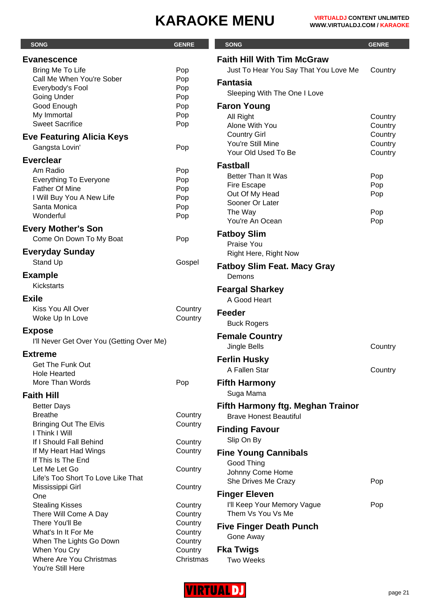| <b>Faith Hill With Tim McGraw</b><br><b>Evanescence</b><br>Bring Me To Life<br>Just To Hear You Say That You Love Me<br>Pop<br>Country<br>Call Me When You're Sober<br>Pop<br><b>Fantasia</b><br>Everybody's Fool<br>Pop<br>Sleeping With The One I Love<br>Going Under<br>Pop<br>Good Enough<br>Pop<br><b>Faron Young</b><br>My Immortal<br>Pop<br>All Right<br>Country<br><b>Sweet Sacrifice</b><br>Pop<br>Alone With You<br>Country<br><b>Country Girl</b><br>Country<br><b>Eve Featuring Alicia Keys</b><br>You're Still Mine<br>Country<br>Gangsta Lovin'<br>Pop<br>Your Old Used To Be<br>Country<br><b>Everclear</b><br><b>Fastball</b><br>Am Radio<br>Pop<br><b>Better Than It Was</b><br>Pop<br><b>Everything To Everyone</b><br>Pop<br>Fire Escape<br>Pop<br><b>Father Of Mine</b><br>Pop<br>Out Of My Head<br>Pop<br>I Will Buy You A New Life<br>Pop<br>Sooner Or Later<br>Santa Monica<br>Pop<br>The Way<br>Pop<br>Wonderful<br>Pop<br>You're An Ocean<br>Pop<br><b>Every Mother's Son</b><br><b>Fatboy Slim</b><br>Come On Down To My Boat<br>Pop<br>Praise You<br><b>Everyday Sunday</b><br>Right Here, Right Now<br>Stand Up<br>Gospel<br><b>Fatboy Slim Feat. Macy Gray</b><br><b>Example</b><br>Demons<br>Kickstarts<br><b>Feargal Sharkey</b><br><b>Exile</b><br>A Good Heart<br>Kiss You All Over<br>Country<br><b>Feeder</b><br>Country<br>Woke Up In Love<br><b>Buck Rogers</b><br><b>Expose</b><br><b>Female Country</b><br>I'll Never Get Over You (Getting Over Me)<br>Jingle Bells<br>Country<br><b>Extreme</b><br><b>Ferlin Husky</b><br>Get The Funk Out<br>A Fallen Star<br>Country<br><b>Hole Hearted</b><br>More Than Words<br><b>Fifth Harmony</b><br>Pop<br>Suga Mama<br><b>Faith Hill</b><br>Fifth Harmony ftg. Meghan Trainor<br><b>Better Days</b><br><b>Breathe</b><br>Country<br><b>Brave Honest Beautiful</b><br><b>Bringing Out The Elvis</b><br>Country<br><b>Finding Favour</b><br>I Think I Will<br>Slip On By<br>If I Should Fall Behind<br>Country<br>If My Heart Had Wings<br>Country<br><b>Fine Young Cannibals</b><br>If This Is The End<br>Good Thing<br>Let Me Let Go<br>Country<br>Johnny Come Home<br>Life's Too Short To Love Like That<br>She Drives Me Crazy<br>Pop<br>Mississippi Girl<br>Country<br><b>Finger Eleven</b><br>One<br>I'll Keep Your Memory Vague<br>Pop<br><b>Stealing Kisses</b><br>Country<br>Them Vs You Vs Me<br>There Will Come A Day<br>Country<br>There You'll Be<br>Country<br><b>Five Finger Death Punch</b><br>What's In It For Me<br>Country<br>Gone Away<br>When The Lights Go Down<br>Country<br><b>Fka Twigs</b><br>When You Cry<br>Country<br>Where Are You Christmas<br>Christmas<br><b>Two Weeks</b> | <b>SONG</b>       | <b>GENRE</b> | <b>SONG</b> | <b>GENRE</b> |
|----------------------------------------------------------------------------------------------------------------------------------------------------------------------------------------------------------------------------------------------------------------------------------------------------------------------------------------------------------------------------------------------------------------------------------------------------------------------------------------------------------------------------------------------------------------------------------------------------------------------------------------------------------------------------------------------------------------------------------------------------------------------------------------------------------------------------------------------------------------------------------------------------------------------------------------------------------------------------------------------------------------------------------------------------------------------------------------------------------------------------------------------------------------------------------------------------------------------------------------------------------------------------------------------------------------------------------------------------------------------------------------------------------------------------------------------------------------------------------------------------------------------------------------------------------------------------------------------------------------------------------------------------------------------------------------------------------------------------------------------------------------------------------------------------------------------------------------------------------------------------------------------------------------------------------------------------------------------------------------------------------------------------------------------------------------------------------------------------------------------------------------------------------------------------------------------------------------------------------------------------------------------------------------------------------------------------------------------------------------------------------------------------------------------------------------------------------------------------------------------------------------------------------------------------------------------------------------------------------------------------------------------------------------------------------------------|-------------------|--------------|-------------|--------------|
|                                                                                                                                                                                                                                                                                                                                                                                                                                                                                                                                                                                                                                                                                                                                                                                                                                                                                                                                                                                                                                                                                                                                                                                                                                                                                                                                                                                                                                                                                                                                                                                                                                                                                                                                                                                                                                                                                                                                                                                                                                                                                                                                                                                                                                                                                                                                                                                                                                                                                                                                                                                                                                                                                              |                   |              |             |              |
|                                                                                                                                                                                                                                                                                                                                                                                                                                                                                                                                                                                                                                                                                                                                                                                                                                                                                                                                                                                                                                                                                                                                                                                                                                                                                                                                                                                                                                                                                                                                                                                                                                                                                                                                                                                                                                                                                                                                                                                                                                                                                                                                                                                                                                                                                                                                                                                                                                                                                                                                                                                                                                                                                              |                   |              |             |              |
|                                                                                                                                                                                                                                                                                                                                                                                                                                                                                                                                                                                                                                                                                                                                                                                                                                                                                                                                                                                                                                                                                                                                                                                                                                                                                                                                                                                                                                                                                                                                                                                                                                                                                                                                                                                                                                                                                                                                                                                                                                                                                                                                                                                                                                                                                                                                                                                                                                                                                                                                                                                                                                                                                              |                   |              |             |              |
|                                                                                                                                                                                                                                                                                                                                                                                                                                                                                                                                                                                                                                                                                                                                                                                                                                                                                                                                                                                                                                                                                                                                                                                                                                                                                                                                                                                                                                                                                                                                                                                                                                                                                                                                                                                                                                                                                                                                                                                                                                                                                                                                                                                                                                                                                                                                                                                                                                                                                                                                                                                                                                                                                              |                   |              |             |              |
|                                                                                                                                                                                                                                                                                                                                                                                                                                                                                                                                                                                                                                                                                                                                                                                                                                                                                                                                                                                                                                                                                                                                                                                                                                                                                                                                                                                                                                                                                                                                                                                                                                                                                                                                                                                                                                                                                                                                                                                                                                                                                                                                                                                                                                                                                                                                                                                                                                                                                                                                                                                                                                                                                              |                   |              |             |              |
|                                                                                                                                                                                                                                                                                                                                                                                                                                                                                                                                                                                                                                                                                                                                                                                                                                                                                                                                                                                                                                                                                                                                                                                                                                                                                                                                                                                                                                                                                                                                                                                                                                                                                                                                                                                                                                                                                                                                                                                                                                                                                                                                                                                                                                                                                                                                                                                                                                                                                                                                                                                                                                                                                              |                   |              |             |              |
|                                                                                                                                                                                                                                                                                                                                                                                                                                                                                                                                                                                                                                                                                                                                                                                                                                                                                                                                                                                                                                                                                                                                                                                                                                                                                                                                                                                                                                                                                                                                                                                                                                                                                                                                                                                                                                                                                                                                                                                                                                                                                                                                                                                                                                                                                                                                                                                                                                                                                                                                                                                                                                                                                              |                   |              |             |              |
|                                                                                                                                                                                                                                                                                                                                                                                                                                                                                                                                                                                                                                                                                                                                                                                                                                                                                                                                                                                                                                                                                                                                                                                                                                                                                                                                                                                                                                                                                                                                                                                                                                                                                                                                                                                                                                                                                                                                                                                                                                                                                                                                                                                                                                                                                                                                                                                                                                                                                                                                                                                                                                                                                              |                   |              |             |              |
|                                                                                                                                                                                                                                                                                                                                                                                                                                                                                                                                                                                                                                                                                                                                                                                                                                                                                                                                                                                                                                                                                                                                                                                                                                                                                                                                                                                                                                                                                                                                                                                                                                                                                                                                                                                                                                                                                                                                                                                                                                                                                                                                                                                                                                                                                                                                                                                                                                                                                                                                                                                                                                                                                              |                   |              |             |              |
|                                                                                                                                                                                                                                                                                                                                                                                                                                                                                                                                                                                                                                                                                                                                                                                                                                                                                                                                                                                                                                                                                                                                                                                                                                                                                                                                                                                                                                                                                                                                                                                                                                                                                                                                                                                                                                                                                                                                                                                                                                                                                                                                                                                                                                                                                                                                                                                                                                                                                                                                                                                                                                                                                              |                   |              |             |              |
|                                                                                                                                                                                                                                                                                                                                                                                                                                                                                                                                                                                                                                                                                                                                                                                                                                                                                                                                                                                                                                                                                                                                                                                                                                                                                                                                                                                                                                                                                                                                                                                                                                                                                                                                                                                                                                                                                                                                                                                                                                                                                                                                                                                                                                                                                                                                                                                                                                                                                                                                                                                                                                                                                              |                   |              |             |              |
|                                                                                                                                                                                                                                                                                                                                                                                                                                                                                                                                                                                                                                                                                                                                                                                                                                                                                                                                                                                                                                                                                                                                                                                                                                                                                                                                                                                                                                                                                                                                                                                                                                                                                                                                                                                                                                                                                                                                                                                                                                                                                                                                                                                                                                                                                                                                                                                                                                                                                                                                                                                                                                                                                              |                   |              |             |              |
|                                                                                                                                                                                                                                                                                                                                                                                                                                                                                                                                                                                                                                                                                                                                                                                                                                                                                                                                                                                                                                                                                                                                                                                                                                                                                                                                                                                                                                                                                                                                                                                                                                                                                                                                                                                                                                                                                                                                                                                                                                                                                                                                                                                                                                                                                                                                                                                                                                                                                                                                                                                                                                                                                              |                   |              |             |              |
|                                                                                                                                                                                                                                                                                                                                                                                                                                                                                                                                                                                                                                                                                                                                                                                                                                                                                                                                                                                                                                                                                                                                                                                                                                                                                                                                                                                                                                                                                                                                                                                                                                                                                                                                                                                                                                                                                                                                                                                                                                                                                                                                                                                                                                                                                                                                                                                                                                                                                                                                                                                                                                                                                              |                   |              |             |              |
|                                                                                                                                                                                                                                                                                                                                                                                                                                                                                                                                                                                                                                                                                                                                                                                                                                                                                                                                                                                                                                                                                                                                                                                                                                                                                                                                                                                                                                                                                                                                                                                                                                                                                                                                                                                                                                                                                                                                                                                                                                                                                                                                                                                                                                                                                                                                                                                                                                                                                                                                                                                                                                                                                              |                   |              |             |              |
|                                                                                                                                                                                                                                                                                                                                                                                                                                                                                                                                                                                                                                                                                                                                                                                                                                                                                                                                                                                                                                                                                                                                                                                                                                                                                                                                                                                                                                                                                                                                                                                                                                                                                                                                                                                                                                                                                                                                                                                                                                                                                                                                                                                                                                                                                                                                                                                                                                                                                                                                                                                                                                                                                              |                   |              |             |              |
|                                                                                                                                                                                                                                                                                                                                                                                                                                                                                                                                                                                                                                                                                                                                                                                                                                                                                                                                                                                                                                                                                                                                                                                                                                                                                                                                                                                                                                                                                                                                                                                                                                                                                                                                                                                                                                                                                                                                                                                                                                                                                                                                                                                                                                                                                                                                                                                                                                                                                                                                                                                                                                                                                              |                   |              |             |              |
|                                                                                                                                                                                                                                                                                                                                                                                                                                                                                                                                                                                                                                                                                                                                                                                                                                                                                                                                                                                                                                                                                                                                                                                                                                                                                                                                                                                                                                                                                                                                                                                                                                                                                                                                                                                                                                                                                                                                                                                                                                                                                                                                                                                                                                                                                                                                                                                                                                                                                                                                                                                                                                                                                              |                   |              |             |              |
|                                                                                                                                                                                                                                                                                                                                                                                                                                                                                                                                                                                                                                                                                                                                                                                                                                                                                                                                                                                                                                                                                                                                                                                                                                                                                                                                                                                                                                                                                                                                                                                                                                                                                                                                                                                                                                                                                                                                                                                                                                                                                                                                                                                                                                                                                                                                                                                                                                                                                                                                                                                                                                                                                              |                   |              |             |              |
|                                                                                                                                                                                                                                                                                                                                                                                                                                                                                                                                                                                                                                                                                                                                                                                                                                                                                                                                                                                                                                                                                                                                                                                                                                                                                                                                                                                                                                                                                                                                                                                                                                                                                                                                                                                                                                                                                                                                                                                                                                                                                                                                                                                                                                                                                                                                                                                                                                                                                                                                                                                                                                                                                              |                   |              |             |              |
|                                                                                                                                                                                                                                                                                                                                                                                                                                                                                                                                                                                                                                                                                                                                                                                                                                                                                                                                                                                                                                                                                                                                                                                                                                                                                                                                                                                                                                                                                                                                                                                                                                                                                                                                                                                                                                                                                                                                                                                                                                                                                                                                                                                                                                                                                                                                                                                                                                                                                                                                                                                                                                                                                              |                   |              |             |              |
|                                                                                                                                                                                                                                                                                                                                                                                                                                                                                                                                                                                                                                                                                                                                                                                                                                                                                                                                                                                                                                                                                                                                                                                                                                                                                                                                                                                                                                                                                                                                                                                                                                                                                                                                                                                                                                                                                                                                                                                                                                                                                                                                                                                                                                                                                                                                                                                                                                                                                                                                                                                                                                                                                              |                   |              |             |              |
|                                                                                                                                                                                                                                                                                                                                                                                                                                                                                                                                                                                                                                                                                                                                                                                                                                                                                                                                                                                                                                                                                                                                                                                                                                                                                                                                                                                                                                                                                                                                                                                                                                                                                                                                                                                                                                                                                                                                                                                                                                                                                                                                                                                                                                                                                                                                                                                                                                                                                                                                                                                                                                                                                              |                   |              |             |              |
|                                                                                                                                                                                                                                                                                                                                                                                                                                                                                                                                                                                                                                                                                                                                                                                                                                                                                                                                                                                                                                                                                                                                                                                                                                                                                                                                                                                                                                                                                                                                                                                                                                                                                                                                                                                                                                                                                                                                                                                                                                                                                                                                                                                                                                                                                                                                                                                                                                                                                                                                                                                                                                                                                              |                   |              |             |              |
|                                                                                                                                                                                                                                                                                                                                                                                                                                                                                                                                                                                                                                                                                                                                                                                                                                                                                                                                                                                                                                                                                                                                                                                                                                                                                                                                                                                                                                                                                                                                                                                                                                                                                                                                                                                                                                                                                                                                                                                                                                                                                                                                                                                                                                                                                                                                                                                                                                                                                                                                                                                                                                                                                              |                   |              |             |              |
|                                                                                                                                                                                                                                                                                                                                                                                                                                                                                                                                                                                                                                                                                                                                                                                                                                                                                                                                                                                                                                                                                                                                                                                                                                                                                                                                                                                                                                                                                                                                                                                                                                                                                                                                                                                                                                                                                                                                                                                                                                                                                                                                                                                                                                                                                                                                                                                                                                                                                                                                                                                                                                                                                              |                   |              |             |              |
|                                                                                                                                                                                                                                                                                                                                                                                                                                                                                                                                                                                                                                                                                                                                                                                                                                                                                                                                                                                                                                                                                                                                                                                                                                                                                                                                                                                                                                                                                                                                                                                                                                                                                                                                                                                                                                                                                                                                                                                                                                                                                                                                                                                                                                                                                                                                                                                                                                                                                                                                                                                                                                                                                              |                   |              |             |              |
|                                                                                                                                                                                                                                                                                                                                                                                                                                                                                                                                                                                                                                                                                                                                                                                                                                                                                                                                                                                                                                                                                                                                                                                                                                                                                                                                                                                                                                                                                                                                                                                                                                                                                                                                                                                                                                                                                                                                                                                                                                                                                                                                                                                                                                                                                                                                                                                                                                                                                                                                                                                                                                                                                              |                   |              |             |              |
|                                                                                                                                                                                                                                                                                                                                                                                                                                                                                                                                                                                                                                                                                                                                                                                                                                                                                                                                                                                                                                                                                                                                                                                                                                                                                                                                                                                                                                                                                                                                                                                                                                                                                                                                                                                                                                                                                                                                                                                                                                                                                                                                                                                                                                                                                                                                                                                                                                                                                                                                                                                                                                                                                              |                   |              |             |              |
|                                                                                                                                                                                                                                                                                                                                                                                                                                                                                                                                                                                                                                                                                                                                                                                                                                                                                                                                                                                                                                                                                                                                                                                                                                                                                                                                                                                                                                                                                                                                                                                                                                                                                                                                                                                                                                                                                                                                                                                                                                                                                                                                                                                                                                                                                                                                                                                                                                                                                                                                                                                                                                                                                              |                   |              |             |              |
|                                                                                                                                                                                                                                                                                                                                                                                                                                                                                                                                                                                                                                                                                                                                                                                                                                                                                                                                                                                                                                                                                                                                                                                                                                                                                                                                                                                                                                                                                                                                                                                                                                                                                                                                                                                                                                                                                                                                                                                                                                                                                                                                                                                                                                                                                                                                                                                                                                                                                                                                                                                                                                                                                              |                   |              |             |              |
|                                                                                                                                                                                                                                                                                                                                                                                                                                                                                                                                                                                                                                                                                                                                                                                                                                                                                                                                                                                                                                                                                                                                                                                                                                                                                                                                                                                                                                                                                                                                                                                                                                                                                                                                                                                                                                                                                                                                                                                                                                                                                                                                                                                                                                                                                                                                                                                                                                                                                                                                                                                                                                                                                              |                   |              |             |              |
|                                                                                                                                                                                                                                                                                                                                                                                                                                                                                                                                                                                                                                                                                                                                                                                                                                                                                                                                                                                                                                                                                                                                                                                                                                                                                                                                                                                                                                                                                                                                                                                                                                                                                                                                                                                                                                                                                                                                                                                                                                                                                                                                                                                                                                                                                                                                                                                                                                                                                                                                                                                                                                                                                              |                   |              |             |              |
|                                                                                                                                                                                                                                                                                                                                                                                                                                                                                                                                                                                                                                                                                                                                                                                                                                                                                                                                                                                                                                                                                                                                                                                                                                                                                                                                                                                                                                                                                                                                                                                                                                                                                                                                                                                                                                                                                                                                                                                                                                                                                                                                                                                                                                                                                                                                                                                                                                                                                                                                                                                                                                                                                              |                   |              |             |              |
|                                                                                                                                                                                                                                                                                                                                                                                                                                                                                                                                                                                                                                                                                                                                                                                                                                                                                                                                                                                                                                                                                                                                                                                                                                                                                                                                                                                                                                                                                                                                                                                                                                                                                                                                                                                                                                                                                                                                                                                                                                                                                                                                                                                                                                                                                                                                                                                                                                                                                                                                                                                                                                                                                              |                   |              |             |              |
|                                                                                                                                                                                                                                                                                                                                                                                                                                                                                                                                                                                                                                                                                                                                                                                                                                                                                                                                                                                                                                                                                                                                                                                                                                                                                                                                                                                                                                                                                                                                                                                                                                                                                                                                                                                                                                                                                                                                                                                                                                                                                                                                                                                                                                                                                                                                                                                                                                                                                                                                                                                                                                                                                              |                   |              |             |              |
|                                                                                                                                                                                                                                                                                                                                                                                                                                                                                                                                                                                                                                                                                                                                                                                                                                                                                                                                                                                                                                                                                                                                                                                                                                                                                                                                                                                                                                                                                                                                                                                                                                                                                                                                                                                                                                                                                                                                                                                                                                                                                                                                                                                                                                                                                                                                                                                                                                                                                                                                                                                                                                                                                              |                   |              |             |              |
|                                                                                                                                                                                                                                                                                                                                                                                                                                                                                                                                                                                                                                                                                                                                                                                                                                                                                                                                                                                                                                                                                                                                                                                                                                                                                                                                                                                                                                                                                                                                                                                                                                                                                                                                                                                                                                                                                                                                                                                                                                                                                                                                                                                                                                                                                                                                                                                                                                                                                                                                                                                                                                                                                              |                   |              |             |              |
|                                                                                                                                                                                                                                                                                                                                                                                                                                                                                                                                                                                                                                                                                                                                                                                                                                                                                                                                                                                                                                                                                                                                                                                                                                                                                                                                                                                                                                                                                                                                                                                                                                                                                                                                                                                                                                                                                                                                                                                                                                                                                                                                                                                                                                                                                                                                                                                                                                                                                                                                                                                                                                                                                              |                   |              |             |              |
|                                                                                                                                                                                                                                                                                                                                                                                                                                                                                                                                                                                                                                                                                                                                                                                                                                                                                                                                                                                                                                                                                                                                                                                                                                                                                                                                                                                                                                                                                                                                                                                                                                                                                                                                                                                                                                                                                                                                                                                                                                                                                                                                                                                                                                                                                                                                                                                                                                                                                                                                                                                                                                                                                              |                   |              |             |              |
|                                                                                                                                                                                                                                                                                                                                                                                                                                                                                                                                                                                                                                                                                                                                                                                                                                                                                                                                                                                                                                                                                                                                                                                                                                                                                                                                                                                                                                                                                                                                                                                                                                                                                                                                                                                                                                                                                                                                                                                                                                                                                                                                                                                                                                                                                                                                                                                                                                                                                                                                                                                                                                                                                              |                   |              |             |              |
|                                                                                                                                                                                                                                                                                                                                                                                                                                                                                                                                                                                                                                                                                                                                                                                                                                                                                                                                                                                                                                                                                                                                                                                                                                                                                                                                                                                                                                                                                                                                                                                                                                                                                                                                                                                                                                                                                                                                                                                                                                                                                                                                                                                                                                                                                                                                                                                                                                                                                                                                                                                                                                                                                              |                   |              |             |              |
|                                                                                                                                                                                                                                                                                                                                                                                                                                                                                                                                                                                                                                                                                                                                                                                                                                                                                                                                                                                                                                                                                                                                                                                                                                                                                                                                                                                                                                                                                                                                                                                                                                                                                                                                                                                                                                                                                                                                                                                                                                                                                                                                                                                                                                                                                                                                                                                                                                                                                                                                                                                                                                                                                              |                   |              |             |              |
|                                                                                                                                                                                                                                                                                                                                                                                                                                                                                                                                                                                                                                                                                                                                                                                                                                                                                                                                                                                                                                                                                                                                                                                                                                                                                                                                                                                                                                                                                                                                                                                                                                                                                                                                                                                                                                                                                                                                                                                                                                                                                                                                                                                                                                                                                                                                                                                                                                                                                                                                                                                                                                                                                              |                   |              |             |              |
|                                                                                                                                                                                                                                                                                                                                                                                                                                                                                                                                                                                                                                                                                                                                                                                                                                                                                                                                                                                                                                                                                                                                                                                                                                                                                                                                                                                                                                                                                                                                                                                                                                                                                                                                                                                                                                                                                                                                                                                                                                                                                                                                                                                                                                                                                                                                                                                                                                                                                                                                                                                                                                                                                              |                   |              |             |              |
|                                                                                                                                                                                                                                                                                                                                                                                                                                                                                                                                                                                                                                                                                                                                                                                                                                                                                                                                                                                                                                                                                                                                                                                                                                                                                                                                                                                                                                                                                                                                                                                                                                                                                                                                                                                                                                                                                                                                                                                                                                                                                                                                                                                                                                                                                                                                                                                                                                                                                                                                                                                                                                                                                              |                   |              |             |              |
|                                                                                                                                                                                                                                                                                                                                                                                                                                                                                                                                                                                                                                                                                                                                                                                                                                                                                                                                                                                                                                                                                                                                                                                                                                                                                                                                                                                                                                                                                                                                                                                                                                                                                                                                                                                                                                                                                                                                                                                                                                                                                                                                                                                                                                                                                                                                                                                                                                                                                                                                                                                                                                                                                              |                   |              |             |              |
|                                                                                                                                                                                                                                                                                                                                                                                                                                                                                                                                                                                                                                                                                                                                                                                                                                                                                                                                                                                                                                                                                                                                                                                                                                                                                                                                                                                                                                                                                                                                                                                                                                                                                                                                                                                                                                                                                                                                                                                                                                                                                                                                                                                                                                                                                                                                                                                                                                                                                                                                                                                                                                                                                              |                   |              |             |              |
|                                                                                                                                                                                                                                                                                                                                                                                                                                                                                                                                                                                                                                                                                                                                                                                                                                                                                                                                                                                                                                                                                                                                                                                                                                                                                                                                                                                                                                                                                                                                                                                                                                                                                                                                                                                                                                                                                                                                                                                                                                                                                                                                                                                                                                                                                                                                                                                                                                                                                                                                                                                                                                                                                              |                   |              |             |              |
|                                                                                                                                                                                                                                                                                                                                                                                                                                                                                                                                                                                                                                                                                                                                                                                                                                                                                                                                                                                                                                                                                                                                                                                                                                                                                                                                                                                                                                                                                                                                                                                                                                                                                                                                                                                                                                                                                                                                                                                                                                                                                                                                                                                                                                                                                                                                                                                                                                                                                                                                                                                                                                                                                              |                   |              |             |              |
|                                                                                                                                                                                                                                                                                                                                                                                                                                                                                                                                                                                                                                                                                                                                                                                                                                                                                                                                                                                                                                                                                                                                                                                                                                                                                                                                                                                                                                                                                                                                                                                                                                                                                                                                                                                                                                                                                                                                                                                                                                                                                                                                                                                                                                                                                                                                                                                                                                                                                                                                                                                                                                                                                              |                   |              |             |              |
|                                                                                                                                                                                                                                                                                                                                                                                                                                                                                                                                                                                                                                                                                                                                                                                                                                                                                                                                                                                                                                                                                                                                                                                                                                                                                                                                                                                                                                                                                                                                                                                                                                                                                                                                                                                                                                                                                                                                                                                                                                                                                                                                                                                                                                                                                                                                                                                                                                                                                                                                                                                                                                                                                              |                   |              |             |              |
|                                                                                                                                                                                                                                                                                                                                                                                                                                                                                                                                                                                                                                                                                                                                                                                                                                                                                                                                                                                                                                                                                                                                                                                                                                                                                                                                                                                                                                                                                                                                                                                                                                                                                                                                                                                                                                                                                                                                                                                                                                                                                                                                                                                                                                                                                                                                                                                                                                                                                                                                                                                                                                                                                              |                   |              |             |              |
|                                                                                                                                                                                                                                                                                                                                                                                                                                                                                                                                                                                                                                                                                                                                                                                                                                                                                                                                                                                                                                                                                                                                                                                                                                                                                                                                                                                                                                                                                                                                                                                                                                                                                                                                                                                                                                                                                                                                                                                                                                                                                                                                                                                                                                                                                                                                                                                                                                                                                                                                                                                                                                                                                              |                   |              |             |              |
|                                                                                                                                                                                                                                                                                                                                                                                                                                                                                                                                                                                                                                                                                                                                                                                                                                                                                                                                                                                                                                                                                                                                                                                                                                                                                                                                                                                                                                                                                                                                                                                                                                                                                                                                                                                                                                                                                                                                                                                                                                                                                                                                                                                                                                                                                                                                                                                                                                                                                                                                                                                                                                                                                              | You're Still Here |              |             |              |

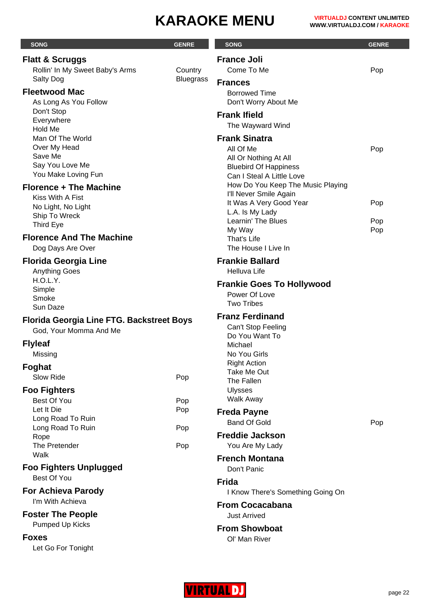| <b>SONG</b>                                                                                                                                                                   | <b>GENRE</b>                | <b>SONG</b>                                                                                                                                                                                                                          | <b>GENRE</b> |
|-------------------------------------------------------------------------------------------------------------------------------------------------------------------------------|-----------------------------|--------------------------------------------------------------------------------------------------------------------------------------------------------------------------------------------------------------------------------------|--------------|
|                                                                                                                                                                               |                             |                                                                                                                                                                                                                                      |              |
| <b>Flatt &amp; Scruggs</b><br>Rollin' In My Sweet Baby's Arms<br>Salty Dog                                                                                                    | Country<br><b>Bluegrass</b> | <b>France Joli</b><br>Come To Me                                                                                                                                                                                                     | Pop          |
| <b>Fleetwood Mac</b><br>As Long As You Follow<br>Don't Stop<br>Everywhere<br>Hold Me<br>Man Of The World<br>Over My Head<br>Save Me<br>Say You Love Me<br>You Make Loving Fun |                             | <b>Frances</b><br><b>Borrowed Time</b><br>Don't Worry About Me<br><b>Frank Ifield</b><br>The Wayward Wind<br><b>Frank Sinatra</b><br>All Of Me<br>All Or Nothing At All<br><b>Bluebird Of Happiness</b><br>Can I Steal A Little Love | Pop          |
| <b>Florence + The Machine</b><br>Kiss With A Fist<br>No Light, No Light<br>Ship To Wreck                                                                                      |                             | How Do You Keep The Music Playing<br>I'll Never Smile Again<br>It Was A Very Good Year<br>L.A. Is My Lady                                                                                                                            | Pop          |
| Third Eye<br><b>Florence And The Machine</b><br>Dog Days Are Over                                                                                                             |                             | Learnin' The Blues<br>My Way<br>That's Life<br>The House I Live In                                                                                                                                                                   | Pop<br>Pop   |
| <b>Florida Georgia Line</b><br><b>Anything Goes</b><br>H.O.L.Y.<br>Simple<br>Smoke<br>Sun Daze                                                                                |                             | <b>Frankie Ballard</b><br><b>Helluva Life</b><br><b>Frankie Goes To Hollywood</b><br>Power Of Love<br><b>Two Tribes</b>                                                                                                              |              |
| Florida Georgia Line FTG. Backstreet Boys<br>God, Your Momma And Me<br><b>Flyleaf</b><br>Missing<br>Foghat<br><b>Slow Ride</b>                                                | Pop                         | <b>Franz Ferdinand</b><br>Can't Stop Feeling<br>Do You Want To<br>Michael<br>No You Girls<br><b>Right Action</b><br>Take Me Out                                                                                                      |              |
| <b>Foo Fighters</b><br>Best Of You<br>Let It Die<br>Long Road To Ruin<br>Long Road To Ruin<br>Rope<br>The Pretender                                                           | Pop<br>Pop<br>Pop<br>Pop    | The Fallen<br><b>Ulysses</b><br><b>Walk Away</b><br><b>Freda Payne</b><br><b>Band Of Gold</b><br><b>Freddie Jackson</b><br>You Are My Lady                                                                                           | Pop          |
| Walk<br><b>Foo Fighters Unplugged</b><br>Best Of You                                                                                                                          |                             | <b>French Montana</b><br>Don't Panic<br><b>Frida</b>                                                                                                                                                                                 |              |
| <b>For Achieva Parody</b><br>I'm With Achieva                                                                                                                                 |                             | I Know There's Something Going On<br><b>From Cocacabana</b>                                                                                                                                                                          |              |
| <b>Foster The People</b><br>Pumped Up Kicks<br><b>Foxes</b>                                                                                                                   |                             | <b>Just Arrived</b><br><b>From Showboat</b><br>Ol' Man River                                                                                                                                                                         |              |
| Let Go For Tonight                                                                                                                                                            |                             |                                                                                                                                                                                                                                      |              |

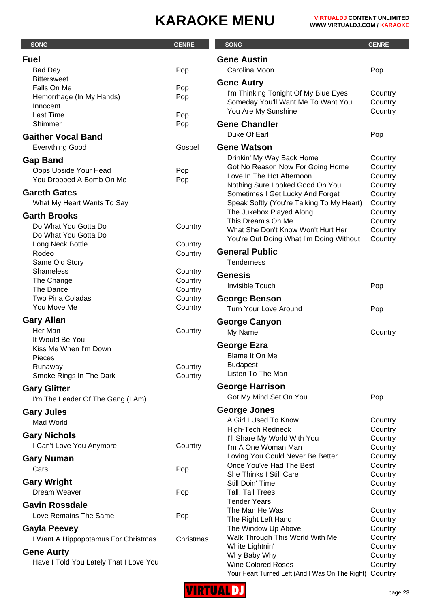| <b>SONG</b>                            | <b>GENRE</b>       | <b>SONG</b>                                                  | <b>GENRE</b>       |
|----------------------------------------|--------------------|--------------------------------------------------------------|--------------------|
| <b>Fuel</b>                            |                    | <b>Gene Austin</b>                                           |                    |
| <b>Bad Day</b>                         | Pop                | Carolina Moon                                                | Pop                |
| <b>Bittersweet</b>                     |                    |                                                              |                    |
| Falls On Me                            | Pop                | <b>Gene Autry</b>                                            |                    |
| Hemorrhage (In My Hands)               | Pop                | I'm Thinking Tonight Of My Blue Eyes                         | Country            |
| Innocent                               |                    | Someday You'll Want Me To Want You<br>You Are My Sunshine    | Country<br>Country |
| <b>Last Time</b>                       | Pop                |                                                              |                    |
| Shimmer                                | Pop                | <b>Gene Chandler</b>                                         |                    |
| <b>Gaither Vocal Band</b>              |                    | Duke Of Earl                                                 | Pop                |
| <b>Everything Good</b>                 | Gospel             | <b>Gene Watson</b>                                           |                    |
| <b>Gap Band</b>                        |                    | Drinkin' My Way Back Home                                    | Country            |
| Oops Upside Your Head                  | Pop                | Got No Reason Now For Going Home                             | Country            |
| You Dropped A Bomb On Me               | Pop                | Love In The Hot Afternoon<br>Nothing Sure Looked Good On You | Country<br>Country |
| <b>Gareth Gates</b>                    |                    | Sometimes I Get Lucky And Forget                             | Country            |
| What My Heart Wants To Say             |                    | Speak Softly (You're Talking To My Heart)                    | Country            |
| <b>Garth Brooks</b>                    |                    | The Jukebox Played Along                                     | Country            |
| Do What You Gotta Do                   | Country            | This Dream's On Me                                           | Country            |
| Do What You Gotta Do                   |                    | What She Don't Know Won't Hurt Her                           | Country            |
| Long Neck Bottle                       | Country            | You're Out Doing What I'm Doing Without                      | Country            |
| Rodeo                                  | Country            | <b>General Public</b>                                        |                    |
| Same Old Story                         |                    | <b>Tenderness</b>                                            |                    |
| <b>Shameless</b>                       | Country            | <b>Genesis</b>                                               |                    |
| The Change<br>The Dance                | Country            | Invisible Touch                                              | Pop                |
| <b>Two Pina Coladas</b>                | Country<br>Country | <b>George Benson</b>                                         |                    |
| You Move Me                            | Country            | Turn Your Love Around                                        | Pop                |
| <b>Gary Allan</b>                      |                    |                                                              |                    |
| Her Man                                | Country            | <b>George Canyon</b>                                         |                    |
| It Would Be You                        |                    | My Name                                                      | Country            |
| Kiss Me When I'm Down                  |                    | <b>George Ezra</b>                                           |                    |
| Pieces                                 |                    | Blame It On Me                                               |                    |
| Runaway                                | Country            | <b>Budapest</b><br>Listen To The Man                         |                    |
| Smoke Rings In The Dark                | Country            |                                                              |                    |
| <b>Gary Glitter</b>                    |                    | <b>George Harrison</b>                                       |                    |
| I'm The Leader Of The Gang (I Am)      |                    | Got My Mind Set On You                                       | Pop                |
| <b>Gary Jules</b>                      |                    | <b>George Jones</b>                                          |                    |
| Mad World                              |                    | A Girl I Used To Know                                        | Country            |
| <b>Gary Nichols</b>                    |                    | <b>High-Tech Redneck</b>                                     | Country            |
| I Can't Love You Anymore               | Country            | I'll Share My World With You<br>I'm A One Woman Man          | Country            |
|                                        |                    | Loving You Could Never Be Better                             | Country<br>Country |
| <b>Gary Numan</b>                      |                    | Once You've Had The Best                                     | Country            |
| Cars                                   | Pop                | She Thinks I Still Care                                      | Country            |
| <b>Gary Wright</b>                     |                    | Still Doin' Time                                             | Country            |
| Dream Weaver                           | Pop                | Tall, Tall Trees                                             | Country            |
| <b>Gavin Rossdale</b>                  |                    | <b>Tender Years</b>                                          |                    |
| Love Remains The Same                  | Pop                | The Man He Was<br>The Right Left Hand                        | Country<br>Country |
| Gayla Peevey                           |                    | The Window Up Above                                          | Country            |
| I Want A Hippopotamus For Christmas    | Christmas          | Walk Through This World With Me                              | Country            |
|                                        |                    | White Lightnin'                                              | Country            |
| <b>Gene Aurty</b>                      |                    | Why Baby Why                                                 | Country            |
| Have I Told You Lately That I Love You |                    | <b>Wine Colored Roses</b>                                    | Country            |

**VIRTUAL DJ** 

Your Heart Turned Left (And I Was On The Right) Country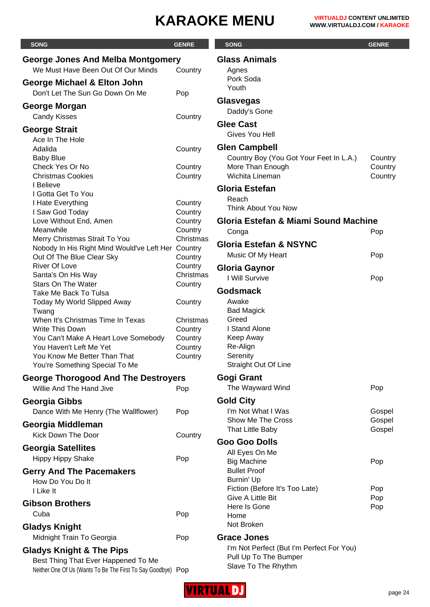| <b>SONG</b>                                                                                        | <b>GENRE</b> | <b>SONG</b>                               | <b>GENRE</b>     |
|----------------------------------------------------------------------------------------------------|--------------|-------------------------------------------|------------------|
| <b>George Jones And Melba Montgomery</b>                                                           |              | <b>Glass Animals</b>                      |                  |
| We Must Have Been Out Of Our Minds                                                                 | Country      | Agnes                                     |                  |
| <b>George Michael &amp; Elton John</b>                                                             |              | Pork Soda                                 |                  |
| Don't Let The Sun Go Down On Me                                                                    | Pop          | Youth                                     |                  |
| George Morgan                                                                                      |              | <b>Glasvegas</b>                          |                  |
| <b>Candy Kisses</b>                                                                                | Country      | Daddy's Gone                              |                  |
| <b>George Strait</b>                                                                               |              | <b>Glee Cast</b>                          |                  |
| Ace In The Hole                                                                                    |              | Gives You Hell                            |                  |
| Adalida                                                                                            | Country      | <b>Glen Campbell</b>                      |                  |
| <b>Baby Blue</b>                                                                                   |              | Country Boy (You Got Your Feet In L.A.)   | Country          |
| Check Yes Or No                                                                                    | Country      | More Than Enough                          | Country          |
| <b>Christmas Cookies</b><br>I Believe                                                              | Country      | Wichita Lineman                           | Country          |
| I Gotta Get To You                                                                                 |              | <b>Gloria Estefan</b>                     |                  |
| I Hate Everything                                                                                  | Country      | Reach                                     |                  |
| I Saw God Today                                                                                    | Country      | Think About You Now                       |                  |
| Love Without End, Amen                                                                             | Country      | Gloria Estefan & Miami Sound Machine      |                  |
| Meanwhile                                                                                          | Country      | Conga                                     | Pop              |
| Merry Christmas Strait To You<br>Nobody In His Right Mind Would've Left Her Country                | Christmas    | <b>Gloria Estefan &amp; NSYNC</b>         |                  |
| Out Of The Blue Clear Sky                                                                          | Country      | Music Of My Heart                         | Pop              |
| <b>River Of Love</b>                                                                               | Country      | <b>Gloria Gaynor</b>                      |                  |
| Santa's On His Way                                                                                 | Christmas    | I Will Survive                            | Pop              |
| <b>Stars On The Water</b>                                                                          | Country      | <b>Godsmack</b>                           |                  |
| Take Me Back To Tulsa<br>Today My World Slipped Away                                               | Country      | Awake                                     |                  |
| Twang                                                                                              |              | <b>Bad Magick</b>                         |                  |
| When It's Christmas Time In Texas                                                                  | Christmas    | Greed                                     |                  |
| <b>Write This Down</b>                                                                             | Country      | I Stand Alone                             |                  |
| You Can't Make A Heart Love Somebody                                                               | Country      | Keep Away                                 |                  |
| You Haven't Left Me Yet                                                                            | Country      | Re-Align                                  |                  |
| You Know Me Better Than That<br>You're Something Special To Me                                     | Country      | Serenity<br>Straight Out Of Line          |                  |
|                                                                                                    |              |                                           |                  |
| <b>George Thorogood And The Destroyers</b><br>Willie And The Hand Jive                             |              | <b>Gogi Grant</b><br>The Wayward Wind     |                  |
|                                                                                                    | Pop          |                                           | Pop              |
| <b>Georgia Gibbs</b>                                                                               |              | <b>Gold City</b>                          |                  |
| Dance With Me Henry (The Wallflower)                                                               | Pop          | I'm Not What I Was<br>Show Me The Cross   | Gospel<br>Gospel |
| Georgia Middleman                                                                                  |              | That Little Baby                          | Gospel           |
| Kick Down The Door                                                                                 | Country      | <b>Goo Goo Dolls</b>                      |                  |
| <b>Georgia Satellites</b>                                                                          |              |                                           |                  |
| <b>Hippy Hippy Shake</b>                                                                           | Pop          | All Eyes On Me<br><b>Big Machine</b>      | Pop              |
| <b>Gerry And The Pacemakers</b>                                                                    |              | <b>Bullet Proof</b>                       |                  |
| How Do You Do It                                                                                   |              | Burnin' Up                                |                  |
| I Like It                                                                                          |              | Fiction (Before It's Too Late)            | Pop              |
| <b>Gibson Brothers</b>                                                                             |              | Give A Little Bit                         | Pop              |
| Cuba                                                                                               | Pop          | Here Is Gone<br>Home                      | Pop              |
|                                                                                                    |              | Not Broken                                |                  |
| <b>Gladys Knight</b><br>Midnight Train To Georgia                                                  | Pop          | <b>Grace Jones</b>                        |                  |
|                                                                                                    |              | I'm Not Perfect (But I'm Perfect For You) |                  |
| <b>Gladys Knight &amp; The Pips</b>                                                                |              | Pull Up To The Bumper                     |                  |
| Best Thing That Ever Happened To Me<br>Noither One Of He Wante To Be The First To Say Goodbye) Don |              | Slave To The Rhythm                       |                  |



Neither One Of Us (Wants To Be The First To Say Goodbye) Pop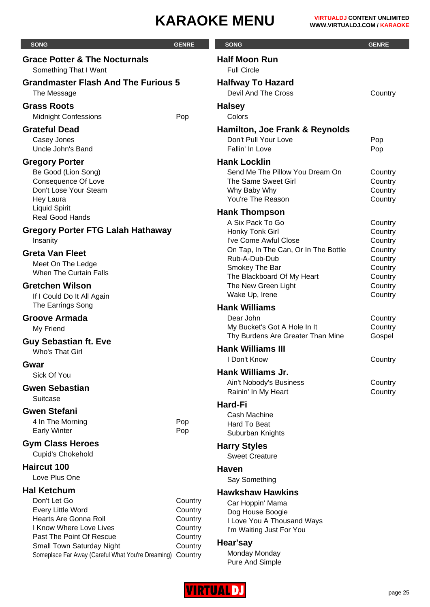| <b>SONG</b>                                               | <b>GENRE</b>       | <b>SONG</b>                                            | <b>GENRE</b>       |
|-----------------------------------------------------------|--------------------|--------------------------------------------------------|--------------------|
| <b>Grace Potter &amp; The Nocturnals</b>                  |                    | <b>Half Moon Run</b>                                   |                    |
| Something That I Want                                     |                    | <b>Full Circle</b>                                     |                    |
| <b>Grandmaster Flash And The Furious 5</b>                |                    | <b>Halfway To Hazard</b>                               |                    |
| The Message                                               |                    | Devil And The Cross                                    | Country            |
| <b>Grass Roots</b>                                        |                    | <b>Halsey</b>                                          |                    |
| <b>Midnight Confessions</b>                               | Pop                | Colors                                                 |                    |
| <b>Grateful Dead</b>                                      |                    | Hamilton, Joe Frank & Reynolds<br>Don't Pull Your Love |                    |
| Casey Jones<br>Uncle John's Band                          |                    | Fallin' In Love                                        | Pop<br>Pop         |
| <b>Gregory Porter</b>                                     |                    | <b>Hank Locklin</b>                                    |                    |
| Be Good (Lion Song)                                       |                    | Send Me The Pillow You Dream On                        | Country            |
| Consequence Of Love                                       |                    | The Same Sweet Girl                                    | Country            |
| Don't Lose Your Steam                                     |                    | Why Baby Why                                           | Country            |
| Hey Laura<br><b>Liquid Spirit</b>                         |                    | You're The Reason                                      | Country            |
| <b>Real Good Hands</b>                                    |                    | <b>Hank Thompson</b>                                   |                    |
| <b>Gregory Porter FTG Lalah Hathaway</b>                  |                    | A Six Pack To Go                                       | Country            |
| Insanity                                                  |                    | Honky Tonk Girl<br>I've Come Awful Close               | Country<br>Country |
|                                                           |                    | On Tap, In The Can, Or In The Bottle                   | Country            |
| <b>Greta Van Fleet</b>                                    |                    | Rub-A-Dub-Dub                                          | Country            |
| Meet On The Ledge<br><b>When The Curtain Falls</b>        |                    | Smokey The Bar                                         | Country            |
| <b>Gretchen Wilson</b>                                    |                    | The Blackboard Of My Heart                             | Country            |
|                                                           |                    | The New Green Light<br>Wake Up, Irene                  | Country<br>Country |
| If I Could Do It All Again<br>The Earrings Song           |                    | <b>Hank Williams</b>                                   |                    |
| <b>Groove Armada</b>                                      |                    | Dear John                                              | Country            |
| My Friend                                                 |                    | My Bucket's Got A Hole In It                           | Country            |
|                                                           |                    | Thy Burdens Are Greater Than Mine                      | Gospel             |
| <b>Guy Sebastian ft. Eve</b><br>Who's That Girl           |                    | <b>Hank Williams III</b>                               |                    |
|                                                           |                    | I Don't Know                                           | Country            |
| Gwar<br>Sick Of You                                       |                    | <b>Hank Williams Jr.</b>                               |                    |
| <b>Gwen Sebastian</b>                                     |                    | Ain't Nobody's Business                                | Country            |
| Suitcase                                                  |                    | Rainin' In My Heart                                    | Country            |
| <b>Gwen Stefani</b>                                       |                    | Hard-Fi                                                |                    |
| 4 In The Morning                                          | Pop                | Cash Machine                                           |                    |
| <b>Early Winter</b>                                       | Pop                | Hard To Beat<br>Suburban Knights                       |                    |
| <b>Gym Class Heroes</b>                                   |                    | <b>Harry Styles</b>                                    |                    |
| Cupid's Chokehold                                         |                    | <b>Sweet Creature</b>                                  |                    |
| <b>Haircut 100</b>                                        |                    | <b>Haven</b>                                           |                    |
| Love Plus One                                             |                    | Say Something                                          |                    |
| <b>Hal Ketchum</b>                                        |                    | <b>Hawkshaw Hawkins</b>                                |                    |
| Don't Let Go                                              | Country            | Car Hoppin' Mama                                       |                    |
| Every Little Word                                         | Country            | Dog House Boogie                                       |                    |
| Hearts Are Gonna Roll<br>I Know Where Love Lives          | Country<br>Country | I Love You A Thousand Ways                             |                    |
| Past The Point Of Rescue                                  | Country            | I'm Waiting Just For You                               |                    |
| Small Town Saturday Night                                 | Country            | Hear'say                                               |                    |
| Someplace Far Away (Careful What You're Dreaming) Country |                    | Monday Monday<br>Pure And Simple                       |                    |

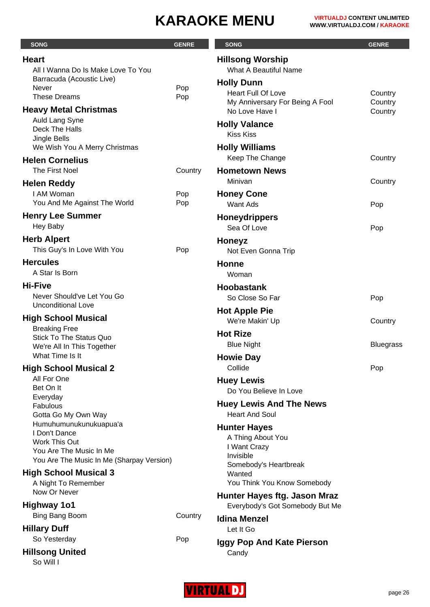| <b>SONG</b>                                                                                                                      | <b>GENRE</b> | <b>SONG</b>                                                                                    | <b>GENRE</b>       |
|----------------------------------------------------------------------------------------------------------------------------------|--------------|------------------------------------------------------------------------------------------------|--------------------|
| <b>Heart</b><br>All I Wanna Do Is Make Love To You<br>Barracuda (Acoustic Live)                                                  |              | <b>Hillsong Worship</b><br><b>What A Beautiful Name</b>                                        |                    |
| <b>Never</b><br><b>These Dreams</b>                                                                                              | Pop<br>Pop   | <b>Holly Dunn</b><br>Heart Full Of Love<br>My Anniversary For Being A Fool                     | Country<br>Country |
| <b>Heavy Metal Christmas</b><br>Auld Lang Syne<br><b>Deck The Halls</b><br>Jingle Bells                                          |              | No Love Have I<br><b>Holly Valance</b><br><b>Kiss Kiss</b>                                     | Country            |
| We Wish You A Merry Christmas<br><b>Helen Cornelius</b>                                                                          |              | <b>Holly Williams</b><br>Keep The Change                                                       | Country            |
| The First Noel                                                                                                                   | Country      | <b>Hometown News</b>                                                                           |                    |
| <b>Helen Reddy</b>                                                                                                               |              | Minivan                                                                                        | Country            |
| I AM Woman<br>You And Me Against The World                                                                                       | Pop<br>Pop   | <b>Honey Cone</b><br>Want Ads                                                                  | Pop                |
| <b>Henry Lee Summer</b><br><b>Hey Baby</b>                                                                                       |              | <b>Honeydrippers</b><br>Sea Of Love                                                            | Pop                |
| <b>Herb Alpert</b><br>This Guy's In Love With You                                                                                | Pop          | <b>Honeyz</b><br>Not Even Gonna Trip                                                           |                    |
| <b>Hercules</b><br>A Star Is Born                                                                                                |              | <b>Honne</b><br>Woman                                                                          |                    |
| <b>Hi-Five</b>                                                                                                                   |              | <b>Hoobastank</b>                                                                              |                    |
| Never Should've Let You Go<br><b>Unconditional Love</b>                                                                          |              | So Close So Far                                                                                | Pop                |
| <b>High School Musical</b>                                                                                                       |              | <b>Hot Apple Pie</b><br>We're Makin' Up                                                        | Country            |
| <b>Breaking Free</b><br><b>Stick To The Status Quo</b><br>We're All In This Together<br>What Time Is It                          |              | <b>Hot Rize</b><br><b>Blue Night</b>                                                           | <b>Bluegrass</b>   |
| <b>High School Musical 2</b>                                                                                                     |              | <b>Howie Day</b><br>Collide                                                                    | Pop                |
| All For One<br>Bet On It                                                                                                         |              | <b>Huey Lewis</b><br>Do You Believe In Love                                                    |                    |
| Everyday<br>Fabulous<br>Gotta Go My Own Way                                                                                      |              | <b>Huey Lewis And The News</b><br><b>Heart And Soul</b>                                        |                    |
| Humuhumunukunukuapua'a<br>I Don't Dance<br>Work This Out<br>You Are The Music In Me<br>You Are The Music In Me (Sharpay Version) |              | <b>Hunter Hayes</b><br>A Thing About You<br>I Want Crazy<br>Invisible<br>Somebody's Heartbreak |                    |
| <b>High School Musical 3</b>                                                                                                     |              | Wanted                                                                                         |                    |
| A Night To Remember<br>Now Or Never                                                                                              |              | You Think You Know Somebody<br>Hunter Hayes ftg. Jason Mraz                                    |                    |
| Highway 101                                                                                                                      |              | Everybody's Got Somebody But Me                                                                |                    |
| Bing Bang Boom                                                                                                                   | Country      | <b>Idina Menzel</b>                                                                            |                    |
| <b>Hillary Duff</b>                                                                                                              |              | Let It Go                                                                                      |                    |
| So Yesterday                                                                                                                     | Pop          | Iggy Pop And Kate Pierson                                                                      |                    |
| <b>Hillsong United</b><br>So Will I                                                                                              |              | Candy                                                                                          |                    |

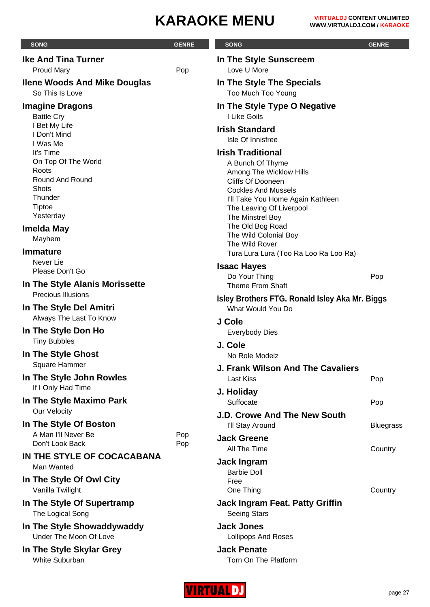| <b>SONG</b>                                                                                                                                                                                                              | <b>GENRE</b> | <b>SONG</b>                                                                                                                                                                                                                                                                                                                                                       | <b>GENRE</b>     |
|--------------------------------------------------------------------------------------------------------------------------------------------------------------------------------------------------------------------------|--------------|-------------------------------------------------------------------------------------------------------------------------------------------------------------------------------------------------------------------------------------------------------------------------------------------------------------------------------------------------------------------|------------------|
| <b>Ike And Tina Turner</b>                                                                                                                                                                                               |              | In The Style Sunscreem                                                                                                                                                                                                                                                                                                                                            |                  |
| <b>Proud Mary</b>                                                                                                                                                                                                        | Pop          | Love U More                                                                                                                                                                                                                                                                                                                                                       |                  |
| <b>Ilene Woods And Mike Douglas</b><br>So This Is Love                                                                                                                                                                   |              | In The Style The Specials<br>Too Much Too Young                                                                                                                                                                                                                                                                                                                   |                  |
| <b>Imagine Dragons</b><br><b>Battle Cry</b><br>I Bet My Life<br>I Don't Mind<br>I Was Me<br>It's Time<br>On Top Of The World<br>Roots<br><b>Round And Round</b><br>Shots<br>Thunder<br>Tiptoe<br>Yesterday<br>Imelda May |              | In The Style Type O Negative<br>I Like Goils<br><b>Irish Standard</b><br>Isle Of Innisfree<br><b>Irish Traditional</b><br>A Bunch Of Thyme<br>Among The Wicklow Hills<br><b>Cliffs Of Dooneen</b><br><b>Cockles And Mussels</b><br>I'll Take You Home Again Kathleen<br>The Leaving Of Liverpool<br>The Minstrel Boy<br>The Old Bog Road<br>The Wild Colonial Boy |                  |
| Mayhem                                                                                                                                                                                                                   |              | The Wild Rover                                                                                                                                                                                                                                                                                                                                                    |                  |
| <b>Immature</b><br>Never Lie<br>Please Don't Go<br>In The Style Alanis Morissette                                                                                                                                        |              | Tura Lura Lura (Too Ra Loo Ra Loo Ra)<br><b>Isaac Hayes</b><br>Do Your Thing<br><b>Theme From Shaft</b>                                                                                                                                                                                                                                                           | Pop              |
| <b>Precious Illusions</b><br>In The Style Del Amitri                                                                                                                                                                     |              | Isley Brothers FTG. Ronald Isley Aka Mr. Biggs<br>What Would You Do                                                                                                                                                                                                                                                                                               |                  |
| Always The Last To Know<br>In The Style Don Ho<br><b>Tiny Bubbles</b>                                                                                                                                                    |              | J Cole<br><b>Everybody Dies</b><br>J. Cole                                                                                                                                                                                                                                                                                                                        |                  |
| In The Style Ghost                                                                                                                                                                                                       |              | No Role Modelz                                                                                                                                                                                                                                                                                                                                                    |                  |
| Square Hammer<br>In The Style John Rowles<br>If I Only Had Time                                                                                                                                                          |              | <b>J. Frank Wilson And The Cavaliers</b><br>Last Kiss<br>J. Holiday                                                                                                                                                                                                                                                                                               | Pop              |
| In The Style Maximo Park                                                                                                                                                                                                 |              | Suffocate                                                                                                                                                                                                                                                                                                                                                         | Pop              |
| <b>Our Velocity</b><br>In The Style Of Boston<br>A Man I'll Never Be                                                                                                                                                     | Pop          | <b>J.D. Crowe And The New South</b><br>I'll Stay Around                                                                                                                                                                                                                                                                                                           | <b>Bluegrass</b> |
| Don't Look Back                                                                                                                                                                                                          | Pop          | <b>Jack Greene</b><br>All The Time                                                                                                                                                                                                                                                                                                                                | Country          |
| IN THE STYLE OF COCACABANA<br>Man Wanted                                                                                                                                                                                 |              | <b>Jack Ingram</b><br><b>Barbie Doll</b>                                                                                                                                                                                                                                                                                                                          |                  |
| In The Style Of Owl City<br>Vanilla Twilight                                                                                                                                                                             |              | Free<br>One Thing                                                                                                                                                                                                                                                                                                                                                 | Country          |
| In The Style Of Supertramp<br>The Logical Song                                                                                                                                                                           |              | <b>Jack Ingram Feat. Patty Griffin</b><br><b>Seeing Stars</b>                                                                                                                                                                                                                                                                                                     |                  |
| In The Style Showaddywaddy<br>Under The Moon Of Love                                                                                                                                                                     |              | <b>Jack Jones</b><br><b>Lollipops And Roses</b>                                                                                                                                                                                                                                                                                                                   |                  |
| In The Style Skylar Grey<br>White Suburban                                                                                                                                                                               |              | <b>Jack Penate</b><br>Torn On The Platform                                                                                                                                                                                                                                                                                                                        |                  |

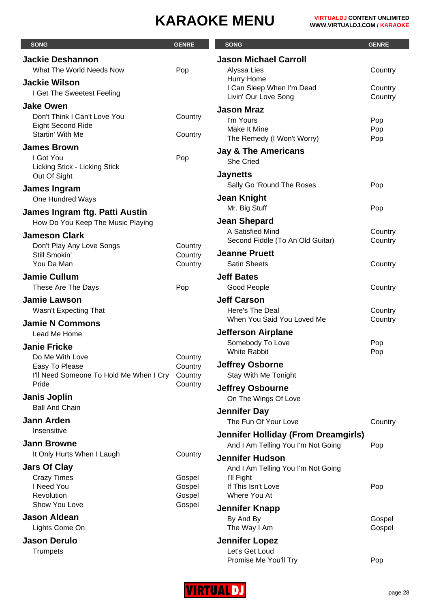| <b>SONG</b>                                               | <b>GENRE</b>       | <b>SONG</b>                                                     | <b>GENRE</b>       |
|-----------------------------------------------------------|--------------------|-----------------------------------------------------------------|--------------------|
| <b>Jackie Deshannon</b>                                   |                    | <b>Jason Michael Carroll</b>                                    |                    |
| What The World Needs Now                                  | Pop                | Alyssa Lies                                                     | Country            |
| <b>Jackie Wilson</b><br>I Get The Sweetest Feeling        |                    | Hurry Home<br>I Can Sleep When I'm Dead<br>Livin' Our Love Song | Country<br>Country |
| <b>Jake Owen</b>                                          |                    | <b>Jason Mraz</b>                                               |                    |
| Don't Think I Can't Love You                              | Country            | I'm Yours                                                       | Pop                |
| <b>Eight Second Ride</b><br>Startin' With Me              | Country            | Make It Mine<br>The Remedy (I Won't Worry)                      | Pop<br>Pop         |
| <b>James Brown</b>                                        |                    | <b>Jay &amp; The Americans</b>                                  |                    |
| I Got You<br>Licking Stick - Licking Stick                | Pop                | She Cried                                                       |                    |
| Out Of Sight                                              |                    | <b>Jaynetts</b>                                                 |                    |
| <b>James Ingram</b>                                       |                    | Sally Go 'Round The Roses                                       | Pop                |
| One Hundred Ways                                          |                    | <b>Jean Knight</b>                                              |                    |
| <b>James Ingram ftg. Patti Austin</b>                     |                    | Mr. Big Stuff                                                   | Pop                |
| How Do You Keep The Music Playing                         |                    | <b>Jean Shepard</b>                                             |                    |
| <b>Jameson Clark</b>                                      |                    | A Satisfied Mind<br>Second Fiddle (To An Old Guitar)            | Country<br>Country |
| Don't Play Any Love Songs                                 | Country            | <b>Jeanne Pruett</b>                                            |                    |
| Still Smokin'<br>You Da Man                               | Country<br>Country | <b>Satin Sheets</b>                                             | Country            |
| <b>Jamie Cullum</b>                                       |                    | <b>Jeff Bates</b>                                               |                    |
| These Are The Days                                        | Pop                | Good People                                                     | Country            |
| <b>Jamie Lawson</b>                                       |                    | <b>Jeff Carson</b>                                              |                    |
| Wasn't Expecting That                                     |                    | Here's The Deal                                                 | Country            |
| <b>Jamie N Commons</b>                                    |                    | When You Said You Loved Me                                      | Country            |
| Lead Me Home                                              |                    | <b>Jefferson Airplane</b>                                       |                    |
| <b>Janie Fricke</b>                                       |                    | Somebody To Love                                                | Pop                |
| Do Me With Love                                           | Country            | <b>White Rabbit</b>                                             | Pop                |
| Easy To Please<br>I'll Need Someone To Hold Me When I Cry | Country<br>Country | <b>Jeffrey Osborne</b>                                          |                    |
| Pride                                                     | Country            | Stay With Me Tonight                                            |                    |
| <b>Janis Joplin</b>                                       |                    | <b>Jeffrey Osbourne</b><br>On The Wings Of Love                 |                    |
| <b>Ball And Chain</b>                                     |                    | <b>Jennifer Day</b>                                             |                    |
| <b>Jann Arden</b>                                         |                    | The Fun Of Your Love                                            | Country            |
| Insensitive                                               |                    | Jennifer Holliday (From Dreamgirls)                             |                    |
| <b>Jann Browne</b>                                        |                    | And I Am Telling You I'm Not Going                              | Pop                |
| It Only Hurts When I Laugh                                | Country            | <b>Jennifer Hudson</b>                                          |                    |
| <b>Jars Of Clay</b>                                       |                    | And I Am Telling You I'm Not Going                              |                    |
| <b>Crazy Times</b>                                        | Gospel             | I'll Fight                                                      |                    |
| I Need You<br>Revolution                                  | Gospel<br>Gospel   | If This Isn't Love<br>Where You At                              | Pop                |
| Show You Love                                             | Gospel             | Jennifer Knapp                                                  |                    |
| <b>Jason Aldean</b>                                       |                    | By And By                                                       | Gospel             |
| Lights Come On                                            |                    | The Way I Am                                                    | Gospel             |
| <b>Jason Derulo</b>                                       |                    | <b>Jennifer Lopez</b>                                           |                    |
| <b>Trumpets</b>                                           |                    | Let's Get Loud                                                  |                    |
|                                                           |                    | Promise Me You'll Try                                           | Pop                |

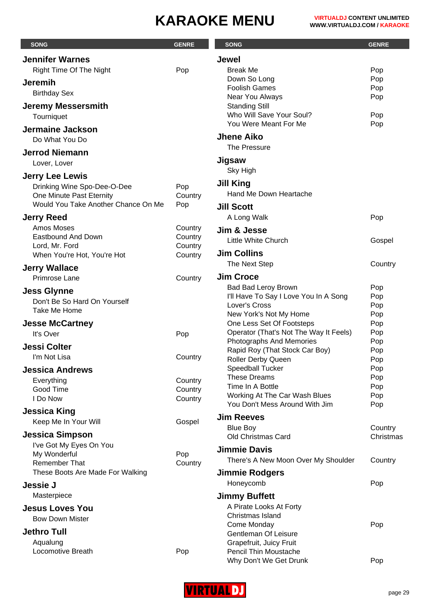| <b>Jennifer Warnes</b><br><b>Jewel</b><br>Right Time Of The Night<br>Pop<br><b>Break Me</b><br>Pop<br>Down So Long<br>Pop<br><b>Jeremih</b><br><b>Foolish Games</b><br>Pop<br><b>Birthday Sex</b><br>Near You Always<br>Pop<br><b>Jeremy Messersmith</b><br><b>Standing Still</b><br>Who Will Save Your Soul?<br>Pop<br>Tourniquet<br>You Were Meant For Me<br>Pop<br>Jermaine Jackson<br><b>Jhene Aiko</b><br>Do What You Do<br>The Pressure<br><b>Jerrod Niemann</b><br>Jigsaw<br>Lover, Lover<br>Sky High<br><b>Jerry Lee Lewis</b><br><b>Jill King</b><br>Drinking Wine Spo-Dee-O-Dee<br>Pop<br>Hand Me Down Heartache<br>One Minute Past Eternity<br>Country<br>Would You Take Another Chance On Me<br>Pop<br><b>Jill Scott</b><br><b>Jerry Reed</b><br>A Long Walk<br>Pop<br>Amos Moses<br>Country<br>Jim & Jesse<br>Eastbound And Down<br>Country<br><b>Little White Church</b><br>Gospel<br>Lord, Mr. Ford<br>Country<br><b>Jim Collins</b><br>When You're Hot, You're Hot<br>Country<br>The Next Step<br>Country<br><b>Jerry Wallace</b><br><b>Jim Croce</b><br>Country<br>Primrose Lane<br><b>Bad Bad Leroy Brown</b><br>Pop<br><b>Jess Glynne</b><br>I'll Have To Say I Love You In A Song<br>Pop<br>Don't Be So Hard On Yourself<br>Lover's Cross<br>Pop<br>Take Me Home<br>New York's Not My Home<br>Pop<br><b>Jesse McCartney</b><br>One Less Set Of Footsteps<br>Pop<br>Operator (That's Not The Way It Feels)<br>Pop<br>It's Over<br>Pop<br>Photographs And Memories<br>Pop<br><b>Jessi Colter</b><br>Rapid Roy (That Stock Car Boy)<br>Pop<br>I'm Not Lisa<br>Country<br>Roller Derby Queen<br>Pop<br>Speedball Tucker<br>Pop<br><b>Jessica Andrews</b><br><b>These Dreams</b><br>Pop<br>Everything<br>Country<br>Time In A Bottle<br>Pop<br>Good Time<br>Country<br>Working At The Car Wash Blues<br>Pop<br>I Do Now<br>Country<br>You Don't Mess Around With Jim<br>Pop<br><b>Jessica King</b><br><b>Jim Reeves</b><br>Keep Me In Your Will<br>Gospel<br><b>Blue Boy</b><br>Country<br><b>Jessica Simpson</b><br>Old Christmas Card<br>Christmas<br>I've Got My Eyes On You<br><b>Jimmie Davis</b><br>My Wonderful<br>Pop<br>There's A New Moon Over My Shoulder<br>Country<br><b>Remember That</b><br>Country<br>These Boots Are Made For Walking<br>Jimmie Rodgers<br>Honeycomb<br>Pop<br><b>Jessie J</b><br>Masterpiece<br><b>Jimmy Buffett</b><br>A Pirate Looks At Forty<br><b>Jesus Loves You</b><br>Christmas Island<br><b>Bow Down Mister</b> | <b>SONG</b> | <b>GENRE</b> | <b>SONG</b> | <b>GENRE</b> |
|--------------------------------------------------------------------------------------------------------------------------------------------------------------------------------------------------------------------------------------------------------------------------------------------------------------------------------------------------------------------------------------------------------------------------------------------------------------------------------------------------------------------------------------------------------------------------------------------------------------------------------------------------------------------------------------------------------------------------------------------------------------------------------------------------------------------------------------------------------------------------------------------------------------------------------------------------------------------------------------------------------------------------------------------------------------------------------------------------------------------------------------------------------------------------------------------------------------------------------------------------------------------------------------------------------------------------------------------------------------------------------------------------------------------------------------------------------------------------------------------------------------------------------------------------------------------------------------------------------------------------------------------------------------------------------------------------------------------------------------------------------------------------------------------------------------------------------------------------------------------------------------------------------------------------------------------------------------------------------------------------------------------------------------------------------------------------------------------------------------------------------------------------------------------------------------------------------------------------------------------------------------------------------------------------------------------------------------------------------------------------------------------------------------------------------------------------------------------------|-------------|--------------|-------------|--------------|
|                                                                                                                                                                                                                                                                                                                                                                                                                                                                                                                                                                                                                                                                                                                                                                                                                                                                                                                                                                                                                                                                                                                                                                                                                                                                                                                                                                                                                                                                                                                                                                                                                                                                                                                                                                                                                                                                                                                                                                                                                                                                                                                                                                                                                                                                                                                                                                                                                                                                          |             |              |             |              |
|                                                                                                                                                                                                                                                                                                                                                                                                                                                                                                                                                                                                                                                                                                                                                                                                                                                                                                                                                                                                                                                                                                                                                                                                                                                                                                                                                                                                                                                                                                                                                                                                                                                                                                                                                                                                                                                                                                                                                                                                                                                                                                                                                                                                                                                                                                                                                                                                                                                                          |             |              |             |              |
|                                                                                                                                                                                                                                                                                                                                                                                                                                                                                                                                                                                                                                                                                                                                                                                                                                                                                                                                                                                                                                                                                                                                                                                                                                                                                                                                                                                                                                                                                                                                                                                                                                                                                                                                                                                                                                                                                                                                                                                                                                                                                                                                                                                                                                                                                                                                                                                                                                                                          |             |              |             |              |
|                                                                                                                                                                                                                                                                                                                                                                                                                                                                                                                                                                                                                                                                                                                                                                                                                                                                                                                                                                                                                                                                                                                                                                                                                                                                                                                                                                                                                                                                                                                                                                                                                                                                                                                                                                                                                                                                                                                                                                                                                                                                                                                                                                                                                                                                                                                                                                                                                                                                          |             |              |             |              |
|                                                                                                                                                                                                                                                                                                                                                                                                                                                                                                                                                                                                                                                                                                                                                                                                                                                                                                                                                                                                                                                                                                                                                                                                                                                                                                                                                                                                                                                                                                                                                                                                                                                                                                                                                                                                                                                                                                                                                                                                                                                                                                                                                                                                                                                                                                                                                                                                                                                                          |             |              |             |              |
|                                                                                                                                                                                                                                                                                                                                                                                                                                                                                                                                                                                                                                                                                                                                                                                                                                                                                                                                                                                                                                                                                                                                                                                                                                                                                                                                                                                                                                                                                                                                                                                                                                                                                                                                                                                                                                                                                                                                                                                                                                                                                                                                                                                                                                                                                                                                                                                                                                                                          |             |              |             |              |
|                                                                                                                                                                                                                                                                                                                                                                                                                                                                                                                                                                                                                                                                                                                                                                                                                                                                                                                                                                                                                                                                                                                                                                                                                                                                                                                                                                                                                                                                                                                                                                                                                                                                                                                                                                                                                                                                                                                                                                                                                                                                                                                                                                                                                                                                                                                                                                                                                                                                          |             |              |             |              |
|                                                                                                                                                                                                                                                                                                                                                                                                                                                                                                                                                                                                                                                                                                                                                                                                                                                                                                                                                                                                                                                                                                                                                                                                                                                                                                                                                                                                                                                                                                                                                                                                                                                                                                                                                                                                                                                                                                                                                                                                                                                                                                                                                                                                                                                                                                                                                                                                                                                                          |             |              |             |              |
|                                                                                                                                                                                                                                                                                                                                                                                                                                                                                                                                                                                                                                                                                                                                                                                                                                                                                                                                                                                                                                                                                                                                                                                                                                                                                                                                                                                                                                                                                                                                                                                                                                                                                                                                                                                                                                                                                                                                                                                                                                                                                                                                                                                                                                                                                                                                                                                                                                                                          |             |              |             |              |
|                                                                                                                                                                                                                                                                                                                                                                                                                                                                                                                                                                                                                                                                                                                                                                                                                                                                                                                                                                                                                                                                                                                                                                                                                                                                                                                                                                                                                                                                                                                                                                                                                                                                                                                                                                                                                                                                                                                                                                                                                                                                                                                                                                                                                                                                                                                                                                                                                                                                          |             |              |             |              |
|                                                                                                                                                                                                                                                                                                                                                                                                                                                                                                                                                                                                                                                                                                                                                                                                                                                                                                                                                                                                                                                                                                                                                                                                                                                                                                                                                                                                                                                                                                                                                                                                                                                                                                                                                                                                                                                                                                                                                                                                                                                                                                                                                                                                                                                                                                                                                                                                                                                                          |             |              |             |              |
|                                                                                                                                                                                                                                                                                                                                                                                                                                                                                                                                                                                                                                                                                                                                                                                                                                                                                                                                                                                                                                                                                                                                                                                                                                                                                                                                                                                                                                                                                                                                                                                                                                                                                                                                                                                                                                                                                                                                                                                                                                                                                                                                                                                                                                                                                                                                                                                                                                                                          |             |              |             |              |
|                                                                                                                                                                                                                                                                                                                                                                                                                                                                                                                                                                                                                                                                                                                                                                                                                                                                                                                                                                                                                                                                                                                                                                                                                                                                                                                                                                                                                                                                                                                                                                                                                                                                                                                                                                                                                                                                                                                                                                                                                                                                                                                                                                                                                                                                                                                                                                                                                                                                          |             |              |             |              |
|                                                                                                                                                                                                                                                                                                                                                                                                                                                                                                                                                                                                                                                                                                                                                                                                                                                                                                                                                                                                                                                                                                                                                                                                                                                                                                                                                                                                                                                                                                                                                                                                                                                                                                                                                                                                                                                                                                                                                                                                                                                                                                                                                                                                                                                                                                                                                                                                                                                                          |             |              |             |              |
|                                                                                                                                                                                                                                                                                                                                                                                                                                                                                                                                                                                                                                                                                                                                                                                                                                                                                                                                                                                                                                                                                                                                                                                                                                                                                                                                                                                                                                                                                                                                                                                                                                                                                                                                                                                                                                                                                                                                                                                                                                                                                                                                                                                                                                                                                                                                                                                                                                                                          |             |              |             |              |
|                                                                                                                                                                                                                                                                                                                                                                                                                                                                                                                                                                                                                                                                                                                                                                                                                                                                                                                                                                                                                                                                                                                                                                                                                                                                                                                                                                                                                                                                                                                                                                                                                                                                                                                                                                                                                                                                                                                                                                                                                                                                                                                                                                                                                                                                                                                                                                                                                                                                          |             |              |             |              |
|                                                                                                                                                                                                                                                                                                                                                                                                                                                                                                                                                                                                                                                                                                                                                                                                                                                                                                                                                                                                                                                                                                                                                                                                                                                                                                                                                                                                                                                                                                                                                                                                                                                                                                                                                                                                                                                                                                                                                                                                                                                                                                                                                                                                                                                                                                                                                                                                                                                                          |             |              |             |              |
|                                                                                                                                                                                                                                                                                                                                                                                                                                                                                                                                                                                                                                                                                                                                                                                                                                                                                                                                                                                                                                                                                                                                                                                                                                                                                                                                                                                                                                                                                                                                                                                                                                                                                                                                                                                                                                                                                                                                                                                                                                                                                                                                                                                                                                                                                                                                                                                                                                                                          |             |              |             |              |
|                                                                                                                                                                                                                                                                                                                                                                                                                                                                                                                                                                                                                                                                                                                                                                                                                                                                                                                                                                                                                                                                                                                                                                                                                                                                                                                                                                                                                                                                                                                                                                                                                                                                                                                                                                                                                                                                                                                                                                                                                                                                                                                                                                                                                                                                                                                                                                                                                                                                          |             |              |             |              |
|                                                                                                                                                                                                                                                                                                                                                                                                                                                                                                                                                                                                                                                                                                                                                                                                                                                                                                                                                                                                                                                                                                                                                                                                                                                                                                                                                                                                                                                                                                                                                                                                                                                                                                                                                                                                                                                                                                                                                                                                                                                                                                                                                                                                                                                                                                                                                                                                                                                                          |             |              |             |              |
|                                                                                                                                                                                                                                                                                                                                                                                                                                                                                                                                                                                                                                                                                                                                                                                                                                                                                                                                                                                                                                                                                                                                                                                                                                                                                                                                                                                                                                                                                                                                                                                                                                                                                                                                                                                                                                                                                                                                                                                                                                                                                                                                                                                                                                                                                                                                                                                                                                                                          |             |              |             |              |
|                                                                                                                                                                                                                                                                                                                                                                                                                                                                                                                                                                                                                                                                                                                                                                                                                                                                                                                                                                                                                                                                                                                                                                                                                                                                                                                                                                                                                                                                                                                                                                                                                                                                                                                                                                                                                                                                                                                                                                                                                                                                                                                                                                                                                                                                                                                                                                                                                                                                          |             |              |             |              |
|                                                                                                                                                                                                                                                                                                                                                                                                                                                                                                                                                                                                                                                                                                                                                                                                                                                                                                                                                                                                                                                                                                                                                                                                                                                                                                                                                                                                                                                                                                                                                                                                                                                                                                                                                                                                                                                                                                                                                                                                                                                                                                                                                                                                                                                                                                                                                                                                                                                                          |             |              |             |              |
|                                                                                                                                                                                                                                                                                                                                                                                                                                                                                                                                                                                                                                                                                                                                                                                                                                                                                                                                                                                                                                                                                                                                                                                                                                                                                                                                                                                                                                                                                                                                                                                                                                                                                                                                                                                                                                                                                                                                                                                                                                                                                                                                                                                                                                                                                                                                                                                                                                                                          |             |              |             |              |
|                                                                                                                                                                                                                                                                                                                                                                                                                                                                                                                                                                                                                                                                                                                                                                                                                                                                                                                                                                                                                                                                                                                                                                                                                                                                                                                                                                                                                                                                                                                                                                                                                                                                                                                                                                                                                                                                                                                                                                                                                                                                                                                                                                                                                                                                                                                                                                                                                                                                          |             |              |             |              |
|                                                                                                                                                                                                                                                                                                                                                                                                                                                                                                                                                                                                                                                                                                                                                                                                                                                                                                                                                                                                                                                                                                                                                                                                                                                                                                                                                                                                                                                                                                                                                                                                                                                                                                                                                                                                                                                                                                                                                                                                                                                                                                                                                                                                                                                                                                                                                                                                                                                                          |             |              |             |              |
|                                                                                                                                                                                                                                                                                                                                                                                                                                                                                                                                                                                                                                                                                                                                                                                                                                                                                                                                                                                                                                                                                                                                                                                                                                                                                                                                                                                                                                                                                                                                                                                                                                                                                                                                                                                                                                                                                                                                                                                                                                                                                                                                                                                                                                                                                                                                                                                                                                                                          |             |              |             |              |
|                                                                                                                                                                                                                                                                                                                                                                                                                                                                                                                                                                                                                                                                                                                                                                                                                                                                                                                                                                                                                                                                                                                                                                                                                                                                                                                                                                                                                                                                                                                                                                                                                                                                                                                                                                                                                                                                                                                                                                                                                                                                                                                                                                                                                                                                                                                                                                                                                                                                          |             |              |             |              |
|                                                                                                                                                                                                                                                                                                                                                                                                                                                                                                                                                                                                                                                                                                                                                                                                                                                                                                                                                                                                                                                                                                                                                                                                                                                                                                                                                                                                                                                                                                                                                                                                                                                                                                                                                                                                                                                                                                                                                                                                                                                                                                                                                                                                                                                                                                                                                                                                                                                                          |             |              |             |              |
|                                                                                                                                                                                                                                                                                                                                                                                                                                                                                                                                                                                                                                                                                                                                                                                                                                                                                                                                                                                                                                                                                                                                                                                                                                                                                                                                                                                                                                                                                                                                                                                                                                                                                                                                                                                                                                                                                                                                                                                                                                                                                                                                                                                                                                                                                                                                                                                                                                                                          |             |              |             |              |
|                                                                                                                                                                                                                                                                                                                                                                                                                                                                                                                                                                                                                                                                                                                                                                                                                                                                                                                                                                                                                                                                                                                                                                                                                                                                                                                                                                                                                                                                                                                                                                                                                                                                                                                                                                                                                                                                                                                                                                                                                                                                                                                                                                                                                                                                                                                                                                                                                                                                          |             |              |             |              |
|                                                                                                                                                                                                                                                                                                                                                                                                                                                                                                                                                                                                                                                                                                                                                                                                                                                                                                                                                                                                                                                                                                                                                                                                                                                                                                                                                                                                                                                                                                                                                                                                                                                                                                                                                                                                                                                                                                                                                                                                                                                                                                                                                                                                                                                                                                                                                                                                                                                                          |             |              |             |              |
|                                                                                                                                                                                                                                                                                                                                                                                                                                                                                                                                                                                                                                                                                                                                                                                                                                                                                                                                                                                                                                                                                                                                                                                                                                                                                                                                                                                                                                                                                                                                                                                                                                                                                                                                                                                                                                                                                                                                                                                                                                                                                                                                                                                                                                                                                                                                                                                                                                                                          |             |              |             |              |
|                                                                                                                                                                                                                                                                                                                                                                                                                                                                                                                                                                                                                                                                                                                                                                                                                                                                                                                                                                                                                                                                                                                                                                                                                                                                                                                                                                                                                                                                                                                                                                                                                                                                                                                                                                                                                                                                                                                                                                                                                                                                                                                                                                                                                                                                                                                                                                                                                                                                          |             |              |             |              |
|                                                                                                                                                                                                                                                                                                                                                                                                                                                                                                                                                                                                                                                                                                                                                                                                                                                                                                                                                                                                                                                                                                                                                                                                                                                                                                                                                                                                                                                                                                                                                                                                                                                                                                                                                                                                                                                                                                                                                                                                                                                                                                                                                                                                                                                                                                                                                                                                                                                                          |             |              |             |              |
|                                                                                                                                                                                                                                                                                                                                                                                                                                                                                                                                                                                                                                                                                                                                                                                                                                                                                                                                                                                                                                                                                                                                                                                                                                                                                                                                                                                                                                                                                                                                                                                                                                                                                                                                                                                                                                                                                                                                                                                                                                                                                                                                                                                                                                                                                                                                                                                                                                                                          |             |              |             |              |
|                                                                                                                                                                                                                                                                                                                                                                                                                                                                                                                                                                                                                                                                                                                                                                                                                                                                                                                                                                                                                                                                                                                                                                                                                                                                                                                                                                                                                                                                                                                                                                                                                                                                                                                                                                                                                                                                                                                                                                                                                                                                                                                                                                                                                                                                                                                                                                                                                                                                          |             |              |             |              |
|                                                                                                                                                                                                                                                                                                                                                                                                                                                                                                                                                                                                                                                                                                                                                                                                                                                                                                                                                                                                                                                                                                                                                                                                                                                                                                                                                                                                                                                                                                                                                                                                                                                                                                                                                                                                                                                                                                                                                                                                                                                                                                                                                                                                                                                                                                                                                                                                                                                                          |             |              |             |              |
|                                                                                                                                                                                                                                                                                                                                                                                                                                                                                                                                                                                                                                                                                                                                                                                                                                                                                                                                                                                                                                                                                                                                                                                                                                                                                                                                                                                                                                                                                                                                                                                                                                                                                                                                                                                                                                                                                                                                                                                                                                                                                                                                                                                                                                                                                                                                                                                                                                                                          |             |              |             |              |
|                                                                                                                                                                                                                                                                                                                                                                                                                                                                                                                                                                                                                                                                                                                                                                                                                                                                                                                                                                                                                                                                                                                                                                                                                                                                                                                                                                                                                                                                                                                                                                                                                                                                                                                                                                                                                                                                                                                                                                                                                                                                                                                                                                                                                                                                                                                                                                                                                                                                          |             |              |             |              |
|                                                                                                                                                                                                                                                                                                                                                                                                                                                                                                                                                                                                                                                                                                                                                                                                                                                                                                                                                                                                                                                                                                                                                                                                                                                                                                                                                                                                                                                                                                                                                                                                                                                                                                                                                                                                                                                                                                                                                                                                                                                                                                                                                                                                                                                                                                                                                                                                                                                                          |             |              |             |              |
|                                                                                                                                                                                                                                                                                                                                                                                                                                                                                                                                                                                                                                                                                                                                                                                                                                                                                                                                                                                                                                                                                                                                                                                                                                                                                                                                                                                                                                                                                                                                                                                                                                                                                                                                                                                                                                                                                                                                                                                                                                                                                                                                                                                                                                                                                                                                                                                                                                                                          |             |              |             |              |
|                                                                                                                                                                                                                                                                                                                                                                                                                                                                                                                                                                                                                                                                                                                                                                                                                                                                                                                                                                                                                                                                                                                                                                                                                                                                                                                                                                                                                                                                                                                                                                                                                                                                                                                                                                                                                                                                                                                                                                                                                                                                                                                                                                                                                                                                                                                                                                                                                                                                          |             |              |             |              |
|                                                                                                                                                                                                                                                                                                                                                                                                                                                                                                                                                                                                                                                                                                                                                                                                                                                                                                                                                                                                                                                                                                                                                                                                                                                                                                                                                                                                                                                                                                                                                                                                                                                                                                                                                                                                                                                                                                                                                                                                                                                                                                                                                                                                                                                                                                                                                                                                                                                                          |             |              |             |              |
|                                                                                                                                                                                                                                                                                                                                                                                                                                                                                                                                                                                                                                                                                                                                                                                                                                                                                                                                                                                                                                                                                                                                                                                                                                                                                                                                                                                                                                                                                                                                                                                                                                                                                                                                                                                                                                                                                                                                                                                                                                                                                                                                                                                                                                                                                                                                                                                                                                                                          |             |              |             |              |
|                                                                                                                                                                                                                                                                                                                                                                                                                                                                                                                                                                                                                                                                                                                                                                                                                                                                                                                                                                                                                                                                                                                                                                                                                                                                                                                                                                                                                                                                                                                                                                                                                                                                                                                                                                                                                                                                                                                                                                                                                                                                                                                                                                                                                                                                                                                                                                                                                                                                          |             |              |             |              |
| Pop                                                                                                                                                                                                                                                                                                                                                                                                                                                                                                                                                                                                                                                                                                                                                                                                                                                                                                                                                                                                                                                                                                                                                                                                                                                                                                                                                                                                                                                                                                                                                                                                                                                                                                                                                                                                                                                                                                                                                                                                                                                                                                                                                                                                                                                                                                                                                                                                                                                                      |             |              | Come Monday |              |
| <b>Jethro Tull</b><br>Gentleman Of Leisure                                                                                                                                                                                                                                                                                                                                                                                                                                                                                                                                                                                                                                                                                                                                                                                                                                                                                                                                                                                                                                                                                                                                                                                                                                                                                                                                                                                                                                                                                                                                                                                                                                                                                                                                                                                                                                                                                                                                                                                                                                                                                                                                                                                                                                                                                                                                                                                                                               |             |              |             |              |
| Aqualung<br>Grapefruit, Juicy Fruit<br>Locomotive Breath<br>Pop<br><b>Pencil Thin Moustache</b>                                                                                                                                                                                                                                                                                                                                                                                                                                                                                                                                                                                                                                                                                                                                                                                                                                                                                                                                                                                                                                                                                                                                                                                                                                                                                                                                                                                                                                                                                                                                                                                                                                                                                                                                                                                                                                                                                                                                                                                                                                                                                                                                                                                                                                                                                                                                                                          |             |              |             |              |
| Why Don't We Get Drunk<br>Pop                                                                                                                                                                                                                                                                                                                                                                                                                                                                                                                                                                                                                                                                                                                                                                                                                                                                                                                                                                                                                                                                                                                                                                                                                                                                                                                                                                                                                                                                                                                                                                                                                                                                                                                                                                                                                                                                                                                                                                                                                                                                                                                                                                                                                                                                                                                                                                                                                                            |             |              |             |              |

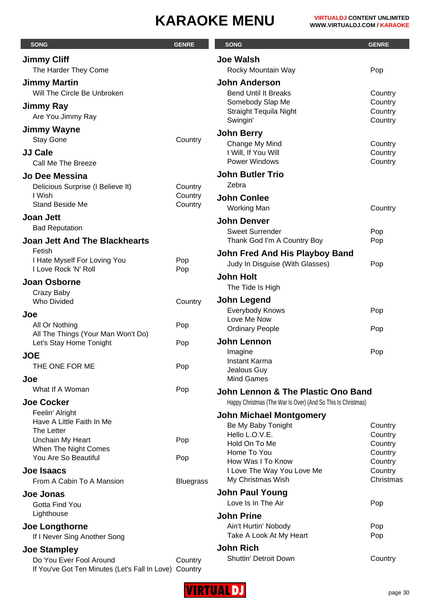| <b>SONG</b>                                                                       | <b>GENRE</b>       | <b>SONG</b>                                                              | <b>GENRE</b>                  |
|-----------------------------------------------------------------------------------|--------------------|--------------------------------------------------------------------------|-------------------------------|
| <b>Jimmy Cliff</b>                                                                |                    | <b>Joe Walsh</b>                                                         |                               |
| The Harder They Come                                                              |                    | Rocky Mountain Way                                                       | Pop                           |
| <b>Jimmy Martin</b><br>Will The Circle Be Unbroken                                |                    | <b>John Anderson</b><br><b>Bend Until It Breaks</b>                      | Country                       |
| <b>Jimmy Ray</b><br>Are You Jimmy Ray                                             |                    | Somebody Slap Me<br><b>Straight Tequila Night</b><br>Swingin'            | Country<br>Country<br>Country |
| <b>Jimmy Wayne</b>                                                                |                    | <b>John Berry</b>                                                        |                               |
| <b>Stay Gone</b>                                                                  | Country            | Change My Mind                                                           | Country                       |
| <b>JJ Cale</b><br>Call Me The Breeze                                              |                    | I Will, If You Will<br>Power Windows                                     | Country<br>Country            |
| Jo Dee Messina                                                                    |                    | <b>John Butler Trio</b>                                                  |                               |
| Delicious Surprise (I Believe It)                                                 | Country            | Zebra                                                                    |                               |
| I Wish<br><b>Stand Beside Me</b>                                                  | Country<br>Country | <b>John Conlee</b><br>Working Man                                        | Country                       |
| <b>Joan Jett</b>                                                                  |                    | <b>John Denver</b>                                                       |                               |
| <b>Bad Reputation</b>                                                             |                    | <b>Sweet Surrender</b>                                                   | Pop                           |
| <b>Joan Jett And The Blackhearts</b>                                              |                    | Thank God I'm A Country Boy                                              | Pop                           |
| Fetish<br>I Hate Myself For Loving You<br>I Love Rock 'N' Roll                    | Pop<br>Pop         | <b>John Fred And His Playboy Band</b><br>Judy In Disguise (With Glasses) | Pop                           |
| <b>Joan Osborne</b>                                                               |                    | <b>John Holt</b>                                                         |                               |
| Crazy Baby                                                                        |                    | The Tide Is High                                                         |                               |
| <b>Who Divided</b>                                                                | Country            | John Legend                                                              |                               |
| Joe                                                                               |                    | Everybody Knows<br>Love Me Now                                           | Pop                           |
| All Or Nothing                                                                    | Pop                | <b>Ordinary People</b>                                                   | Pop                           |
| All The Things (Your Man Won't Do)<br>Let's Stay Home Tonight                     | Pop                | <b>John Lennon</b>                                                       |                               |
|                                                                                   |                    | Imagine                                                                  | Pop                           |
| <b>JOE</b><br>THE ONE FOR ME                                                      | Pop                | <b>Instant Karma</b>                                                     |                               |
| Joe                                                                               |                    | Jealous Guy<br><b>Mind Games</b>                                         |                               |
| What If A Woman                                                                   | Pop                | <b>John Lennon &amp; The Plastic Ono Band</b>                            |                               |
| <b>Joe Cocker</b>                                                                 |                    | Happy Christmas (The War Is Over) (And So This Is Christmas)             |                               |
| Feelin' Alright                                                                   |                    | <b>John Michael Montgomery</b>                                           |                               |
| Have A Little Faith In Me                                                         |                    | Be My Baby Tonight                                                       | Country                       |
| The Letter                                                                        |                    | Hello L.O.V.E.                                                           | Country                       |
| Unchain My Heart<br>When The Night Comes                                          | Pop                | Hold On To Me                                                            | Country                       |
| You Are So Beautiful                                                              | Pop                | Home To You<br>How Was I To Know                                         | Country<br>Country            |
| <b>Joe Isaacs</b>                                                                 |                    | I Love The Way You Love Me                                               | Country                       |
| From A Cabin To A Mansion                                                         | <b>Bluegrass</b>   | My Christmas Wish                                                        | Christmas                     |
| Joe Jonas                                                                         |                    | <b>John Paul Young</b>                                                   |                               |
| Gotta Find You                                                                    |                    | Love Is In The Air                                                       | Pop                           |
| Lighthouse                                                                        |                    | <b>John Prine</b>                                                        |                               |
| Joe Longthorne                                                                    |                    | Ain't Hurtin' Nobody                                                     | Pop                           |
| If I Never Sing Another Song                                                      |                    | Take A Look At My Heart                                                  | Pop                           |
| <b>Joe Stampley</b>                                                               |                    | <b>John Rich</b><br>Shuttin' Detroit Down                                | Country                       |
| Do You Ever Fool Around<br>If You've Got Ten Minutes (Let's Fall In Love) Country | Country            |                                                                          |                               |

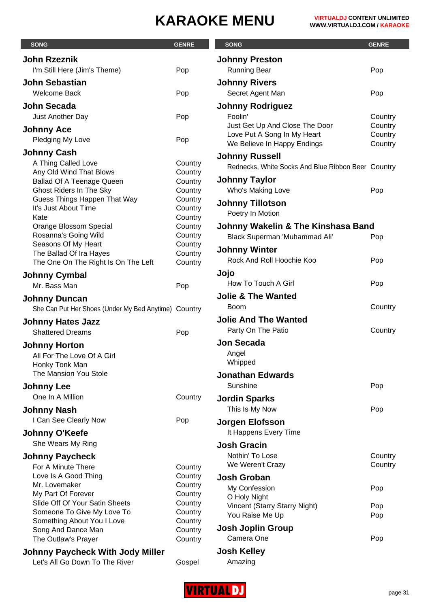٠

| <b>SONG</b>                                                        | <b>GENRE</b>       | <b>SONG</b>                                        | <b>GENRE</b>       |
|--------------------------------------------------------------------|--------------------|----------------------------------------------------|--------------------|
| John Rzeznik                                                       |                    | <b>Johnny Preston</b>                              |                    |
| I'm Still Here (Jim's Theme)                                       | Pop                | <b>Running Bear</b>                                | Pop                |
| <b>John Sebastian</b>                                              |                    | <b>Johnny Rivers</b>                               |                    |
| <b>Welcome Back</b>                                                | Pop                | Secret Agent Man                                   | Pop                |
|                                                                    |                    |                                                    |                    |
| <b>John Secada</b>                                                 |                    | <b>Johnny Rodriguez</b><br>Foolin'                 |                    |
| Just Another Day                                                   | Pop                | Just Get Up And Close The Door                     | Country<br>Country |
| <b>Johnny Ace</b>                                                  |                    | Love Put A Song In My Heart                        | Country            |
| Pledging My Love                                                   | Pop                | We Believe In Happy Endings                        | Country            |
| <b>Johnny Cash</b>                                                 |                    | <b>Johnny Russell</b>                              |                    |
| A Thing Called Love                                                | Country            | Rednecks, White Socks And Blue Ribbon Beer Country |                    |
| Any Old Wind That Blows                                            | Country            | <b>Johnny Taylor</b>                               |                    |
| <b>Ballad Of A Teenage Queen</b><br><b>Ghost Riders In The Sky</b> | Country<br>Country | Who's Making Love                                  | Pop                |
| Guess Things Happen That Way                                       | Country            |                                                    |                    |
| It's Just About Time                                               | Country            | <b>Johnny Tillotson</b>                            |                    |
| Kate                                                               | Country            | Poetry In Motion                                   |                    |
| Orange Blossom Special                                             | Country            | Johnny Wakelin & The Kinshasa Band                 |                    |
| Rosanna's Going Wild                                               | Country            | Black Superman 'Muhammad Ali'                      | Pop                |
| Seasons Of My Heart<br>The Ballad Of Ira Hayes                     | Country<br>Country | <b>Johnny Winter</b>                               |                    |
| The One On The Right Is On The Left                                | Country            | Rock And Roll Hoochie Koo                          | Pop                |
| <b>Johnny Cymbal</b>                                               |                    | Jojo                                               |                    |
| Mr. Bass Man                                                       | Pop                | How To Touch A Girl                                | Pop                |
|                                                                    |                    | <b>Jolie &amp; The Wanted</b>                      |                    |
| <b>Johnny Duncan</b>                                               |                    | <b>Boom</b>                                        | Country            |
| She Can Put Her Shoes (Under My Bed Anytime) Country               |                    |                                                    |                    |
| <b>Johnny Hates Jazz</b>                                           |                    | <b>Jolie And The Wanted</b>                        |                    |
| <b>Shattered Dreams</b>                                            | Pop                | Party On The Patio                                 | Country            |
| <b>Johnny Horton</b>                                               |                    | <b>Jon Secada</b>                                  |                    |
| All For The Love Of A Girl                                         |                    | Angel                                              |                    |
| Honky Tonk Man                                                     |                    | Whipped                                            |                    |
| The Mansion You Stole                                              |                    | <b>Jonathan Edwards</b>                            |                    |
| <b>Johnny Lee</b>                                                  |                    | Sunshine                                           | Pop                |
| One In A Million                                                   | Country            | <b>Jordin Sparks</b>                               |                    |
| <b>Johnny Nash</b>                                                 |                    | This Is My Now                                     | Pop                |
| I Can See Clearly Now                                              | Pop                | <b>Jorgen Elofsson</b>                             |                    |
| Johnny O'Keefe                                                     |                    | It Happens Every Time                              |                    |
| She Wears My Ring                                                  |                    | <b>Josh Gracin</b>                                 |                    |
| <b>Johnny Paycheck</b>                                             |                    | Nothin' To Lose                                    | Country            |
| For A Minute There                                                 | Country            | We Weren't Crazy                                   | Country            |
| Love Is A Good Thing                                               | Country            | <b>Josh Groban</b>                                 |                    |
| Mr. Lovemaker                                                      | Country            | My Confession                                      | Pop                |
| My Part Of Forever                                                 | Country            | O Holy Night                                       |                    |
| Slide Off Of Your Satin Sheets                                     | Country            | Vincent (Starry Starry Night)                      | Pop                |
| Someone To Give My Love To<br>Something About You I Love           | Country<br>Country | You Raise Me Up                                    | Pop                |
| Song And Dance Man                                                 | Country            | <b>Josh Joplin Group</b>                           |                    |
| The Outlaw's Prayer                                                | Country            | Camera One                                         | Pop                |
| <b>Johnny Paycheck With Jody Miller</b>                            |                    | <b>Josh Kelley</b>                                 |                    |
| Let's All Go Down To The River                                     | Gospel             | Amazing                                            |                    |
|                                                                    |                    |                                                    |                    |

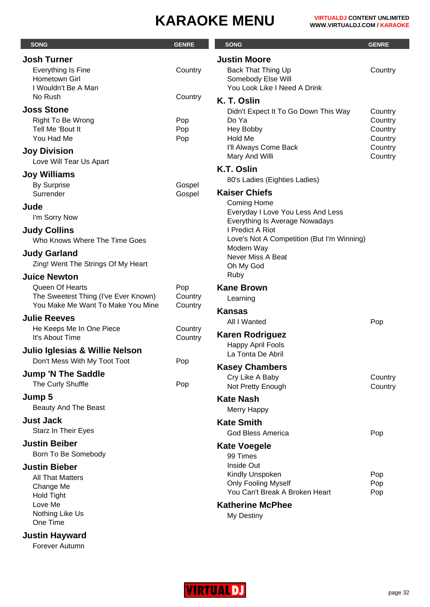| <b>SONG</b>                                                                                                                                             | <b>GENRE</b>              | <b>SONG</b>                                                                                                                                                                                                                         | <b>GENRE</b>                                        |
|---------------------------------------------------------------------------------------------------------------------------------------------------------|---------------------------|-------------------------------------------------------------------------------------------------------------------------------------------------------------------------------------------------------------------------------------|-----------------------------------------------------|
| <b>Josh Turner</b><br>Everything Is Fine<br>Hometown Girl<br>I Wouldn't Be A Man<br>No Rush                                                             | Country<br>Country        | <b>Justin Moore</b><br><b>Back That Thing Up</b><br>Somebody Else Will<br>You Look Like I Need A Drink                                                                                                                              | Country                                             |
| <b>Joss Stone</b><br>Right To Be Wrong<br>Tell Me 'Bout It<br>You Had Me<br><b>Joy Division</b>                                                         | Pop<br>Pop<br>Pop         | K. T. Oslin<br>Didn't Expect It To Go Down This Way<br>Do Ya<br>Hey Bobby<br>Hold Me<br>I'll Always Come Back                                                                                                                       | Country<br>Country<br>Country<br>Country<br>Country |
| Love Will Tear Us Apart<br><b>Joy Williams</b><br><b>By Surprise</b>                                                                                    | Gospel                    | Mary And Willi<br>K.T. Oslin<br>80's Ladies (Eighties Ladies)                                                                                                                                                                       | Country                                             |
| Surrender<br>Jude<br>I'm Sorry Now<br><b>Judy Collins</b><br>Who Knows Where The Time Goes<br><b>Judy Garland</b><br>Zing! Went The Strings Of My Heart | Gospel                    | <b>Kaiser Chiefs</b><br><b>Coming Home</b><br>Everyday I Love You Less And Less<br>Everything Is Average Nowadays<br>I Predict A Riot<br>Love's Not A Competition (But I'm Winning)<br>Modern Way<br>Never Miss A Beat<br>Oh My God |                                                     |
| <b>Juice Newton</b><br>Queen Of Hearts<br>The Sweetest Thing (I've Ever Known)<br>You Make Me Want To Make You Mine                                     | Pop<br>Country<br>Country | Ruby<br><b>Kane Brown</b><br>Learning                                                                                                                                                                                               |                                                     |
| <b>Julie Reeves</b><br>He Keeps Me In One Piece<br>It's About Time                                                                                      | Country<br>Country        | <b>Kansas</b><br>All I Wanted<br><b>Karen Rodriguez</b><br>Happy April Fools                                                                                                                                                        | Pop                                                 |
| Julio Iglesias & Willie Nelson<br>Don't Mess With My Toot Toot<br><b>Jump 'N The Saddle</b>                                                             | Pop                       | La Tonta De Abril<br><b>Kasey Chambers</b><br>Cry Like A Baby                                                                                                                                                                       | Country                                             |
| The Curly Shuffle<br>Jump 5<br><b>Beauty And The Beast</b>                                                                                              | Pop                       | Not Pretty Enough<br><b>Kate Nash</b><br>Merry Happy                                                                                                                                                                                | Country                                             |
| <b>Just Jack</b><br><b>Starz In Their Eyes</b>                                                                                                          |                           | <b>Kate Smith</b><br><b>God Bless America</b>                                                                                                                                                                                       | Pop                                                 |
| <b>Justin Beiber</b><br>Born To Be Somebody                                                                                                             |                           | <b>Kate Voegele</b><br>99 Times                                                                                                                                                                                                     |                                                     |
| <b>Justin Bieber</b><br><b>All That Matters</b><br>Change Me<br><b>Hold Tight</b>                                                                       |                           | Inside Out<br>Kindly Unspoken<br><b>Only Fooling Myself</b><br>You Can't Break A Broken Heart                                                                                                                                       | Pop<br>Pop<br>Pop                                   |
| Love Me<br>Nothing Like Us<br>One Time                                                                                                                  |                           | <b>Katherine McPhee</b><br>My Destiny                                                                                                                                                                                               |                                                     |



**Justin Hayward** Forever Autumn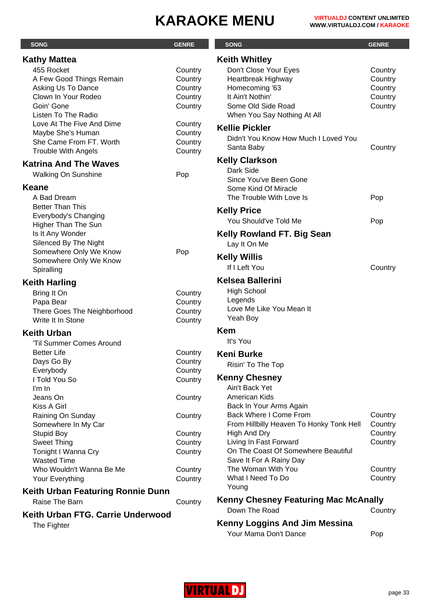| <b>SONG</b>                       | <b>GENRE</b> | <b>SONG</b>                              | <b>GENRE</b> |
|-----------------------------------|--------------|------------------------------------------|--------------|
| <b>Kathy Mattea</b>               |              | <b>Keith Whitley</b>                     |              |
| 455 Rocket                        | Country      | Don't Close Your Eyes                    | Country      |
| A Few Good Things Remain          | Country      | Heartbreak Highway                       | Country      |
| Asking Us To Dance                | Country      | Homecoming '63                           | Country      |
| Clown In Your Rodeo               | Country      | It Ain't Nothin'                         | Country      |
| Goin' Gone                        | Country      | Some Old Side Road                       | Country      |
| Listen To The Radio               |              | When You Say Nothing At All              |              |
| Love At The Five And Dime         | Country      | <b>Kellie Pickler</b>                    |              |
| Maybe She's Human                 | Country      | Didn't You Know How Much I Loved You     |              |
| She Came From FT. Worth           | Country      |                                          |              |
| <b>Trouble With Angels</b>        | Country      | Santa Baby                               | Country      |
| <b>Katrina And The Waves</b>      |              | <b>Kelly Clarkson</b>                    |              |
| <b>Walking On Sunshine</b>        | Pop          | Dark Side                                |              |
|                                   |              | Since You've Been Gone                   |              |
| <b>Keane</b>                      |              | Some Kind Of Miracle                     |              |
| A Bad Dream                       |              | The Trouble With Love Is                 | Pop          |
| <b>Better Than This</b>           |              | <b>Kelly Price</b>                       |              |
| Everybody's Changing              |              | You Should've Told Me                    | Pop          |
| Higher Than The Sun               |              |                                          |              |
| Is It Any Wonder                  |              | <b>Kelly Rowland FT. Big Sean</b>        |              |
| Silenced By The Night             |              | Lay It On Me                             |              |
| Somewhere Only We Know            | Pop          | <b>Kelly Willis</b>                      |              |
| Somewhere Only We Know            |              | If I Left You                            | Country      |
| Spiralling                        |              |                                          |              |
| <b>Keith Harling</b>              |              | <b>Kelsea Ballerini</b>                  |              |
| Bring It On                       | Country      | <b>High School</b>                       |              |
| Papa Bear                         | Country      | Legends                                  |              |
| There Goes The Neighborhood       | Country      | Love Me Like You Mean It                 |              |
| Write It In Stone                 | Country      | Yeah Boy                                 |              |
| <b>Keith Urban</b>                |              | Kem                                      |              |
| 'Til Summer Comes Around          |              | It's You                                 |              |
| <b>Better Life</b>                | Country      | Keni Burke                               |              |
| Days Go By                        | Country      |                                          |              |
| Everybody                         | Country      | Risin' To The Top                        |              |
| I Told You So                     | Country      | <b>Kenny Chesney</b>                     |              |
| I'm In                            |              | Ain't Back Yet                           |              |
| Jeans On                          | Country      | American Kids                            |              |
| Kiss A Girl                       |              | Back In Your Arms Again                  |              |
| Raining On Sunday                 | Country      | <b>Back Where I Come From</b>            | Country      |
| Somewhere In My Car               |              | From Hillbilly Heaven To Honky Tonk Hell | Country      |
| <b>Stupid Boy</b>                 | Country      | High And Dry                             | Country      |
| Sweet Thing                       | Country      | Living In Fast Forward                   | Country      |
| Tonight I Wanna Cry               | Country      | On The Coast Of Somewhere Beautiful      |              |
| <b>Wasted Time</b>                |              | Save It For A Rainy Day                  |              |
| Who Wouldn't Wanna Be Me          | Country      | The Woman With You                       | Country      |
| Your Everything                   | Country      | What I Need To Do                        | Country      |
| Keith Urban Featuring Ronnie Dunn |              | Young                                    |              |
| Raise The Barn                    | Country      | Kenny Chesney Featuring Mac McAnally     |              |
|                                   |              | Down The Road                            | Country      |
| Keith Urban FTG. Carrie Underwood |              | <b>Kenny Loggins And Jim Messina</b>     |              |
| The Fighter                       |              | Your Mama Don't Dance                    | Pop          |
|                                   |              |                                          |              |

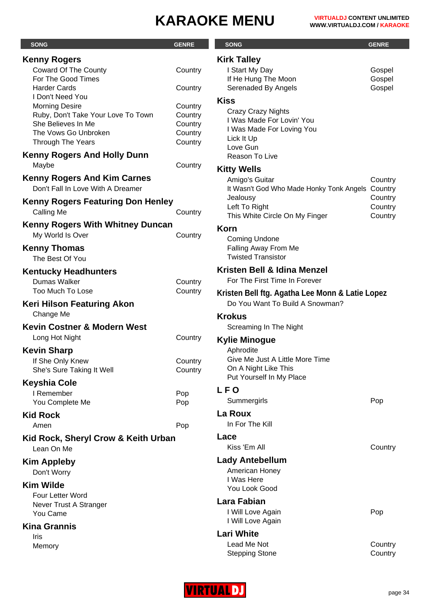| <b>SONG</b>                                     | <b>GENRE</b> | <b>SONG</b>                                     | <b>GENRE</b> |
|-------------------------------------------------|--------------|-------------------------------------------------|--------------|
| <b>Kenny Rogers</b>                             |              | <b>Kirk Talley</b>                              |              |
| <b>Coward Of The County</b>                     | Country      | I Start My Day                                  | Gospel       |
| For The Good Times                              |              | If He Hung The Moon                             | Gospel       |
| <b>Harder Cards</b>                             | Country      | Serenaded By Angels                             | Gospel       |
| I Don't Need You<br><b>Morning Desire</b>       | Country      | <b>Kiss</b>                                     |              |
| Ruby, Don't Take Your Love To Town              | Country      | <b>Crazy Crazy Nights</b>                       |              |
| She Believes In Me                              | Country      | I Was Made For Lovin' You                       |              |
| The Vows Go Unbroken                            | Country      | I Was Made For Loving You                       |              |
| <b>Through The Years</b>                        | Country      | Lick It Up<br>Love Gun                          |              |
| <b>Kenny Rogers And Holly Dunn</b>              |              | Reason To Live                                  |              |
| Maybe                                           | Country      | <b>Kitty Wells</b>                              |              |
| <b>Kenny Rogers And Kim Carnes</b>              |              | Amigo's Guitar                                  | Country      |
| Don't Fall In Love With A Dreamer               |              | It Wasn't God Who Made Honky Tonk Angels        | Country      |
|                                                 |              | Jealousy                                        | Country      |
| Kenny Rogers Featuring Don Henley<br>Calling Me |              | Left To Right                                   | Country      |
|                                                 | Country      | This White Circle On My Finger                  | Country      |
| <b>Kenny Rogers With Whitney Duncan</b>         |              | <b>Korn</b>                                     |              |
| My World Is Over                                | Country      | <b>Coming Undone</b>                            |              |
| <b>Kenny Thomas</b>                             |              | Falling Away From Me                            |              |
| The Best Of You                                 |              | <b>Twisted Transistor</b>                       |              |
| <b>Kentucky Headhunters</b>                     |              | Kristen Bell & Idina Menzel                     |              |
| Dumas Walker                                    | Country      | For The First Time In Forever                   |              |
| <b>Too Much To Lose</b>                         | Country      | Kristen Bell ftg. Agatha Lee Monn & Latie Lopez |              |
| <b>Keri Hilson Featuring Akon</b>               |              | Do You Want To Build A Snowman?                 |              |
| Change Me                                       |              | <b>Krokus</b>                                   |              |
| <b>Kevin Costner &amp; Modern West</b>          |              | Screaming In The Night                          |              |
| Long Hot Night                                  | Country      |                                                 |              |
| <b>Kevin Sharp</b>                              |              | <b>Kylie Minogue</b><br>Aphrodite               |              |
|                                                 | Country      | Give Me Just A Little More Time                 |              |
| If She Only Knew<br>She's Sure Taking It Well   | Country      | On A Night Like This                            |              |
|                                                 |              | Put Yourself In My Place                        |              |
| <b>Keyshia Cole</b>                             |              | <b>LFO</b>                                      |              |
| I Remember<br>You Complete Me                   | Pop<br>Pop   | Summergirls                                     | Pop          |
|                                                 |              | La Roux                                         |              |
| <b>Kid Rock</b>                                 |              | In For The Kill                                 |              |
| Amen                                            | Pop          |                                                 |              |
| Kid Rock, Sheryl Crow & Keith Urban             |              | Lace                                            |              |
| Lean On Me                                      |              | Kiss 'Em All                                    | Country      |
| <b>Kim Appleby</b>                              |              | <b>Lady Antebellum</b>                          |              |
| Don't Worry                                     |              | American Honey                                  |              |
| <b>Kim Wilde</b>                                |              | I Was Here<br>You Look Good                     |              |
| Four Letter Word                                |              |                                                 |              |
| Never Trust A Stranger                          |              | Lara Fabian                                     |              |
| You Came                                        |              | I Will Love Again                               | Pop          |
| <b>Kina Grannis</b>                             |              | I Will Love Again                               |              |
| Iris                                            |              | <b>Lari White</b>                               |              |
| Memory                                          |              | Lead Me Not                                     | Country      |
|                                                 |              | <b>Stepping Stone</b>                           | Country      |

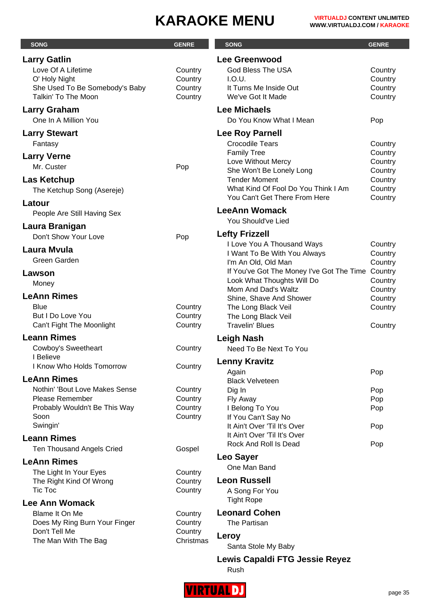| <b>SONG</b>                                     | <b>GENRE</b>         | <b>SONG</b>                                                      | <b>GENRE</b>       |
|-------------------------------------------------|----------------------|------------------------------------------------------------------|--------------------|
| <b>Larry Gatlin</b>                             |                      | <b>Lee Greenwood</b>                                             |                    |
| Love Of A Lifetime                              | Country              | God Bless The USA                                                | Country            |
| O' Holy Night<br>She Used To Be Somebody's Baby | Country<br>Country   | I.O.U.<br>It Turns Me Inside Out                                 | Country<br>Country |
| Talkin' To The Moon                             | Country              | We've Got It Made                                                | Country            |
| <b>Larry Graham</b>                             |                      | <b>Lee Michaels</b>                                              |                    |
| One In A Million You                            |                      | Do You Know What I Mean                                          | Pop                |
| <b>Larry Stewart</b>                            |                      | <b>Lee Roy Parnell</b>                                           |                    |
| Fantasy                                         |                      | <b>Crocodile Tears</b>                                           | Country            |
| <b>Larry Verne</b>                              |                      | <b>Family Tree</b><br>Love Without Mercy                         | Country<br>Country |
| Mr. Custer                                      | Pop                  | She Won't Be Lonely Long                                         | Country            |
| Las Ketchup                                     |                      | <b>Tender Moment</b>                                             | Country            |
| The Ketchup Song (Asereje)                      |                      | What Kind Of Fool Do You Think I Am                              | Country            |
| Latour                                          |                      | You Can't Get There From Here                                    | Country            |
| People Are Still Having Sex                     |                      | <b>LeeAnn Womack</b>                                             |                    |
| Laura Branigan                                  |                      | You Should've Lied                                               |                    |
| Don't Show Your Love                            | Pop                  | <b>Lefty Frizzell</b>                                            |                    |
| Laura Mvula                                     |                      | I Love You A Thousand Ways                                       | Country            |
| Green Garden                                    |                      | I Want To Be With You Always                                     | Country            |
|                                                 |                      | I'm An Old, Old Man<br>If You've Got The Money I've Got The Time | Country<br>Country |
| Lawson                                          |                      | Look What Thoughts Will Do                                       | Country            |
| Money                                           |                      | Mom And Dad's Waltz                                              | Country            |
| <b>LeAnn Rimes</b>                              |                      | Shine, Shave And Shower                                          | Country            |
| <b>Blue</b>                                     | Country              | The Long Black Veil                                              | Country            |
| But I Do Love You                               | Country              | The Long Black Veil                                              |                    |
| Can't Fight The Moonlight                       | Country              | <b>Travelin' Blues</b>                                           | Country            |
| <b>Leann Rimes</b>                              |                      | Leigh Nash                                                       |                    |
| Cowboy's Sweetheart<br>I Believe                | Country              | Need To Be Next To You                                           |                    |
| I Know Who Holds Tomorrow                       | Country              | <b>Lenny Kravitz</b>                                             |                    |
| <b>LeAnn Rimes</b>                              |                      | Again                                                            | Pop                |
| Nothin' 'Bout Love Makes Sense                  | Country              | <b>Black Velveteen</b>                                           |                    |
| <b>Please Remember</b>                          | Country              | Dig In<br>Fly Away                                               | Pop<br>Pop         |
| Probably Wouldn't Be This Way                   | Country              | I Belong To You                                                  | Pop                |
| Soon                                            | Country              | If You Can't Say No                                              |                    |
| Swingin'                                        |                      | It Ain't Over 'Til It's Over                                     | Pop                |
| <b>Leann Rimes</b>                              |                      | It Ain't Over 'Til It's Over                                     |                    |
| Ten Thousand Angels Cried                       | Gospel               | Rock And Roll Is Dead                                            | Pop                |
| <b>LeAnn Rimes</b>                              |                      | <b>Leo Sayer</b>                                                 |                    |
| The Light In Your Eyes                          | Country              | One Man Band                                                     |                    |
| The Right Kind Of Wrong                         | Country              | <b>Leon Russell</b>                                              |                    |
| <b>Tic Toc</b>                                  | Country              | A Song For You                                                   |                    |
| <b>Lee Ann Womack</b>                           |                      | <b>Tight Rope</b>                                                |                    |
| Blame It On Me                                  | Country              | <b>Leonard Cohen</b>                                             |                    |
| Does My Ring Burn Your Finger                   | Country              | The Partisan                                                     |                    |
| Don't Tell Me<br>The Man With The Bag           | Country<br>Christmas | Leroy                                                            |                    |
|                                                 |                      | Santa Stole My Baby                                              |                    |
|                                                 |                      | <b>Lewis Capaldi FTG Jessie Reyez</b>                            |                    |

Rush

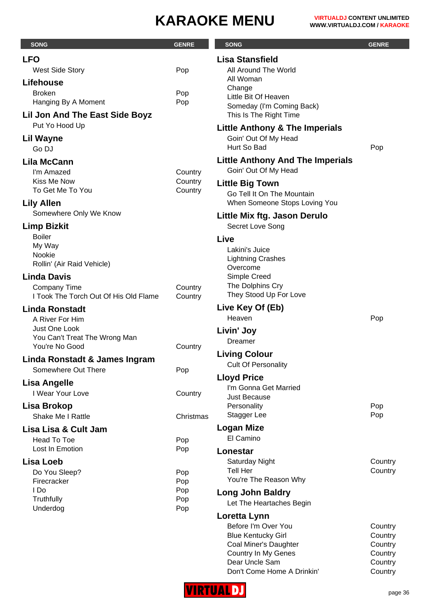| <b>SONG</b>                                     | <b>GENRE</b>       | <b>SONG</b>                                          | <b>GENRE</b>       |
|-------------------------------------------------|--------------------|------------------------------------------------------|--------------------|
| <b>LFO</b>                                      |                    | Lisa Stansfield                                      |                    |
| <b>West Side Story</b>                          | Pop                | All Around The World                                 |                    |
| Lifehouse                                       |                    | All Woman                                            |                    |
| <b>Broken</b>                                   | Pop                | Change<br>Little Bit Of Heaven                       |                    |
| Hanging By A Moment                             | Pop                | Someday (I'm Coming Back)                            |                    |
| <b>Lil Jon And The East Side Boyz</b>           |                    | This Is The Right Time                               |                    |
| Put Yo Hood Up                                  |                    | <b>Little Anthony &amp; The Imperials</b>            |                    |
| Lil Wayne                                       |                    | Goin' Out Of My Head                                 |                    |
| Go DJ                                           |                    | Hurt So Bad                                          | Pop                |
| <b>Lila McCann</b>                              |                    | Little Anthony And The Imperials                     |                    |
| I'm Amazed<br>Kiss Me Now                       | Country<br>Country | Goin' Out Of My Head                                 |                    |
| To Get Me To You                                | Country            | <b>Little Big Town</b><br>Go Tell It On The Mountain |                    |
| Lily Allen                                      |                    | When Someone Stops Loving You                        |                    |
| Somewhere Only We Know                          |                    | Little Mix ftg. Jason Derulo                         |                    |
| <b>Limp Bizkit</b>                              |                    | Secret Love Song                                     |                    |
| <b>Boiler</b>                                   |                    | Live                                                 |                    |
| My Way                                          |                    | Lakini's Juice                                       |                    |
| Nookie<br>Rollin' (Air Raid Vehicle)            |                    | <b>Lightning Crashes</b>                             |                    |
| <b>Linda Davis</b>                              |                    | Overcome<br>Simple Creed                             |                    |
| <b>Company Time</b>                             | Country            | The Dolphins Cry                                     |                    |
| I Took The Torch Out Of His Old Flame           | Country            | They Stood Up For Love                               |                    |
| <b>Linda Ronstadt</b>                           |                    | Live Key Of (Eb)                                     |                    |
| A River For Him                                 |                    | Heaven                                               | Pop                |
| Just One Look                                   |                    | Livin' Joy                                           |                    |
| You Can't Treat The Wrong Man<br>You're No Good | Country            | Dreamer                                              |                    |
| Linda Ronstadt & James Ingram                   |                    | <b>Living Colour</b>                                 |                    |
| Somewhere Out There                             | Pop                | <b>Cult Of Personality</b>                           |                    |
| Lisa Angelle                                    |                    | <b>Lloyd Price</b>                                   |                    |
| I Wear Your Love                                | Country            | I'm Gonna Get Married<br><b>Just Because</b>         |                    |
| Lisa Brokop                                     |                    | Personality                                          | Pop                |
| Shake Me I Rattle                               | Christmas          | <b>Stagger Lee</b>                                   | Pop                |
| Lisa Lisa & Cult Jam                            |                    | Logan Mize                                           |                    |
| Head To Toe                                     | Pop                | El Camino                                            |                    |
| Lost In Emotion                                 | Pop                | Lonestar                                             |                    |
| Lisa Loeb                                       |                    | Saturday Night                                       | Country            |
| Do You Sleep?<br>Firecracker                    | Pop<br>Pop         | <b>Tell Her</b><br>You're The Reason Why             | Country            |
| l Do                                            | Pop                | <b>Long John Baldry</b>                              |                    |
| Truthfully                                      | Pop                | Let The Heartaches Begin                             |                    |
| Underdog                                        | Pop                | Loretta Lynn                                         |                    |
|                                                 |                    | Before I'm Over You                                  | Country            |
|                                                 |                    | <b>Blue Kentucky Girl</b>                            | Country            |
|                                                 |                    | Coal Miner's Daughter                                | Country            |
|                                                 |                    | Country In My Genes<br>Dear Uncle Sam                | Country<br>Country |



Don't Come Home A Drinkin' Country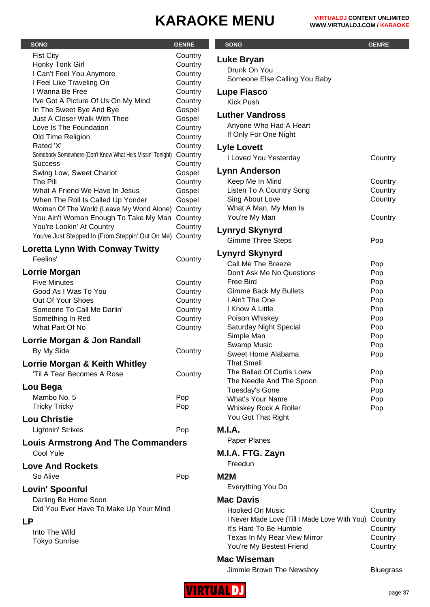| <b>SONG</b>                                               | <b>GENRE</b> | <b>SONG</b>                                   | <b>GENRE</b> |
|-----------------------------------------------------------|--------------|-----------------------------------------------|--------------|
| <b>Fist City</b>                                          | Country      |                                               |              |
| Honky Tonk Girl                                           | Country      | Luke Bryan                                    |              |
| I Can't Feel You Anymore                                  | Country      | Drunk On You                                  |              |
| I Feel Like Traveling On                                  | Country      | Someone Else Calling You Baby                 |              |
| I Wanna Be Free                                           | Country      | Lupe Fiasco                                   |              |
| I've Got A Picture Of Us On My Mind                       | Country      | <b>Kick Push</b>                              |              |
| In The Sweet Bye And Bye                                  | Gospel       |                                               |              |
| Just A Closer Walk With Thee                              | Gospel       | <b>Luther Vandross</b>                        |              |
| Love Is The Foundation                                    | Country      | Anyone Who Had A Heart                        |              |
| Old Time Religion                                         | Country      | If Only For One Night                         |              |
| Rated 'X'                                                 | Country      | <b>Lyle Lovett</b>                            |              |
| Somebody Somewhere (Don't Know What He's Missin' Tonight) | Country      | I Loved You Yesterday                         | Coun         |
| <b>Success</b>                                            | Country      |                                               |              |
| Swing Low, Sweet Chariot                                  | Gospel       | <b>Lynn Anderson</b>                          |              |
| The Pill                                                  | Country      | Keep Me In Mind                               | Coun         |
| What A Friend We Have In Jesus                            | Gospel       | Listen To A Country Song                      | Coun         |
| When The Roll Is Called Up Yonder                         | Gospel       | Sing About Love                               | Coun         |
| Woman Of The World (Leave My World Alone)                 | Country      | What A Man, My Man Is                         |              |
| You Ain't Woman Enough To Take My Man Country             |              | You're My Man                                 | Coun         |
| You're Lookin' At Country                                 | Country      | Lynryd Skynyrd                                |              |
| You've Just Stepped In (From Steppin' Out On Me) Country  |              | <b>Gimme Three Steps</b>                      | Pop          |
| <b>Loretta Lynn With Conway Twitty</b>                    |              | <b>Lynyrd Skynyrd</b>                         |              |
| Feelins'                                                  | Country      | Call Me The Breeze                            | Pop          |
| Lorrie Morgan                                             |              | Don't Ask Me No Questions                     | Pop          |
| <b>Five Minutes</b>                                       | Country      | <b>Free Bird</b>                              | Pop          |
| Good As I Was To You                                      | Country      | <b>Gimme Back My Bullets</b>                  | Pop          |
| Out Of Your Shoes                                         | Country      | I Ain't The One                               | Pop          |
| Someone To Call Me Darlin'                                | Country      | I Know A Little                               | Pop          |
| Something In Red                                          | Country      | Poison Whiskey                                | Pop          |
| What Part Of No                                           | Country      | Saturday Night Special                        | Pop          |
|                                                           |              | Simple Man                                    | Pop          |
| Lorrie Morgan & Jon Randall                               |              | <b>Swamp Music</b>                            | Pop          |
| By My Side                                                | Country      | Sweet Home Alabama                            | Pop          |
| Lorrie Morgan & Keith Whitley                             |              | <b>That Smell</b>                             |              |
| 'Til A Tear Becomes A Rose                                | Country      | The Ballad Of Curtis Loew                     | Pop          |
|                                                           |              | The Needle And The Spoon                      | Pop          |
| Lou Bega                                                  |              | Tuesday's Gone                                | Pop          |
| Mambo No. 5                                               | Pop          | <b>What's Your Name</b>                       | Pop          |
| <b>Tricky Tricky</b>                                      | Pop          | Whiskey Rock A Roller                         | Pop          |
| <b>Lou Christie</b>                                       |              | You Got That Right                            |              |
| Lightnin' Strikes                                         | Pop          | <b>M.I.A.</b>                                 |              |
|                                                           |              | Paper Planes                                  |              |
| <b>Louis Armstrong And The Commanders</b>                 |              |                                               |              |
| Cool Yule                                                 |              | M.I.A. FTG. Zayn<br>Freedun                   |              |
| <b>Love And Rockets</b>                                   |              |                                               |              |
| So Alive                                                  | Pop          | M <sub>2</sub> M                              |              |
| Lovin' Spoonful                                           |              | Everything You Do                             |              |
| Darling Be Home Soon                                      |              | <b>Mac Davis</b>                              |              |
| Did You Ever Have To Make Up Your Mind                    |              | <b>Hooked On Music</b>                        | Coun         |
| <b>LP</b>                                                 |              | I Never Made Love (Till I Made Love With You) | Coun         |
|                                                           |              | It's Hard To Be Humble                        | Coun         |
| Into The Wild                                             |              | Texas In My Rear View Mirror                  | Coun         |
| <b>Tokyo Sunrise</b>                                      |              | You're My Bestest Friend                      | Coun         |
|                                                           |              | $M = 10$                                      |              |

| Luke Bryan<br>Drunk On You<br>Someone Else Calling You Baby                                                                                                                                                                                                                                                                                                                                                                                 |                                                                                                              |
|---------------------------------------------------------------------------------------------------------------------------------------------------------------------------------------------------------------------------------------------------------------------------------------------------------------------------------------------------------------------------------------------------------------------------------------------|--------------------------------------------------------------------------------------------------------------|
| <b>Lupe Fiasco</b><br><b>Kick Push</b>                                                                                                                                                                                                                                                                                                                                                                                                      |                                                                                                              |
| <b>Luther Vandross</b><br>Anyone Who Had A Heart<br>If Only For One Night                                                                                                                                                                                                                                                                                                                                                                   |                                                                                                              |
| Lyle Lovett<br>I Loved You Yesterday                                                                                                                                                                                                                                                                                                                                                                                                        | Country                                                                                                      |
| <b>Lynn Anderson</b><br>Keep Me In Mind<br>Listen To A Country Song<br>Sing About Love<br>What A Man, My Man Is<br>You're My Man                                                                                                                                                                                                                                                                                                            | Country<br>Country<br>Country<br>Country                                                                     |
| Lynryd Skynyrd<br><b>Gimme Three Steps</b>                                                                                                                                                                                                                                                                                                                                                                                                  | Pop                                                                                                          |
| Lynyrd Skynyrd<br>Call Me The Breeze<br>Don't Ask Me No Questions<br><b>Free Bird</b><br><b>Gimme Back My Bullets</b><br>I Ain't The One<br>I Know A Little<br>Poison Whiskey<br>Saturday Night Special<br>Simple Man<br><b>Swamp Music</b><br>Sweet Home Alabama<br><b>That Smell</b><br>The Ballad Of Curtis Loew<br>The Needle And The Spoon<br>Tuesday's Gone<br><b>What's Your Name</b><br>Whiskey Rock A Roller<br>You Got That Right | Pop<br>Pop<br>Pop<br>Pop<br>Pop<br>Pop<br>Pop<br>Pop<br>Pop<br>Pop<br>Pop<br>Pop<br>Pop<br>Pop<br>Pop<br>Pop |
| M.I.A.<br>Paper Planes                                                                                                                                                                                                                                                                                                                                                                                                                      |                                                                                                              |
| M.I.A. FTG. Zayn<br>Freedun                                                                                                                                                                                                                                                                                                                                                                                                                 |                                                                                                              |
| M2M                                                                                                                                                                                                                                                                                                                                                                                                                                         |                                                                                                              |
| Everything You Do                                                                                                                                                                                                                                                                                                                                                                                                                           |                                                                                                              |
| <b>Mac Davis</b><br><b>Hooked On Music</b><br>I Never Made Love (Till I Made Love With You)<br>It's Hard To Be Humble<br>Texas In My Rear View Mirror<br>You're My Bestest Friend<br>Mac Wiseman                                                                                                                                                                                                                                            | Country<br>Country<br>Country<br>Country<br>Country                                                          |
|                                                                                                                                                                                                                                                                                                                                                                                                                                             |                                                                                                              |

Jimmie Brown The Newsboy **Bluegrass** 

**VIRTUAL DJ**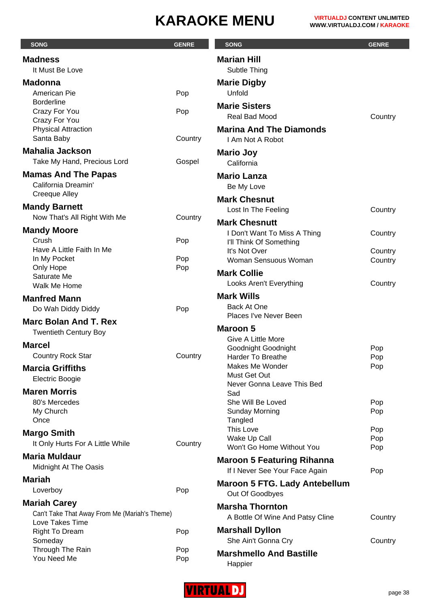| <b>SONG</b>                                                               | <b>GENRE</b> | <b>SONG</b>                                                         | <b>GENRE</b> |
|---------------------------------------------------------------------------|--------------|---------------------------------------------------------------------|--------------|
| <b>Madness</b><br>It Must Be Love                                         |              | <b>Marian Hill</b><br>Subtle Thing                                  |              |
| <b>Madonna</b><br>American Pie                                            | Pop          | <b>Marie Digby</b><br>Unfold                                        |              |
| <b>Borderline</b><br>Crazy For You<br>Crazy For You                       | Pop          | <b>Marie Sisters</b><br><b>Real Bad Mood</b>                        | Country      |
| <b>Physical Attraction</b><br>Santa Baby                                  | Country      | <b>Marina And The Diamonds</b><br>I Am Not A Robot                  |              |
| <b>Mahalia Jackson</b>                                                    |              | <b>Mario Joy</b>                                                    |              |
| Take My Hand, Precious Lord                                               | Gospel       | California                                                          |              |
| <b>Mamas And The Papas</b><br>California Dreamin'<br><b>Creeque Alley</b> |              | <b>Mario Lanza</b><br>Be My Love                                    |              |
| <b>Mandy Barnett</b>                                                      |              | <b>Mark Chesnut</b><br>Lost In The Feeling                          | Country      |
| Now That's All Right With Me                                              | Country      | <b>Mark Chesnutt</b>                                                |              |
| <b>Mandy Moore</b><br>Crush                                               | Pop          | I Don't Want To Miss A Thing<br>I'll Think Of Something             | Country      |
| Have A Little Faith In Me<br>In My Pocket                                 | Pop          | It's Not Over<br>Woman Sensuous Woman                               | Country      |
| Only Hope                                                                 | Pop          |                                                                     | Country      |
| Saturate Me                                                               |              | <b>Mark Collie</b>                                                  |              |
| Walk Me Home                                                              |              | Looks Aren't Everything                                             | Country      |
| <b>Manfred Mann</b>                                                       |              | <b>Mark Wills</b>                                                   |              |
| Do Wah Diddy Diddy                                                        | Pop          | Back At One<br>Places I've Never Been                               |              |
| <b>Marc Bolan And T. Rex</b><br><b>Twentieth Century Boy</b>              |              | <b>Maroon 5</b>                                                     |              |
| <b>Marcel</b>                                                             |              | <b>Give A Little More</b>                                           |              |
| <b>Country Rock Star</b>                                                  | Country      | Goodnight Goodnight<br><b>Harder To Breathe</b>                     | Pop<br>Pop   |
| <b>Marcia Griffiths</b>                                                   |              | Makes Me Wonder                                                     | Pop          |
| Electric Boogie                                                           |              | Must Get Out                                                        |              |
| <b>Maren Morris</b>                                                       |              | Never Gonna Leave This Bed<br>Sad                                   |              |
| 80's Mercedes                                                             |              | She Will Be Loved                                                   | Pop          |
| My Church                                                                 |              | <b>Sunday Morning</b>                                               | Pop          |
| Once                                                                      |              | Tangled                                                             |              |
| <b>Margo Smith</b>                                                        |              | This Love<br>Wake Up Call                                           | Pop<br>Pop   |
| It Only Hurts For A Little While                                          | Country      | Won't Go Home Without You                                           | Pop          |
| <b>Maria Muldaur</b><br>Midnight At The Oasis                             |              | <b>Maroon 5 Featuring Rihanna</b><br>If I Never See Your Face Again | Pop          |
| <b>Mariah</b><br>Loverboy                                                 | Pop          | <b>Maroon 5 FTG. Lady Antebellum</b>                                |              |
| <b>Mariah Carey</b>                                                       |              | Out Of Goodbyes                                                     |              |
| Can't Take That Away From Me (Mariah's Theme)<br>Love Takes Time          |              | <b>Marsha Thornton</b><br>A Bottle Of Wine And Patsy Cline          | Country      |
| <b>Right To Dream</b><br>Someday                                          | Pop          | <b>Marshall Dyllon</b><br>She Ain't Gonna Cry                       | Country      |
| Through The Rain<br>You Need Me                                           | Pop<br>Pop   | <b>Marshmello And Bastille</b><br>Happier                           |              |

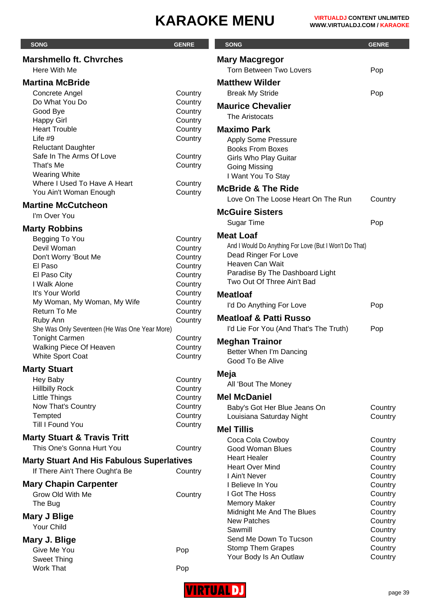٠

| <b>Marshmello ft. Chyrches</b><br><b>Mary Macgregor</b><br>Here With Me<br><b>Torn Between Two Lovers</b><br>Pop<br><b>Martina McBride</b><br><b>Matthew Wilder</b><br>Concrete Angel<br><b>Break My Stride</b><br>Country<br>Pop<br>Do What You Do<br>Country<br><b>Maurice Chevalier</b><br>Country<br>Good Bye<br>The Aristocats<br><b>Happy Girl</b><br>Country<br><b>Heart Trouble</b><br><b>Maximo Park</b><br>Country<br>Life $#9$<br>Country<br><b>Apply Some Pressure</b><br><b>Reluctant Daughter</b><br><b>Books From Boxes</b><br>Safe In The Arms Of Love<br>Country<br><b>Girls Who Play Guitar</b><br>That's Me<br>Country<br><b>Going Missing</b><br><b>Wearing White</b><br>I Want You To Stay<br>Where I Used To Have A Heart<br>Country<br><b>McBride &amp; The Ride</b><br>You Ain't Woman Enough<br>Country<br>Love On The Loose Heart On The Run<br>Country<br><b>Martine McCutcheon</b><br><b>McGuire Sisters</b><br>I'm Over You<br>Sugar Time<br>Pop<br><b>Marty Robbins</b><br><b>Meat Loaf</b><br>Country<br>Begging To You<br>And I Would Do Anything For Love (But I Won't Do That)<br>Devil Woman<br>Country<br>Dead Ringer For Love<br>Don't Worry 'Bout Me<br>Country<br>Heaven Can Wait<br>El Paso<br>Country<br>Paradise By The Dashboard Light<br>El Paso City<br>Country<br>Two Out Of Three Ain't Bad<br>I Walk Alone<br>Country<br>It's Your World<br>Country<br><b>Meatloaf</b><br>My Woman, My Woman, My Wife<br>Country<br>I'd Do Anything For Love<br>Pop<br>Return To Me<br>Country<br><b>Meatloaf &amp; Patti Russo</b><br>Country<br>Ruby Ann<br>I'd Lie For You (And That's The Truth)<br>Pop<br>She Was Only Seventeen (He Was One Year More)<br><b>Tonight Carmen</b><br>Country<br><b>Meghan Trainor</b><br>Walking Piece Of Heaven<br>Country<br>Better When I'm Dancing<br>White Sport Coat<br>Country<br>Good To Be Alive<br><b>Marty Stuart</b><br>Meja<br><b>Hey Baby</b><br>Country<br>All 'Bout The Money<br><b>Hillbilly Rock</b><br>Country<br><b>Mel McDaniel</b><br><b>Little Things</b><br>Country<br>Now That's Country<br>Country<br>Baby's Got Her Blue Jeans On<br>Country<br>Country<br>Tempted<br>Louisiana Saturday Night<br>Country<br>Till I Found You<br>Country<br><b>Mel Tillis</b><br><b>Marty Stuart &amp; Travis Tritt</b><br>Coca Cola Cowboy<br>Country<br>This One's Gonna Hurt You<br>Country<br>Good Woman Blues<br>Country<br><b>Heart Healer</b><br>Country<br><b>Marty Stuart And His Fabulous Superlatives</b><br><b>Heart Over Mind</b><br>Country<br>If There Ain't There Ought'a Be<br>Country<br>I Ain't Never<br>Country<br><b>Mary Chapin Carpenter</b><br>I Believe In You<br>Country<br>I Got The Hoss<br>Country<br>Grow Old With Me<br>Country<br><b>Memory Maker</b><br>Country<br>The Bug<br>Midnight Me And The Blues<br>Country<br><b>New Patches</b><br>Country<br>Your Child<br>Sawmill<br>Country<br>Send Me Down To Tucson<br>Country<br>Mary J. Blige<br><b>Stomp Them Grapes</b><br>Country<br>Give Me You<br>Pop<br>Your Body Is An Outlaw<br>Country<br><b>Sweet Thing</b> | <b>SONG</b>  | <b>GENRE</b> | <b>SONG</b> | <b>GENRE</b> |
|---------------------------------------------------------------------------------------------------------------------------------------------------------------------------------------------------------------------------------------------------------------------------------------------------------------------------------------------------------------------------------------------------------------------------------------------------------------------------------------------------------------------------------------------------------------------------------------------------------------------------------------------------------------------------------------------------------------------------------------------------------------------------------------------------------------------------------------------------------------------------------------------------------------------------------------------------------------------------------------------------------------------------------------------------------------------------------------------------------------------------------------------------------------------------------------------------------------------------------------------------------------------------------------------------------------------------------------------------------------------------------------------------------------------------------------------------------------------------------------------------------------------------------------------------------------------------------------------------------------------------------------------------------------------------------------------------------------------------------------------------------------------------------------------------------------------------------------------------------------------------------------------------------------------------------------------------------------------------------------------------------------------------------------------------------------------------------------------------------------------------------------------------------------------------------------------------------------------------------------------------------------------------------------------------------------------------------------------------------------------------------------------------------------------------------------------------------------------------------------------------------------------------------------------------------------------------------------------------------------------------------------------------------------------------------------------------------------------------------------------------------------------------------------------------------------------------------------------------------------------------------------------------------------------------------------------------------------------------------------------------------------------------------------------------------------------------------------|--------------|--------------|-------------|--------------|
|                                                                                                                                                                                                                                                                                                                                                                                                                                                                                                                                                                                                                                                                                                                                                                                                                                                                                                                                                                                                                                                                                                                                                                                                                                                                                                                                                                                                                                                                                                                                                                                                                                                                                                                                                                                                                                                                                                                                                                                                                                                                                                                                                                                                                                                                                                                                                                                                                                                                                                                                                                                                                                                                                                                                                                                                                                                                                                                                                                                                                                                                                       |              |              |             |              |
|                                                                                                                                                                                                                                                                                                                                                                                                                                                                                                                                                                                                                                                                                                                                                                                                                                                                                                                                                                                                                                                                                                                                                                                                                                                                                                                                                                                                                                                                                                                                                                                                                                                                                                                                                                                                                                                                                                                                                                                                                                                                                                                                                                                                                                                                                                                                                                                                                                                                                                                                                                                                                                                                                                                                                                                                                                                                                                                                                                                                                                                                                       |              |              |             |              |
|                                                                                                                                                                                                                                                                                                                                                                                                                                                                                                                                                                                                                                                                                                                                                                                                                                                                                                                                                                                                                                                                                                                                                                                                                                                                                                                                                                                                                                                                                                                                                                                                                                                                                                                                                                                                                                                                                                                                                                                                                                                                                                                                                                                                                                                                                                                                                                                                                                                                                                                                                                                                                                                                                                                                                                                                                                                                                                                                                                                                                                                                                       |              |              |             |              |
|                                                                                                                                                                                                                                                                                                                                                                                                                                                                                                                                                                                                                                                                                                                                                                                                                                                                                                                                                                                                                                                                                                                                                                                                                                                                                                                                                                                                                                                                                                                                                                                                                                                                                                                                                                                                                                                                                                                                                                                                                                                                                                                                                                                                                                                                                                                                                                                                                                                                                                                                                                                                                                                                                                                                                                                                                                                                                                                                                                                                                                                                                       |              |              |             |              |
|                                                                                                                                                                                                                                                                                                                                                                                                                                                                                                                                                                                                                                                                                                                                                                                                                                                                                                                                                                                                                                                                                                                                                                                                                                                                                                                                                                                                                                                                                                                                                                                                                                                                                                                                                                                                                                                                                                                                                                                                                                                                                                                                                                                                                                                                                                                                                                                                                                                                                                                                                                                                                                                                                                                                                                                                                                                                                                                                                                                                                                                                                       |              |              |             |              |
|                                                                                                                                                                                                                                                                                                                                                                                                                                                                                                                                                                                                                                                                                                                                                                                                                                                                                                                                                                                                                                                                                                                                                                                                                                                                                                                                                                                                                                                                                                                                                                                                                                                                                                                                                                                                                                                                                                                                                                                                                                                                                                                                                                                                                                                                                                                                                                                                                                                                                                                                                                                                                                                                                                                                                                                                                                                                                                                                                                                                                                                                                       |              |              |             |              |
|                                                                                                                                                                                                                                                                                                                                                                                                                                                                                                                                                                                                                                                                                                                                                                                                                                                                                                                                                                                                                                                                                                                                                                                                                                                                                                                                                                                                                                                                                                                                                                                                                                                                                                                                                                                                                                                                                                                                                                                                                                                                                                                                                                                                                                                                                                                                                                                                                                                                                                                                                                                                                                                                                                                                                                                                                                                                                                                                                                                                                                                                                       |              |              |             |              |
|                                                                                                                                                                                                                                                                                                                                                                                                                                                                                                                                                                                                                                                                                                                                                                                                                                                                                                                                                                                                                                                                                                                                                                                                                                                                                                                                                                                                                                                                                                                                                                                                                                                                                                                                                                                                                                                                                                                                                                                                                                                                                                                                                                                                                                                                                                                                                                                                                                                                                                                                                                                                                                                                                                                                                                                                                                                                                                                                                                                                                                                                                       |              |              |             |              |
|                                                                                                                                                                                                                                                                                                                                                                                                                                                                                                                                                                                                                                                                                                                                                                                                                                                                                                                                                                                                                                                                                                                                                                                                                                                                                                                                                                                                                                                                                                                                                                                                                                                                                                                                                                                                                                                                                                                                                                                                                                                                                                                                                                                                                                                                                                                                                                                                                                                                                                                                                                                                                                                                                                                                                                                                                                                                                                                                                                                                                                                                                       |              |              |             |              |
|                                                                                                                                                                                                                                                                                                                                                                                                                                                                                                                                                                                                                                                                                                                                                                                                                                                                                                                                                                                                                                                                                                                                                                                                                                                                                                                                                                                                                                                                                                                                                                                                                                                                                                                                                                                                                                                                                                                                                                                                                                                                                                                                                                                                                                                                                                                                                                                                                                                                                                                                                                                                                                                                                                                                                                                                                                                                                                                                                                                                                                                                                       |              |              |             |              |
|                                                                                                                                                                                                                                                                                                                                                                                                                                                                                                                                                                                                                                                                                                                                                                                                                                                                                                                                                                                                                                                                                                                                                                                                                                                                                                                                                                                                                                                                                                                                                                                                                                                                                                                                                                                                                                                                                                                                                                                                                                                                                                                                                                                                                                                                                                                                                                                                                                                                                                                                                                                                                                                                                                                                                                                                                                                                                                                                                                                                                                                                                       |              |              |             |              |
|                                                                                                                                                                                                                                                                                                                                                                                                                                                                                                                                                                                                                                                                                                                                                                                                                                                                                                                                                                                                                                                                                                                                                                                                                                                                                                                                                                                                                                                                                                                                                                                                                                                                                                                                                                                                                                                                                                                                                                                                                                                                                                                                                                                                                                                                                                                                                                                                                                                                                                                                                                                                                                                                                                                                                                                                                                                                                                                                                                                                                                                                                       |              |              |             |              |
|                                                                                                                                                                                                                                                                                                                                                                                                                                                                                                                                                                                                                                                                                                                                                                                                                                                                                                                                                                                                                                                                                                                                                                                                                                                                                                                                                                                                                                                                                                                                                                                                                                                                                                                                                                                                                                                                                                                                                                                                                                                                                                                                                                                                                                                                                                                                                                                                                                                                                                                                                                                                                                                                                                                                                                                                                                                                                                                                                                                                                                                                                       |              |              |             |              |
|                                                                                                                                                                                                                                                                                                                                                                                                                                                                                                                                                                                                                                                                                                                                                                                                                                                                                                                                                                                                                                                                                                                                                                                                                                                                                                                                                                                                                                                                                                                                                                                                                                                                                                                                                                                                                                                                                                                                                                                                                                                                                                                                                                                                                                                                                                                                                                                                                                                                                                                                                                                                                                                                                                                                                                                                                                                                                                                                                                                                                                                                                       |              |              |             |              |
|                                                                                                                                                                                                                                                                                                                                                                                                                                                                                                                                                                                                                                                                                                                                                                                                                                                                                                                                                                                                                                                                                                                                                                                                                                                                                                                                                                                                                                                                                                                                                                                                                                                                                                                                                                                                                                                                                                                                                                                                                                                                                                                                                                                                                                                                                                                                                                                                                                                                                                                                                                                                                                                                                                                                                                                                                                                                                                                                                                                                                                                                                       |              |              |             |              |
|                                                                                                                                                                                                                                                                                                                                                                                                                                                                                                                                                                                                                                                                                                                                                                                                                                                                                                                                                                                                                                                                                                                                                                                                                                                                                                                                                                                                                                                                                                                                                                                                                                                                                                                                                                                                                                                                                                                                                                                                                                                                                                                                                                                                                                                                                                                                                                                                                                                                                                                                                                                                                                                                                                                                                                                                                                                                                                                                                                                                                                                                                       |              |              |             |              |
|                                                                                                                                                                                                                                                                                                                                                                                                                                                                                                                                                                                                                                                                                                                                                                                                                                                                                                                                                                                                                                                                                                                                                                                                                                                                                                                                                                                                                                                                                                                                                                                                                                                                                                                                                                                                                                                                                                                                                                                                                                                                                                                                                                                                                                                                                                                                                                                                                                                                                                                                                                                                                                                                                                                                                                                                                                                                                                                                                                                                                                                                                       |              |              |             |              |
|                                                                                                                                                                                                                                                                                                                                                                                                                                                                                                                                                                                                                                                                                                                                                                                                                                                                                                                                                                                                                                                                                                                                                                                                                                                                                                                                                                                                                                                                                                                                                                                                                                                                                                                                                                                                                                                                                                                                                                                                                                                                                                                                                                                                                                                                                                                                                                                                                                                                                                                                                                                                                                                                                                                                                                                                                                                                                                                                                                                                                                                                                       |              |              |             |              |
|                                                                                                                                                                                                                                                                                                                                                                                                                                                                                                                                                                                                                                                                                                                                                                                                                                                                                                                                                                                                                                                                                                                                                                                                                                                                                                                                                                                                                                                                                                                                                                                                                                                                                                                                                                                                                                                                                                                                                                                                                                                                                                                                                                                                                                                                                                                                                                                                                                                                                                                                                                                                                                                                                                                                                                                                                                                                                                                                                                                                                                                                                       |              |              |             |              |
|                                                                                                                                                                                                                                                                                                                                                                                                                                                                                                                                                                                                                                                                                                                                                                                                                                                                                                                                                                                                                                                                                                                                                                                                                                                                                                                                                                                                                                                                                                                                                                                                                                                                                                                                                                                                                                                                                                                                                                                                                                                                                                                                                                                                                                                                                                                                                                                                                                                                                                                                                                                                                                                                                                                                                                                                                                                                                                                                                                                                                                                                                       |              |              |             |              |
|                                                                                                                                                                                                                                                                                                                                                                                                                                                                                                                                                                                                                                                                                                                                                                                                                                                                                                                                                                                                                                                                                                                                                                                                                                                                                                                                                                                                                                                                                                                                                                                                                                                                                                                                                                                                                                                                                                                                                                                                                                                                                                                                                                                                                                                                                                                                                                                                                                                                                                                                                                                                                                                                                                                                                                                                                                                                                                                                                                                                                                                                                       |              |              |             |              |
|                                                                                                                                                                                                                                                                                                                                                                                                                                                                                                                                                                                                                                                                                                                                                                                                                                                                                                                                                                                                                                                                                                                                                                                                                                                                                                                                                                                                                                                                                                                                                                                                                                                                                                                                                                                                                                                                                                                                                                                                                                                                                                                                                                                                                                                                                                                                                                                                                                                                                                                                                                                                                                                                                                                                                                                                                                                                                                                                                                                                                                                                                       |              |              |             |              |
|                                                                                                                                                                                                                                                                                                                                                                                                                                                                                                                                                                                                                                                                                                                                                                                                                                                                                                                                                                                                                                                                                                                                                                                                                                                                                                                                                                                                                                                                                                                                                                                                                                                                                                                                                                                                                                                                                                                                                                                                                                                                                                                                                                                                                                                                                                                                                                                                                                                                                                                                                                                                                                                                                                                                                                                                                                                                                                                                                                                                                                                                                       |              |              |             |              |
|                                                                                                                                                                                                                                                                                                                                                                                                                                                                                                                                                                                                                                                                                                                                                                                                                                                                                                                                                                                                                                                                                                                                                                                                                                                                                                                                                                                                                                                                                                                                                                                                                                                                                                                                                                                                                                                                                                                                                                                                                                                                                                                                                                                                                                                                                                                                                                                                                                                                                                                                                                                                                                                                                                                                                                                                                                                                                                                                                                                                                                                                                       |              |              |             |              |
|                                                                                                                                                                                                                                                                                                                                                                                                                                                                                                                                                                                                                                                                                                                                                                                                                                                                                                                                                                                                                                                                                                                                                                                                                                                                                                                                                                                                                                                                                                                                                                                                                                                                                                                                                                                                                                                                                                                                                                                                                                                                                                                                                                                                                                                                                                                                                                                                                                                                                                                                                                                                                                                                                                                                                                                                                                                                                                                                                                                                                                                                                       |              |              |             |              |
|                                                                                                                                                                                                                                                                                                                                                                                                                                                                                                                                                                                                                                                                                                                                                                                                                                                                                                                                                                                                                                                                                                                                                                                                                                                                                                                                                                                                                                                                                                                                                                                                                                                                                                                                                                                                                                                                                                                                                                                                                                                                                                                                                                                                                                                                                                                                                                                                                                                                                                                                                                                                                                                                                                                                                                                                                                                                                                                                                                                                                                                                                       |              |              |             |              |
|                                                                                                                                                                                                                                                                                                                                                                                                                                                                                                                                                                                                                                                                                                                                                                                                                                                                                                                                                                                                                                                                                                                                                                                                                                                                                                                                                                                                                                                                                                                                                                                                                                                                                                                                                                                                                                                                                                                                                                                                                                                                                                                                                                                                                                                                                                                                                                                                                                                                                                                                                                                                                                                                                                                                                                                                                                                                                                                                                                                                                                                                                       |              |              |             |              |
|                                                                                                                                                                                                                                                                                                                                                                                                                                                                                                                                                                                                                                                                                                                                                                                                                                                                                                                                                                                                                                                                                                                                                                                                                                                                                                                                                                                                                                                                                                                                                                                                                                                                                                                                                                                                                                                                                                                                                                                                                                                                                                                                                                                                                                                                                                                                                                                                                                                                                                                                                                                                                                                                                                                                                                                                                                                                                                                                                                                                                                                                                       |              |              |             |              |
|                                                                                                                                                                                                                                                                                                                                                                                                                                                                                                                                                                                                                                                                                                                                                                                                                                                                                                                                                                                                                                                                                                                                                                                                                                                                                                                                                                                                                                                                                                                                                                                                                                                                                                                                                                                                                                                                                                                                                                                                                                                                                                                                                                                                                                                                                                                                                                                                                                                                                                                                                                                                                                                                                                                                                                                                                                                                                                                                                                                                                                                                                       |              |              |             |              |
|                                                                                                                                                                                                                                                                                                                                                                                                                                                                                                                                                                                                                                                                                                                                                                                                                                                                                                                                                                                                                                                                                                                                                                                                                                                                                                                                                                                                                                                                                                                                                                                                                                                                                                                                                                                                                                                                                                                                                                                                                                                                                                                                                                                                                                                                                                                                                                                                                                                                                                                                                                                                                                                                                                                                                                                                                                                                                                                                                                                                                                                                                       |              |              |             |              |
|                                                                                                                                                                                                                                                                                                                                                                                                                                                                                                                                                                                                                                                                                                                                                                                                                                                                                                                                                                                                                                                                                                                                                                                                                                                                                                                                                                                                                                                                                                                                                                                                                                                                                                                                                                                                                                                                                                                                                                                                                                                                                                                                                                                                                                                                                                                                                                                                                                                                                                                                                                                                                                                                                                                                                                                                                                                                                                                                                                                                                                                                                       |              |              |             |              |
|                                                                                                                                                                                                                                                                                                                                                                                                                                                                                                                                                                                                                                                                                                                                                                                                                                                                                                                                                                                                                                                                                                                                                                                                                                                                                                                                                                                                                                                                                                                                                                                                                                                                                                                                                                                                                                                                                                                                                                                                                                                                                                                                                                                                                                                                                                                                                                                                                                                                                                                                                                                                                                                                                                                                                                                                                                                                                                                                                                                                                                                                                       |              |              |             |              |
|                                                                                                                                                                                                                                                                                                                                                                                                                                                                                                                                                                                                                                                                                                                                                                                                                                                                                                                                                                                                                                                                                                                                                                                                                                                                                                                                                                                                                                                                                                                                                                                                                                                                                                                                                                                                                                                                                                                                                                                                                                                                                                                                                                                                                                                                                                                                                                                                                                                                                                                                                                                                                                                                                                                                                                                                                                                                                                                                                                                                                                                                                       |              |              |             |              |
|                                                                                                                                                                                                                                                                                                                                                                                                                                                                                                                                                                                                                                                                                                                                                                                                                                                                                                                                                                                                                                                                                                                                                                                                                                                                                                                                                                                                                                                                                                                                                                                                                                                                                                                                                                                                                                                                                                                                                                                                                                                                                                                                                                                                                                                                                                                                                                                                                                                                                                                                                                                                                                                                                                                                                                                                                                                                                                                                                                                                                                                                                       |              |              |             |              |
|                                                                                                                                                                                                                                                                                                                                                                                                                                                                                                                                                                                                                                                                                                                                                                                                                                                                                                                                                                                                                                                                                                                                                                                                                                                                                                                                                                                                                                                                                                                                                                                                                                                                                                                                                                                                                                                                                                                                                                                                                                                                                                                                                                                                                                                                                                                                                                                                                                                                                                                                                                                                                                                                                                                                                                                                                                                                                                                                                                                                                                                                                       |              |              |             |              |
|                                                                                                                                                                                                                                                                                                                                                                                                                                                                                                                                                                                                                                                                                                                                                                                                                                                                                                                                                                                                                                                                                                                                                                                                                                                                                                                                                                                                                                                                                                                                                                                                                                                                                                                                                                                                                                                                                                                                                                                                                                                                                                                                                                                                                                                                                                                                                                                                                                                                                                                                                                                                                                                                                                                                                                                                                                                                                                                                                                                                                                                                                       |              |              |             |              |
|                                                                                                                                                                                                                                                                                                                                                                                                                                                                                                                                                                                                                                                                                                                                                                                                                                                                                                                                                                                                                                                                                                                                                                                                                                                                                                                                                                                                                                                                                                                                                                                                                                                                                                                                                                                                                                                                                                                                                                                                                                                                                                                                                                                                                                                                                                                                                                                                                                                                                                                                                                                                                                                                                                                                                                                                                                                                                                                                                                                                                                                                                       |              |              |             |              |
|                                                                                                                                                                                                                                                                                                                                                                                                                                                                                                                                                                                                                                                                                                                                                                                                                                                                                                                                                                                                                                                                                                                                                                                                                                                                                                                                                                                                                                                                                                                                                                                                                                                                                                                                                                                                                                                                                                                                                                                                                                                                                                                                                                                                                                                                                                                                                                                                                                                                                                                                                                                                                                                                                                                                                                                                                                                                                                                                                                                                                                                                                       |              |              |             |              |
|                                                                                                                                                                                                                                                                                                                                                                                                                                                                                                                                                                                                                                                                                                                                                                                                                                                                                                                                                                                                                                                                                                                                                                                                                                                                                                                                                                                                                                                                                                                                                                                                                                                                                                                                                                                                                                                                                                                                                                                                                                                                                                                                                                                                                                                                                                                                                                                                                                                                                                                                                                                                                                                                                                                                                                                                                                                                                                                                                                                                                                                                                       |              |              |             |              |
|                                                                                                                                                                                                                                                                                                                                                                                                                                                                                                                                                                                                                                                                                                                                                                                                                                                                                                                                                                                                                                                                                                                                                                                                                                                                                                                                                                                                                                                                                                                                                                                                                                                                                                                                                                                                                                                                                                                                                                                                                                                                                                                                                                                                                                                                                                                                                                                                                                                                                                                                                                                                                                                                                                                                                                                                                                                                                                                                                                                                                                                                                       |              |              |             |              |
|                                                                                                                                                                                                                                                                                                                                                                                                                                                                                                                                                                                                                                                                                                                                                                                                                                                                                                                                                                                                                                                                                                                                                                                                                                                                                                                                                                                                                                                                                                                                                                                                                                                                                                                                                                                                                                                                                                                                                                                                                                                                                                                                                                                                                                                                                                                                                                                                                                                                                                                                                                                                                                                                                                                                                                                                                                                                                                                                                                                                                                                                                       |              |              |             |              |
|                                                                                                                                                                                                                                                                                                                                                                                                                                                                                                                                                                                                                                                                                                                                                                                                                                                                                                                                                                                                                                                                                                                                                                                                                                                                                                                                                                                                                                                                                                                                                                                                                                                                                                                                                                                                                                                                                                                                                                                                                                                                                                                                                                                                                                                                                                                                                                                                                                                                                                                                                                                                                                                                                                                                                                                                                                                                                                                                                                                                                                                                                       |              |              |             |              |
|                                                                                                                                                                                                                                                                                                                                                                                                                                                                                                                                                                                                                                                                                                                                                                                                                                                                                                                                                                                                                                                                                                                                                                                                                                                                                                                                                                                                                                                                                                                                                                                                                                                                                                                                                                                                                                                                                                                                                                                                                                                                                                                                                                                                                                                                                                                                                                                                                                                                                                                                                                                                                                                                                                                                                                                                                                                                                                                                                                                                                                                                                       |              |              |             |              |
|                                                                                                                                                                                                                                                                                                                                                                                                                                                                                                                                                                                                                                                                                                                                                                                                                                                                                                                                                                                                                                                                                                                                                                                                                                                                                                                                                                                                                                                                                                                                                                                                                                                                                                                                                                                                                                                                                                                                                                                                                                                                                                                                                                                                                                                                                                                                                                                                                                                                                                                                                                                                                                                                                                                                                                                                                                                                                                                                                                                                                                                                                       |              |              |             |              |
|                                                                                                                                                                                                                                                                                                                                                                                                                                                                                                                                                                                                                                                                                                                                                                                                                                                                                                                                                                                                                                                                                                                                                                                                                                                                                                                                                                                                                                                                                                                                                                                                                                                                                                                                                                                                                                                                                                                                                                                                                                                                                                                                                                                                                                                                                                                                                                                                                                                                                                                                                                                                                                                                                                                                                                                                                                                                                                                                                                                                                                                                                       |              |              |             |              |
|                                                                                                                                                                                                                                                                                                                                                                                                                                                                                                                                                                                                                                                                                                                                                                                                                                                                                                                                                                                                                                                                                                                                                                                                                                                                                                                                                                                                                                                                                                                                                                                                                                                                                                                                                                                                                                                                                                                                                                                                                                                                                                                                                                                                                                                                                                                                                                                                                                                                                                                                                                                                                                                                                                                                                                                                                                                                                                                                                                                                                                                                                       | Mary J Blige |              |             |              |
|                                                                                                                                                                                                                                                                                                                                                                                                                                                                                                                                                                                                                                                                                                                                                                                                                                                                                                                                                                                                                                                                                                                                                                                                                                                                                                                                                                                                                                                                                                                                                                                                                                                                                                                                                                                                                                                                                                                                                                                                                                                                                                                                                                                                                                                                                                                                                                                                                                                                                                                                                                                                                                                                                                                                                                                                                                                                                                                                                                                                                                                                                       |              |              |             |              |
|                                                                                                                                                                                                                                                                                                                                                                                                                                                                                                                                                                                                                                                                                                                                                                                                                                                                                                                                                                                                                                                                                                                                                                                                                                                                                                                                                                                                                                                                                                                                                                                                                                                                                                                                                                                                                                                                                                                                                                                                                                                                                                                                                                                                                                                                                                                                                                                                                                                                                                                                                                                                                                                                                                                                                                                                                                                                                                                                                                                                                                                                                       |              |              |             |              |
|                                                                                                                                                                                                                                                                                                                                                                                                                                                                                                                                                                                                                                                                                                                                                                                                                                                                                                                                                                                                                                                                                                                                                                                                                                                                                                                                                                                                                                                                                                                                                                                                                                                                                                                                                                                                                                                                                                                                                                                                                                                                                                                                                                                                                                                                                                                                                                                                                                                                                                                                                                                                                                                                                                                                                                                                                                                                                                                                                                                                                                                                                       |              |              |             |              |
|                                                                                                                                                                                                                                                                                                                                                                                                                                                                                                                                                                                                                                                                                                                                                                                                                                                                                                                                                                                                                                                                                                                                                                                                                                                                                                                                                                                                                                                                                                                                                                                                                                                                                                                                                                                                                                                                                                                                                                                                                                                                                                                                                                                                                                                                                                                                                                                                                                                                                                                                                                                                                                                                                                                                                                                                                                                                                                                                                                                                                                                                                       |              |              |             |              |
|                                                                                                                                                                                                                                                                                                                                                                                                                                                                                                                                                                                                                                                                                                                                                                                                                                                                                                                                                                                                                                                                                                                                                                                                                                                                                                                                                                                                                                                                                                                                                                                                                                                                                                                                                                                                                                                                                                                                                                                                                                                                                                                                                                                                                                                                                                                                                                                                                                                                                                                                                                                                                                                                                                                                                                                                                                                                                                                                                                                                                                                                                       | Work That    | Pop          |             |              |

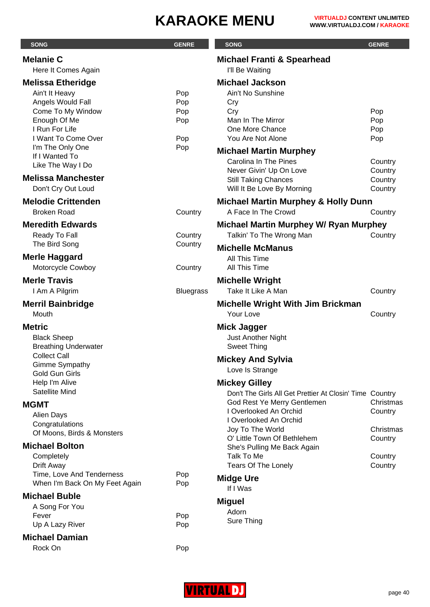| <b>SONG</b>                                    | <b>GENRE</b>     | <b>SONG</b>                                              | <b>GENRE</b>         |
|------------------------------------------------|------------------|----------------------------------------------------------|----------------------|
| <b>Melanie C</b>                               |                  | <b>Michael Franti &amp; Spearhead</b>                    |                      |
| Here It Comes Again                            |                  | I'll Be Waiting                                          |                      |
| <b>Melissa Etheridge</b>                       |                  | <b>Michael Jackson</b>                                   |                      |
| Ain't It Heavy                                 | Pop              | Ain't No Sunshine                                        |                      |
| Angels Would Fall                              | Pop              | Cry                                                      |                      |
| Come To My Window                              | Pop              | Cry<br>Man In The Mirror                                 | Pop                  |
| Enough Of Me<br>I Run For Life                 | Pop              | One More Chance                                          | Pop<br>Pop           |
| I Want To Come Over                            | Pop              | You Are Not Alone                                        | Pop                  |
| I'm The Only One                               | Pop              | <b>Michael Martin Murphey</b>                            |                      |
| If I Wanted To                                 |                  | <b>Carolina In The Pines</b>                             | Country              |
| Like The Way I Do                              |                  | Never Givin' Up On Love                                  | Country              |
| <b>Melissa Manchester</b>                      |                  | <b>Still Taking Chances</b>                              | Country              |
| Don't Cry Out Loud                             |                  | Will It Be Love By Morning                               | Country              |
| <b>Melodie Crittenden</b>                      |                  | <b>Michael Martin Murphey &amp; Holly Dunn</b>           |                      |
| <b>Broken Road</b>                             | Country          | A Face In The Crowd                                      | Country              |
| <b>Meredith Edwards</b>                        |                  | Michael Martin Murphey W/ Ryan Murphey                   |                      |
| Ready To Fall                                  | Country          | Talkin' To The Wrong Man                                 | Country              |
| The Bird Song                                  | Country          | <b>Michelle McManus</b>                                  |                      |
| Merle Haggard                                  |                  | All This Time                                            |                      |
| Motorcycle Cowboy                              | Country          | All This Time                                            |                      |
| <b>Merle Travis</b>                            |                  | <b>Michelle Wright</b>                                   |                      |
| I Am A Pilgrim                                 | <b>Bluegrass</b> | Take It Like A Man                                       | Country              |
| <b>Merril Bainbridge</b>                       |                  | <b>Michelle Wright With Jim Brickman</b>                 |                      |
| Mouth                                          |                  | Your Love                                                | Country              |
| <b>Metric</b>                                  |                  | <b>Mick Jagger</b>                                       |                      |
| <b>Black Sheep</b>                             |                  | Just Another Night                                       |                      |
| <b>Breathing Underwater</b>                    |                  | Sweet Thing                                              |                      |
| Collect Call                                   |                  | <b>Mickey And Sylvia</b>                                 |                      |
| <b>Gimme Sympathy</b><br><b>Gold Gun Girls</b> |                  | Love Is Strange                                          |                      |
| Help I'm Alive                                 |                  | <b>Mickey Gilley</b>                                     |                      |
| Satellite Mind                                 |                  | Don't The Girls All Get Prettier At Closin' Time Country |                      |
| <b>MGMT</b>                                    |                  | God Rest Ye Merry Gentlemen                              | Christmas            |
| <b>Alien Days</b>                              |                  | I Overlooked An Orchid                                   | Country              |
| Congratulations                                |                  | I Overlooked An Orchid                                   |                      |
| Of Moons, Birds & Monsters                     |                  | Joy To The World<br>O' Little Town Of Bethlehem          | Christmas<br>Country |
| <b>Michael Bolton</b>                          |                  | She's Pulling Me Back Again                              |                      |
| Completely                                     |                  | Talk To Me                                               | Country              |
| Drift Away                                     |                  | Tears Of The Lonely                                      | Country              |
| Time, Love And Tenderness                      | Pop              | <b>Midge Ure</b>                                         |                      |
| When I'm Back On My Feet Again                 | Pop              | If I Was                                                 |                      |
| <b>Michael Buble</b>                           |                  | <b>Miguel</b>                                            |                      |
| A Song For You                                 |                  | Adorn                                                    |                      |
| Fever<br>Up A Lazy River                       | Pop<br>Pop       | Sure Thing                                               |                      |
|                                                |                  |                                                          |                      |
| <b>Michael Damian</b><br>Rock On               |                  |                                                          |                      |
|                                                | Pop              |                                                          |                      |

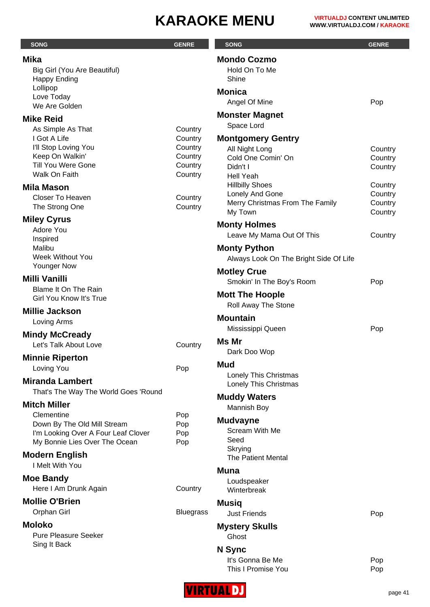| <b>SONG</b>                                                          | <b>GENRE</b>       | <b>SONG</b>                                                   | <b>GENRE</b>       |
|----------------------------------------------------------------------|--------------------|---------------------------------------------------------------|--------------------|
| <b>Mika</b>                                                          |                    | <b>Mondo Cozmo</b>                                            |                    |
| Big Girl (You Are Beautiful)<br><b>Happy Ending</b>                  |                    | Hold On To Me<br>Shine                                        |                    |
| Lollipop                                                             |                    | <b>Monica</b>                                                 |                    |
| Love Today<br>We Are Golden                                          |                    | Angel Of Mine                                                 | Pop                |
| <b>Mike Reid</b>                                                     |                    | <b>Monster Magnet</b>                                         |                    |
| As Simple As That                                                    | Country            | Space Lord                                                    |                    |
| I Got A Life                                                         | Country            | <b>Montgomery Gentry</b>                                      |                    |
| I'll Stop Loving You<br>Keep On Walkin'                              | Country<br>Country | All Night Long<br>Cold One Comin' On                          | Country<br>Country |
| <b>Till You Were Gone</b>                                            | Country            | Didn't I                                                      | Country            |
| Walk On Faith                                                        | Country            | <b>Hell Yeah</b><br><b>Hillbilly Shoes</b>                    |                    |
| <b>Mila Mason</b><br><b>Closer To Heaven</b>                         |                    | Lonely And Gone                                               | Country<br>Country |
| The Strong One                                                       | Country<br>Country | Merry Christmas From The Family                               | Country            |
| <b>Miley Cyrus</b>                                                   |                    | My Town                                                       | Country            |
| Adore You                                                            |                    | <b>Monty Holmes</b>                                           |                    |
| Inspired                                                             |                    | Leave My Mama Out Of This                                     | Country            |
| Malibu<br>Week Without You<br><b>Younger Now</b>                     |                    | <b>Monty Python</b><br>Always Look On The Bright Side Of Life |                    |
| <b>Milli Vanilli</b>                                                 |                    | <b>Motley Crue</b>                                            |                    |
| <b>Blame It On The Rain</b>                                          |                    | Smokin' In The Boy's Room                                     | Pop                |
| <b>Girl You Know It's True</b>                                       |                    | <b>Mott The Hoople</b><br>Roll Away The Stone                 |                    |
| <b>Millie Jackson</b>                                                |                    | <b>Mountain</b>                                               |                    |
| Loving Arms                                                          |                    | Mississippi Queen                                             | Pop                |
| <b>Mindy McCready</b><br>Let's Talk About Love                       |                    | <b>Ms Mr</b>                                                  |                    |
|                                                                      | Country            | Dark Doo Wop                                                  |                    |
| <b>Minnie Riperton</b><br>Loving You                                 | Pop                | <b>Mud</b>                                                    |                    |
| <b>Miranda Lambert</b>                                               |                    | Lonely This Christmas                                         |                    |
| That's The Way The World Goes 'Round                                 |                    | Lonely This Christmas                                         |                    |
| <b>Mitch Miller</b>                                                  |                    | <b>Muddy Waters</b>                                           |                    |
| Clementine                                                           | Pop                | <b>Mannish Boy</b>                                            |                    |
| Down By The Old Mill Stream                                          | Pop                | <b>Mudvayne</b><br>Scream With Me                             |                    |
| I'm Looking Over A Four Leaf Clover<br>My Bonnie Lies Over The Ocean | Pop<br>Pop         | Seed                                                          |                    |
| <b>Modern English</b>                                                |                    | Skrying                                                       |                    |
| I Melt With You                                                      |                    | <b>The Patient Mental</b>                                     |                    |
| <b>Moe Bandy</b>                                                     |                    | <b>Muna</b><br>Loudspeaker                                    |                    |
| Here I Am Drunk Again                                                | Country            | Winterbreak                                                   |                    |
| <b>Mollie O'Brien</b>                                                |                    | <b>Musiq</b>                                                  |                    |
| Orphan Girl                                                          | <b>Bluegrass</b>   | <b>Just Friends</b>                                           | Pop                |
| <b>Moloko</b>                                                        |                    | <b>Mystery Skulls</b>                                         |                    |
| <b>Pure Pleasure Seeker</b><br>Sing It Back                          |                    | Ghost                                                         |                    |
|                                                                      |                    | N Sync                                                        |                    |
|                                                                      |                    | It's Gonna Be Me<br>This I Promise You                        | Pop<br>Pop         |

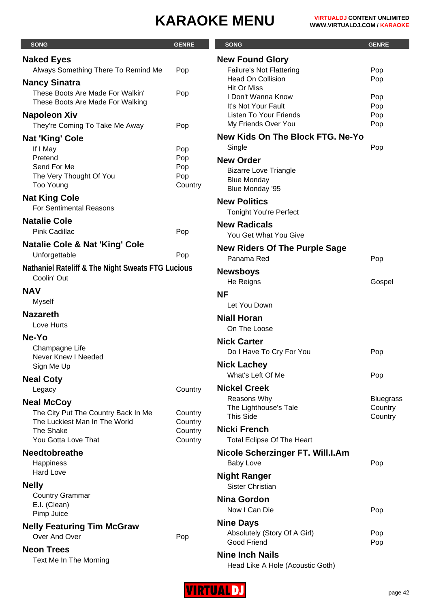| <b>SONG</b>                                                                 | <b>GENRE</b>       | <b>SONG</b>                                        | <b>GENRE</b>                |
|-----------------------------------------------------------------------------|--------------------|----------------------------------------------------|-----------------------------|
| <b>Naked Eyes</b>                                                           |                    | <b>New Found Glory</b>                             |                             |
| Always Something There To Remind Me                                         | Pop                | <b>Failure's Not Flattering</b>                    | Pop                         |
| <b>Nancy Sinatra</b>                                                        |                    | <b>Head On Collision</b>                           | Pop                         |
| These Boots Are Made For Walkin'                                            | Pop                | <b>Hit Or Miss</b><br>I Don't Wanna Know           | Pop                         |
| These Boots Are Made For Walking                                            |                    | It's Not Your Fault                                | Pop                         |
| <b>Napoleon Xiv</b>                                                         |                    | Listen To Your Friends                             | Pop                         |
| They're Coming To Take Me Away                                              | Pop                | My Friends Over You                                | Pop                         |
| <b>Nat 'King' Cole</b>                                                      |                    | New Kids On The Block FTG, Ne-Yo                   |                             |
| If I May<br>Pretend                                                         | Pop<br>Pop         | Single                                             | Pop                         |
| Send For Me                                                                 | Pop                | <b>New Order</b>                                   |                             |
| The Very Thought Of You                                                     | Pop                | <b>Bizarre Love Triangle</b><br><b>Blue Monday</b> |                             |
| <b>Too Young</b>                                                            | Country            | Blue Monday '95                                    |                             |
| <b>Nat King Cole</b>                                                        |                    | <b>New Politics</b>                                |                             |
| <b>For Sentimental Reasons</b>                                              |                    | <b>Tonight You're Perfect</b>                      |                             |
| <b>Natalie Cole</b>                                                         |                    | <b>New Radicals</b>                                |                             |
| <b>Pink Cadillac</b>                                                        | Pop                | You Get What You Give                              |                             |
| <b>Natalie Cole &amp; Nat 'King' Cole</b>                                   |                    | <b>New Riders Of The Purple Sage</b>               |                             |
| Unforgettable                                                               | Pop                | Panama Red                                         | Pop                         |
| <b>Nathaniel Rateliff &amp; The Night Sweats FTG Lucious</b><br>Coolin' Out |                    | <b>Newsboys</b>                                    |                             |
|                                                                             |                    | He Reigns                                          | Gospel                      |
| <b>NAV</b>                                                                  |                    | <b>NF</b>                                          |                             |
| <b>Myself</b>                                                               |                    | Let You Down                                       |                             |
| <b>Nazareth</b><br>Love Hurts                                               |                    | <b>Niall Horan</b>                                 |                             |
| Ne-Yo                                                                       |                    | On The Loose                                       |                             |
| Champagne Life                                                              |                    | <b>Nick Carter</b>                                 |                             |
| Never Knew I Needed                                                         |                    | Do I Have To Cry For You                           | Pop                         |
| Sign Me Up                                                                  |                    | <b>Nick Lachey</b>                                 |                             |
| <b>Neal Coty</b>                                                            |                    | What's Left Of Me                                  | Pop                         |
| Legacy                                                                      | Country            | <b>Nickel Creek</b>                                |                             |
| <b>Neal McCoy</b>                                                           |                    | Reasons Why<br>The Lighthouse's Tale               | <b>Bluegrass</b><br>Country |
| The City Put The Country Back In Me                                         | Country            | This Side                                          | Country                     |
| The Luckiest Man In The World<br>The Shake                                  | Country<br>Country | <b>Nicki French</b>                                |                             |
| You Gotta Love That                                                         | Country            | <b>Total Eclipse Of The Heart</b>                  |                             |
| <b>Needtobreathe</b>                                                        |                    | Nicole Scherzinger FT. Will.I.Am                   |                             |
| Happiness                                                                   |                    | <b>Baby Love</b>                                   | Pop                         |
| <b>Hard Love</b>                                                            |                    | <b>Night Ranger</b>                                |                             |
| <b>Nelly</b>                                                                |                    | <b>Sister Christian</b>                            |                             |
| <b>Country Grammar</b>                                                      |                    | <b>Nina Gordon</b>                                 |                             |
| E.I. (Clean)<br>Pimp Juice                                                  |                    | Now I Can Die                                      | Pop                         |
| <b>Nelly Featuring Tim McGraw</b>                                           |                    | <b>Nine Days</b>                                   |                             |
| Over And Over                                                               | Pop                | Absolutely (Story Of A Girl)                       | Pop                         |
| <b>Neon Trees</b>                                                           |                    | Good Friend                                        | Pop                         |
| Text Me In The Morning                                                      |                    | <b>Nine Inch Nails</b>                             |                             |
|                                                                             |                    | Head Like A Hole (Acoustic Goth)                   |                             |

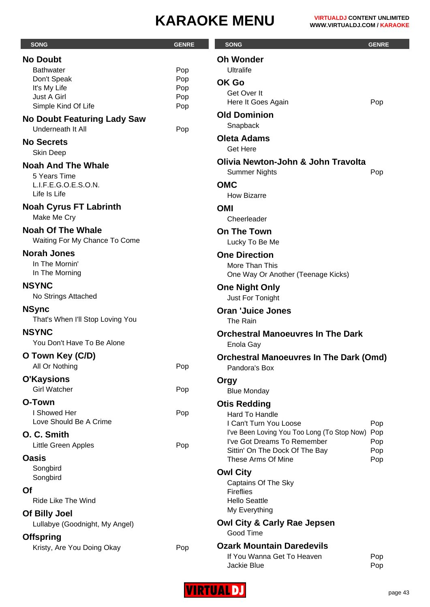| <b>SONG</b>                                                                                  | <b>GENRE</b>                    | <b>SONG</b>                                                                                                                            | <b>GENRE</b>      |
|----------------------------------------------------------------------------------------------|---------------------------------|----------------------------------------------------------------------------------------------------------------------------------------|-------------------|
| <b>No Doubt</b>                                                                              |                                 | <b>Oh Wonder</b>                                                                                                                       |                   |
| <b>Bathwater</b><br>Don't Speak<br>It's My Life<br><b>Just A Girl</b><br>Simple Kind Of Life | Pop<br>Pop<br>Pop<br>Pop<br>Pop | Ultralife<br>OK Go<br>Get Over It<br>Here It Goes Again                                                                                | Pop               |
| <b>No Doubt Featuring Lady Saw</b><br>Underneath It All                                      | Pop                             | <b>Old Dominion</b><br>Snapback                                                                                                        |                   |
| <b>No Secrets</b><br><b>Skin Deep</b>                                                        |                                 | <b>Oleta Adams</b><br><b>Get Here</b>                                                                                                  |                   |
| <b>Noah And The Whale</b><br>5 Years Time<br>L.I.F.E.G.O.E.S.O.N.<br>Life Is Life            |                                 | Olivia Newton-John & John Travolta<br><b>Summer Nights</b><br><b>OMC</b>                                                               | Pop               |
| <b>Noah Cyrus FT Labrinth</b><br>Make Me Cry                                                 |                                 | <b>How Bizarre</b><br><b>OMI</b><br>Cheerleader                                                                                        |                   |
| <b>Noah Of The Whale</b><br>Waiting For My Chance To Come                                    |                                 | <b>On The Town</b><br>Lucky To Be Me                                                                                                   |                   |
| <b>Norah Jones</b><br>In The Mornin'<br>In The Morning                                       |                                 | <b>One Direction</b><br>More Than This<br>One Way Or Another (Teenage Kicks)                                                           |                   |
| <b>NSYNC</b><br>No Strings Attached                                                          |                                 | <b>One Night Only</b><br>Just For Tonight                                                                                              |                   |
| <b>NSync</b><br>That's When I'll Stop Loving You                                             |                                 | <b>Oran 'Juice Jones</b><br>The Rain                                                                                                   |                   |
| <b>NSYNC</b><br>You Don't Have To Be Alone                                                   |                                 | <b>Orchestral Manoeuvres In The Dark</b><br>Enola Gay                                                                                  |                   |
| O Town Key (C/D)<br>All Or Nothing                                                           | Pop                             | <b>Orchestral Manoeuvres In The Dark (Omd)</b><br>Pandora's Box                                                                        |                   |
| O'Kaysions<br><b>Girl Watcher</b>                                                            | Pop                             | Orgy<br><b>Blue Monday</b>                                                                                                             |                   |
| O-Town<br>I Showed Her<br>Love Should Be A Crime                                             | Pop                             | <b>Otis Redding</b><br>Hard To Handle<br>I Can't Turn You Loose                                                                        | Pop               |
| O. C. Smith<br>Little Green Apples<br><b>Oasis</b>                                           | Pop                             | I've Been Loving You Too Long (To Stop Now) Pop<br>I've Got Dreams To Remember<br>Sittin' On The Dock Of The Bay<br>These Arms Of Mine | Pop<br>Pop<br>Pop |
| Songbird<br>Songbird<br><b>Of</b><br>Ride Like The Wind<br>Of Billy Joel                     |                                 | <b>Owl City</b><br>Captains Of The Sky<br><b>Fireflies</b><br><b>Hello Seattle</b><br>My Everything                                    |                   |
| Lullabye (Goodnight, My Angel)<br><b>Offspring</b>                                           |                                 | <b>Owl City &amp; Carly Rae Jepsen</b><br>Good Time                                                                                    |                   |
| Kristy, Are You Doing Okay                                                                   | Pop                             | <b>Ozark Mountain Daredevils</b><br>If You Wanna Get To Heaven<br>Jackie Blue                                                          | Pop<br>Pop        |

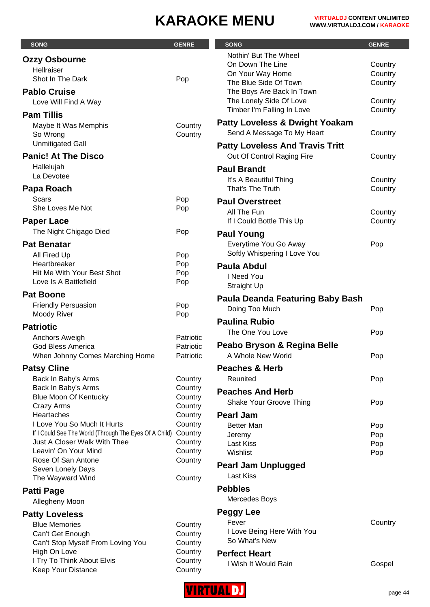| <b>SONG</b>                                                    | <b>GENRE</b>       | <b>SONG</b>                                           | <b>GENRE</b>       |
|----------------------------------------------------------------|--------------------|-------------------------------------------------------|--------------------|
| <b>Ozzy Osbourne</b>                                           |                    | Nothin' But The Wheel                                 |                    |
| Hellraiser                                                     |                    | On Down The Line                                      | Country            |
| Shot In The Dark                                               | Pop                | On Your Way Home                                      | Country            |
|                                                                |                    | The Blue Side Of Town                                 | Country            |
| <b>Pablo Cruise</b>                                            |                    | The Boys Are Back In Town                             |                    |
| Love Will Find A Way                                           |                    | The Lonely Side Of Love<br>Timber I'm Falling In Love | Country<br>Country |
| <b>Pam Tillis</b>                                              |                    |                                                       |                    |
| Maybe It Was Memphis                                           | Country            | <b>Patty Loveless &amp; Dwight Yoakam</b>             |                    |
| So Wrong                                                       | Country            | Send A Message To My Heart                            | Country            |
| <b>Unmitigated Gall</b>                                        |                    | <b>Patty Loveless And Travis Tritt</b>                |                    |
| <b>Panic! At The Disco</b>                                     |                    | Out Of Control Raging Fire                            | Country            |
| Hallelujah                                                     |                    | <b>Paul Brandt</b>                                    |                    |
| La Devotee                                                     |                    | It's A Beautiful Thing                                | Country            |
| Papa Roach                                                     |                    | That's The Truth                                      | Country            |
| <b>Scars</b>                                                   | Pop                |                                                       |                    |
| She Loves Me Not                                               | Pop                | <b>Paul Overstreet</b>                                |                    |
|                                                                |                    | All The Fun                                           | Country            |
| <b>Paper Lace</b>                                              |                    | If I Could Bottle This Up                             | Country            |
| The Night Chigago Died                                         | Pop                | <b>Paul Young</b>                                     |                    |
| <b>Pat Benatar</b>                                             |                    | Everytime You Go Away                                 | Pop                |
| All Fired Up                                                   | Pop                | Softly Whispering I Love You                          |                    |
| Heartbreaker                                                   | Pop                | <b>Paula Abdul</b>                                    |                    |
| Hit Me With Your Best Shot                                     | Pop                | I Need You                                            |                    |
| Love Is A Battlefield                                          | Pop                | Straight Up                                           |                    |
| <b>Pat Boone</b>                                               |                    | <b>Paula Deanda Featuring Baby Bash</b>               |                    |
| <b>Friendly Persuasion</b>                                     | Pop                | Doing Too Much                                        | Pop                |
| <b>Moody River</b>                                             | Pop                |                                                       |                    |
| <b>Patriotic</b>                                               |                    | <b>Paulina Rubio</b>                                  |                    |
| Anchors Aweigh                                                 | Patriotic          | The One You Love                                      | Pop                |
| <b>God Bless America</b>                                       | Patriotic          | Peabo Bryson & Regina Belle                           |                    |
| When Johnny Comes Marching Home                                | Patriotic          | A Whole New World                                     | Pop                |
| <b>Patsy Cline</b>                                             |                    | <b>Peaches &amp; Herb</b>                             |                    |
| Back In Baby's Arms                                            | Country            | Reunited                                              | Pop                |
| Back In Baby's Arms                                            | Country            | <b>Peaches And Herb</b>                               |                    |
| <b>Blue Moon Of Kentucky</b>                                   | Country            |                                                       |                    |
| Crazy Arms                                                     | Country            | Shake Your Groove Thing                               | Pop                |
| Heartaches                                                     | Country            | <b>Pearl Jam</b>                                      |                    |
| I Love You So Much It Hurts                                    | Country            | <b>Better Man</b>                                     | Pop                |
| If I Could See The World (Through The Eyes Of A Child) Country |                    | Jeremy                                                | Pop                |
| Just A Closer Walk With Thee<br>Leavin' On Your Mind           | Country<br>Country | <b>Last Kiss</b>                                      | Pop                |
| Rose Of San Antone                                             | Country            | Wishlist                                              | Pop                |
| Seven Lonely Days                                              |                    | <b>Pearl Jam Unplugged</b>                            |                    |
| The Wayward Wind                                               | Country            | <b>Last Kiss</b>                                      |                    |
| <b>Patti Page</b>                                              |                    | <b>Pebbles</b>                                        |                    |
| Allegheny Moon                                                 |                    | Mercedes Boys                                         |                    |
|                                                                |                    | <b>Peggy Lee</b>                                      |                    |
| <b>Patty Loveless</b>                                          |                    | Fever                                                 | Country            |
| <b>Blue Memories</b>                                           | Country            | I Love Being Here With You                            |                    |
| Can't Get Enough<br>Can't Stop Myself From Loving You          | Country<br>Country | So What's New                                         |                    |
| High On Love                                                   | Country            | <b>Perfect Heart</b>                                  |                    |
| I Try To Think About Elvis                                     | Country            |                                                       |                    |
| Keep Your Distance                                             | Country            | I Wish It Would Rain                                  | Gospel             |
|                                                                |                    |                                                       |                    |

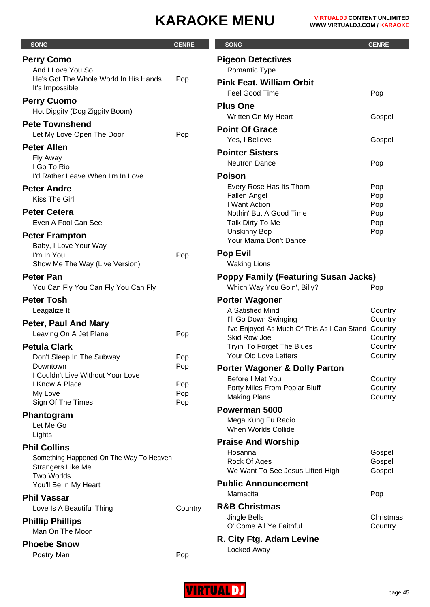| <b>SONG</b>                                                                                                                | <b>GENRE</b>             | <b>SONG</b>                                                                                                                 | <b>GENRE</b>                  |
|----------------------------------------------------------------------------------------------------------------------------|--------------------------|-----------------------------------------------------------------------------------------------------------------------------|-------------------------------|
| <b>Perry Como</b><br>And I Love You So<br>He's Got The Whole World In His Hands                                            | Pop                      | <b>Pigeon Detectives</b><br><b>Romantic Type</b>                                                                            |                               |
| It's Impossible<br><b>Perry Cuomo</b>                                                                                      |                          | <b>Pink Feat. William Orbit</b><br>Feel Good Time                                                                           | Pop                           |
| Hot Diggity (Dog Ziggity Boom)                                                                                             |                          | <b>Plus One</b><br>Written On My Heart                                                                                      | Gospel                        |
| <b>Pete Townshend</b><br>Let My Love Open The Door                                                                         | Pop                      | <b>Point Of Grace</b><br>Yes, I Believe                                                                                     | Gospel                        |
| <b>Peter Allen</b><br>Fly Away<br>I Go To Rio<br>I'd Rather Leave When I'm In Love                                         |                          | <b>Pointer Sisters</b><br><b>Neutron Dance</b><br><b>Poison</b>                                                             | Pop                           |
| <b>Peter Andre</b><br><b>Kiss The Girl</b>                                                                                 |                          | Every Rose Has Its Thorn<br>Fallen Angel<br>I Want Action                                                                   | Pop<br>Pop<br>Pop             |
| <b>Peter Cetera</b><br>Even A Fool Can See                                                                                 |                          | Nothin' But A Good Time<br>Talk Dirty To Me<br><b>Unskinny Bop</b>                                                          | Pop<br>Pop<br>Pop             |
| <b>Peter Frampton</b><br>Baby, I Love Your Way<br>I'm In You<br>Show Me The Way (Live Version)                             | Pop                      | Your Mama Don't Dance<br><b>Pop Evil</b><br><b>Waking Lions</b>                                                             |                               |
| <b>Peter Pan</b><br>You Can Fly You Can Fly You Can Fly                                                                    |                          | <b>Poppy Family (Featuring Susan Jacks)</b><br>Which Way You Goin', Billy?                                                  | Pop                           |
| <b>Peter Tosh</b><br>Leagalize It                                                                                          |                          | <b>Porter Wagoner</b><br>A Satisfied Mind                                                                                   | Country                       |
| Peter, Paul And Mary<br>Leaving On A Jet Plane                                                                             | Pop                      | I'll Go Down Swinging<br>I've Enjoyed As Much Of This As I Can Stand<br>Skid Row Joe                                        | Country<br>Country<br>Country |
| <b>Petula Clark</b><br>Don't Sleep In The Subway                                                                           | Pop                      | Tryin' To Forget The Blues<br>Your Old Love Letters                                                                         | Country<br>Country            |
| Downtown<br>I Couldn't Live Without Your Love<br>I Know A Place<br>My Love<br>Sign Of The Times                            | Pop<br>Pop<br>Pop<br>Pop | <b>Porter Wagoner &amp; Dolly Parton</b><br><b>Before I Met You</b><br>Forty Miles From Poplar Bluff<br><b>Making Plans</b> | Country<br>Country<br>Country |
| Phantogram<br>Let Me Go<br>Lights                                                                                          |                          | Powerman 5000<br>Mega Kung Fu Radio<br>When Worlds Collide                                                                  |                               |
| <b>Phil Collins</b><br>Something Happened On The Way To Heaven<br>Strangers Like Me<br>Two Worlds<br>You'll Be In My Heart |                          | <b>Praise And Worship</b><br>Hosanna<br>Rock Of Ages<br>We Want To See Jesus Lifted High<br><b>Public Announcement</b>      | Gospel<br>Gospel<br>Gospel    |
| <b>Phil Vassar</b>                                                                                                         |                          | Mamacita                                                                                                                    | Pop                           |
| Love Is A Beautiful Thing<br><b>Phillip Phillips</b><br>Man On The Moon                                                    | Country                  | <b>R&amp;B Christmas</b><br>Jingle Bells<br>O' Come All Ye Faithful                                                         | Christmas<br>Country          |
| <b>Phoebe Snow</b><br>Poetry Man                                                                                           | Pop                      | R. City Ftg. Adam Levine<br>Locked Away                                                                                     |                               |

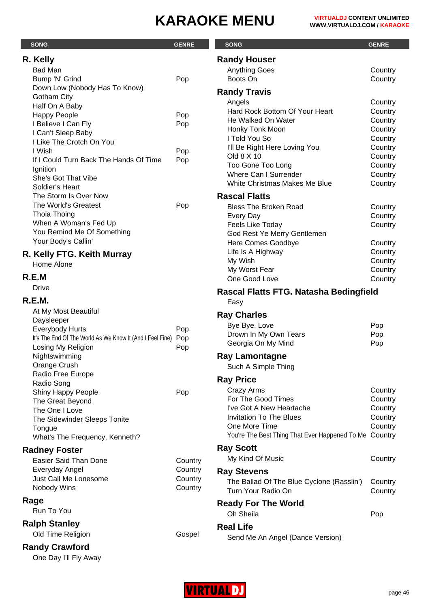| <b>SONG</b>                                               | <b>GENRE</b> | <b>SONG</b>                                                     | <b>GENRE</b>       |
|-----------------------------------------------------------|--------------|-----------------------------------------------------------------|--------------------|
|                                                           |              |                                                                 |                    |
| R. Kelly<br><b>Bad Man</b>                                |              | <b>Randy Houser</b>                                             |                    |
| Bump 'N' Grind                                            | Pop          | <b>Anything Goes</b><br>Boots On                                | Country<br>Country |
| Down Low (Nobody Has To Know)                             |              |                                                                 |                    |
| <b>Gotham City</b>                                        |              | <b>Randy Travis</b>                                             |                    |
| Half On A Baby                                            |              | Angels                                                          | Country            |
| Happy People                                              | Pop          | Hard Rock Bottom Of Your Heart                                  | Country            |
| I Believe I Can Fly                                       | Pop          | He Walked On Water                                              | Country            |
| I Can't Sleep Baby                                        |              | Honky Tonk Moon                                                 | Country            |
| I Like The Crotch On You                                  |              | I Told You So                                                   | Country            |
| I Wish                                                    | Pop          | I'll Be Right Here Loving You                                   | Country            |
| If I Could Turn Back The Hands Of Time                    | Pop          | Old 8 X 10                                                      | Country            |
| Ignition                                                  |              | Too Gone Too Long<br>Where Can I Surrender                      | Country<br>Country |
| <b>She's Got That Vibe</b>                                |              | White Christmas Makes Me Blue                                   | Country            |
| Soldier's Heart                                           |              |                                                                 |                    |
| The Storm Is Over Now                                     |              | <b>Rascal Flatts</b>                                            |                    |
| The World's Greatest                                      | Pop          | <b>Bless The Broken Road</b>                                    | Country            |
| Thoia Thoing                                              |              | Every Day                                                       | Country            |
| When A Woman's Fed Up                                     |              | Feels Like Today                                                | Country            |
| You Remind Me Of Something<br>Your Body's Callin'         |              | God Rest Ye Merry Gentlemen                                     |                    |
|                                                           |              | Here Comes Goodbye                                              | Country            |
| R. Kelly FTG. Keith Murray                                |              | Life Is A Highway                                               | Country            |
| Home Alone                                                |              | My Wish<br>My Worst Fear                                        | Country<br>Country |
| R.E.M                                                     |              | One Good Love                                                   | Country            |
| <b>Drive</b>                                              |              |                                                                 |                    |
| R.E.M.                                                    |              | Rascal Flatts FTG. Natasha Bedingfield<br>Easy                  |                    |
| At My Most Beautiful                                      |              |                                                                 |                    |
| Daysleeper                                                |              | <b>Ray Charles</b>                                              |                    |
| <b>Everybody Hurts</b>                                    | Pop          | Bye Bye, Love                                                   | Pop                |
| It's The End Of The World As We Know It (And I Feel Fine) | Pop          | Drown In My Own Tears                                           | Pop                |
| Losing My Religion                                        | Pop          | Georgia On My Mind                                              | Pop                |
| Nightswimming                                             |              | <b>Ray Lamontagne</b>                                           |                    |
| Orange Crush                                              |              | Such A Simple Thing                                             |                    |
| Radio Free Europe                                         |              | <b>Ray Price</b>                                                |                    |
| Radio Song                                                |              | <b>Crazy Arms</b>                                               | Country            |
| Shiny Happy People                                        | Pop          | For The Good Times                                              | Country            |
| The Great Beyond<br>The One I Love                        |              | I've Got A New Heartache                                        | Country            |
| The Sidewinder Sleeps Tonite                              |              | <b>Invitation To The Blues</b>                                  | Country            |
| Tongue                                                    |              | One More Time                                                   | Country            |
| What's The Frequency, Kenneth?                            |              | You're The Best Thing That Ever Happened To Me Country          |                    |
| <b>Radney Foster</b>                                      |              | <b>Ray Scott</b>                                                |                    |
| Easier Said Than Done                                     | Country      | My Kind Of Music                                                | Country            |
| Everyday Angel                                            | Country      | <b>Ray Stevens</b>                                              |                    |
| Just Call Me Lonesome                                     | Country      |                                                                 |                    |
| Nobody Wins                                               | Country      | The Ballad Of The Blue Cyclone (Rasslin')<br>Turn Your Radio On | Country<br>Country |
| Rage                                                      |              | <b>Ready For The World</b>                                      |                    |
| Run To You                                                |              | Oh Sheila                                                       | Pop                |
| <b>Ralph Stanley</b>                                      |              | <b>Real Life</b>                                                |                    |
| Old Time Religion                                         | Gospel       | Send Me An Angel (Dance Version)                                |                    |
| <b>Randy Crawford</b>                                     |              |                                                                 |                    |

One Day I'll Fly Away

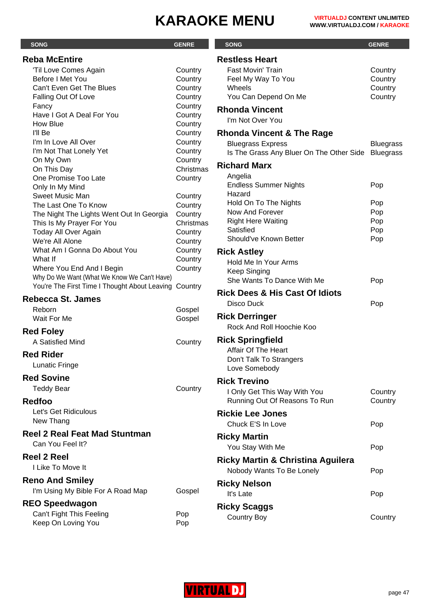| <b>SONG</b>                                                                                                                                                                  | <b>GENRE</b>                                                     | <b>SONG</b>                                                                                                                                  | <b>GENRE</b>                         |
|------------------------------------------------------------------------------------------------------------------------------------------------------------------------------|------------------------------------------------------------------|----------------------------------------------------------------------------------------------------------------------------------------------|--------------------------------------|
| <b>Reba McEntire</b>                                                                                                                                                         |                                                                  | <b>Restless Heart</b>                                                                                                                        |                                      |
| 'Til Love Comes Again<br>Before I Met You<br>Can't Even Get The Blues                                                                                                        | Country<br>Country<br>Country                                    | Fast Movin' Train<br>Feel My Way To You<br>Wheels                                                                                            | Country<br>Country<br>Country        |
| Falling Out Of Love<br>Fancy<br>Have I Got A Deal For You<br>How Blue                                                                                                        | Country<br>Country<br>Country                                    | You Can Depend On Me<br><b>Rhonda Vincent</b><br>I'm Not Over You                                                                            | Country                              |
| I'll Be<br>I'm In Love All Over<br>I'm Not That Lonely Yet<br>On My Own<br>On This Day                                                                                       | Country<br>Country<br>Country<br>Country<br>Country<br>Christmas | <b>Rhonda Vincent &amp; The Rage</b><br><b>Bluegrass Express</b><br>Is The Grass Any Bluer On The Other Side<br><b>Richard Marx</b>          | <b>Bluegrass</b><br><b>Bluegrass</b> |
| One Promise Too Late<br>Only In My Mind<br>Sweet Music Man                                                                                                                   | Country<br>Country                                               | Angelia<br><b>Endless Summer Nights</b><br>Hazard                                                                                            | Pop                                  |
| The Last One To Know<br>The Night The Lights Went Out In Georgia<br>This Is My Prayer For You<br>Today All Over Again<br>We're All Alone                                     | Country<br>Country<br>Christmas<br>Country<br>Country            | Hold On To The Nights<br>Now And Forever<br><b>Right Here Waiting</b><br>Satisfied<br>Should've Known Better                                 | Pop<br>Pop<br>Pop<br>Pop<br>Pop      |
| What Am I Gonna Do About You<br>What If<br>Where You End And I Begin<br>Why Do We Want (What We Know We Can't Have)<br>You're The First Time I Thought About Leaving Country | Country<br>Country<br>Country                                    | <b>Rick Astley</b><br>Hold Me In Your Arms<br><b>Keep Singing</b><br>She Wants To Dance With Me<br><b>Rick Dees &amp; His Cast Of Idiots</b> | Pop                                  |
| <b>Rebecca St. James</b><br>Reborn<br>Wait For Me                                                                                                                            | Gospel<br>Gospel                                                 | <b>Disco Duck</b><br><b>Rick Derringer</b><br>Rock And Roll Hoochie Koo                                                                      | Pop                                  |
| <b>Red Foley</b><br>A Satisfied Mind<br><b>Red Rider</b><br>Lunatic Fringe                                                                                                   | Country                                                          | <b>Rick Springfield</b><br>Affair Of The Heart<br>Don't Talk To Strangers<br>Love Somebody                                                   |                                      |
| <b>Red Sovine</b><br><b>Teddy Bear</b><br><b>Redfoo</b>                                                                                                                      | Country                                                          | <b>Rick Trevino</b><br>I Only Get This Way With You<br>Running Out Of Reasons To Run                                                         | Country<br>Country                   |
| Let's Get Ridiculous<br>New Thang                                                                                                                                            |                                                                  | <b>Rickie Lee Jones</b><br>Chuck E'S In Love                                                                                                 | Pop                                  |
| <b>Reel 2 Real Feat Mad Stuntman</b><br>Can You Feel It?                                                                                                                     |                                                                  | <b>Ricky Martin</b><br>You Stay With Me                                                                                                      | Pop                                  |
| <b>Reel 2 Reel</b><br>I Like To Move It                                                                                                                                      |                                                                  | <b>Ricky Martin &amp; Christina Aguilera</b><br>Nobody Wants To Be Lonely                                                                    | Pop                                  |
| <b>Reno And Smiley</b><br>I'm Using My Bible For A Road Map                                                                                                                  | Gospel                                                           | <b>Ricky Nelson</b><br>It's Late                                                                                                             | Pop                                  |
| <b>REO Speedwagon</b><br>Can't Fight This Feeling<br>Keep On Loving You                                                                                                      | Pop<br>Pop                                                       | <b>Ricky Scaggs</b><br><b>Country Boy</b>                                                                                                    | Country                              |

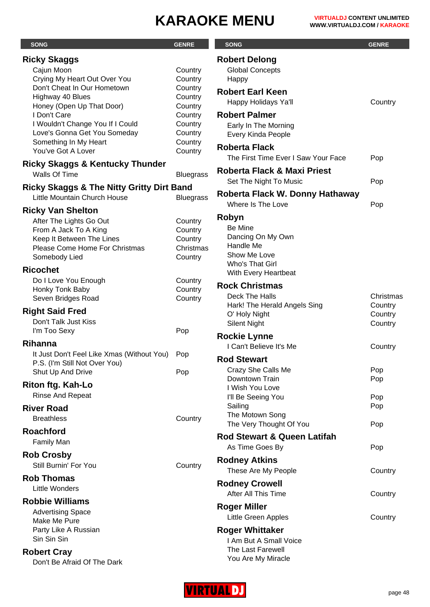| <b>SONG</b>                                          | <b>GENRE</b>       | <b>SONG</b>                             | <b>GENRE</b> |
|------------------------------------------------------|--------------------|-----------------------------------------|--------------|
| <b>Ricky Skaggs</b>                                  |                    | <b>Robert Delong</b>                    |              |
| Cajun Moon                                           | Country            | <b>Global Concepts</b>                  |              |
| Crying My Heart Out Over You                         | Country            | Happy                                   |              |
| Don't Cheat In Our Hometown                          | Country            | <b>Robert Earl Keen</b>                 |              |
| Highway 40 Blues                                     | Country            | Happy Holidays Ya'll                    |              |
| Honey (Open Up That Door)                            | Country            |                                         | Country      |
| I Don't Care                                         | Country            | <b>Robert Palmer</b>                    |              |
| I Wouldn't Change You If I Could                     | Country            | Early In The Morning                    |              |
| Love's Gonna Get You Someday                         | Country            | <b>Every Kinda People</b>               |              |
| Something In My Heart<br>You've Got A Lover          | Country<br>Country | <b>Roberta Flack</b>                    |              |
|                                                      |                    | The First Time Ever I Saw Your Face     | Pop          |
| <b>Ricky Skaggs &amp; Kentucky Thunder</b>           |                    | Roberta Flack & Maxi Priest             |              |
| <b>Walls Of Time</b>                                 | <b>Bluegrass</b>   | Set The Night To Music                  | Pop          |
| <b>Ricky Skaggs &amp; The Nitty Gritty Dirt Band</b> |                    |                                         |              |
| Little Mountain Church House                         | <b>Bluegrass</b>   | Roberta Flack W. Donny Hathaway         |              |
| <b>Ricky Van Shelton</b>                             |                    | Where Is The Love                       | Pop          |
| After The Lights Go Out                              | Country            | Robyn                                   |              |
| From A Jack To A King                                | Country            | Be Mine                                 |              |
| Keep It Between The Lines                            | Country            | Dancing On My Own                       |              |
| Please Come Home For Christmas                       | Christmas          | Handle Me                               |              |
| Somebody Lied                                        | Country            | Show Me Love                            |              |
| <b>Ricochet</b>                                      |                    | Who's That Girl                         |              |
| Do I Love You Enough                                 | Country            | With Every Heartbeat                    |              |
| Honky Tonk Baby                                      | Country            | <b>Rock Christmas</b>                   |              |
| Seven Bridges Road                                   | Country            | Deck The Halls                          | Christmas    |
|                                                      |                    | Hark! The Herald Angels Sing            | Country      |
| <b>Right Said Fred</b>                               |                    | O' Holy Night                           | Country      |
| Don't Talk Just Kiss                                 |                    | <b>Silent Night</b>                     | Country      |
| I'm Too Sexy                                         | Pop                | <b>Rockie Lynne</b>                     |              |
| <b>Rihanna</b>                                       |                    | I Can't Believe It's Me                 | Country      |
| It Just Don't Feel Like Xmas (Without You)           | Pop                | <b>Rod Stewart</b>                      |              |
| P.S. (I'm Still Not Over You)                        |                    | Crazy She Calls Me                      | Pop          |
| Shut Up And Drive                                    | Pop                | Downtown Train                          | Pop          |
| <b>Riton ftg. Kah-Lo</b>                             |                    | I Wish You Love                         |              |
| Rinse And Repeat                                     |                    | I'll Be Seeing You                      | Pop          |
| <b>River Road</b>                                    |                    | Sailing                                 | Pop          |
| <b>Breathless</b>                                    | Country            | The Motown Song                         |              |
|                                                      |                    | The Very Thought Of You                 | Pop          |
| <b>Roachford</b>                                     |                    | Rod Stewart & Queen Latifah             |              |
| Family Man                                           |                    | As Time Goes By                         | Pop          |
| <b>Rob Crosby</b>                                    |                    |                                         |              |
| Still Burnin' For You                                | Country            | <b>Rodney Atkins</b>                    |              |
| <b>Rob Thomas</b>                                    |                    | These Are My People                     | Country      |
| <b>Little Wonders</b>                                |                    | <b>Rodney Crowell</b>                   |              |
|                                                      |                    | After All This Time                     | Country      |
| <b>Robbie Williams</b>                               |                    | <b>Roger Miller</b>                     |              |
| <b>Advertising Space</b>                             |                    | Little Green Apples                     | Country      |
| Make Me Pure                                         |                    |                                         |              |
| Party Like A Russian<br>Sin Sin Sin                  |                    | <b>Roger Whittaker</b>                  |              |
|                                                      |                    | I Am But A Small Voice                  |              |
| <b>Robert Cray</b>                                   |                    | The Last Farewell<br>You Are My Miracle |              |
| Don't Be Afraid Of The Dark                          |                    |                                         |              |

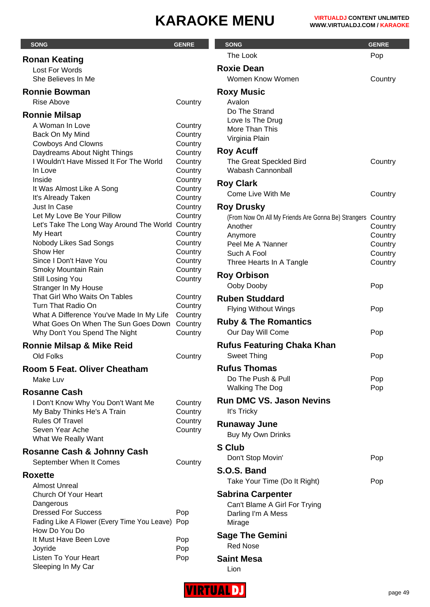| <b>SONG</b>                                                                    | <b>GENRE</b>       | <b>SONG</b>                                                 | <b>GENRE</b>       |
|--------------------------------------------------------------------------------|--------------------|-------------------------------------------------------------|--------------------|
| <b>Ronan Keating</b>                                                           |                    | The Look                                                    | Pop                |
| Lost For Words                                                                 |                    | <b>Roxie Dean</b>                                           |                    |
| She Believes In Me                                                             |                    | Women Know Women                                            | Country            |
| <b>Ronnie Bowman</b>                                                           |                    | <b>Roxy Music</b>                                           |                    |
| <b>Rise Above</b>                                                              | Country            | Avalon                                                      |                    |
| <b>Ronnie Milsap</b>                                                           |                    | Do The Strand                                               |                    |
| A Woman In Love                                                                | Country            | Love Is The Drug<br>More Than This                          |                    |
| Back On My Mind                                                                | Country            | Virginia Plain                                              |                    |
| <b>Cowboys And Clowns</b>                                                      | Country            |                                                             |                    |
| Daydreams About Night Things<br>I Wouldn't Have Missed It For The World        | Country            | <b>Roy Acuff</b>                                            |                    |
| In Love                                                                        | Country<br>Country | The Great Speckled Bird<br>Wabash Cannonball                | Country            |
| Inside                                                                         | Country            |                                                             |                    |
| It Was Almost Like A Song                                                      | Country            | <b>Roy Clark</b>                                            |                    |
| It's Already Taken                                                             | Country            | Come Live With Me                                           | Country            |
| Just In Case                                                                   | Country            | <b>Roy Drusky</b>                                           |                    |
| Let My Love Be Your Pillow<br>Let's Take The Long Way Around The World Country | Country            | (From Now On All My Friends Are Gonna Be) Strangers Country |                    |
| My Heart                                                                       | Country            | Another<br>Anymore                                          | Country<br>Country |
| Nobody Likes Sad Songs                                                         | Country            | Peel Me A 'Nanner                                           | Country            |
| Show Her                                                                       | Country            | Such A Fool                                                 | Country            |
| Since I Don't Have You                                                         | Country            | Three Hearts In A Tangle                                    | Country            |
| Smoky Mountain Rain                                                            | Country            | <b>Roy Orbison</b>                                          |                    |
| Still Losing You<br>Stranger In My House                                       | Country            | Ooby Dooby                                                  | Pop                |
| That Girl Who Waits On Tables                                                  | Country            | <b>Ruben Studdard</b>                                       |                    |
| Turn That Radio On                                                             | Country            | <b>Flying Without Wings</b>                                 | Pop                |
| What A Difference You've Made In My Life                                       | Country            |                                                             |                    |
| What Goes On When The Sun Goes Down                                            | Country            | <b>Ruby &amp; The Romantics</b>                             |                    |
| Why Don't You Spend The Night                                                  | Country            | Our Day Will Come                                           | Pop                |
| <b>Ronnie Milsap &amp; Mike Reid</b>                                           |                    | <b>Rufus Featuring Chaka Khan</b>                           |                    |
| Old Folks                                                                      | Country            | <b>Sweet Thing</b>                                          | Pop                |
| Room 5 Feat. Oliver Cheatham                                                   |                    | <b>Rufus Thomas</b>                                         |                    |
| Make Luv                                                                       |                    | Do The Push & Pull                                          | Pop                |
| <b>Rosanne Cash</b>                                                            |                    | <b>Walking The Dog</b>                                      | Pop                |
| I Don't Know Why You Don't Want Me                                             | Country            | <b>Run DMC VS. Jason Nevins</b>                             |                    |
| My Baby Thinks He's A Train                                                    | Country            | It's Tricky                                                 |                    |
| <b>Rules Of Travel</b>                                                         | Country            | <b>Runaway June</b>                                         |                    |
| Seven Year Ache<br>What We Really Want                                         | Country            | Buy My Own Drinks                                           |                    |
|                                                                                |                    | <b>S Club</b>                                               |                    |
| <b>Rosanne Cash &amp; Johnny Cash</b>                                          |                    | Don't Stop Movin'                                           | Pop                |
| September When It Comes                                                        | Country            | S.O.S. Band                                                 |                    |
| <b>Roxette</b>                                                                 |                    | Take Your Time (Do It Right)                                | Pop                |
| <b>Almost Unreal</b>                                                           |                    |                                                             |                    |
| Church Of Your Heart<br>Dangerous                                              |                    | <b>Sabrina Carpenter</b>                                    |                    |
| <b>Dressed For Success</b>                                                     | Pop                | Can't Blame A Girl For Trying<br>Darling I'm A Mess         |                    |
| Fading Like A Flower (Every Time You Leave) Pop                                |                    | Mirage                                                      |                    |
| How Do You Do                                                                  |                    | <b>Sage The Gemini</b>                                      |                    |
| It Must Have Been Love                                                         | Pop                | <b>Red Nose</b>                                             |                    |
| Joyride<br>Listen To Your Heart                                                | Pop<br>Pop         | <b>Saint Mesa</b>                                           |                    |
| Sleeping In My Car                                                             |                    | Lion                                                        |                    |

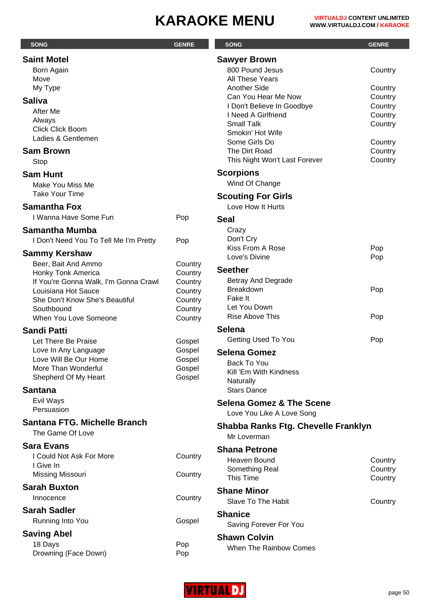| <b>SONG</b>                                                  | <b>GENRE</b>       | <b>SONG</b>                                | <b>GENRE</b>       |
|--------------------------------------------------------------|--------------------|--------------------------------------------|--------------------|
| <b>Saint Motel</b>                                           |                    | <b>Sawyer Brown</b>                        |                    |
| Born Again<br>Move                                           |                    | 800 Pound Jesus<br>All These Years         | Country            |
| My Type                                                      |                    | <b>Another Side</b><br>Can You Hear Me Now | Country<br>Country |
| <b>Saliva</b>                                                |                    | I Don't Believe In Goodbye                 | Country            |
| After Me                                                     |                    | I Need A Girlfriend                        | Country            |
| Always<br><b>Click Click Boom</b>                            |                    | <b>Small Talk</b>                          | Country            |
| Ladies & Gentlemen                                           |                    | Smokin' Hot Wife                           |                    |
| <b>Sam Brown</b>                                             |                    | Some Girls Do<br>The Dirt Road             | Country            |
| Stop                                                         |                    | This Night Won't Last Forever              | Country<br>Country |
|                                                              |                    | <b>Scorpions</b>                           |                    |
| <b>Sam Hunt</b>                                              |                    | Wind Of Change                             |                    |
| Make You Miss Me<br><b>Take Your Time</b>                    |                    |                                            |                    |
|                                                              |                    | <b>Scouting For Girls</b>                  |                    |
| <b>Samantha Fox</b><br>I Wanna Have Some Fun                 |                    | Love How It Hurts                          |                    |
|                                                              | Pop                | <b>Seal</b>                                |                    |
| <b>Samantha Mumba</b>                                        |                    | Crazy                                      |                    |
| I Don't Need You To Tell Me I'm Pretty                       | Pop                | Don't Cry<br>Kiss From A Rose              | Pop                |
| <b>Sammy Kershaw</b>                                         |                    | Love's Divine                              | Pop                |
| Beer, Bait And Ammo                                          | Country            | <b>Seether</b>                             |                    |
| Honky Tonk America                                           | Country            | <b>Betray And Degrade</b>                  |                    |
| If You're Gonna Walk, I'm Gonna Crawl<br>Louisiana Hot Sauce | Country<br>Country | <b>Breakdown</b>                           | Pop                |
| She Don't Know She's Beautiful                               | Country            | Fake It                                    |                    |
| Southbound                                                   | Country            | Let You Down                               |                    |
| When You Love Someone                                        | Country            | <b>Rise Above This</b>                     | Pop                |
| <b>Sandi Patti</b>                                           |                    | <b>Selena</b>                              |                    |
| Let There Be Praise                                          | Gospel             | Getting Used To You                        | Pop                |
| Love In Any Language                                         | Gospel             | <b>Selena Gomez</b>                        |                    |
| Love Will Be Our Home                                        | Gospel             | <b>Back To You</b>                         |                    |
| More Than Wonderful                                          | Gospel             | Kill 'Em With Kindness                     |                    |
| Shepherd Of My Heart                                         | Gospel             | Naturally                                  |                    |
| <b>Santana</b>                                               |                    | <b>Stars Dance</b>                         |                    |
| Evil Ways                                                    |                    | <b>Selena Gomez &amp; The Scene</b>        |                    |
| Persuasion                                                   |                    | Love You Like A Love Song                  |                    |
| Santana FTG. Michelle Branch                                 |                    | Shabba Ranks Ftg. Chevelle Franklyn        |                    |
| The Game Of Love                                             |                    | Mr Loverman                                |                    |
| <b>Sara Evans</b>                                            |                    | <b>Shana Petrone</b>                       |                    |
| I Could Not Ask For More                                     | Country            | Heaven Bound                               | Country            |
| I Give In<br>Missing Missouri                                | Country            | Something Real                             | Country            |
|                                                              |                    | This Time                                  | Country            |
| <b>Sarah Buxton</b>                                          |                    | <b>Shane Minor</b>                         |                    |
| Innocence                                                    | Country            | <b>Slave To The Habit</b>                  | Country            |
| <b>Sarah Sadler</b>                                          |                    | <b>Shanice</b>                             |                    |
| Running Into You                                             | Gospel             | Saving Forever For You                     |                    |
| <b>Saving Abel</b>                                           |                    | <b>Shawn Colvin</b>                        |                    |
| 18 Days                                                      | Pop                | When The Rainbow Comes                     |                    |
| Drowning (Face Down)                                         | Pop                |                                            |                    |

**VIRTUAL DJ**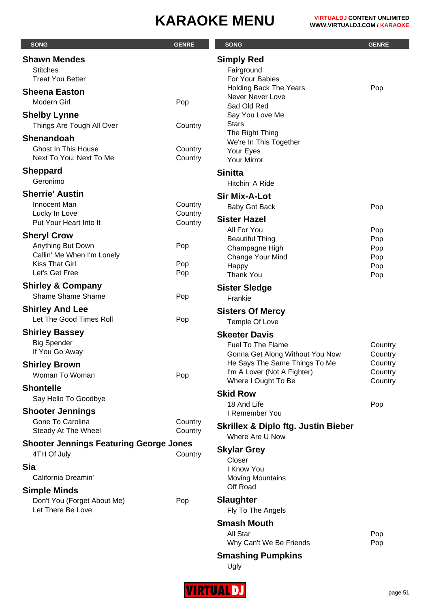| <b>SONG</b>                                                                                                      | <b>GENRE</b>                  | <b>SONG</b>                                                                                                                                                                | <b>GENRE</b>                                        |
|------------------------------------------------------------------------------------------------------------------|-------------------------------|----------------------------------------------------------------------------------------------------------------------------------------------------------------------------|-----------------------------------------------------|
| <b>Shawn Mendes</b><br><b>Stitches</b><br><b>Treat You Better</b>                                                |                               | <b>Simply Red</b><br>Fairground<br>For Your Babies                                                                                                                         |                                                     |
| <b>Sheena Easton</b><br>Modern Girl                                                                              | Pop                           | <b>Holding Back The Years</b><br>Never Never Love<br>Sad Old Red                                                                                                           | Pop                                                 |
| <b>Shelby Lynne</b><br>Things Are Tough All Over<br><b>Shenandoah</b><br><b>Ghost In This House</b>              | Country<br>Country            | Say You Love Me<br><b>Stars</b><br>The Right Thing<br>We're In This Together<br>Your Eyes                                                                                  |                                                     |
| Next To You, Next To Me<br><b>Sheppard</b><br>Geronimo                                                           | Country                       | Your Mirror<br><b>Sinitta</b><br>Hitchin' A Ride                                                                                                                           |                                                     |
| <b>Sherrie' Austin</b><br>Innocent Man<br>Lucky In Love<br>Put Your Heart Into It                                | Country<br>Country<br>Country | <b>Sir Mix-A-Lot</b><br><b>Baby Got Back</b><br><b>Sister Hazel</b>                                                                                                        | Pop                                                 |
| <b>Sheryl Crow</b><br>Anything But Down<br>Callin' Me When I'm Lonely<br><b>Kiss That Girl</b><br>Let's Get Free | Pop<br>Pop<br>Pop             | All For You<br><b>Beautiful Thing</b><br>Champagne High<br>Change Your Mind<br>Happy<br><b>Thank You</b>                                                                   | Pop<br>Pop<br>Pop<br>Pop<br>Pop<br>Pop              |
| <b>Shirley &amp; Company</b><br><b>Shame Shame Shame</b>                                                         | Pop                           | <b>Sister Sledge</b><br>Frankie                                                                                                                                            |                                                     |
| <b>Shirley And Lee</b><br>Let The Good Times Roll                                                                | Pop                           | <b>Sisters Of Mercy</b><br>Temple Of Love                                                                                                                                  |                                                     |
| <b>Shirley Bassey</b><br><b>Big Spender</b><br>If You Go Away<br><b>Shirley Brown</b><br>Woman To Woman          | Pop                           | <b>Skeeter Davis</b><br><b>Fuel To The Flame</b><br>Gonna Get Along Without You Now<br>He Says The Same Things To Me<br>I'm A Lover (Not A Fighter)<br>Where I Ought To Be | Country<br>Country<br>Country<br>Country<br>Country |
| <b>Shontelle</b><br>Say Hello To Goodbye                                                                         |                               | <b>Skid Row</b><br>18 And Life                                                                                                                                             | Pop                                                 |
| <b>Shooter Jennings</b><br>Gone To Carolina<br>Steady At The Wheel                                               | Country<br>Country            | I Remember You<br><b>Skrillex &amp; Diplo ftg. Justin Bieber</b>                                                                                                           |                                                     |
| <b>Shooter Jennings Featuring George Jones</b><br>4TH Of July                                                    | Country                       | Where Are U Now<br><b>Skylar Grey</b><br>Closer                                                                                                                            |                                                     |
| Sia<br>California Dreamin'                                                                                       |                               | I Know You<br><b>Moving Mountains</b><br>Off Road                                                                                                                          |                                                     |
| <b>Simple Minds</b><br>Don't You (Forget About Me)<br>Let There Be Love                                          | Pop                           | <b>Slaughter</b><br>Fly To The Angels                                                                                                                                      |                                                     |
|                                                                                                                  |                               | <b>Smash Mouth</b><br>All Star<br>Why Can't We Be Friends                                                                                                                  | Pop<br>Pop                                          |



Ugly

**Smashing Pumpkins**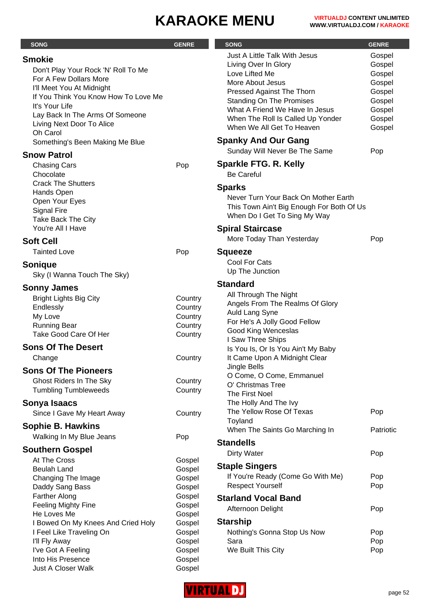#### **[WWW.VIRTUALDJ.COM / KARAOKE](http://www.virtualdj.com/karaoke)**

| <b>SONG</b>                                        | <b>GENRE</b>     | <b>SONG</b>                                                  | <b>GENRE</b> |
|----------------------------------------------------|------------------|--------------------------------------------------------------|--------------|
|                                                    |                  | <b>Just A Little Talk With Jesus</b>                         | Gospel       |
| <b>Smokie</b>                                      |                  | Living Over In Glory                                         | Gospel       |
| Don't Play Your Rock 'N' Roll To Me                |                  | Love Lifted Me                                               | Gospel       |
| For A Few Dollars More                             |                  | More About Jesus                                             | Gospel       |
| I'll Meet You At Midnight                          |                  | Pressed Against The Thorn                                    | Gospel       |
| If You Think You Know How To Love Me               |                  | <b>Standing On The Promises</b>                              | Gospel       |
| It's Your Life                                     |                  | What A Friend We Have In Jesus                               | Gospel       |
| Lay Back In The Arms Of Someone                    |                  | When The Roll Is Called Up Yonder                            | Gospel       |
| Living Next Door To Alice<br>Oh Carol              |                  | When We All Get To Heaven                                    | Gospel       |
| Something's Been Making Me Blue                    |                  | <b>Spanky And Our Gang</b>                                   |              |
| <b>Snow Patrol</b>                                 |                  | Sunday Will Never Be The Same                                | Pop          |
| <b>Chasing Cars</b>                                | Pop              | Sparkle FTG. R. Kelly                                        |              |
| Chocolate                                          |                  | <b>Be Careful</b>                                            |              |
| <b>Crack The Shutters</b>                          |                  |                                                              |              |
| Hands Open                                         |                  | <b>Sparks</b>                                                |              |
| Open Your Eyes                                     |                  | Never Turn Your Back On Mother Earth                         |              |
| Signal Fire                                        |                  | This Town Ain't Big Enough For Both Of Us                    |              |
| <b>Take Back The City</b>                          |                  | When Do I Get To Sing My Way                                 |              |
| You're All I Have                                  |                  | <b>Spiral Staircase</b>                                      |              |
| <b>Soft Cell</b>                                   |                  | More Today Than Yesterday                                    | Pop          |
| <b>Tainted Love</b>                                | Pop              | <b>Squeeze</b>                                               |              |
| <b>Sonique</b>                                     |                  | Cool For Cats                                                |              |
| Sky (I Wanna Touch The Sky)                        |                  | Up The Junction                                              |              |
| <b>Sonny James</b>                                 |                  | <b>Standard</b>                                              |              |
| <b>Bright Lights Big City</b>                      | Country          | All Through The Night                                        |              |
| Endlessly                                          | Country          | Angels From The Realms Of Glory                              |              |
| My Love                                            | Country          | Auld Lang Syne                                               |              |
| <b>Running Bear</b>                                | Country          | For He's A Jolly Good Fellow<br><b>Good King Wenceslas</b>   |              |
| Take Good Care Of Her                              | Country          | I Saw Three Ships                                            |              |
| <b>Sons Of The Desert</b>                          |                  | Is You Is, Or Is You Ain't My Baby                           |              |
| Change                                             | Country          | It Came Upon A Midnight Clear                                |              |
| <b>Sons Of The Pioneers</b>                        |                  | Jingle Bells                                                 |              |
| <b>Ghost Riders In The Sky</b>                     | Country          | O Come, O Come, Emmanuel                                     |              |
| <b>Tumbling Tumbleweeds</b>                        | Country          | O' Christmas Tree<br>The First Noel                          |              |
| Sonya Isaacs                                       |                  | The Holly And The Ivy                                        |              |
| Since I Gave My Heart Away                         | Country          | The Yellow Rose Of Texas                                     | Pop          |
|                                                    |                  | Toyland                                                      |              |
| Sophie B. Hawkins                                  |                  | When The Saints Go Marching In                               | Patriotic    |
| Walking In My Blue Jeans                           | Pop              | <b>Standells</b>                                             |              |
| <b>Southern Gospel</b>                             |                  | <b>Dirty Water</b>                                           | Pop          |
| At The Cross                                       | Gospel           | <b>Staple Singers</b>                                        |              |
| <b>Beulah Land</b>                                 | Gospel           |                                                              |              |
| Changing The Image                                 | Gospel           | If You're Ready (Come Go With Me)<br><b>Respect Yourself</b> | Pop<br>Pop   |
| Daddy Sang Bass                                    | Gospel           |                                                              |              |
| <b>Farther Along</b><br><b>Feeling Mighty Fine</b> | Gospel<br>Gospel | <b>Starland Vocal Band</b>                                   |              |
| He Loves Me                                        | Gospel           | Afternoon Delight                                            | Pop          |
| I Bowed On My Knees And Cried Holy                 | Gospel           | <b>Starship</b>                                              |              |
| I Feel Like Traveling On                           | Gospel           | Nothing's Gonna Stop Us Now                                  | Pop          |
| I'll Fly Away                                      | Gospel           | Sara                                                         | Pop          |
| I've Got A Feeling                                 | Gospel           | We Built This City                                           | Pop          |
| Into His Presence                                  | Gospel           |                                                              |              |
| Just A Closer Walk                                 | Gospel           |                                                              |              |

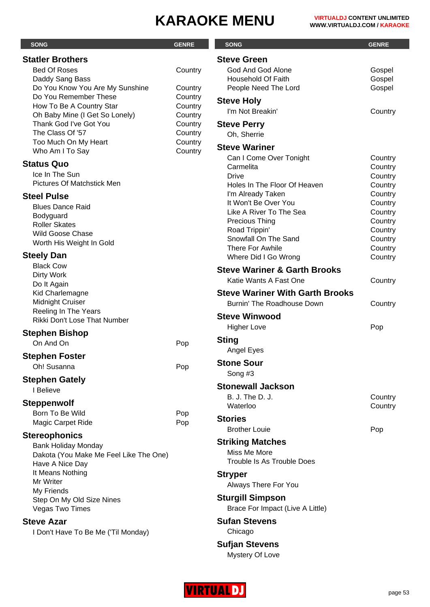| <b>SONG</b>                            | <b>GENRE</b> | <b>SONG</b>                                       | <b>GENRE</b> |
|----------------------------------------|--------------|---------------------------------------------------|--------------|
| <b>Statler Brothers</b>                |              | <b>Steve Green</b>                                |              |
| <b>Bed Of Roses</b>                    | Country      | God And God Alone                                 | Gospel       |
| Daddy Sang Bass                        |              | <b>Household Of Faith</b>                         | Gospel       |
| Do You Know You Are My Sunshine        | Country      | People Need The Lord                              | Gospel       |
| Do You Remember These                  | Country      |                                                   |              |
| How To Be A Country Star               | Country      | <b>Steve Holy</b>                                 |              |
| Oh Baby Mine (I Get So Lonely)         | Country      | I'm Not Breakin'                                  | Country      |
| Thank God I've Got You                 | Country      | <b>Steve Perry</b>                                |              |
| The Class Of '57                       | Country      | Oh, Sherrie                                       |              |
| Too Much On My Heart                   | Country      | <b>Steve Wariner</b>                              |              |
| Who Am I To Say                        | Country      | Can I Come Over Tonight                           | Country      |
| <b>Status Quo</b>                      |              | Carmelita                                         | Country      |
| Ice In The Sun                         |              | <b>Drive</b>                                      | Country      |
| <b>Pictures Of Matchstick Men</b>      |              | Holes In The Floor Of Heaven                      | Country      |
| <b>Steel Pulse</b>                     |              | I'm Already Taken                                 | Country      |
| <b>Blues Dance Raid</b>                |              | It Won't Be Over You                              | Country      |
| Bodyguard                              |              | Like A River To The Sea                           | Country      |
| <b>Roller Skates</b>                   |              | <b>Precious Thing</b>                             | Country      |
| <b>Wild Goose Chase</b>                |              | Road Trippin'                                     | Country      |
| Worth His Weight In Gold               |              | Snowfall On The Sand                              | Country      |
|                                        |              | There For Awhile                                  | Country      |
| <b>Steely Dan</b>                      |              | Where Did I Go Wrong                              | Country      |
| <b>Black Cow</b><br>Dirty Work         |              | <b>Steve Wariner &amp; Garth Brooks</b>           |              |
| Do It Again                            |              | Katie Wants A Fast One                            | Country      |
| Kid Charlemagne                        |              | <b>Steve Wariner With Garth Brooks</b>            |              |
| <b>Midnight Cruiser</b>                |              | Burnin' The Roadhouse Down                        | Country      |
| Reeling In The Years                   |              |                                                   |              |
| Rikki Don't Lose That Number           |              | <b>Steve Winwood</b>                              |              |
| <b>Stephen Bishop</b>                  |              | <b>Higher Love</b>                                | Pop          |
| On And On                              | Pop          | <b>Sting</b>                                      |              |
|                                        |              | Angel Eyes                                        |              |
| <b>Stephen Foster</b>                  |              | <b>Stone Sour</b>                                 |              |
| Oh! Susanna                            | Pop          |                                                   |              |
| <b>Stephen Gately</b>                  |              | Song #3                                           |              |
| I Believe                              |              | <b>Stonewall Jackson</b>                          |              |
|                                        |              | <b>B. J. The D. J.</b>                            | Country      |
| <b>Steppenwolf</b>                     |              | Waterloo                                          | Country      |
| Born To Be Wild                        | Pop          | <b>Stories</b>                                    |              |
| Magic Carpet Ride                      | Pop          | <b>Brother Louie</b>                              | Pop          |
| <b>Stereophonics</b>                   |              |                                                   |              |
| <b>Bank Holiday Monday</b>             |              | <b>Striking Matches</b>                           |              |
| Dakota (You Make Me Feel Like The One) |              | Miss Me More<br><b>Trouble Is As Trouble Does</b> |              |
| Have A Nice Day                        |              |                                                   |              |
| It Means Nothing<br>Mr Writer          |              | <b>Stryper</b>                                    |              |
| My Friends                             |              | Always There For You                              |              |
| Step On My Old Size Nines              |              | <b>Sturgill Simpson</b>                           |              |
| Vegas Two Times                        |              | Brace For Impact (Live A Little)                  |              |
|                                        |              |                                                   |              |
| <b>Steve Azar</b>                      |              | <b>Sufan Stevens</b>                              |              |
| I Don't Have To Be Me ('Til Monday)    |              | Chicago                                           |              |

**Sufjan Stevens** Mystery Of Love

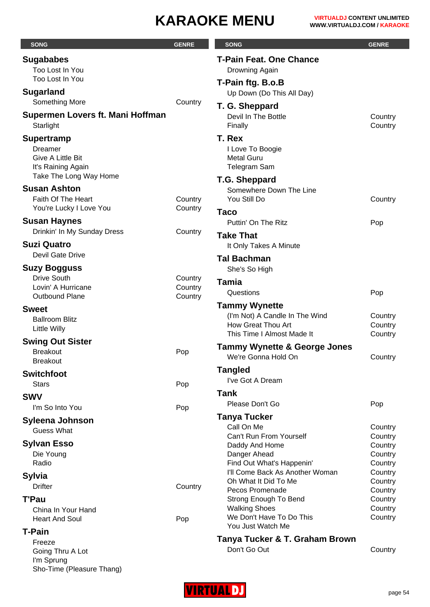| <b>SONG</b>                                                                                       | <b>GENRE</b>       | <b>SONG</b>                                                                                    | <b>GENRE</b>                  |
|---------------------------------------------------------------------------------------------------|--------------------|------------------------------------------------------------------------------------------------|-------------------------------|
| <b>Sugababes</b><br>Too Lost In You<br>Too Lost In You                                            |                    | <b>T-Pain Feat. One Chance</b><br>Drowning Again                                               |                               |
| Sugarland                                                                                         |                    | T-Pain ftg. B.o.B<br>Up Down (Do This All Day)                                                 |                               |
| Something More<br>Supermen Lovers ft. Mani Hoffman<br>Starlight                                   | Country            | T. G. Sheppard<br>Devil In The Bottle<br>Finally                                               | Country<br>Country            |
| <b>Supertramp</b><br>Dreamer<br>Give A Little Bit<br>It's Raining Again<br>Take The Long Way Home |                    | T. Rex<br>I Love To Boogie<br><b>Metal Guru</b><br>Telegram Sam<br><b>T.G. Sheppard</b>        |                               |
| <b>Susan Ashton</b><br>Faith Of The Heart<br>You're Lucky I Love You                              | Country<br>Country | Somewhere Down The Line<br>You Still Do<br><b>Taco</b>                                         | Country                       |
| <b>Susan Haynes</b><br>Drinkin' In My Sunday Dress                                                | Country            | Puttin' On The Ritz<br><b>Take That</b>                                                        | Pop                           |
| <b>Suzi Quatro</b><br>Devil Gate Drive                                                            |                    | It Only Takes A Minute<br>Tal Bachman                                                          |                               |
| <b>Suzy Bogguss</b><br>Drive South<br>Lovin' A Hurricane                                          | Country<br>Country | She's So High<br><b>Tamia</b>                                                                  |                               |
| <b>Outbound Plane</b><br><b>Sweet</b>                                                             | Country            | Questions<br><b>Tammy Wynette</b>                                                              | Pop                           |
| <b>Ballroom Blitz</b><br>Little Willy                                                             |                    | (I'm Not) A Candle In The Wind<br>How Great Thou Art<br>This Time I Almost Made It             | Country<br>Country<br>Country |
| <b>Swing Out Sister</b><br><b>Breakout</b><br><b>Breakout</b>                                     | Pop                | <b>Tammy Wynette &amp; George Jones</b><br>We're Gonna Hold On                                 | Country                       |
| <b>Switchfoot</b><br><b>Stars</b>                                                                 | Pop                | <b>Tangled</b><br>I've Got A Dream                                                             |                               |
| <b>SWV</b><br>I'm So Into You                                                                     | Pop                | <b>Tank</b><br>Please Don't Go                                                                 | Pop                           |
| Syleena Johnson<br>Guess What                                                                     |                    | <b>Tanya Tucker</b><br>Call On Me<br>Can't Run From Yourself                                   | Country<br>Country            |
| <b>Sylvan Esso</b><br>Die Young<br>Radio                                                          |                    | Daddy And Home<br>Danger Ahead<br>Find Out What's Happenin'                                    | Country<br>Country<br>Country |
| <b>Sylvia</b><br><b>Drifter</b>                                                                   | Country            | I'll Come Back As Another Woman<br>Oh What It Did To Me<br>Pecos Promenade                     | Country<br>Country<br>Country |
| <b>T'Pau</b><br>China In Your Hand<br><b>Heart And Soul</b>                                       | Pop                | Strong Enough To Bend<br><b>Walking Shoes</b><br>We Don't Have To Do This<br>You Just Watch Me | Country<br>Country<br>Country |
| <b>T-Pain</b><br>Freeze<br>Going Thru A Lot<br>I'm Sprung                                         |                    | Tanya Tucker & T. Graham Brown<br>Don't Go Out                                                 | Country                       |



Sho-Time (Pleasure Thang)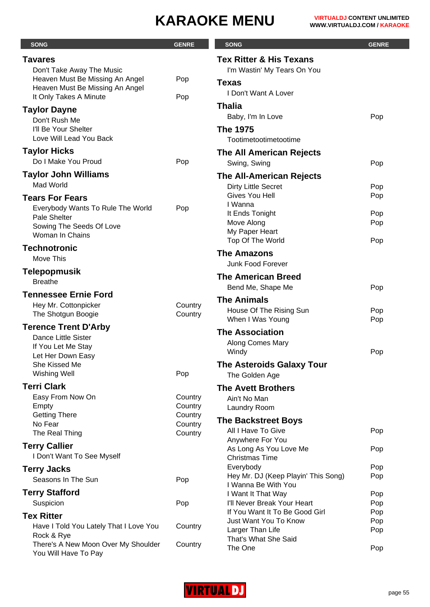| <b>SONG</b>                                                                                                                 | <b>GENRE</b>                  | <b>SONG</b>                                                                                     | <b>GENRE</b>             |
|-----------------------------------------------------------------------------------------------------------------------------|-------------------------------|-------------------------------------------------------------------------------------------------|--------------------------|
| <b>Tavares</b><br>Don't Take Away The Music<br>Heaven Must Be Missing An Angel                                              | Pop                           | <b>Tex Ritter &amp; His Texans</b><br>I'm Wastin' My Tears On You                               |                          |
| Heaven Must Be Missing An Angel<br>It Only Takes A Minute                                                                   | Pop                           | Texas<br>I Don't Want A Lover                                                                   |                          |
| <b>Taylor Dayne</b><br>Don't Rush Me<br>I'll Be Your Shelter<br>Love Will Lead You Back                                     |                               | <b>Thalia</b><br>Baby, I'm In Love<br><b>The 1975</b><br>Tootimetootimetootime                  | Pop                      |
| <b>Taylor Hicks</b><br>Do I Make You Proud                                                                                  | Pop                           | The All American Rejects<br>Swing, Swing                                                        | Pop                      |
| <b>Taylor John Williams</b>                                                                                                 |                               | <b>The All-American Rejects</b>                                                                 |                          |
| <b>Mad World</b><br><b>Tears For Fears</b><br>Everybody Wants To Rule The World<br>Pale Shelter<br>Sowing The Seeds Of Love | Pop                           | <b>Dirty Little Secret</b><br><b>Gives You Hell</b><br>I Wanna<br>It Ends Tonight<br>Move Along | Pop<br>Pop<br>Pop<br>Pop |
| Woman In Chains                                                                                                             |                               | My Paper Heart<br>Top Of The World                                                              | Pop                      |
| <b>Technotronic</b><br>Move This                                                                                            |                               | <b>The Amazons</b><br>Junk Food Forever                                                         |                          |
| Telepopmusik<br><b>Breathe</b>                                                                                              |                               | <b>The American Breed</b><br>Bend Me, Shape Me                                                  | Pop                      |
| <b>Tennessee Ernie Ford</b><br>Hey Mr. Cottonpicker<br>The Shotgun Boogie                                                   | Country<br>Country            | <b>The Animals</b><br>House Of The Rising Sun<br>When I Was Young                               | Pop<br>Pop               |
| <b>Terence Trent D'Arby</b><br><b>Dance Little Sister</b><br>If You Let Me Stay<br>Let Her Down Easy                        |                               | <b>The Association</b><br>Along Comes Mary<br>Windy                                             | Pop                      |
| She Kissed Me<br>Wishing Well                                                                                               | Pop                           | <b>The Asteroids Galaxy Tour</b><br>The Golden Age                                              |                          |
| <b>Terri Clark</b>                                                                                                          |                               | <b>The Avett Brothers</b>                                                                       |                          |
| Easy From Now On<br>Empty                                                                                                   | Country<br>Country            | Ain't No Man<br>Laundry Room                                                                    |                          |
| <b>Getting There</b><br>No Fear<br>The Real Thing                                                                           | Country<br>Country<br>Country | <b>The Backstreet Boys</b><br>All I Have To Give                                                | Pop                      |
| <b>Terry Callier</b><br>I Don't Want To See Myself                                                                          |                               | Anywhere For You<br>As Long As You Love Me<br><b>Christmas Time</b>                             | Pop                      |
| <b>Terry Jacks</b><br>Seasons In The Sun                                                                                    | Pop                           | Everybody<br>Hey Mr. DJ (Keep Playin' This Song)<br>I Wanna Be With You                         | Pop<br>Pop               |
| <b>Terry Stafford</b><br>Suspicion                                                                                          | Pop                           | I Want It That Way<br>I'll Never Break Your Heart                                               | Pop<br>Pop               |
| <b>Tex Ritter</b><br>Have I Told You Lately That I Love You                                                                 | Country                       | If You Want It To Be Good Girl<br>Just Want You To Know<br>Larger Than Life                     | Pop<br>Pop               |
| Rock & Rye<br>There's A New Moon Over My Shoulder<br>You Will Have To Pay                                                   | Country                       | That's What She Said<br>The One                                                                 | Pop<br>Pop               |

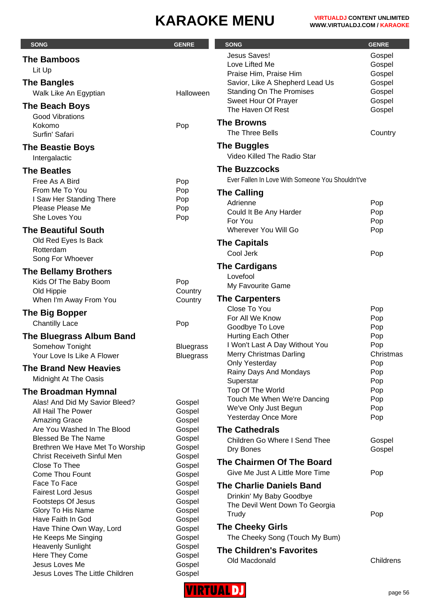**[WWW.VIRTUALDJ.COM / KARAOKE](http://www.virtualdj.com/karaoke)**

| <b>SONG</b>                                                           | <b>GENRE</b>     | <b>SONG</b>                                                      | <b>GENRE</b>     |
|-----------------------------------------------------------------------|------------------|------------------------------------------------------------------|------------------|
| <b>The Bamboos</b>                                                    |                  | Jesus Saves!                                                     | Gospel           |
|                                                                       |                  | Love Lifted Me                                                   | Gospel           |
| Lit Up                                                                |                  | Praise Him, Praise Him                                           | Gospel           |
| <b>The Bangles</b>                                                    |                  | Savior, Like A Shepherd Lead Us                                  | Gospel           |
| Walk Like An Egyptian                                                 | Halloween        | <b>Standing On The Promises</b>                                  | Gospel           |
| The Beach Boys                                                        |                  | Sweet Hour Of Prayer                                             | Gospel           |
| <b>Good Vibrations</b>                                                |                  | The Haven Of Rest                                                | Gospel           |
| Kokomo                                                                | Pop              | <b>The Browns</b>                                                |                  |
| Surfin' Safari                                                        |                  | The Three Bells                                                  | Country          |
| <b>The Beastie Boys</b>                                               |                  | <b>The Buggles</b>                                               |                  |
| Intergalactic                                                         |                  | Video Killed The Radio Star                                      |                  |
| <b>The Beatles</b>                                                    |                  | <b>The Buzzcocks</b>                                             |                  |
| Free As A Bird                                                        | Pop              | Ever Fallen In Love With Someone You Shouldn't've                |                  |
| From Me To You                                                        | Pop              |                                                                  |                  |
| I Saw Her Standing There                                              | Pop              | <b>The Calling</b>                                               |                  |
| Please Please Me                                                      | Pop              | Adrienne                                                         | Pop              |
| She Loves You                                                         | Pop              | Could It Be Any Harder<br>For You                                | Pop<br>Pop       |
| <b>The Beautiful South</b>                                            |                  | Wherever You Will Go                                             | Pop              |
| Old Red Eyes Is Back                                                  |                  |                                                                  |                  |
| Rotterdam                                                             |                  | <b>The Capitals</b>                                              |                  |
| Song For Whoever                                                      |                  | Cool Jerk                                                        | Pop              |
| <b>The Bellamy Brothers</b>                                           |                  | <b>The Cardigans</b>                                             |                  |
| Kids Of The Baby Boom                                                 | Pop              | Lovefool                                                         |                  |
| Old Hippie                                                            | Country          | My Favourite Game                                                |                  |
| When I'm Away From You                                                | Country          | <b>The Carpenters</b>                                            |                  |
| The Big Bopper                                                        |                  | Close To You                                                     | Pop              |
| <b>Chantilly Lace</b>                                                 | Pop              | For All We Know                                                  | Pop              |
|                                                                       |                  | Goodbye To Love                                                  | Pop              |
| <b>The Bluegrass Album Band</b>                                       |                  | Hurting Each Other                                               | Pop              |
| Somehow Tonight                                                       | <b>Bluegrass</b> | I Won't Last A Day Without You<br><b>Merry Christmas Darling</b> | Pop<br>Christmas |
| Your Love Is Like A Flower                                            | <b>Bluegrass</b> | Only Yesterday                                                   | Pop              |
| <b>The Brand New Heavies</b>                                          |                  | Rainy Days And Mondays                                           | Pop              |
| Midnight At The Oasis                                                 |                  | Superstar                                                        | Pop              |
| <b>The Broadman Hymnal</b>                                            |                  | Top Of The World                                                 | Pop              |
| Alas! And Did My Savior Bleed?                                        | Gospel           | Touch Me When We're Dancing                                      | Pop              |
| All Hail The Power                                                    | Gospel           | We've Only Just Begun                                            | Pop              |
| <b>Amazing Grace</b>                                                  | Gospel           | <b>Yesterday Once More</b>                                       | Pop              |
| Are You Washed In The Blood                                           | Gospel           | <b>The Cathedrals</b>                                            |                  |
| <b>Blessed Be The Name</b>                                            | Gospel           | Children Go Where I Send Thee                                    | Gospel           |
| Brethren We Have Met To Worship<br><b>Christ Receiveth Sinful Men</b> | Gospel           | Dry Bones                                                        | Gospel           |
| Close To Thee                                                         | Gospel<br>Gospel | The Chairmen Of The Board                                        |                  |
| <b>Come Thou Fount</b>                                                | Gospel           | Give Me Just A Little More Time                                  | Pop              |
| Face To Face                                                          | Gospel           | <b>The Charlie Daniels Band</b>                                  |                  |
| <b>Fairest Lord Jesus</b>                                             | Gospel           | Drinkin' My Baby Goodbye                                         |                  |
| Footsteps Of Jesus                                                    | Gospel           | The Devil Went Down To Georgia                                   |                  |
| Glory To His Name                                                     | Gospel           | Trudy                                                            | Pop              |
| Have Faith In God                                                     | Gospel           |                                                                  |                  |
| Have Thine Own Way, Lord                                              | Gospel           | <b>The Cheeky Girls</b>                                          |                  |
| He Keeps Me Singing                                                   | Gospel           | The Cheeky Song (Touch My Bum)                                   |                  |
| <b>Heavenly Sunlight</b><br>Here They Come                            | Gospel<br>Gospel | <b>The Children's Favorites</b>                                  |                  |
| Jesus Loves Me                                                        | Gospel           | Old Macdonald                                                    | Childrens        |
| Jesus Loves The Little Children                                       | Gospel           |                                                                  |                  |

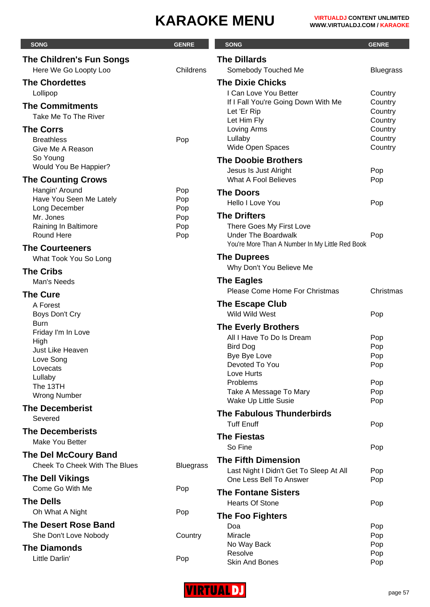| <b>SONG</b>                          | <b>GENRE</b>     | <b>SONG</b>                                                        | <b>GENRE</b>       |
|--------------------------------------|------------------|--------------------------------------------------------------------|--------------------|
| <b>The Children's Fun Songs</b>      |                  | <b>The Dillards</b>                                                |                    |
| Here We Go Loopty Loo                | Childrens        | Somebody Touched Me                                                | <b>Bluegrass</b>   |
| <b>The Chordettes</b>                |                  | <b>The Dixie Chicks</b>                                            |                    |
| Lollipop                             |                  | I Can Love You Better                                              | Country            |
| <b>The Commitments</b>               |                  | If I Fall You're Going Down With Me                                | Country            |
| Take Me To The River                 |                  | Let 'Er Rip<br>Let Him Fly                                         | Country<br>Country |
| <b>The Corrs</b>                     |                  | Loving Arms                                                        | Country            |
| <b>Breathless</b>                    | Pop              | Lullaby                                                            | Country            |
| Give Me A Reason<br>So Young         |                  | Wide Open Spaces                                                   | Country            |
| Would You Be Happier?                |                  | <b>The Doobie Brothers</b><br>Jesus Is Just Alright                |                    |
| <b>The Counting Crows</b>            |                  | What A Fool Believes                                               | Pop<br>Pop         |
| Hangin' Around                       | Pop              | <b>The Doors</b>                                                   |                    |
| Have You Seen Me Lately              | Pop              | Hello I Love You                                                   | Pop                |
| Long December<br>Mr. Jones           | Pop<br>Pop       | <b>The Drifters</b>                                                |                    |
| Raining In Baltimore                 | Pop              | There Goes My First Love                                           |                    |
| Round Here                           | Pop              | <b>Under The Boardwalk</b>                                         | Pop                |
| <b>The Courteeners</b>               |                  | You're More Than A Number In My Little Red Book                    |                    |
| What Took You So Long                |                  | <b>The Duprees</b>                                                 |                    |
| <b>The Cribs</b>                     |                  | Why Don't You Believe Me                                           |                    |
| Man's Needs                          |                  | <b>The Eagles</b><br>Please Come Home For Christmas                | Christmas          |
| <b>The Cure</b>                      |                  |                                                                    |                    |
| A Forest<br>Boys Don't Cry           |                  | <b>The Escape Club</b><br>Wild Wild West                           | Pop                |
| <b>Burn</b>                          |                  | <b>The Everly Brothers</b>                                         |                    |
| Friday I'm In Love                   |                  | All I Have To Do Is Dream                                          | Pop                |
| High<br>Just Like Heaven             |                  | <b>Bird Dog</b>                                                    | Pop                |
| Love Song                            |                  | Bye Bye Love                                                       | Pop                |
| Lovecats                             |                  | Devoted To You<br>Love Hurts                                       | Pop                |
| Lullaby                              |                  | Problems                                                           | Pop                |
| The 13TH<br><b>Wrong Number</b>      |                  | Take A Message To Mary                                             | Pop                |
| <b>The Decemberist</b>               |                  | Wake Up Little Susie                                               | Pop                |
| Severed                              |                  | <b>The Fabulous Thunderbirds</b>                                   |                    |
| <b>The Decemberists</b>              |                  | <b>Tuff Enuff</b>                                                  | Pop                |
| Make You Better                      |                  | <b>The Fiestas</b>                                                 |                    |
| <b>The Del McCoury Band</b>          |                  | So Fine                                                            | Pop                |
| <b>Cheek To Cheek With The Blues</b> | <b>Bluegrass</b> | <b>The Fifth Dimension</b>                                         |                    |
| <b>The Dell Vikings</b>              |                  | Last Night I Didn't Get To Sleep At All<br>One Less Bell To Answer | Pop<br>Pop         |
| Come Go With Me                      | Pop              | <b>The Fontane Sisters</b>                                         |                    |
| <b>The Dells</b>                     |                  | <b>Hearts Of Stone</b>                                             | Pop                |
| Oh What A Night                      | Pop              | <b>The Foo Fighters</b>                                            |                    |
| <b>The Desert Rose Band</b>          |                  | Doa                                                                | Pop                |
| She Don't Love Nobody                | Country          | Miracle                                                            | Pop                |
| <b>The Diamonds</b>                  |                  | No Way Back<br>Resolve                                             | Pop<br>Pop         |
| Little Darlin'                       | Pop              | Skin And Bones                                                     | Pop                |

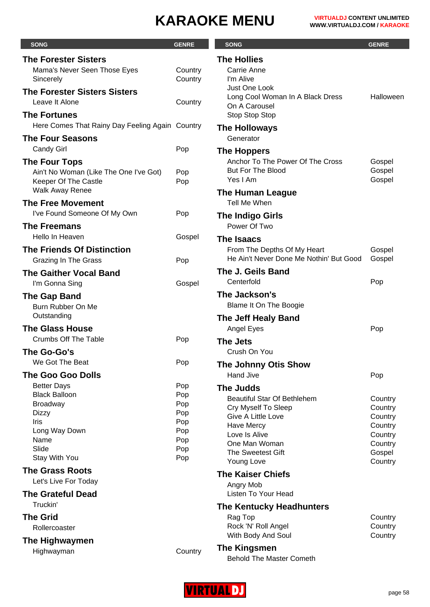| <b>SONG</b>                                     | <b>GENRE</b>       | <b>SONG</b>                                                            | <b>GENRE</b>       |
|-------------------------------------------------|--------------------|------------------------------------------------------------------------|--------------------|
| <b>The Forester Sisters</b>                     |                    | <b>The Hollies</b>                                                     |                    |
| Mama's Never Seen Those Eyes<br>Sincerely       | Country<br>Country | Carrie Anne<br>I'm Alive                                               |                    |
| <b>The Forester Sisters Sisters</b>             |                    | <b>Just One Look</b><br>Long Cool Woman In A Black Dress               | Halloween          |
| Leave It Alone                                  | Country            | On A Carousel                                                          |                    |
| <b>The Fortunes</b>                             |                    | <b>Stop Stop Stop</b>                                                  |                    |
| Here Comes That Rainy Day Feeling Again Country |                    | The Holloways                                                          |                    |
| <b>The Four Seasons</b>                         |                    | Generator                                                              |                    |
| <b>Candy Girl</b>                               | Pop                | <b>The Hoppers</b>                                                     |                    |
| The Four Tops                                   |                    | Anchor To The Power Of The Cross                                       | Gospel             |
| Ain't No Woman (Like The One I've Got)          | Pop                | <b>But For The Blood</b><br>Yes I Am                                   | Gospel             |
| Keeper Of The Castle<br><b>Walk Away Renee</b>  | Pop                |                                                                        | Gospel             |
|                                                 |                    | <b>The Human League</b>                                                |                    |
| <b>The Free Movement</b>                        |                    | Tell Me When                                                           |                    |
| I've Found Someone Of My Own                    | Pop                | <b>The Indigo Girls</b>                                                |                    |
| <b>The Freemans</b>                             |                    | Power Of Two                                                           |                    |
| Hello In Heaven                                 | Gospel             | <b>The Isaacs</b>                                                      |                    |
| <b>The Friends Of Distinction</b>               |                    | From The Depths Of My Heart<br>He Ain't Never Done Me Nothin' But Good | Gospel             |
| <b>Grazing In The Grass</b>                     | Pop                |                                                                        | Gospel             |
| <b>The Gaither Vocal Band</b>                   |                    | The J. Geils Band                                                      |                    |
| I'm Gonna Sing                                  | Gospel             | Centerfold                                                             | Pop                |
| The Gap Band                                    |                    | The Jackson's                                                          |                    |
| Burn Rubber On Me                               |                    | Blame It On The Boogie                                                 |                    |
| Outstanding                                     |                    | The Jeff Healy Band                                                    |                    |
| <b>The Glass House</b>                          |                    | Angel Eyes                                                             | Pop                |
| <b>Crumbs Off The Table</b>                     | Pop                | <b>The Jets</b>                                                        |                    |
| The Go-Go's                                     |                    | Crush On You                                                           |                    |
| We Got The Beat                                 | Pop                | <b>The Johnny Otis Show</b>                                            |                    |
| The Goo Goo Dolls                               |                    | <b>Hand Jive</b>                                                       | Pop                |
| <b>Better Days</b><br><b>Black Balloon</b>      | Pop<br>Pop         | <b>The Judds</b>                                                       |                    |
| <b>Broadway</b>                                 | Pop                | <b>Beautiful Star Of Bethlehem</b>                                     | Country            |
| <b>Dizzy</b>                                    | Pop                | Cry Myself To Sleep<br>Give A Little Love                              | Country            |
| Iris                                            | Pop                | Have Mercy                                                             | Country<br>Country |
| Long Way Down                                   | Pop                | Love Is Alive                                                          | Country            |
| Name                                            | Pop                | One Man Woman                                                          | Country            |
| Slide<br>Stay With You                          | Pop<br>Pop         | The Sweetest Gift                                                      | Gospel             |
|                                                 |                    | Young Love                                                             | Country            |
| <b>The Grass Roots</b><br>Let's Live For Today  |                    | <b>The Kaiser Chiefs</b>                                               |                    |
|                                                 |                    | Angry Mob                                                              |                    |
| <b>The Grateful Dead</b>                        |                    | Listen To Your Head                                                    |                    |
| Truckin'                                        |                    | The Kentucky Headhunters                                               |                    |
| <b>The Grid</b>                                 |                    | Rag Top                                                                | Country<br>Country |
| Rollercoaster                                   |                    | Rock 'N' Roll Angel<br>With Body And Soul                              | Country            |
| The Highwaymen                                  |                    | <b>The Kingsmen</b>                                                    |                    |
| Highwayman                                      | Country            | <b>Behold The Master Cometh</b>                                        |                    |

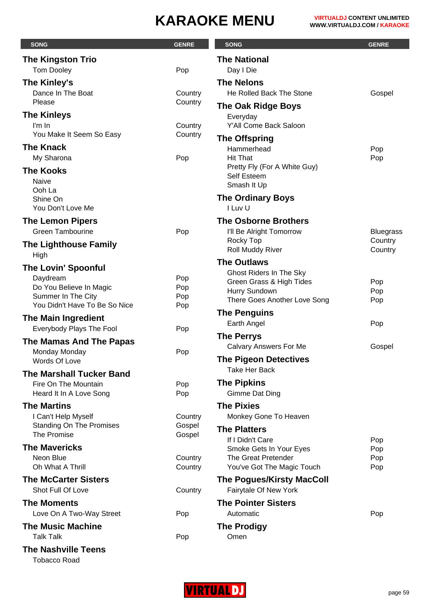| <b>SONG</b>                                            | <b>GENRE</b>       | <b>SONG</b>                                                | <b>GENRE</b>     |
|--------------------------------------------------------|--------------------|------------------------------------------------------------|------------------|
| <b>The Kingston Trio</b>                               |                    | <b>The National</b>                                        |                  |
| <b>Tom Dooley</b>                                      | Pop                | Day I Die                                                  |                  |
| The Kinley's                                           |                    | <b>The Nelons</b>                                          |                  |
| Dance In The Boat                                      | Country            | He Rolled Back The Stone                                   | Gospel           |
| Please                                                 | Country            | The Oak Ridge Boys                                         |                  |
| <b>The Kinleys</b>                                     |                    | Everyday                                                   |                  |
| I'm In                                                 | Country            | Y'All Come Back Saloon                                     |                  |
| You Make It Seem So Easy                               | Country            | <b>The Offspring</b>                                       |                  |
| <b>The Knack</b>                                       |                    | Hammerhead<br><b>Hit That</b>                              | Pop              |
| My Sharona                                             | Pop                | Pretty Fly (For A White Guy)                               | Pop              |
| <b>The Kooks</b>                                       |                    | Self Esteem                                                |                  |
| Naive<br>Ooh La                                        |                    | Smash It Up                                                |                  |
| Shine On                                               |                    | <b>The Ordinary Boys</b>                                   |                  |
| You Don't Love Me                                      |                    | I Luv U                                                    |                  |
| <b>The Lemon Pipers</b>                                |                    | <b>The Osborne Brothers</b>                                |                  |
| <b>Green Tambourine</b>                                | Pop                | I'll Be Alright Tomorrow                                   | <b>Bluegrass</b> |
| The Lighthouse Family                                  |                    | Rocky Top<br><b>Roll Muddy River</b>                       | Country          |
| High                                                   |                    |                                                            | Country          |
| <b>The Lovin' Spoonful</b>                             |                    | <b>The Outlaws</b>                                         |                  |
| Daydream                                               | Pop                | <b>Ghost Riders In The Sky</b><br>Green Grass & High Tides | Pop              |
| Do You Believe In Magic                                | Pop                | Hurry Sundown                                              | Pop              |
| Summer In The City<br>You Didn't Have To Be So Nice    | Pop<br>Pop         | There Goes Another Love Song                               | Pop              |
|                                                        |                    | <b>The Penguins</b>                                        |                  |
| <b>The Main Ingredient</b><br>Everybody Plays The Fool | Pop                | Earth Angel                                                | Pop              |
| The Mamas And The Papas                                |                    | <b>The Perrys</b>                                          |                  |
| Monday Monday                                          | Pop                | <b>Calvary Answers For Me</b>                              | Gospel           |
| Words Of Love                                          |                    | <b>The Pigeon Detectives</b>                               |                  |
| <b>The Marshall Tucker Band</b>                        |                    | <b>Take Her Back</b>                                       |                  |
| Fire On The Mountain                                   | Pop                | <b>The Pipkins</b>                                         |                  |
| Heard It In A Love Song                                | Pop                | <b>Gimme Dat Ding</b>                                      |                  |
| <b>The Martins</b>                                     |                    | <b>The Pixies</b>                                          |                  |
| I Can't Help Myself                                    | Country            | Monkey Gone To Heaven                                      |                  |
| <b>Standing On The Promises</b><br>The Promise         | Gospel             | <b>The Platters</b>                                        |                  |
|                                                        | Gospel             | If I Didn't Care                                           | Pop              |
| <b>The Mavericks</b>                                   |                    | Smoke Gets In Your Eyes                                    | Pop              |
| Neon Blue<br>Oh What A Thrill                          | Country<br>Country | The Great Pretender<br>You've Got The Magic Touch          | Pop<br>Pop       |
| <b>The McCarter Sisters</b>                            |                    | <b>The Pogues/Kirsty MacColl</b>                           |                  |
| Shot Full Of Love                                      | Country            | Fairytale Of New York                                      |                  |
| <b>The Moments</b>                                     |                    | <b>The Pointer Sisters</b>                                 |                  |
| Love On A Two-Way Street                               | Pop                | Automatic                                                  | Pop              |
| <b>The Music Machine</b>                               |                    |                                                            |                  |
| <b>Talk Talk</b>                                       | Pop                | <b>The Prodigy</b><br>Omen                                 |                  |
| <b>The Nashville Teens</b>                             |                    |                                                            |                  |



Tobacco Road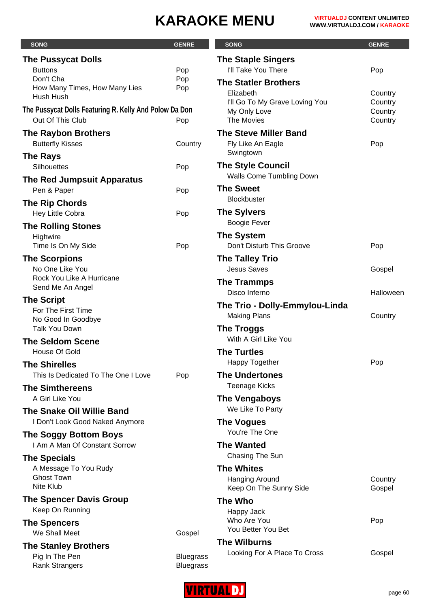| <b>SONG</b>                                                                | <b>GENRE</b>                         | <b>SONG</b>                                    | <b>GENRE</b>       |
|----------------------------------------------------------------------------|--------------------------------------|------------------------------------------------|--------------------|
| <b>The Pussycat Dolls</b>                                                  |                                      | <b>The Staple Singers</b>                      |                    |
| <b>Buttons</b>                                                             | Pop                                  | I'll Take You There                            | Pop                |
| Don't Cha                                                                  | Pop                                  | <b>The Statler Brothers</b>                    |                    |
| How Many Times, How Many Lies<br>Hush Hush                                 | Pop                                  | Elizabeth                                      | Country            |
|                                                                            |                                      | I'll Go To My Grave Loving You                 | Country            |
| The Pussycat Dolls Featuring R. Kelly And Polow Da Don<br>Out Of This Club | Pop                                  | My Only Love<br>The Movies                     | Country<br>Country |
|                                                                            |                                      |                                                |                    |
| <b>The Raybon Brothers</b>                                                 |                                      | <b>The Steve Miller Band</b>                   |                    |
| <b>Butterfly Kisses</b>                                                    | Country                              | Fly Like An Eagle<br>Swingtown                 | Pop                |
| <b>The Rays</b>                                                            |                                      | <b>The Style Council</b>                       |                    |
| Silhouettes                                                                | Pop                                  | Walls Come Tumbling Down                       |                    |
| The Red Jumpsuit Apparatus                                                 |                                      | <b>The Sweet</b>                               |                    |
| Pen & Paper                                                                | Pop                                  | Blockbuster                                    |                    |
| The Rip Chords                                                             |                                      |                                                |                    |
| Hey Little Cobra                                                           | Pop                                  | <b>The Sylvers</b><br><b>Boogie Fever</b>      |                    |
| <b>The Rolling Stones</b>                                                  |                                      |                                                |                    |
| Highwire<br>Time Is On My Side                                             |                                      | <b>The System</b><br>Don't Disturb This Groove |                    |
|                                                                            | Pop                                  |                                                | Pop                |
| <b>The Scorpions</b>                                                       |                                      | <b>The Talley Trio</b>                         |                    |
| No One Like You<br>Rock You Like A Hurricane                               |                                      | <b>Jesus Saves</b>                             | Gospel             |
| Send Me An Angel                                                           |                                      | <b>The Trammps</b>                             |                    |
| <b>The Script</b>                                                          |                                      | Disco Inferno                                  | Halloween          |
| For The First Time                                                         |                                      | The Trio - Dolly-Emmylou-Linda                 |                    |
| No Good In Goodbye                                                         |                                      | <b>Making Plans</b>                            | Country            |
| <b>Talk You Down</b>                                                       |                                      | <b>The Troggs</b>                              |                    |
| <b>The Seldom Scene</b>                                                    |                                      | With A Girl Like You                           |                    |
| House Of Gold                                                              |                                      | <b>The Turtles</b>                             |                    |
| <b>The Shirelles</b>                                                       |                                      | Happy Together                                 | Pop                |
| This Is Dedicated To The One I Love                                        | Pop                                  | <b>The Undertones</b>                          |                    |
| <b>The Simthereens</b>                                                     |                                      | <b>Teenage Kicks</b>                           |                    |
| A Girl Like You                                                            |                                      | <b>The Vengaboys</b>                           |                    |
| <b>The Snake Oil Willie Band</b>                                           |                                      | We Like To Party                               |                    |
| I Don't Look Good Naked Anymore                                            |                                      | <b>The Vogues</b>                              |                    |
| The Soggy Bottom Boys                                                      |                                      | You're The One                                 |                    |
| I Am A Man Of Constant Sorrow                                              |                                      | <b>The Wanted</b>                              |                    |
| <b>The Specials</b>                                                        |                                      | Chasing The Sun                                |                    |
| A Message To You Rudy                                                      |                                      | <b>The Whites</b>                              |                    |
| <b>Ghost Town</b>                                                          |                                      | Hanging Around                                 | Country            |
| Nite Klub                                                                  |                                      | Keep On The Sunny Side                         | Gospel             |
| <b>The Spencer Davis Group</b>                                             |                                      | The Who                                        |                    |
| Keep On Running                                                            |                                      | Happy Jack                                     |                    |
| <b>The Spencers</b>                                                        |                                      | Who Are You<br>You Better You Bet              | Pop                |
| We Shall Meet                                                              | Gospel                               | <b>The Wilburns</b>                            |                    |
| <b>The Stanley Brothers</b>                                                |                                      | Looking For A Place To Cross                   | Gospel             |
| Pig In The Pen<br><b>Rank Strangers</b>                                    | <b>Bluegrass</b><br><b>Bluegrass</b> |                                                |                    |
|                                                                            |                                      |                                                |                    |

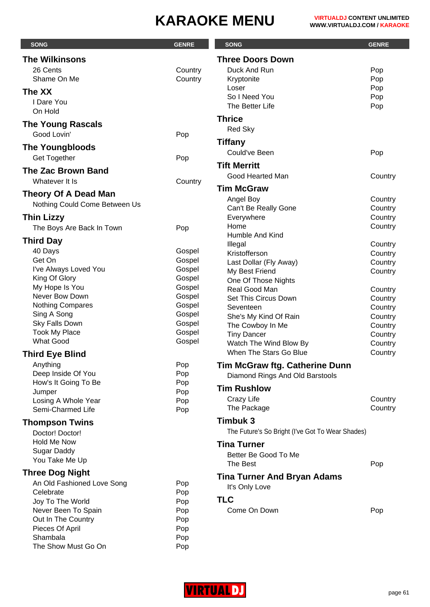٠

| <b>SONG</b>                                | <b>GENRE</b>       | <b>SONG</b>                                      | <b>GENRE</b>       |
|--------------------------------------------|--------------------|--------------------------------------------------|--------------------|
| <b>The Wilkinsons</b>                      |                    | <b>Three Doors Down</b>                          |                    |
| 26 Cents<br>Shame On Me                    | Country<br>Country | Duck And Run<br>Kryptonite                       | Pop<br>Pop         |
| The XX<br>I Dare You                       |                    | Loser<br>So I Need You                           | Pop<br>Pop         |
| On Hold                                    |                    | The Better Life                                  | Pop                |
| <b>The Young Rascals</b>                   |                    | <b>Thrice</b><br><b>Red Sky</b>                  |                    |
| Good Lovin'                                | Pop                | Tiffany                                          |                    |
| <b>The Youngbloods</b>                     |                    | Could've Been                                    | Pop                |
| Get Together                               | Pop                | <b>Tift Merritt</b>                              |                    |
| <b>The Zac Brown Band</b>                  |                    | Good Hearted Man                                 | Country            |
| Whatever It Is                             | Country            | <b>Tim McGraw</b>                                |                    |
| <b>Theory Of A Dead Man</b>                |                    | Angel Boy                                        | Country            |
| Nothing Could Come Between Us              |                    | Can't Be Really Gone                             | Country            |
| <b>Thin Lizzy</b>                          |                    | Everywhere                                       | Country            |
| The Boys Are Back In Town                  | Pop                | Home<br>Humble And Kind                          | Country            |
| <b>Third Day</b>                           |                    | Illegal                                          | Country            |
| 40 Days                                    | Gospel             | Kristofferson                                    | Country            |
| Get On                                     | Gospel             | Last Dollar (Fly Away)                           | Country            |
| I've Always Loved You<br>King Of Glory     | Gospel<br>Gospel   | My Best Friend                                   | Country            |
| My Hope Is You                             | Gospel             | One Of Those Nights                              |                    |
| Never Bow Down                             | Gospel             | Real Good Man<br>Set This Circus Down            | Country<br>Country |
| Nothing Compares                           | Gospel             | Seventeen                                        | Country            |
| Sing A Song                                | Gospel             | She's My Kind Of Rain                            | Country            |
| Sky Falls Down                             | Gospel             | The Cowboy In Me                                 | Country            |
| <b>Took My Place</b>                       | Gospel             | <b>Tiny Dancer</b>                               | Country            |
| <b>What Good</b>                           | Gospel             | Watch The Wind Blow By                           | Country            |
| <b>Third Eye Blind</b>                     |                    | When The Stars Go Blue                           | Country            |
| Anything                                   | Pop                | Tim McGraw ftg. Catherine Dunn                   |                    |
| Deep Inside Of You<br>How's It Going To Be | Pop<br>Pop         | Diamond Rings And Old Barstools                  |                    |
| Jumper                                     | Pop                | <b>Tim Rushlow</b>                               |                    |
| Losing A Whole Year                        | Pop                | Crazy Life                                       | Country            |
| Semi-Charmed Life                          | Pop                | The Package                                      | Country            |
| <b>Thompson Twins</b>                      |                    | <b>Timbuk 3</b>                                  |                    |
| Doctor! Doctor!                            |                    | The Future's So Bright (I've Got To Wear Shades) |                    |
| Hold Me Now                                |                    | <b>Tina Turner</b>                               |                    |
| Sugar Daddy<br>You Take Me Up              |                    | Better Be Good To Me                             |                    |
|                                            |                    | The Best                                         | Pop                |
| <b>Three Dog Night</b>                     |                    | <b>Tina Turner And Bryan Adams</b>               |                    |
| An Old Fashioned Love Song                 | Pop                | It's Only Love                                   |                    |
| Celebrate<br>Joy To The World              | Pop<br>Pop         | TLC                                              |                    |
| Never Been To Spain                        | Pop                | Come On Down                                     | Pop                |
| Out In The Country                         | Pop                |                                                  |                    |
| Pieces Of April                            | Pop                |                                                  |                    |
| Shambala                                   | Pop                |                                                  |                    |
| The Show Must Go On                        | Pop                |                                                  |                    |

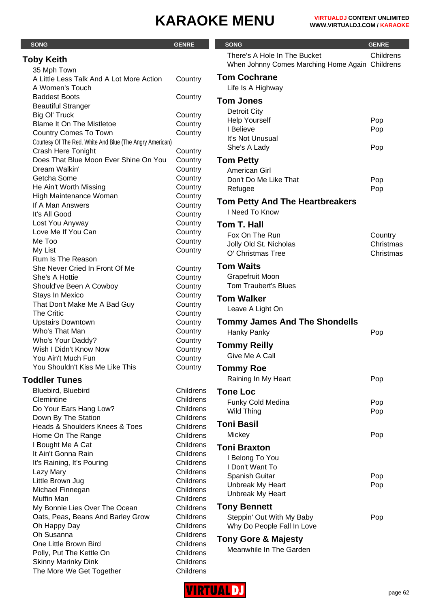| <b>SONG</b>                                              | <b>GENRE</b>           | <b>SONG</b>                                     | <b>GENRE</b> |
|----------------------------------------------------------|------------------------|-------------------------------------------------|--------------|
|                                                          |                        | There's A Hole In The Bucket                    | Childrens    |
| <b>Toby Keith</b>                                        |                        | When Johnny Comes Marching Home Again Childrens |              |
| 35 Mph Town                                              |                        |                                                 |              |
| A Little Less Talk And A Lot More Action                 | Country                | <b>Tom Cochrane</b>                             |              |
| A Women's Touch                                          |                        | Life Is A Highway                               |              |
| <b>Baddest Boots</b>                                     | Country                | <b>Tom Jones</b>                                |              |
| <b>Beautiful Stranger</b>                                |                        | <b>Detroit City</b>                             |              |
| Big OI' Truck<br><b>Blame It On The Mistletoe</b>        | Country                | <b>Help Yourself</b>                            | Pop          |
| <b>Country Comes To Town</b>                             | Country                | I Believe                                       | Pop          |
| Courtesy Of The Red, White And Blue (The Angry American) | Country                | It's Not Unusual                                |              |
| <b>Crash Here Tonight</b>                                | Country                | She's A Lady                                    | Pop          |
| Does That Blue Moon Ever Shine On You                    | Country                | <b>Tom Petty</b>                                |              |
| Dream Walkin'                                            | Country                | American Girl                                   |              |
| Getcha Some                                              | Country                | Don't Do Me Like That                           | Pop          |
| He Ain't Worth Missing                                   | Country                | Refugee                                         | Pop          |
| High Maintenance Woman                                   | Country                |                                                 |              |
| If A Man Answers                                         | Country                | <b>Tom Petty And The Heartbreakers</b>          |              |
| It's All Good                                            | Country                | I Need To Know                                  |              |
| Lost You Anyway                                          | Country                | Tom T. Hall                                     |              |
| Love Me If You Can                                       | Country                | Fox On The Run                                  | Country      |
| Me Too                                                   | Country                | Jolly Old St. Nicholas                          | Christmas    |
| My List                                                  | Country                | O' Christmas Tree                               | Christmas    |
| Rum Is The Reason                                        |                        |                                                 |              |
| She Never Cried In Front Of Me                           | Country                | <b>Tom Waits</b>                                |              |
| She's A Hottie                                           | Country                | Grapefruit Moon                                 |              |
| Should've Been A Cowboy                                  | Country                | <b>Tom Traubert's Blues</b>                     |              |
| Stays In Mexico                                          | Country                | <b>Tom Walker</b>                               |              |
| That Don't Make Me A Bad Guy                             | Country                | Leave A Light On                                |              |
| <b>The Critic</b>                                        | Country                |                                                 |              |
| <b>Upstairs Downtown</b>                                 | Country                | <b>Tommy James And The Shondells</b>            |              |
| Who's That Man                                           | Country                | Hanky Panky                                     | Pop          |
| Who's Your Daddy?                                        | Country                | <b>Tommy Reilly</b>                             |              |
| Wish I Didn't Know Now                                   | Country                | Give Me A Call                                  |              |
| You Ain't Much Fun<br>You Shouldn't Kiss Me Like This    | Country                |                                                 |              |
|                                                          | Country                | <b>Tommy Roe</b>                                |              |
| <b>Toddler Tunes</b>                                     |                        | Raining In My Heart                             | Pop          |
| Bluebird, Bluebird                                       | Childrens              | <b>Tone Loc</b>                                 |              |
| Clemintine                                               | Childrens              | Funky Cold Medina                               | Pop          |
| Do Your Ears Hang Low?                                   | Childrens              | Wild Thing                                      | Pop          |
| Down By The Station                                      | Childrens              |                                                 |              |
| Heads & Shoulders Knees & Toes                           | Childrens              | <b>Toni Basil</b>                               |              |
| Home On The Range                                        | Childrens              | Mickey                                          | Pop          |
| I Bought Me A Cat                                        | Childrens              | <b>Toni Braxton</b>                             |              |
| It Ain't Gonna Rain                                      | Childrens              | I Belong To You                                 |              |
| It's Raining, It's Pouring                               | Childrens              | I Don't Want To                                 |              |
| Lazy Mary                                                | Childrens              | Spanish Guitar                                  | Pop          |
| Little Brown Jug                                         | Childrens              | Unbreak My Heart                                | Pop          |
| Michael Finnegan                                         | Childrens              | Unbreak My Heart                                |              |
| Muffin Man                                               | Childrens<br>Childrens | <b>Tony Bennett</b>                             |              |
| My Bonnie Lies Over The Ocean                            |                        |                                                 |              |
| Oats, Peas, Beans And Barley Grow                        | Childrens<br>Childrens | Steppin' Out With My Baby                       | Pop          |
| Oh Happy Day<br>Oh Susanna                               | Childrens              | Why Do People Fall In Love                      |              |
| One Little Brown Bird                                    | Childrens              | <b>Tony Gore &amp; Majesty</b>                  |              |
| Polly, Put The Kettle On                                 | Childrens              | Meanwhile In The Garden                         |              |
| <b>Skinny Marinky Dink</b>                               | Childrens              |                                                 |              |



The More We Get Together **Childrens**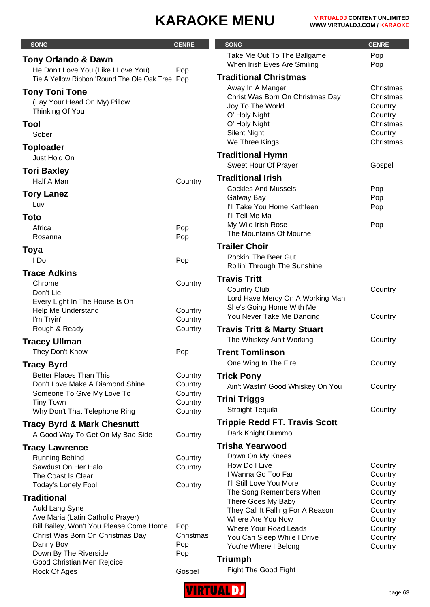| <b>SONG</b>                                                                                     | <b>GENRE</b>                  | <b>SONG</b>                                                                         | <b>GENRE</b>                                 |
|-------------------------------------------------------------------------------------------------|-------------------------------|-------------------------------------------------------------------------------------|----------------------------------------------|
| <b>Tony Orlando &amp; Dawn</b>                                                                  |                               | Take Me Out To The Ballgame                                                         | Pop                                          |
| He Don't Love You (Like I Love You)                                                             | Pop                           | When Irish Eyes Are Smiling                                                         | Pop                                          |
| Tie A Yellow Ribbon 'Round The Ole Oak Tree Pop                                                 |                               | <b>Traditional Christmas</b>                                                        |                                              |
| <b>Tony Toni Tone</b><br>(Lay Your Head On My) Pillow<br>Thinking Of You                        |                               | Away In A Manger<br>Christ Was Born On Christmas Day<br>Joy To The World            | Christmas<br>Christmas<br>Country            |
| Tool<br>Sober                                                                                   |                               | O' Holy Night<br>O' Holy Night<br><b>Silent Night</b><br>We Three Kings             | Country<br>Christmas<br>Country<br>Christmas |
| <b>Toploader</b><br>Just Hold On                                                                |                               | <b>Traditional Hymn</b>                                                             |                                              |
| <b>Tori Baxley</b>                                                                              |                               | Sweet Hour Of Prayer                                                                | Gospel                                       |
| Half A Man                                                                                      | Country                       | <b>Traditional Irish</b>                                                            |                                              |
| <b>Tory Lanez</b><br>Luv                                                                        |                               | <b>Cockles And Mussels</b><br>Galway Bay<br>I'll Take You Home Kathleen             | Pop<br>Pop<br>Pop                            |
| <b>Toto</b><br>Africa<br>Rosanna                                                                | Pop<br>Pop                    | I'll Tell Me Ma<br>My Wild Irish Rose<br>The Mountains Of Mourne                    | Pop                                          |
| Toya                                                                                            |                               | <b>Trailer Choir</b>                                                                |                                              |
| I Do                                                                                            | Pop                           | Rockin' The Beer Gut<br>Rollin' Through The Sunshine                                |                                              |
| <b>Trace Adkins</b>                                                                             |                               | <b>Travis Tritt</b>                                                                 |                                              |
| Chrome<br>Don't Lie<br>Every Light In The House Is On<br>Help Me Understand                     | Country<br>Country            | <b>Country Club</b><br>Lord Have Mercy On A Working Man<br>She's Going Home With Me | Country                                      |
| I'm Tryin'<br>Rough & Ready                                                                     | Country<br>Country            | You Never Take Me Dancing<br><b>Travis Tritt &amp; Marty Stuart</b>                 | Country                                      |
| <b>Tracey Ullman</b>                                                                            |                               | The Whiskey Ain't Working                                                           | Country                                      |
| They Don't Know                                                                                 | Pop                           | <b>Trent Tomlinson</b>                                                              |                                              |
| <b>Tracy Byrd</b>                                                                               |                               | One Wing In The Fire                                                                | Country                                      |
| <b>Better Places Than This</b><br>Don't Love Make A Diamond Shine<br>Someone To Give My Love To | Country<br>Country<br>Country | <b>Trick Pony</b><br>Ain't Wastin' Good Whiskey On You                              | Country                                      |
| <b>Tiny Town</b><br>Why Don't That Telephone Ring                                               | Country<br>Country            | <b>Trini Triggs</b><br>Straight Tequila                                             | Country                                      |
| <b>Tracy Byrd &amp; Mark Chesnutt</b>                                                           |                               | <b>Trippie Redd FT. Travis Scott</b>                                                |                                              |
| A Good Way To Get On My Bad Side                                                                | Country                       | Dark Knight Dummo                                                                   |                                              |
| <b>Tracy Lawrence</b>                                                                           |                               | <b>Trisha Yearwood</b>                                                              |                                              |
| <b>Running Behind</b>                                                                           | Country                       | Down On My Knees                                                                    |                                              |
| Sawdust On Her Halo                                                                             | Country                       | How Do I Live                                                                       | Country                                      |
| The Coast Is Clear                                                                              |                               | I Wanna Go Too Far<br>I'll Still Love You More                                      | Country<br>Country                           |
| <b>Today's Lonely Fool</b>                                                                      | Country                       | The Song Remembers When                                                             | Country                                      |
| <b>Traditional</b>                                                                              |                               | There Goes My Baby                                                                  | Country                                      |
| Auld Lang Syne<br>Ave Maria (Latin Catholic Prayer)                                             |                               | They Call It Falling For A Reason                                                   | Country                                      |
| Bill Bailey, Won't You Please Come Home                                                         | Pop                           | Where Are You Now<br><b>Where Your Road Leads</b>                                   | Country<br>Country                           |
| Christ Was Born On Christmas Day                                                                | Christmas                     | You Can Sleep While I Drive                                                         | Country                                      |
| Danny Boy                                                                                       | Pop                           | You're Where I Belong                                                               | Country                                      |
| Down By The Riverside<br>Good Christian Men Rejoice                                             | Pop                           | <b>Triumph</b>                                                                      |                                              |
| Rock Of Ages                                                                                    | Gospel                        | Fight The Good Fight                                                                |                                              |

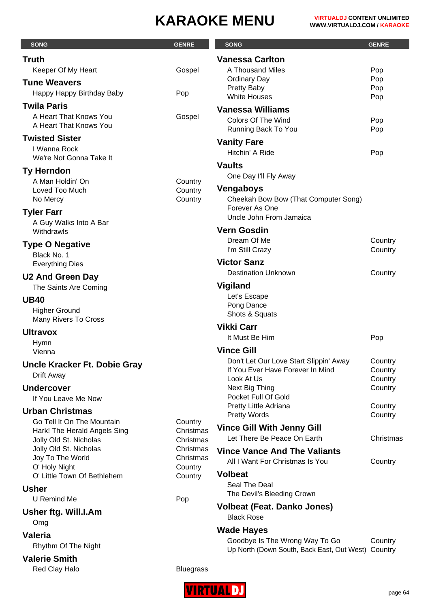| <b>SONG</b>                                          | <b>GENRE</b>         | <b>SONG</b>                                             | <b>GENRE</b> |
|------------------------------------------------------|----------------------|---------------------------------------------------------|--------------|
| <b>Truth</b>                                         |                      | <b>Vanessa Carlton</b>                                  |              |
| Keeper Of My Heart                                   | Gospel               | A Thousand Miles                                        | Pop          |
| <b>Tune Weavers</b>                                  |                      | <b>Ordinary Day</b>                                     | Pop          |
| Happy Happy Birthday Baby                            | Pop                  | <b>Pretty Baby</b><br><b>White Houses</b>               | Pop<br>Pop   |
| <b>Twila Paris</b>                                   |                      | <b>Vanessa Williams</b>                                 |              |
| A Heart That Knows You                               | Gospel               | Colors Of The Wind                                      | Pop          |
| A Heart That Knows You                               |                      | Running Back To You                                     | Pop          |
| <b>Twisted Sister</b><br>I Wanna Rock                |                      | <b>Vanity Fare</b>                                      |              |
| We're Not Gonna Take It                              |                      | Hitchin' A Ride                                         | Pop          |
| <b>Ty Herndon</b>                                    |                      | <b>Vaults</b>                                           |              |
| A Man Holdin' On                                     | Country              | One Day I'll Fly Away                                   |              |
| Loved Too Much                                       | Country              | <b>Vengaboys</b>                                        |              |
| No Mercy                                             | Country              | Cheekah Bow Bow (That Computer Song)<br>Forever As One  |              |
| <b>Tyler Farr</b>                                    |                      | Uncle John From Jamaica                                 |              |
| A Guy Walks Into A Bar<br>Withdrawls                 |                      | <b>Vern Gosdin</b>                                      |              |
|                                                      |                      | Dream Of Me                                             | Country      |
| <b>Type O Negative</b><br>Black No. 1                |                      | I'm Still Crazy                                         | Country      |
| <b>Everything Dies</b>                               |                      | <b>Victor Sanz</b>                                      |              |
| U2 And Green Day                                     |                      | <b>Destination Unknown</b>                              | Country      |
| The Saints Are Coming                                |                      | <b>Vigiland</b>                                         |              |
| <b>UB40</b>                                          |                      | Let's Escape                                            |              |
| <b>Higher Ground</b>                                 |                      | Pong Dance<br>Shots & Squats                            |              |
| Many Rivers To Cross                                 |                      | <b>Vikki Carr</b>                                       |              |
| <b>Ultravox</b>                                      |                      | It Must Be Him                                          | Pop          |
| Hymn                                                 |                      | <b>Vince Gill</b>                                       |              |
| Vienna                                               |                      | Don't Let Our Love Start Slippin' Away                  | Country      |
| Uncle Kracker Ft. Dobie Gray                         |                      | If You Ever Have Forever In Mind                        | Country      |
| Drift Away                                           |                      | Look At Us                                              | Country      |
| <b>Undercover</b><br>If You Leave Me Now             |                      | Next Big Thing<br>Pocket Full Of Gold                   | Country      |
|                                                      |                      | Pretty Little Adriana                                   | Country      |
| <b>Urban Christmas</b><br>Go Tell It On The Mountain |                      | <b>Pretty Words</b>                                     | Country      |
| Hark! The Herald Angels Sing                         | Country<br>Christmas | <b>Vince Gill With Jenny Gill</b>                       |              |
| Jolly Old St. Nicholas                               | Christmas            | Let There Be Peace On Earth                             | Christmas    |
| Jolly Old St. Nicholas                               | Christmas            | <b>Vince Vance And The Valiants</b>                     |              |
| Joy To The World<br>O' Holy Night                    | Christmas<br>Country | All I Want For Christmas Is You                         | Country      |
| O' Little Town Of Bethlehem                          | Country              | <b>Volbeat</b>                                          |              |
| <b>Usher</b>                                         |                      | Seal The Deal                                           |              |
| U Remind Me                                          | Pop                  | The Devil's Bleeding Crown                              |              |
| Usher ftg. Will.I.Am                                 |                      | <b>Volbeat (Feat. Danko Jones)</b><br><b>Black Rose</b> |              |
| Omg                                                  |                      |                                                         |              |
| <b>Valeria</b>                                       |                      | <b>Wade Hayes</b><br>Goodbye Is The Wrong Way To Go     | Country      |
| Rhythm Of The Night                                  |                      | Up North (Down South, Back East, Out West) Country      |              |
| <b>Valerie Smith</b>                                 |                      |                                                         |              |

Red Clay Halo **Bluegrass** 

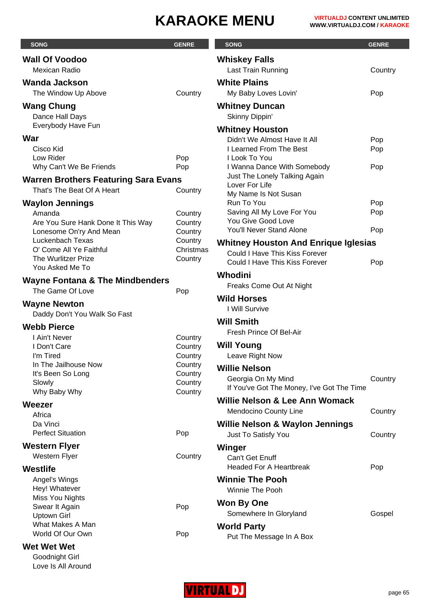| <b>SONG</b>                                 | <b>GENRE</b>       | <b>SONG</b>                                                                          | <b>GENRE</b> |
|---------------------------------------------|--------------------|--------------------------------------------------------------------------------------|--------------|
| <b>Wall Of Voodoo</b>                       |                    | <b>Whiskey Falls</b>                                                                 |              |
| <b>Mexican Radio</b>                        |                    | <b>Last Train Running</b>                                                            | Country      |
| <b>Wanda Jackson</b>                        |                    | <b>White Plains</b>                                                                  |              |
| The Window Up Above                         | Country            | My Baby Loves Lovin'                                                                 | Pop          |
| <b>Wang Chung</b>                           |                    | <b>Whitney Duncan</b>                                                                |              |
| Dance Hall Days                             |                    | Skinny Dippin'                                                                       |              |
| Everybody Have Fun                          |                    | <b>Whitney Houston</b>                                                               |              |
| War                                         |                    | Didn't We Almost Have It All                                                         | Pop          |
| Cisco Kid<br>Low Rider                      | Pop                | I Learned From The Best<br>I Look To You                                             | Pop          |
| Why Can't We Be Friends                     | Pop                | I Wanna Dance With Somebody                                                          | Pop          |
| <b>Warren Brothers Featuring Sara Evans</b> |                    | Just The Lonely Talking Again                                                        |              |
| That's The Beat Of A Heart                  | Country            | Lover For Life<br>My Name Is Not Susan                                               |              |
| <b>Waylon Jennings</b>                      |                    | Run To You                                                                           | Pop          |
| Amanda                                      | Country            | Saving All My Love For You                                                           | Pop          |
| Are You Sure Hank Done It This Way          | Country            | You Give Good Love<br>You'll Never Stand Alone                                       |              |
| Lonesome On'ry And Mean<br>Luckenbach Texas | Country<br>Country |                                                                                      | Pop          |
| O' Come All Ye Faithful                     | Christmas          | <b>Whitney Houston And Enrique Iglesias</b><br><b>Could I Have This Kiss Forever</b> |              |
| The Wurlitzer Prize                         | Country            | Could I Have This Kiss Forever                                                       | Pop          |
| You Asked Me To                             |                    | Whodini                                                                              |              |
| <b>Wayne Fontana &amp; The Mindbenders</b>  |                    | Freaks Come Out At Night                                                             |              |
| The Game Of Love                            | Pop                | <b>Wild Horses</b>                                                                   |              |
| <b>Wayne Newton</b>                         |                    | I Will Survive                                                                       |              |
| Daddy Don't You Walk So Fast                |                    | <b>Will Smith</b>                                                                    |              |
| <b>Webb Pierce</b>                          |                    | Fresh Prince Of Bel-Air                                                              |              |
| I Ain't Never<br>I Don't Care               | Country<br>Country | <b>Will Young</b>                                                                    |              |
| I'm Tired                                   | Country            | Leave Right Now                                                                      |              |
| In The Jailhouse Now                        | Country            | <b>Willie Nelson</b>                                                                 |              |
| It's Been So Long<br>Slowly                 | Country<br>Country | Georgia On My Mind                                                                   | Country      |
| Why Baby Why                                | Country            | If You've Got The Money, I've Got The Time                                           |              |
| Weezer                                      |                    | Willie Nelson & Lee Ann Womack                                                       |              |
| Africa                                      |                    | Mendocino County Line                                                                | Country      |
| Da Vinci                                    |                    | <b>Willie Nelson &amp; Waylon Jennings</b>                                           |              |
| <b>Perfect Situation</b>                    | Pop                | Just To Satisfy You                                                                  | Country      |
| <b>Western Flyer</b>                        |                    | Winger                                                                               |              |
| Western Flyer                               | Country            | Can't Get Enuff<br><b>Headed For A Heartbreak</b>                                    | Pop          |
| Westlife                                    |                    |                                                                                      |              |
| Angel's Wings<br>Hey! Whatever              |                    | <b>Winnie The Pooh</b><br>Winnie The Pooh                                            |              |
| Miss You Nights                             |                    |                                                                                      |              |
| Swear It Again                              | Pop                | <b>Won By One</b><br>Somewhere In Gloryland                                          | Gospel       |
| <b>Uptown Girl</b><br>What Makes A Man      |                    |                                                                                      |              |
| World Of Our Own                            | Pop                | <b>World Party</b><br>Put The Message In A Box                                       |              |
| <b>Wet Wet Wet</b>                          |                    |                                                                                      |              |
| Goodnight Girl                              |                    |                                                                                      |              |

**VIRTUAL DJ** 

Love Is All Around